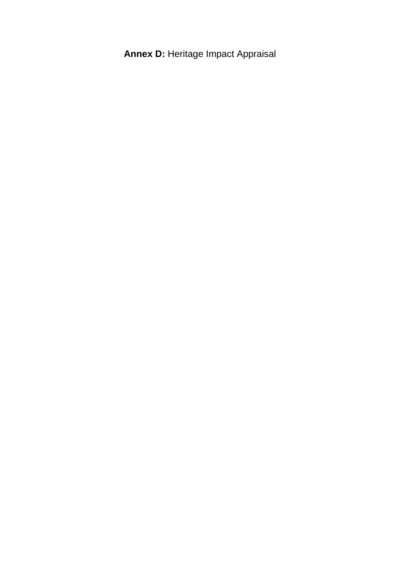**Annex D:** Heritage Impact Appraisal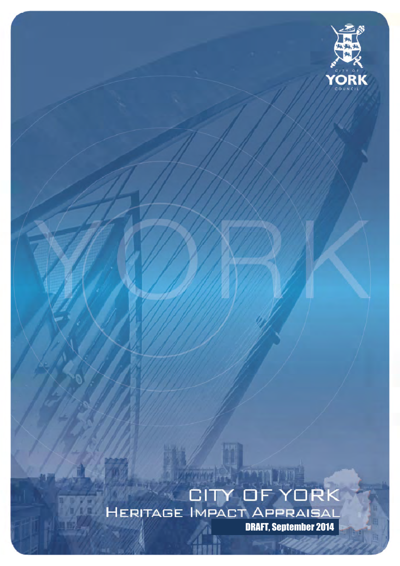

# W DRAFT, September 2014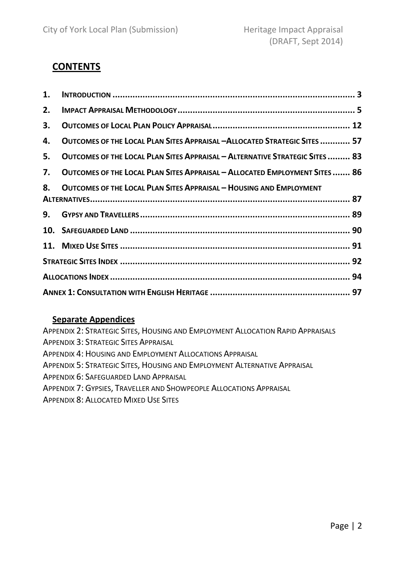### **CONTENTS**

| 1. |                                                                              |  |  |  |  |
|----|------------------------------------------------------------------------------|--|--|--|--|
| 2. |                                                                              |  |  |  |  |
| 3. |                                                                              |  |  |  |  |
| 4. | OUTCOMES OF THE LOCAL PLAN SITES APPRAISAL - ALLOCATED STRATEGIC SITES  57   |  |  |  |  |
| 5. | OUTCOMES OF THE LOCAL PLAN SITES APPRAISAL - ALTERNATIVE STRATEGIC SITES  83 |  |  |  |  |
| 7. | OUTCOMES OF THE LOCAL PLAN SITES APPRAISAL - ALLOCATED EMPLOYMENT SITES  86  |  |  |  |  |
| 8. | <b>OUTCOMES OF THE LOCAL PLAN SITES APPRAISAL - HOUSING AND EMPLOYMENT</b>   |  |  |  |  |
|    |                                                                              |  |  |  |  |
| 9. |                                                                              |  |  |  |  |
|    |                                                                              |  |  |  |  |
|    |                                                                              |  |  |  |  |
|    |                                                                              |  |  |  |  |
|    |                                                                              |  |  |  |  |
|    |                                                                              |  |  |  |  |

### Separate Appendices

| <b>APPENDIX 2: STRATEGIC SITES, HOUSING AND EMPLOYMENT ALLOCATION RAPID APPRAISALS</b> |
|----------------------------------------------------------------------------------------|
| <b>APPENDIX 3: STRATEGIC SITES APPRAISAL</b>                                           |
| <b>APPENDIX 4: HOUSING AND EMPLOYMENT ALLOCATIONS APPRAISAL</b>                        |
| APPENDIX 5: STRATEGIC SITES, HOUSING AND EMPLOYMENT ALTERNATIVE APPRAISAL              |
| APPENDIX 6: SAFEGUARDED LAND APPRAISAL                                                 |

- APPENDIX 7: GYPSIES, TRAVELLER AND SHOWPEOPLE ALLOCATIONS APPRAISAL
- APPENDIX 8: ALLOCATED MIXED USE SITES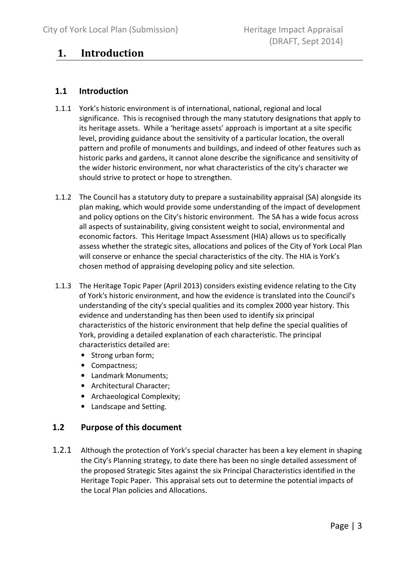### 1. Introduction

### 1.1 Introduction

- 1.1.1 York's historic environment is of international, national, regional and local significance. This is recognised through the many statutory designations that apply to its heritage assets. While a 'heritage assets' approach is important at a site specific level, providing guidance about the sensitivity of a particular location, the overall pattern and profile of monuments and buildings, and indeed of other features such as historic parks and gardens, it cannot alone describe the significance and sensitivity of the wider historic environment, nor what characteristics of the city's character we should strive to protect or hope to strengthen.
- 1.1.2 The Council has a statutory duty to prepare a sustainability appraisal (SA) alongside its plan making, which would provide some understanding of the impact of development and policy options on the City's historic environment. The SA has a wide focus across all aspects of sustainability, giving consistent weight to social, environmental and economic factors. This Heritage Impact Assessment (HIA) allows us to specifically assess whether the strategic sites, allocations and polices of the City of York Local Plan will conserve or enhance the special characteristics of the city. The HIA is York's chosen method of appraising developing policy and site selection.
- 1.1.3 The Heritage Topic Paper (April 2013) considers existing evidence relating to the City of York's historic environment, and how the evidence is translated into the Council's understanding of the city's special qualities and its complex 2000 year history. This evidence and understanding has then been used to identify six principal characteristics of the historic environment that help define the special qualities of York, providing a detailed explanation of each characteristic. The principal characteristics detailed are:
	- Strong urban form;
	- Compactness;
	- Landmark Monuments;
	- Architectural Character;
	- Archaeological Complexity;
	- Landscape and Setting.

### 1.2 Purpose of this document

1.2.1 Although the protection of York's special character has been a key element in shaping the City's Planning strategy, to date there has been no single detailed assessment of the proposed Strategic Sites against the six Principal Characteristics identified in the Heritage Topic Paper. This appraisal sets out to determine the potential impacts of the Local Plan policies and Allocations.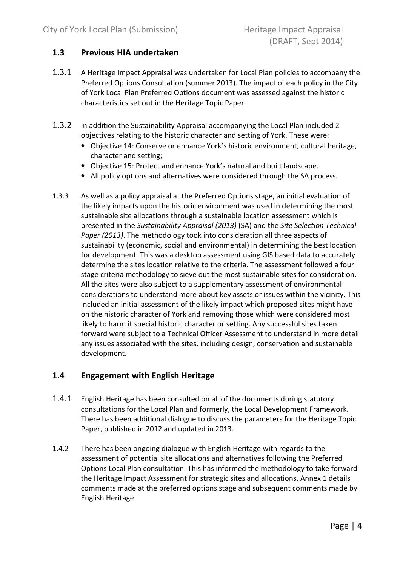### 1.3 Previous HIA undertaken

- 1.3.1 A Heritage Impact Appraisal was undertaken for Local Plan policies to accompany the Preferred Options Consultation (summer 2013). The impact of each policy in the City of York Local Plan Preferred Options document was assessed against the historic characteristics set out in the Heritage Topic Paper.
- 1.3.2 In addition the Sustainability Appraisal accompanying the Local Plan included 2 objectives relating to the historic character and setting of York. These were:
	- Objective 14: Conserve or enhance York's historic environment, cultural heritage, character and setting;
	- Objective 15: Protect and enhance York's natural and built landscape.
	- All policy options and alternatives were considered through the SA process.
- 1.3.3 As well as a policy appraisal at the Preferred Options stage, an initial evaluation of the likely impacts upon the historic environment was used in determining the most sustainable site allocations through a sustainable location assessment which is presented in the Sustainability Appraisal (2013) (SA) and the Site Selection Technical Paper (2013). The methodology took into consideration all three aspects of sustainability (economic, social and environmental) in determining the best location for development. This was a desktop assessment using GIS based data to accurately determine the sites location relative to the criteria. The assessment followed a four stage criteria methodology to sieve out the most sustainable sites for consideration. All the sites were also subject to a supplementary assessment of environmental considerations to understand more about key assets or issues within the vicinity. This included an initial assessment of the likely impact which proposed sites might have on the historic character of York and removing those which were considered most likely to harm it special historic character or setting. Any successful sites taken forward were subject to a Technical Officer Assessment to understand in more detail any issues associated with the sites, including design, conservation and sustainable development.

### 1.4 Engagement with English Heritage

- 1.4.1 English Heritage has been consulted on all of the documents during statutory consultations for the Local Plan and formerly, the Local Development Framework. There has been additional dialogue to discuss the parameters for the Heritage Topic Paper, published in 2012 and updated in 2013.
- 1.4.2 There has been ongoing dialogue with English Heritage with regards to the assessment of potential site allocations and alternatives following the Preferred Options Local Plan consultation. This has informed the methodology to take forward the Heritage Impact Assessment for strategic sites and allocations. Annex 1 details comments made at the preferred options stage and subsequent comments made by English Heritage.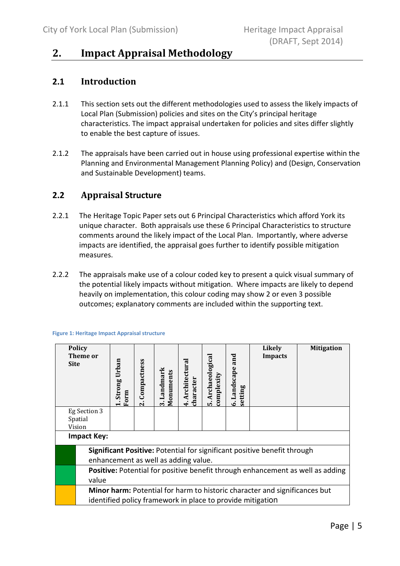### 2. Impact Appraisal Methodology

### 2.1 Introduction

- 2.1.1 This section sets out the different methodologies used to assess the likely impacts of Local Plan (Submission) policies and sites on the City's principal heritage characteristics. The impact appraisal undertaken for policies and sites differ slightly to enable the best capture of issues.
- 2.1.2 The appraisals have been carried out in house using professional expertise within the Planning and Environmental Management Planning Policy) and (Design, Conservation and Sustainable Development) teams.

### 2.2 Appraisal Structure

- 2.2.1 The Heritage Topic Paper sets out 6 Principal Characteristics which afford York its unique character. Both appraisals use these 6 Principal Characteristics to structure comments around the likely impact of the Local Plan. Importantly, where adverse impacts are identified, the appraisal goes further to identify possible mitigation measures.
- 2.2.2 The appraisals make use of a colour coded key to present a quick visual summary of the potential likely impacts without mitigation. Where impacts are likely to depend heavily on implementation, this colour coding may show 2 or even 3 possible outcomes; explanatory comments are included within the supporting text.

| <b>Site</b> | <b>Policy</b><br>Theme or                                                                                        | Strong Urban<br>Form | Compactness<br>$\overline{\mathbf{r}}$ | Landmark<br>Monuments<br>$\dot{\mathbf{c}}$ | Architectural<br>character<br>$\ddot{+}$ | Archaeological<br>complexity<br>ທ່ | and<br>Landscape<br>setting<br>Ġ | <b>Likely</b><br><b>Impacts</b> | <b>Mitigation</b> |
|-------------|------------------------------------------------------------------------------------------------------------------|----------------------|----------------------------------------|---------------------------------------------|------------------------------------------|------------------------------------|----------------------------------|---------------------------------|-------------------|
|             | Eg Section 3<br>Spatial                                                                                          |                      |                                        |                                             |                                          |                                    |                                  |                                 |                   |
|             | Vision                                                                                                           |                      |                                        |                                             |                                          |                                    |                                  |                                 |                   |
|             | <b>Impact Key:</b>                                                                                               |                      |                                        |                                             |                                          |                                    |                                  |                                 |                   |
|             | Significant Positive: Potential for significant positive benefit through<br>enhancement as well as adding value. |                      |                                        |                                             |                                          |                                    |                                  |                                 |                   |
|             | <b>Positive:</b> Potential for positive benefit through enhancement as well as adding                            |                      |                                        |                                             |                                          |                                    |                                  |                                 |                   |
|             | value                                                                                                            |                      |                                        |                                             |                                          |                                    |                                  |                                 |                   |
|             | Minor harm: Potential for harm to historic character and significances but                                       |                      |                                        |                                             |                                          |                                    |                                  |                                 |                   |
|             | identified policy framework in place to provide mitigation                                                       |                      |                                        |                                             |                                          |                                    |                                  |                                 |                   |

#### Figure 1: Heritage Impact Appraisal structure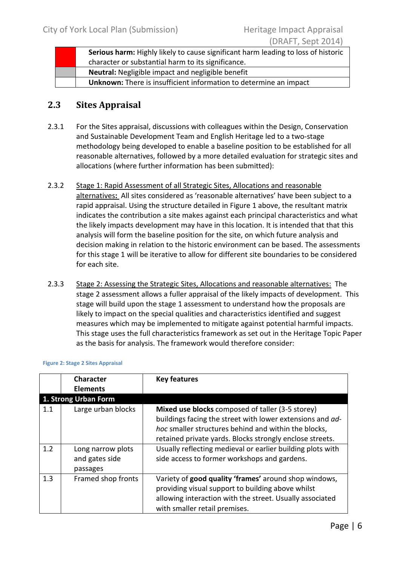| Serious harm: Highly likely to cause significant harm leading to loss of historic |
|-----------------------------------------------------------------------------------|
| character or substantial harm to its significance.                                |
| Neutral: Negligible impact and negligible benefit                                 |
| Unknown: There is insufficient information to determine an impact                 |

### 2.3 Sites Appraisal

- 2.3.1 For the Sites appraisal, discussions with colleagues within the Design, Conservation and Sustainable Development Team and English Heritage led to a two-stage methodology being developed to enable a baseline position to be established for all reasonable alternatives, followed by a more detailed evaluation for strategic sites and allocations (where further information has been submitted):
- 2.3.2 Stage 1: Rapid Assessment of all Strategic Sites, Allocations and reasonable alternatives: All sites considered as 'reasonable alternatives' have been subject to a rapid appraisal. Using the structure detailed in Figure 1 above, the resultant matrix indicates the contribution a site makes against each principal characteristics and what the likely impacts development may have in this location. It is intended that that this analysis will form the baseline position for the site, on which future analysis and decision making in relation to the historic environment can be based. The assessments for this stage 1 will be iterative to allow for different site boundaries to be considered for each site.
- 2.3.3 Stage 2: Assessing the Strategic Sites, Allocations and reasonable alternatives: The stage 2 assessment allows a fuller appraisal of the likely impacts of development. This stage will build upon the stage 1 assessment to understand how the proposals are likely to impact on the special qualities and characteristics identified and suggest measures which may be implemented to mitigate against potential harmful impacts. This stage uses the full characteristics framework as set out in the Heritage Topic Paper as the basis for analysis. The framework would therefore consider:

|            | <b>Character</b><br><b>Elements</b>             | <b>Key features</b>                                                                                                                                                                                                               |
|------------|-------------------------------------------------|-----------------------------------------------------------------------------------------------------------------------------------------------------------------------------------------------------------------------------------|
|            | 1. Strong Urban Form                            |                                                                                                                                                                                                                                   |
| 1.1<br>1.2 | Large urban blocks                              | Mixed use blocks composed of taller (3-5 storey)<br>buildings facing the street with lower extensions and ad-<br>hoc smaller structures behind and within the blocks,<br>retained private yards. Blocks strongly enclose streets. |
|            | Long narrow plots<br>and gates side<br>passages | Usually reflecting medieval or earlier building plots with<br>side access to former workshops and gardens.                                                                                                                        |
| 1.3        | Framed shop fronts                              | Variety of good quality 'frames' around shop windows,<br>providing visual support to building above whilst<br>allowing interaction with the street. Usually associated<br>with smaller retail premises.                           |

#### Figure 2: Stage 2 Sites Appraisal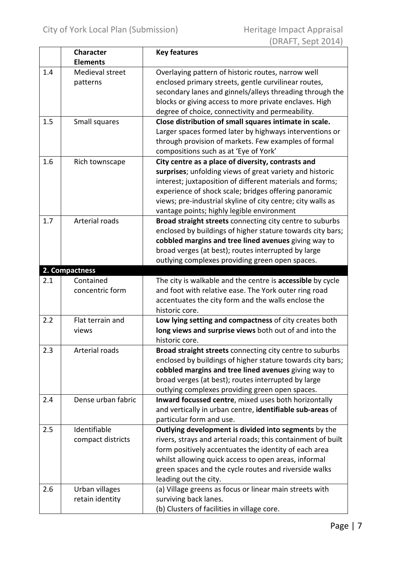|     | <b>Character</b>   | <b>Key features</b>                                             |
|-----|--------------------|-----------------------------------------------------------------|
|     | <b>Elements</b>    |                                                                 |
| 1.4 | Medieval street    | Overlaying pattern of historic routes, narrow well              |
|     | patterns           | enclosed primary streets, gentle curvilinear routes,            |
|     |                    | secondary lanes and ginnels/alleys threading through the        |
|     |                    | blocks or giving access to more private enclaves. High          |
|     |                    | degree of choice, connectivity and permeability.                |
| 1.5 | Small squares      | Close distribution of small squares intimate in scale.          |
|     |                    | Larger spaces formed later by highways interventions or         |
|     |                    | through provision of markets. Few examples of formal            |
|     |                    | compositions such as at 'Eye of York'                           |
| 1.6 | Rich townscape     | City centre as a place of diversity, contrasts and              |
|     |                    | surprises; unfolding views of great variety and historic        |
|     |                    | interest; juxtaposition of different materials and forms;       |
|     |                    | experience of shock scale; bridges offering panoramic           |
|     |                    | views; pre-industrial skyline of city centre; city walls as     |
|     |                    | vantage points; highly legible environment                      |
| 1.7 | Arterial roads     | Broad straight streets connecting city centre to suburbs        |
|     |                    | enclosed by buildings of higher stature towards city bars;      |
|     |                    | cobbled margins and tree lined avenues giving way to            |
|     |                    | broad verges (at best); routes interrupted by large             |
|     |                    | outlying complexes providing green open spaces.                 |
|     | 2. Compactness     |                                                                 |
| 2.1 | Contained          | The city is walkable and the centre is accessible by cycle      |
|     | concentric form    | and foot with relative ease. The York outer ring road           |
|     |                    | accentuates the city form and the walls enclose the             |
|     |                    | historic core.                                                  |
| 2.2 | Flat terrain and   | Low lying setting and compactness of city creates both          |
|     | views              | long views and surprise views both out of and into the          |
|     |                    | historic core.                                                  |
| 2.3 | Arterial roads     | <b>Broad straight streets</b> connecting city centre to suburbs |
|     |                    | enclosed by buildings of higher stature towards city bars;      |
|     |                    | cobbled margins and tree lined avenues giving way to            |
|     |                    | broad verges (at best); routes interrupted by large             |
|     |                    | outlying complexes providing green open spaces.                 |
| 2.4 | Dense urban fabric | Inward focussed centre, mixed uses both horizontally            |
|     |                    | and vertically in urban centre, identifiable sub-areas of       |
|     |                    | particular form and use.                                        |
| 2.5 | Identifiable       | Outlying development is divided into segments by the            |
|     | compact districts  | rivers, strays and arterial roads; this containment of built    |
|     |                    | form positively accentuates the identity of each area           |
|     |                    | whilst allowing quick access to open areas, informal            |
|     |                    | green spaces and the cycle routes and riverside walks           |
|     |                    | leading out the city.                                           |
| 2.6 | Urban villages     | (a) Village greens as focus or linear main streets with         |
|     | retain identity    | surviving back lanes.                                           |
|     |                    | (b) Clusters of facilities in village core.                     |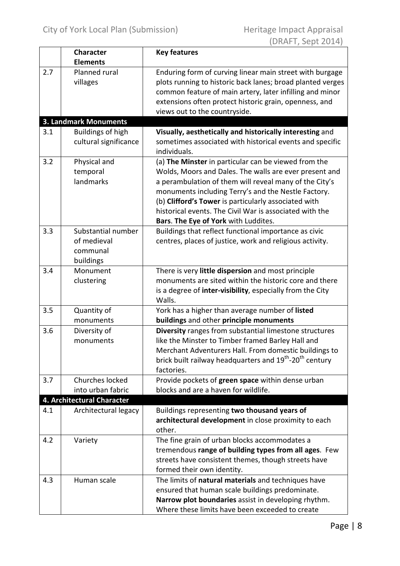|     | <b>Character</b>                                           | <b>Key features</b>                                                                                                                                                                                                                                                                                                                                                                        |
|-----|------------------------------------------------------------|--------------------------------------------------------------------------------------------------------------------------------------------------------------------------------------------------------------------------------------------------------------------------------------------------------------------------------------------------------------------------------------------|
|     | <b>Elements</b>                                            |                                                                                                                                                                                                                                                                                                                                                                                            |
| 2.7 | Planned rural<br>villages                                  | Enduring form of curving linear main street with burgage<br>plots running to historic back lanes; broad planted verges<br>common feature of main artery, later infilling and minor<br>extensions often protect historic grain, openness, and<br>views out to the countryside.                                                                                                              |
|     | <b>3. Landmark Monuments</b>                               |                                                                                                                                                                                                                                                                                                                                                                                            |
| 3.1 | <b>Buildings of high</b><br>cultural significance          | Visually, aesthetically and historically interesting and<br>sometimes associated with historical events and specific<br>individuals.                                                                                                                                                                                                                                                       |
| 3.2 | Physical and<br>temporal<br>landmarks                      | (a) The Minster in particular can be viewed from the<br>Wolds, Moors and Dales. The walls are ever present and<br>a perambulation of them will reveal many of the City's<br>monuments including Terry's and the Nestle Factory.<br>(b) Clifford's Tower is particularly associated with<br>historical events. The Civil War is associated with the<br>Bars. The Eye of York with Luddites. |
| 3.3 | Substantial number<br>of medieval<br>communal<br>buildings | Buildings that reflect functional importance as civic<br>centres, places of justice, work and religious activity.                                                                                                                                                                                                                                                                          |
| 3.4 | Monument<br>clustering                                     | There is very little dispersion and most principle<br>monuments are sited within the historic core and there<br>is a degree of inter-visibility, especially from the City<br>Walls.                                                                                                                                                                                                        |
| 3.5 | Quantity of<br>monuments                                   | York has a higher than average number of listed<br>buildings and other principle monuments                                                                                                                                                                                                                                                                                                 |
| 3.6 | Diversity of<br>monuments                                  | Diversity ranges from substantial limestone structures<br>like the Minster to Timber framed Barley Hall and<br>Merchant Adventurers Hall. From domestic buildings to<br>brick built railway headquarters and 19 <sup>th</sup> -20 <sup>th</sup> century<br>factories.                                                                                                                      |
| 3.7 | Churches locked                                            | Provide pockets of green space within dense urban                                                                                                                                                                                                                                                                                                                                          |
|     | into urban fabric                                          | blocks and are a haven for wildlife.                                                                                                                                                                                                                                                                                                                                                       |
|     | 4. Architectural Character                                 |                                                                                                                                                                                                                                                                                                                                                                                            |
| 4.1 | Architectural legacy                                       | Buildings representing two thousand years of<br>architectural development in close proximity to each<br>other.                                                                                                                                                                                                                                                                             |
| 4.2 | Variety                                                    | The fine grain of urban blocks accommodates a<br>tremendous range of building types from all ages. Few<br>streets have consistent themes, though streets have<br>formed their own identity.                                                                                                                                                                                                |
| 4.3 | Human scale                                                | The limits of natural materials and techniques have<br>ensured that human scale buildings predominate.<br>Narrow plot boundaries assist in developing rhythm.<br>Where these limits have been exceeded to create                                                                                                                                                                           |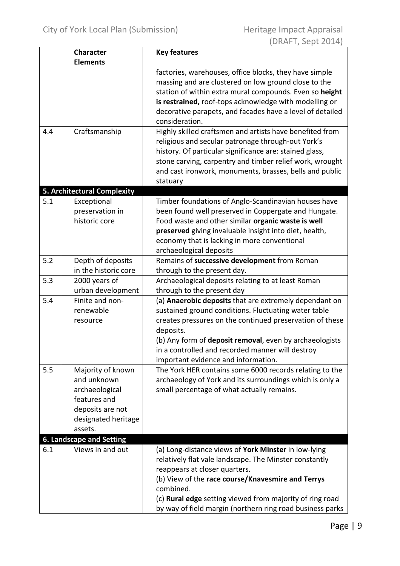|     | <b>Character</b>                                                                                                         | <b>Key features</b>                                                                                                                                                                                                                                                                                                                                  |
|-----|--------------------------------------------------------------------------------------------------------------------------|------------------------------------------------------------------------------------------------------------------------------------------------------------------------------------------------------------------------------------------------------------------------------------------------------------------------------------------------------|
|     | <b>Elements</b>                                                                                                          |                                                                                                                                                                                                                                                                                                                                                      |
|     |                                                                                                                          | factories, warehouses, office blocks, they have simple<br>massing and are clustered on low ground close to the<br>station of within extra mural compounds. Even so height<br>is restrained, roof-tops acknowledge with modelling or<br>decorative parapets, and facades have a level of detailed<br>consideration.                                   |
| 4.4 | Craftsmanship                                                                                                            | Highly skilled craftsmen and artists have benefited from<br>religious and secular patronage through-out York's<br>history. Of particular significance are: stained glass,<br>stone carving, carpentry and timber relief work, wrought<br>and cast ironwork, monuments, brasses, bells and public<br>statuary                                         |
|     | 5. Architectural Complexity                                                                                              |                                                                                                                                                                                                                                                                                                                                                      |
| 5.1 | Exceptional<br>preservation in<br>historic core                                                                          | Timber foundations of Anglo-Scandinavian houses have<br>been found well preserved in Coppergate and Hungate.<br>Food waste and other similar organic waste is well<br>preserved giving invaluable insight into diet, health,<br>economy that is lacking in more conventional<br>archaeological deposits                                              |
| 5.2 | Depth of deposits<br>in the historic core                                                                                | Remains of successive development from Roman<br>through to the present day.                                                                                                                                                                                                                                                                          |
| 5.3 | 2000 years of<br>urban development                                                                                       | Archaeological deposits relating to at least Roman<br>through to the present day                                                                                                                                                                                                                                                                     |
| 5.4 | Finite and non-<br>renewable<br>resource                                                                                 | (a) <b>Anaerobic deposits</b> that are extremely dependant on<br>sustained ground conditions. Fluctuating water table<br>creates pressures on the continued preservation of these<br>deposits.<br>(b) Any form of deposit removal, even by archaeologists<br>in a controlled and recorded manner will destroy<br>important evidence and information. |
| 5.5 | Majority of known<br>and unknown<br>archaeological<br>features and<br>deposits are not<br>designated heritage<br>assets. | The York HER contains some 6000 records relating to the<br>archaeology of York and its surroundings which is only a<br>small percentage of what actually remains.                                                                                                                                                                                    |
|     | <b>6. Landscape and Setting</b>                                                                                          |                                                                                                                                                                                                                                                                                                                                                      |
| 6.1 | Views in and out                                                                                                         | (a) Long-distance views of York Minster in low-lying<br>relatively flat vale landscape. The Minster constantly<br>reappears at closer quarters.<br>(b) View of the race course/Knavesmire and Terrys<br>combined.<br>(c) Rural edge setting viewed from majority of ring road<br>by way of field margin (northern ring road business parks           |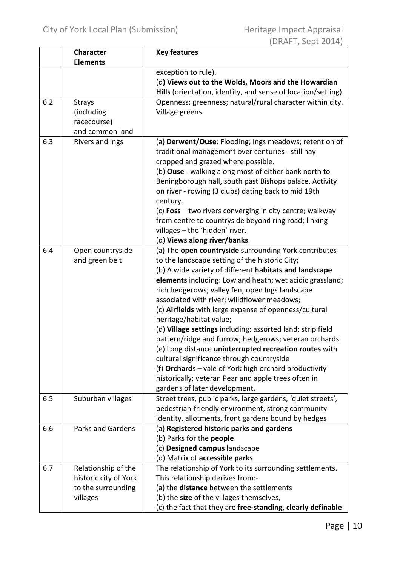|     | <b>Character</b>                                                               | <b>Key features</b>                                                                                                                                                                                                                                                                                                                                                                                                                                                                                                                                                                                                                                                                                                                                                                                 |
|-----|--------------------------------------------------------------------------------|-----------------------------------------------------------------------------------------------------------------------------------------------------------------------------------------------------------------------------------------------------------------------------------------------------------------------------------------------------------------------------------------------------------------------------------------------------------------------------------------------------------------------------------------------------------------------------------------------------------------------------------------------------------------------------------------------------------------------------------------------------------------------------------------------------|
|     | <b>Elements</b>                                                                |                                                                                                                                                                                                                                                                                                                                                                                                                                                                                                                                                                                                                                                                                                                                                                                                     |
|     |                                                                                | exception to rule).<br>(d) Views out to the Wolds, Moors and the Howardian<br>Hills (orientation, identity, and sense of location/setting).                                                                                                                                                                                                                                                                                                                                                                                                                                                                                                                                                                                                                                                         |
| 6.2 | <b>Strays</b><br>(including<br>racecourse)<br>and common land                  | Openness; greenness; natural/rural character within city.<br>Village greens.                                                                                                                                                                                                                                                                                                                                                                                                                                                                                                                                                                                                                                                                                                                        |
| 6.3 | Rivers and Ings                                                                | (a) Derwent/Ouse: Flooding; Ings meadows; retention of<br>traditional management over centuries - still hay<br>cropped and grazed where possible.<br>(b) Ouse - walking along most of either bank north to<br>Beningborough hall, south past Bishops palace. Activity<br>on river - rowing (3 clubs) dating back to mid 19th<br>century.<br>(c) Foss - two rivers converging in city centre; walkway<br>from centre to countryside beyond ring road; linking<br>villages - the 'hidden' river.<br>(d) Views along river/banks.                                                                                                                                                                                                                                                                      |
| 6.4 | Open countryside<br>and green belt                                             | (a) The open countryside surrounding York contributes<br>to the landscape setting of the historic City;<br>(b) A wide variety of different habitats and landscape<br>elements including: Lowland heath; wet acidic grassland;<br>rich hedgerows; valley fen; open Ings landscape<br>associated with river; wiildflower meadows;<br>(c) Airfields with large expanse of openness/cultural<br>heritage/habitat value;<br>(d) Village settings including: assorted land; strip field<br>pattern/ridge and furrow; hedgerows; veteran orchards.<br>(e) Long distance uninterrupted recreation routes with<br>cultural significance through countryside<br>(f) Orchards - vale of York high orchard productivity<br>historically; veteran Pear and apple trees often in<br>gardens of later development. |
| 6.5 | Suburban villages                                                              | Street trees, public parks, large gardens, 'quiet streets',<br>pedestrian-friendly environment, strong community<br>identity, allotments, front gardens bound by hedges                                                                                                                                                                                                                                                                                                                                                                                                                                                                                                                                                                                                                             |
| 6.6 | <b>Parks and Gardens</b>                                                       | (a) Registered historic parks and gardens<br>(b) Parks for the people<br>(c) Designed campus landscape<br>(d) Matrix of accessible parks                                                                                                                                                                                                                                                                                                                                                                                                                                                                                                                                                                                                                                                            |
| 6.7 | Relationship of the<br>historic city of York<br>to the surrounding<br>villages | The relationship of York to its surrounding settlements.<br>This relationship derives from:-<br>(a) the distance between the settlements<br>(b) the size of the villages themselves,<br>(c) the fact that they are free-standing, clearly definable                                                                                                                                                                                                                                                                                                                                                                                                                                                                                                                                                 |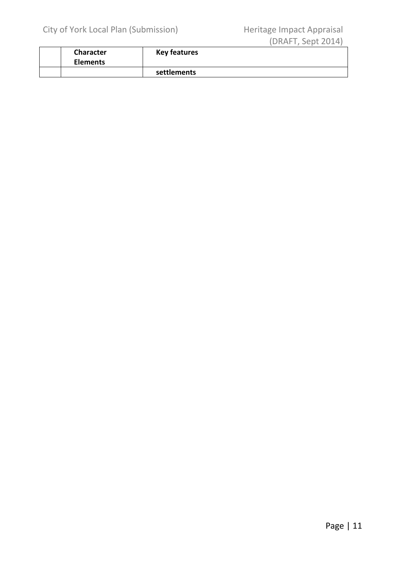| Character<br><b>Elements</b> | <b>Key features</b> |  |  |
|------------------------------|---------------------|--|--|
|                              | settlements         |  |  |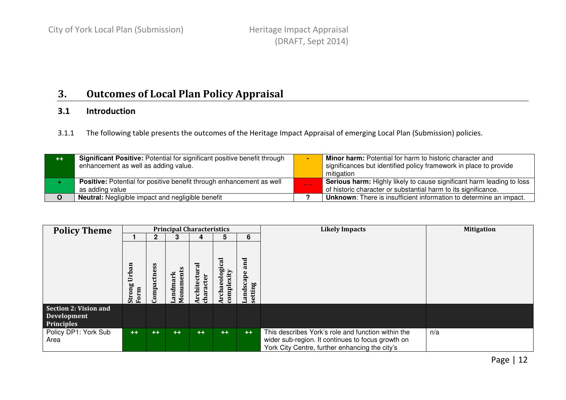#### 3.Outcomes of Local Plan Policy Appraisal

#### 3.1Introduction

3.1.1 The following table presents the outcomes of the Heritage Impact Appraisal of emerging Local Plan (Submission) policies.

| $++$ | <b>Significant Positive:</b> Potential for significant positive benefit through<br>enhancement as well as adding value. | <b>Minor harm:</b> Potential for harm to historic character and<br>significances but identified policy framework in place to provide<br>mitigation |
|------|-------------------------------------------------------------------------------------------------------------------------|----------------------------------------------------------------------------------------------------------------------------------------------------|
|      | <b>Positive:</b> Potential for positive benefit through enhancement as well<br>as adding value                          | <b>Serious harm:</b> Highly likely to cause significant harm leading to loss<br>of historic character or substantial harm to its significance.     |
|      | <b>Neutral:</b> Negligible impact and negligible benefit                                                                | <b>Unknown:</b> There is insufficient information to determine an impact.                                                                          |
|      |                                                                                                                         |                                                                                                                                                    |

| <b>Policy Theme</b>          |                                  |                    |                       | <b>Principal Characteristics</b> |                                  |                                         | <b>Likely Impacts</b>                                                                                                                                     | <b>Mitigation</b> |
|------------------------------|----------------------------------|--------------------|-----------------------|----------------------------------|----------------------------------|-----------------------------------------|-----------------------------------------------------------------------------------------------------------------------------------------------------------|-------------------|
|                              |                                  |                    | 3                     | 4                                | 5.                               | 6                                       |                                                                                                                                                           |                   |
|                              | an<br>Örb<br>D<br>Strong<br>Form | Ö,<br>ctne<br>ompa | Monuments<br>Landmark | ಸ<br>rchitectur<br>characte      | 90<br>complexity<br>ಠ<br>Archaeo | and<br>ڡ<br>dscap<br>setting<br>n<br>BL |                                                                                                                                                           |                   |
| <b>Section 2: Vision and</b> |                                  |                    |                       |                                  |                                  |                                         |                                                                                                                                                           |                   |
| <b>Development</b>           |                                  |                    |                       |                                  |                                  |                                         |                                                                                                                                                           |                   |
| <b>Principles</b>            |                                  |                    |                       |                                  |                                  |                                         |                                                                                                                                                           |                   |
| Policy DP1: York Sub<br>Area | $++$                             | $++$               | $++$                  | $++$                             | $++$                             | $++$                                    | This describes York's role and function within the<br>wider sub-region. It continues to focus growth on<br>York City Centre, further enhancing the city's | n/a               |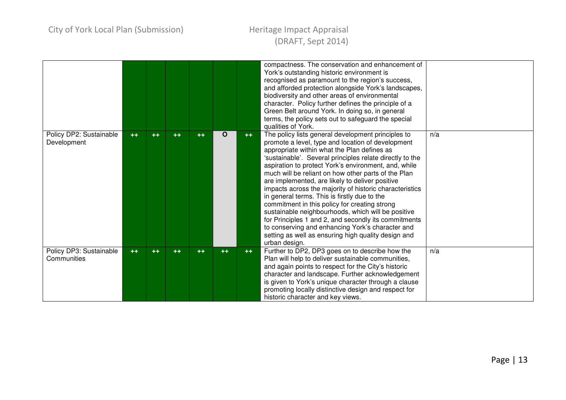|                                        |      |      |      |      |    |       | compactness. The conservation and enhancement of<br>York's outstanding historic environment is<br>recognised as paramount to the region's success,<br>and afforded protection alongside York's landscapes,<br>biodiversity and other areas of environmental<br>character. Policy further defines the principle of a<br>Green Belt around York. In doing so, in general<br>terms, the policy sets out to safeguard the special<br>qualities of York.                                                                                                                                                                                                                                                                                                                                        |     |
|----------------------------------------|------|------|------|------|----|-------|--------------------------------------------------------------------------------------------------------------------------------------------------------------------------------------------------------------------------------------------------------------------------------------------------------------------------------------------------------------------------------------------------------------------------------------------------------------------------------------------------------------------------------------------------------------------------------------------------------------------------------------------------------------------------------------------------------------------------------------------------------------------------------------------|-----|
| Policy DP2: Sustainable<br>Development | $++$ | $++$ | $++$ | $++$ | O  | $++$  | The policy lists general development principles to<br>promote a level, type and location of development<br>appropriate within what the Plan defines as<br>'sustainable'. Several principles relate directly to the<br>aspiration to protect York's environment, and, while<br>much will be reliant on how other parts of the Plan<br>are implemented, are likely to deliver positive<br>impacts across the majority of historic characteristics<br>in general terms. This is firstly due to the<br>commitment in this policy for creating strong<br>sustainable neighbourhoods, which will be positive<br>for Principles 1 and 2, and secondly its commitments<br>to conserving and enhancing York's character and<br>setting as well as ensuring high quality design and<br>urban design. | n/a |
| Policy DP3: Sustainable<br>Communities | $++$ | $++$ | $++$ | $++$ | ++ | $+ +$ | Further to DP2, DP3 goes on to describe how the<br>Plan will help to deliver sustainable communities,<br>and again points to respect for the City's historic<br>character and landscape. Further acknowledgement<br>is given to York's unique character through a clause<br>promoting locally distinctive design and respect for<br>historic character and key views.                                                                                                                                                                                                                                                                                                                                                                                                                      | n/a |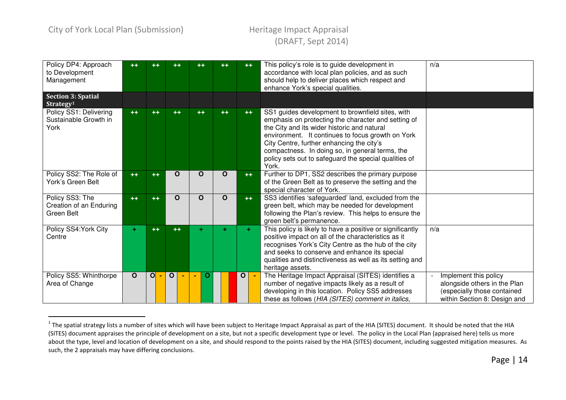# (DRAFT, Sept 2014)

| Policy DP4: Approach<br>to Development<br>Management     | $++$        | $^{\rm ++}$    | ++           | $++$        | $++$     | $++$         | This policy's role is to guide development in<br>accordance with local plan policies, and as such<br>should help to deliver places which respect and<br>enhance York's special qualities.                                                                                                                                                                                     | n/a                                                                                                                  |
|----------------------------------------------------------|-------------|----------------|--------------|-------------|----------|--------------|-------------------------------------------------------------------------------------------------------------------------------------------------------------------------------------------------------------------------------------------------------------------------------------------------------------------------------------------------------------------------------|----------------------------------------------------------------------------------------------------------------------|
| <b>Section 3: Spatial</b><br>Strategy <sup>1</sup>       |             |                |              |             |          |              |                                                                                                                                                                                                                                                                                                                                                                               |                                                                                                                      |
| Policy SS1: Delivering<br>Sustainable Growth in<br>York  | $++$        | $++$           | $++$         | $++$        | $++$     | $++$         | SS1 guides development to brownfield sites, with<br>emphasis on protecting the character and setting of<br>the City and its wider historic and natural<br>environment. It continues to focus growth on York<br>City Centre, further enhancing the city's<br>compactness. In doing so, in general terms, the<br>policy sets out to safeguard the special qualities of<br>York. |                                                                                                                      |
| Policy SS2: The Role of<br>York's Green Belt             | $++$        | $++$           | $\Omega$     | O           | $\Omega$ | $++$         | Further to DP1, SS2 describes the primary purpose<br>of the Green Belt as to preserve the setting and the<br>special character of York.                                                                                                                                                                                                                                       |                                                                                                                      |
| Policy SS3: The<br>Creation of an Enduring<br>Green Belt | $++$        | $++$           | $\mathbf O$  | $\mathbf O$ | $\Omega$ | $++$         | SS3 identifies 'safeguarded' land, excluded from the<br>green belt, which may be needed for development<br>following the Plan's review. This helps to ensure the<br>green belt's permanence.                                                                                                                                                                                  |                                                                                                                      |
| Policy SS4: York City<br>Centre                          | ÷.          | $++$           | $++$         | ÷           |          | ÷            | This policy is likely to have a positive or significantly<br>positive impact on all of the characteristics as it<br>recognises York's City Centre as the hub of the city<br>and seeks to conserve and enhance its special<br>qualities and distinctiveness as well as its setting and<br>heritage assets.                                                                     | n/a                                                                                                                  |
| Policy SS5: Whinthorpe<br>Area of Change                 | $\mathbf O$ | $\overline{O}$ | $\mathbf{o}$ | O           |          | $\mathbf{o}$ | The Heritage Impact Appraisal (SITES) identifies a<br>number of negative impacts likely as a result of<br>developing in this location. Policy SS5 addresses<br>these as follows (HIA (SITES) comment in italics,                                                                                                                                                              | Implement this policy<br>alongside others in the Plan<br>(especially those contained<br>within Section 8: Design and |

 $^{\text{1}}$  The spatial strategy lists a number of sites which will have been subject to Heritage Impact Appraisal as part of the HIA (SITES) document. It should be noted that the HIA (SITES) document appraises the principle of development on a site, but not a specific development type or level. The policy in the Local Plan (appraised here) tells us more about the type, level and location of development on a site, and should respond to the points raised by the HIA (SITES) document, including suggested mitigation measures. As such, the 2 appraisals may have differing conclusions.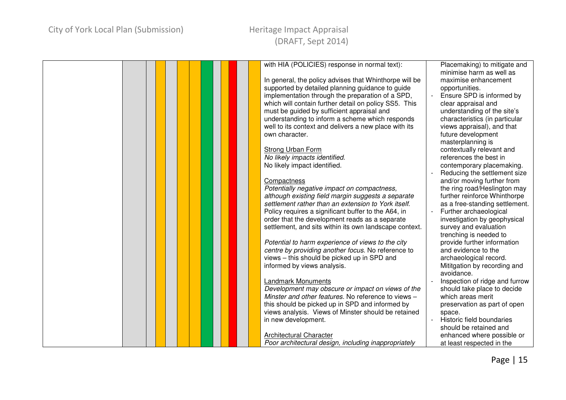| with HIA (POLICIES) response in normal text):          | Placemaking) to mitigate and   |  |
|--------------------------------------------------------|--------------------------------|--|
|                                                        | minimise harm as well as       |  |
| In general, the policy advises that Whinthorpe will be | maximise enhancement           |  |
| supported by detailed planning guidance to guide       | opportunities.                 |  |
| implementation through the preparation of a SPD,       | Ensure SPD is informed by      |  |
| which will contain further detail on policy SS5. This  | clear appraisal and            |  |
| must be guided by sufficient appraisal and             | understanding of the site's    |  |
| understanding to inform a scheme which responds        | characteristics (in particular |  |
| well to its context and delivers a new place with its  | views appraisal), and that     |  |
| own character.                                         | future development             |  |
|                                                        | masterplanning is              |  |
| <b>Strong Urban Form</b>                               | contextually relevant and      |  |
| No likely impacts identified.                          | references the best in         |  |
| No likely impact identified.                           | contemporary placemaking.      |  |
|                                                        | Reducing the settlement size   |  |
| Compactness                                            | and/or moving further from     |  |
| Potentially negative impact on compactness,            | the ring road/Heslington may   |  |
| although existing field margin suggests a separate     | further reinforce Whinthorpe   |  |
| settlement rather than an extension to York itself.    | as a free-standing settlement. |  |
| Policy requires a significant buffer to the A64, in    | Further archaeological         |  |
| order that the development reads as a separate         | investigation by geophysical   |  |
| settlement, and sits within its own landscape context. | survey and evaluation          |  |
|                                                        | trenching is needed to         |  |
| Potential to harm experience of views to the city      | provide further information    |  |
| centre by providing another focus. No reference to     | and evidence to the            |  |
| views - this should be picked up in SPD and            | archaeological record.         |  |
| informed by views analysis.                            | Mititgation by recording and   |  |
|                                                        | avoidance.                     |  |
| <b>Landmark Monuments</b>                              | Inspection of ridge and furrow |  |
| Development may obscure or impact on views of the      | should take place to decide    |  |
| Minster and other features. No reference to views -    | which areas merit              |  |
| this should be picked up in SPD and informed by        | preservation as part of open   |  |
| views analysis. Views of Minster should be retained    | space.                         |  |
| in new development.                                    | Historic field boundaries      |  |
|                                                        | should be retained and         |  |
| Architectural Character                                |                                |  |
|                                                        | enhanced where possible or     |  |
| Poor architectural design, including inappropriately   | at least respected in the      |  |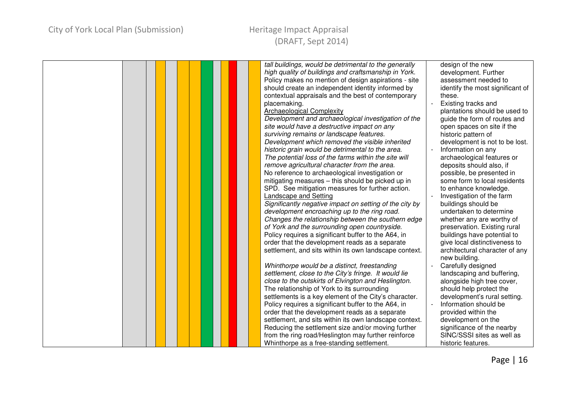| tall buildings, would be detrimental to the generally<br>high quality of buildings and craftsmanship in York. | design of the new<br>development. Further |
|---------------------------------------------------------------------------------------------------------------|-------------------------------------------|
| Policy makes no mention of design aspirations - site                                                          | assessment needed to                      |
| should create an independent identity informed by                                                             | identify the most significant of          |
| contextual appraisals and the best of contemporary                                                            | these.                                    |
| placemaking.                                                                                                  | Existing tracks and                       |
| <b>Archaeological Complexity</b>                                                                              | plantations should be used to             |
| Development and archaeological investigation of the                                                           | guide the form of routes and              |
| site would have a destructive impact on any                                                                   | open spaces on site if the                |
| surviving remains or landscape features.                                                                      | historic pattern of                       |
| Development which removed the visible inherited                                                               | development is not to be lost.            |
| historic grain would be detrimental to the area.                                                              | Information on any                        |
| The potential loss of the farms within the site will                                                          | archaeological features or                |
| remove agricultural character from the area.                                                                  | deposits should also, if                  |
| No reference to archaeological investigation or                                                               | possible, be presented in                 |
| mitigating measures - this should be picked up in                                                             | some form to local residents              |
| SPD. See mitigation measures for further action.                                                              | to enhance knowledge.                     |
| <b>Landscape and Setting</b>                                                                                  | Investigation of the farm                 |
| Significantly negative impact on setting of the city by                                                       | buildings should be                       |
| development encroaching up to the ring road.                                                                  | undertaken to determine                   |
| Changes the relationship between the southern edge                                                            | whether any are worthy of                 |
| of York and the surrounding open countryside.                                                                 | preservation. Existing rural              |
| Policy requires a significant buffer to the A64, in                                                           | buildings have potential to               |
| order that the development reads as a separate                                                                | give local distinctiveness to             |
| settlement, and sits within its own landscape context.                                                        | architectural character of any            |
|                                                                                                               | new building.                             |
| Whinthorpe would be a distinct, freestanding                                                                  | Carefully designed                        |
| settlement, close to the City's fringe. It would lie                                                          | landscaping and buffering,                |
| close to the outskirts of Elvington and Heslington.                                                           | alongside high tree cover,                |
| The relationship of York to its surrounding                                                                   | should help protect the                   |
| settlements is a key element of the City's character.                                                         | development's rural setting.              |
| Policy requires a significant buffer to the A64, in                                                           | Information should be                     |
| order that the development reads as a separate                                                                | provided within the                       |
| settlement, and sits within its own landscape context.                                                        | development on the                        |
| Reducing the settlement size and/or moving further                                                            | significance of the nearby                |
| from the ring road/Heslington may further reinforce                                                           | SINC/SSSI sites as well as                |
| Whinthorpe as a free-standing settlement.                                                                     | historic features.                        |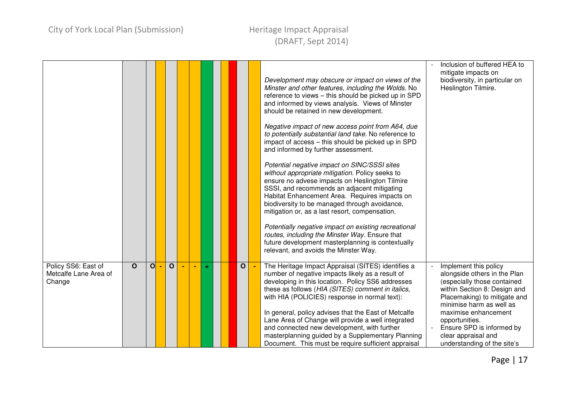|                                                        |              |   |              |                |   |  |              | Development may obscure or impact on views of the<br>Minster and other features, including the Wolds. No<br>reference to views - this should be picked up in SPD<br>and informed by views analysis. Views of Minster<br>should be retained in new development.<br>Negative impact of new access point from A64, due<br>to potentially substantial land take. No reference to<br>impact of access - this should be picked up in SPD<br>and informed by further assessment.<br>Potential negative impact on SINC/SSSI sites<br>without appropriate mitigation. Policy seeks to<br>ensure no advese impacts on Heslington Tilmire<br>SSSI, and recommends an adjacent mitigating<br>Habitat Enhancement Area. Requires impacts on<br>biodiversity to be managed through avoidance,<br>mitigation or, as a last resort, compensation.<br>Potentially negative impact on existing recreational<br>routes, including the Minster Way. Ensure that<br>future development masterplanning is contextually | Inclusion of buffered HEA to<br>mitigate impacts on<br>biodiversity, in particular on<br>Heslington Tilmire.                                                                     |
|--------------------------------------------------------|--------------|---|--------------|----------------|---|--|--------------|--------------------------------------------------------------------------------------------------------------------------------------------------------------------------------------------------------------------------------------------------------------------------------------------------------------------------------------------------------------------------------------------------------------------------------------------------------------------------------------------------------------------------------------------------------------------------------------------------------------------------------------------------------------------------------------------------------------------------------------------------------------------------------------------------------------------------------------------------------------------------------------------------------------------------------------------------------------------------------------------------|----------------------------------------------------------------------------------------------------------------------------------------------------------------------------------|
|                                                        |              |   |              |                |   |  |              | relevant, and avoids the Minster Way.                                                                                                                                                                                                                                                                                                                                                                                                                                                                                                                                                                                                                                                                                                                                                                                                                                                                                                                                                            |                                                                                                                                                                                  |
| Policy SS6: East of<br>Metcalfe Lane Area of<br>Change | $\mathbf{o}$ | O | $\mathbf{o}$ | $\blacksquare$ | ÷ |  | $\mathbf{o}$ | The Heritage Impact Appraisal (SITES) identifies a<br>number of negative impacts likely as a result of<br>developing in this location. Policy SS6 addresses<br>these as follows (HIA (SITES) comment in italics,<br>with HIA (POLICIES) response in normal text):                                                                                                                                                                                                                                                                                                                                                                                                                                                                                                                                                                                                                                                                                                                                | Implement this policy<br>alongside others in the Plan<br>(especially those contained<br>within Section 8: Design and<br>Placemaking) to mitigate and<br>minimise harm as well as |
|                                                        |              |   |              |                |   |  |              | In general, policy advises that the East of Metcalfe<br>Lane Area of Change will provide a well integrated<br>and connected new development, with further<br>masterplanning guided by a Supplementary Planning<br>Document. This must be require sufficient appraisal                                                                                                                                                                                                                                                                                                                                                                                                                                                                                                                                                                                                                                                                                                                            | maximise enhancement<br>opportunities.<br>Ensure SPD is informed by<br>clear appraisal and<br>understanding of the site's                                                        |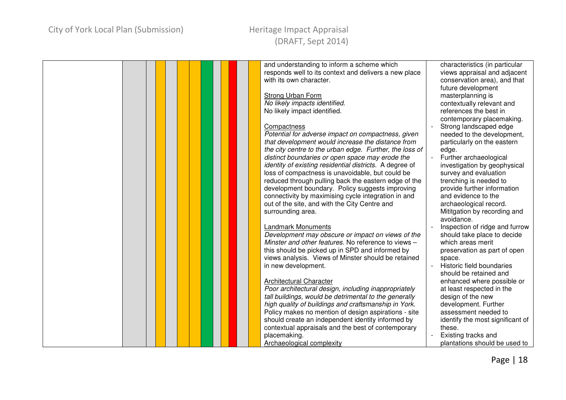| and understanding to inform a scheme which              | characteristics (in particular                      |
|---------------------------------------------------------|-----------------------------------------------------|
| responds well to its context and delivers a new place   | views appraisal and adjacent                        |
| with its own character.                                 | conservation area), and that                        |
|                                                         | future development                                  |
| Strong Urban Form                                       | masterplanning is                                   |
| No likely impacts identified.                           | contextually relevant and                           |
| No likely impact identified.                            | references the best in                              |
|                                                         | contemporary placemaking.                           |
| Compactness                                             | Strong landscaped edge                              |
| Potential for adverse impact on compactness, given      | needed to the development,                          |
| that development would increase the distance from       | particularly on the eastern                         |
| the city centre to the urban edge. Further, the loss of | edge.                                               |
| distinct boundaries or open space may erode the         | Further archaeological                              |
| identity of existing residential districts. A degree of | investigation by geophysical                        |
| loss of compactness is unavoidable, but could be        | survey and evaluation                               |
| reduced through pulling back the eastern edge of the    | trenching is needed to                              |
| development boundary. Policy suggests improving         | provide further information                         |
| connectivity by maximising cycle integration in and     | and evidence to the                                 |
| out of the site, and with the City Centre and           | archaeological record.                              |
| surrounding area.                                       | Mititgation by recording and                        |
|                                                         | avoidance.                                          |
| Landmark Monuments                                      | Inspection of ridge and furrow                      |
| Development may obscure or impact on views of the       |                                                     |
| Minster and other features. No reference to views -     | should take place to decide<br>which areas merit    |
|                                                         |                                                     |
| this should be picked up in SPD and informed by         | preservation as part of open                        |
| views analysis. Views of Minster should be retained     | space.                                              |
| in new development.                                     | Historic field boundaries<br>should be retained and |
|                                                         |                                                     |
| Architectural Character                                 | enhanced where possible or                          |
| Poor architectural design, including inappropriately    | at least respected in the                           |
| tall buildings, would be detrimental to the generally   | design of the new                                   |
| high quality of buildings and craftsmanship in York.    | development. Further                                |
| Policy makes no mention of design aspirations - site    | assessment needed to                                |
| should create an independent identity informed by       | identify the most significant of                    |
| contextual appraisals and the best of contemporary      | these.                                              |
| placemaking.                                            | Existing tracks and                                 |
| Archaeological complexity                               | plantations should be used to                       |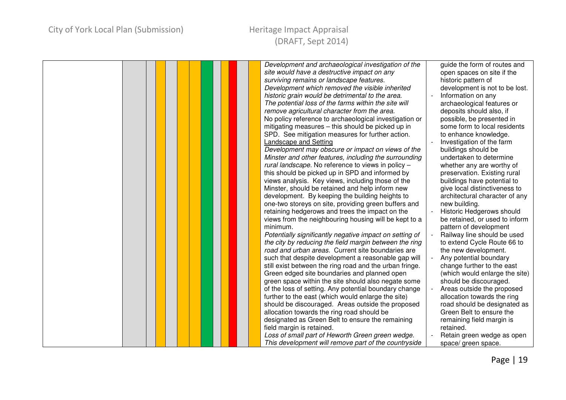### City of York Local Plan (Submission) Theritage Impact Appraisal

# (DRAFT, Sept 2014)

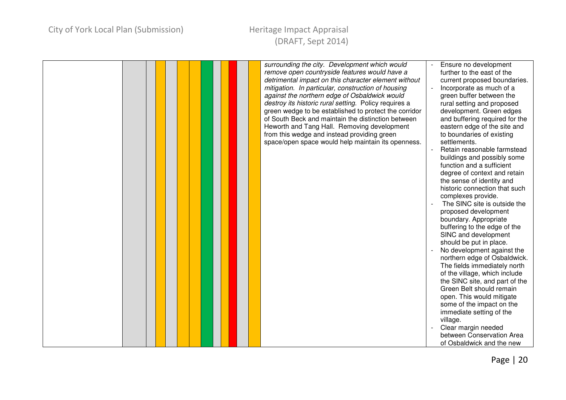| surrounding the city. Development which would<br>remove open countryside features would have a<br>detrimental impact on this character element without<br>mitigation. In particular, construction of housing<br>against the northern edge of Osbaldwick would<br>destroy its historic rural setting. Policy requires a<br>green wedge to be established to protect the corridor<br>of South Beck and maintain the distinction between<br>Heworth and Tang Hall. Removing development<br>from this wedge and instead providing green<br>space/open space would help maintain its openness. | Ensure no development<br>further to the east of the<br>current proposed boundaries.<br>Incorporate as much of a<br>green buffer between the<br>rural setting and proposed<br>development. Green edges<br>and buffering required for the<br>eastern edge of the site and<br>to boundaries of existing<br>settlements.<br>Retain reasonable farmstead<br>buildings and possibly some<br>function and a sufficient<br>degree of context and retain<br>the sense of identity and<br>historic connection that such<br>complexes provide.<br>The SINC site is outside the<br>proposed development<br>boundary. Appropriate<br>buffering to the edge of the<br>SINC and development<br>should be put in place.<br>No development against the<br>northern edge of Osbaldwick.<br>The fields immediately north<br>of the village, which include<br>the SINC site, and part of the<br>Green Belt should remain<br>open. This would mitigate<br>some of the impact on the<br>immediate setting of the<br>village.<br>Clear margin needed |
|-------------------------------------------------------------------------------------------------------------------------------------------------------------------------------------------------------------------------------------------------------------------------------------------------------------------------------------------------------------------------------------------------------------------------------------------------------------------------------------------------------------------------------------------------------------------------------------------|-------------------------------------------------------------------------------------------------------------------------------------------------------------------------------------------------------------------------------------------------------------------------------------------------------------------------------------------------------------------------------------------------------------------------------------------------------------------------------------------------------------------------------------------------------------------------------------------------------------------------------------------------------------------------------------------------------------------------------------------------------------------------------------------------------------------------------------------------------------------------------------------------------------------------------------------------------------------------------------------------------------------------------|
|                                                                                                                                                                                                                                                                                                                                                                                                                                                                                                                                                                                           | between Conservation Area                                                                                                                                                                                                                                                                                                                                                                                                                                                                                                                                                                                                                                                                                                                                                                                                                                                                                                                                                                                                     |
|                                                                                                                                                                                                                                                                                                                                                                                                                                                                                                                                                                                           | of Osbaldwick and the new                                                                                                                                                                                                                                                                                                                                                                                                                                                                                                                                                                                                                                                                                                                                                                                                                                                                                                                                                                                                     |
|                                                                                                                                                                                                                                                                                                                                                                                                                                                                                                                                                                                           |                                                                                                                                                                                                                                                                                                                                                                                                                                                                                                                                                                                                                                                                                                                                                                                                                                                                                                                                                                                                                               |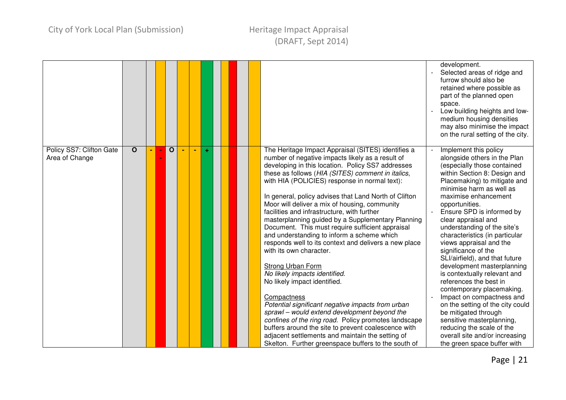|                                            |              |  |             |                |   |  |                                                                                                                                                                                                                                                                                                                                                                                                                                                                                                                                                                                                                                                                                                                                                                                                                                                                                                                                                                                                                                                                                                           | development.<br>Selected areas of ridge and<br>furrow should also be<br>retained where possible as<br>part of the planned open<br>space.<br>Low building heights and low-<br>medium housing densities<br>may also minimise the impact<br>on the rural setting of the city.                                                                                                                                                                                                                                                                                                                                                                                                                                                                                                   |
|--------------------------------------------|--------------|--|-------------|----------------|---|--|-----------------------------------------------------------------------------------------------------------------------------------------------------------------------------------------------------------------------------------------------------------------------------------------------------------------------------------------------------------------------------------------------------------------------------------------------------------------------------------------------------------------------------------------------------------------------------------------------------------------------------------------------------------------------------------------------------------------------------------------------------------------------------------------------------------------------------------------------------------------------------------------------------------------------------------------------------------------------------------------------------------------------------------------------------------------------------------------------------------|------------------------------------------------------------------------------------------------------------------------------------------------------------------------------------------------------------------------------------------------------------------------------------------------------------------------------------------------------------------------------------------------------------------------------------------------------------------------------------------------------------------------------------------------------------------------------------------------------------------------------------------------------------------------------------------------------------------------------------------------------------------------------|
| Policy SS7: Clifton Gate<br>Area of Change | $\mathbf{o}$ |  | $\mathbf O$ | $\blacksquare$ | ÷ |  | The Heritage Impact Appraisal (SITES) identifies a<br>number of negative impacts likely as a result of<br>developing in this location. Policy SS7 addresses<br>these as follows (HIA (SITES) comment in italics,<br>with HIA (POLICIES) response in normal text):<br>In general, policy advises that Land North of Clifton<br>Moor will deliver a mix of housing, community<br>facilities and infrastructure, with further<br>masterplanning guided by a Supplementary Planning<br>Document. This must require sufficient appraisal<br>and understanding to inform a scheme which<br>responds well to its context and delivers a new place<br>with its own character.<br>Strong Urban Form<br>No likely impacts identified.<br>No likely impact identified.<br>Compactness<br>Potential significant negative impacts from urban<br>sprawl - would extend development beyond the<br>confines of the ring road. Policy promotes landscape<br>buffers around the site to prevent coalescence with<br>adjacent settlements and maintain the setting of<br>Skelton. Further greenspace buffers to the south of | Implement this policy<br>alongside others in the Plan<br>(especially those contained<br>within Section 8: Design and<br>Placemaking) to mitigate and<br>minimise harm as well as<br>maximise enhancement<br>opportunities.<br>Ensure SPD is informed by<br>clear appraisal and<br>understanding of the site's<br>characteristics (in particular<br>views appraisal and the<br>significance of the<br>SLI/airfield), and that future<br>development masterplanning<br>is contextually relevant and<br>references the best in<br>contemporary placemaking.<br>Impact on compactness and<br>on the setting of the city could<br>be mitigated through<br>sensitive masterplanning,<br>reducing the scale of the<br>overall site and/or increasing<br>the green space buffer with |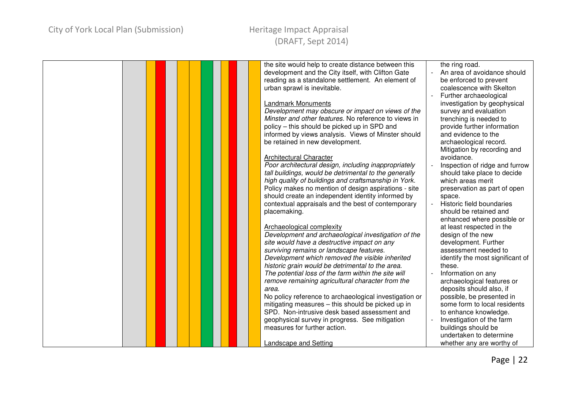| the site would help to create distance between this    | the ring road.                   |
|--------------------------------------------------------|----------------------------------|
| development and the City itself, with Clifton Gate     | An area of avoidance should      |
| reading as a standalone settlement. An element of      | be enforced to prevent           |
| urban sprawl is inevitable.                            | coalescence with Skelton         |
|                                                        | Further archaeological           |
| <b>Landmark Monuments</b>                              | investigation by geophysical     |
| Development may obscure or impact on views of the      | survey and evaluation            |
| Minster and other features. No reference to views in   | trenching is needed to           |
| policy – this should be picked up in SPD and           | provide further information      |
| informed by views analysis. Views of Minster should    | and evidence to the              |
|                                                        |                                  |
| be retained in new development.                        | archaeological record.           |
|                                                        | Mitigation by recording and      |
| <b>Architectural Character</b>                         | avoidance.                       |
| Poor architectural design, including inappropriately   | Inspection of ridge and furrow   |
| tall buildings, would be detrimental to the generally  | should take place to decide      |
| high quality of buildings and craftsmanship in York.   | which areas merit                |
| Policy makes no mention of design aspirations - site   | preservation as part of open     |
| should create an independent identity informed by      | space.                           |
| contextual appraisals and the best of contemporary     | Historic field boundaries        |
| placemaking.                                           | should be retained and           |
|                                                        | enhanced where possible or       |
| Archaeological complexity                              | at least respected in the        |
| Development and archaeological investigation of the    | design of the new                |
| site would have a destructive impact on any            | development. Further             |
| surviving remains or landscape features.               | assessment needed to             |
| Development which removed the visible inherited        | identify the most significant of |
| historic grain would be detrimental to the area.       | these.                           |
| The potential loss of the farm within the site will    | Information on any               |
| remove remaining agricultural character from the       | archaeological features or       |
| area.                                                  | deposits should also, if         |
|                                                        |                                  |
| No policy reference to archaeological investigation or | possible, be presented in        |
| mitigating measures - this should be picked up in      | some form to local residents     |
| SPD. Non-intrusive desk based assessment and           | to enhance knowledge.            |
| geophysical survey in progress. See mitigation         | Investigation of the farm        |
| measures for further action.                           | buildings should be              |
|                                                        | undertaken to determine          |
| Landscape and Setting                                  | whether any are worthy of        |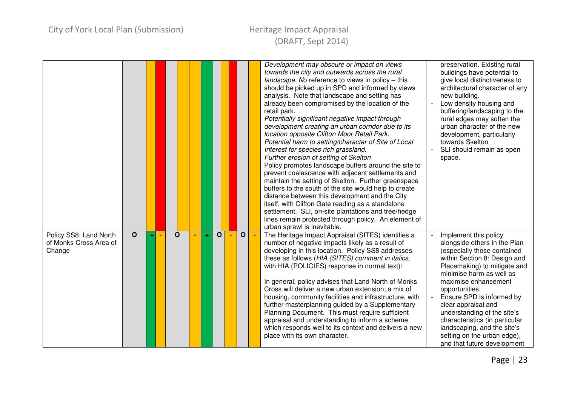|                                                            |              |  |             |                |   |              |              | Development may obscure or impact on views<br>towards the city and outwards across the rural<br>landscape. No reference to views in policy - this<br>should be picked up in SPD and informed by views<br>analysis. Note that landscape and setting has<br>already been compromised by the location of the<br>retail park.<br>Potentially significant negative impact through<br>development creating an urban corridor due to its<br>location opposite Clifton Moor Retail Park.<br>Potential harm to setting/character of Site of Local<br>Interest for species rich grassland.<br>Further erosion of setting of Skelton<br>Policy promotes landscape buffers around the site to<br>prevent coalescence with adjacent settlements and<br>maintain the setting of Skelton. Further greenspace<br>buffers to the south of the site would help to create<br>distance between this development and the City<br>itself, with Clifton Gate reading as a standalone<br>settlement. SLI, on-site plantations and tree/hedge<br>lines remain protected through policy. An element of<br>urban sprawl is inevitable. | preservation. Existing rural<br>buildings have potential to<br>give local distinctiveness to<br>architectural character of any<br>new building.<br>Low density housing and<br>buffering/landscaping to the<br>rural edges may soften the<br>urban character of the new<br>development, particularly<br>towards Skelton<br>SLI should remain as open<br>space.                                                                                |
|------------------------------------------------------------|--------------|--|-------------|----------------|---|--------------|--------------|-------------------------------------------------------------------------------------------------------------------------------------------------------------------------------------------------------------------------------------------------------------------------------------------------------------------------------------------------------------------------------------------------------------------------------------------------------------------------------------------------------------------------------------------------------------------------------------------------------------------------------------------------------------------------------------------------------------------------------------------------------------------------------------------------------------------------------------------------------------------------------------------------------------------------------------------------------------------------------------------------------------------------------------------------------------------------------------------------------------|----------------------------------------------------------------------------------------------------------------------------------------------------------------------------------------------------------------------------------------------------------------------------------------------------------------------------------------------------------------------------------------------------------------------------------------------|
| Policy SS8: Land North<br>of Monks Cross Area of<br>Change | $\mathbf{o}$ |  | $\mathbf O$ | $\blacksquare$ | ÷ | $\mathbf{o}$ | $\mathbf{o}$ | The Heritage Impact Appraisal (SITES) identifies a<br>number of negative impacts likely as a result of<br>developing in this location. Policy SS8 addresses<br>these as follows (HIA (SITES) comment in italics,<br>with HIA (POLICIES) response in normal text):<br>In general, policy advises that Land North of Monks<br>Cross will deliver a new urban extension; a mix of<br>housing, community facilities and infrastructure, with<br>further masterplanning guided by a Supplementary<br>Planning Document. This must require sufficient<br>appraisal and understanding to inform a scheme<br>which responds well to its context and delivers a new<br>place with its own character.                                                                                                                                                                                                                                                                                                                                                                                                                 | Implement this policy<br>alongside others in the Plan<br>(especially those contained<br>within Section 8: Design and<br>Placemaking) to mitigate and<br>minimise harm as well as<br>maximise enhancement<br>opportunities.<br>Ensure SPD is informed by<br>clear appraisal and<br>understanding of the site's<br>characteristics (in particular<br>landscaping, and the site's<br>setting on the urban edge),<br>and that future development |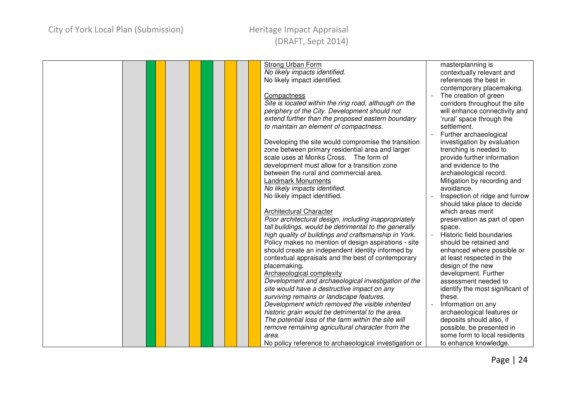| <b>Strong Urban Form</b>                                                                            | masterplanning is                                         |
|-----------------------------------------------------------------------------------------------------|-----------------------------------------------------------|
| No likely impacts identified.                                                                       | contextually relevant and                                 |
| No likely impact identified.                                                                        | references the best in                                    |
|                                                                                                     | contemporary placemaking.                                 |
| Compactness                                                                                         | The creation of green                                     |
| Site is located within the ring road, although on the                                               | corridors throughout the site                             |
| periphery of the City. Development should not                                                       | will enhance connectivity and                             |
| extend further than the proposed eastern boundary                                                   | 'rural' space through the                                 |
| to maintain an element of compactness.                                                              | settlement.                                               |
|                                                                                                     | Further archaeological                                    |
| Developing the site would compromise the transition                                                 | investigation by evaluation                               |
| zone between primary residential area and larger                                                    | trenching is needed to                                    |
| scale uses at Monks Cross. The form of                                                              | provide further information                               |
| development must allow for a transition zone                                                        | and evidence to the                                       |
| between the rural and commercial area.                                                              | archaeological record.                                    |
| <b>Landmark Monuments</b>                                                                           | Mitigation by recording and                               |
| No likely impacts identified.                                                                       | avoidance.                                                |
| No likely impact identified.                                                                        | Inspection of ridge and furrow                            |
|                                                                                                     | should take place to decide                               |
| <b>Architectural Character</b>                                                                      | which areas merit                                         |
| Poor architectural design, including inappropriately                                                | preservation as part of open                              |
| tall buildings, would be detrimental to the generally                                               | space.                                                    |
| high quality of buildings and craftsmanship in York.                                                | Historic field boundaries<br>$\overline{\phantom{a}}$     |
| Policy makes no mention of design aspirations - site                                                | should be retained and                                    |
| should create an independent identity informed by                                                   | enhanced where possible or                                |
| contextual appraisals and the best of contemporary                                                  | at least respected in the                                 |
| placemaking.                                                                                        | design of the new                                         |
| Archaeological complexity                                                                           | development. Further                                      |
| Development and archaeological investigation of the                                                 | assessment needed to                                      |
| site would have a destructive impact on any                                                         | identify the most significant of                          |
| surviving remains or landscape features.                                                            | these.                                                    |
|                                                                                                     |                                                           |
| Development which removed the visible inherited<br>historic grain would be detrimental to the area. | Information on any                                        |
| The potential loss of the farm within the site will                                                 | archaeological features or<br>deposits should also, if    |
|                                                                                                     |                                                           |
| remove remaining agricultural character from the                                                    | possible, be presented in<br>some form to local residents |
| area.                                                                                               |                                                           |
| No policy reference to archaeological investigation or                                              | to enhance knowledge.                                     |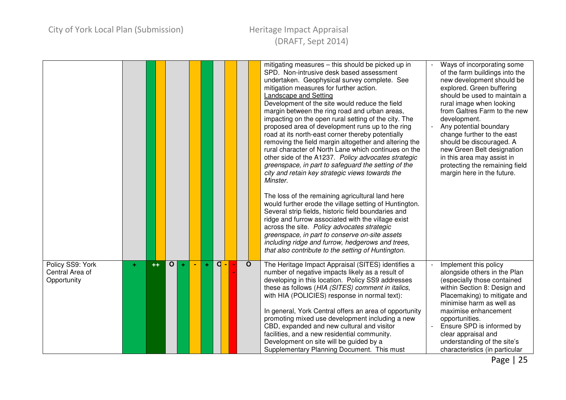### Heritage Impact Appraisal (DRAFT, Sept 2014)

|                                                    |    |      |                   |   |              |              | mitigating measures - this should be picked up in<br>SPD. Non-intrusive desk based assessment<br>undertaken. Geophysical survey complete. See<br>mitigation measures for further action.<br>Landscape and Setting<br>Development of the site would reduce the field<br>margin between the ring road and urban areas,<br>impacting on the open rural setting of the city. The<br>proposed area of development runs up to the ring<br>road at its north-east corner thereby potentially<br>removing the field margin altogether and altering the<br>rural character of North Lane which continues on the<br>other side of the A1237. Policy advocates strategic<br>greenspace, in part to safeguard the setting of the<br>city and retain key strategic views towards the<br>Minster.<br>The loss of the remaining agricultural land here<br>would further erode the village setting of Huntington.<br>Several strip fields, historic field boundaries and<br>ridge and furrow associated with the village exist<br>across the site. Policy advocates strategic<br>greenspace, in part to conserve on-site assets<br>including ridge and furrow, hedgerows and trees,<br>that also contribute to the setting of Huntington. | Ways of incorporating some<br>of the farm buildings into the<br>new development should be<br>explored. Green buffering<br>should be used to maintain a<br>rural image when looking<br>from Galtres Farm to the new<br>development.<br>Any potential boundary<br>change further to the east<br>should be discouraged. A<br>new Green Belt designation<br>in this area may assist in<br>protecting the remaining field<br>margin here in the future. |
|----------------------------------------------------|----|------|-------------------|---|--------------|--------------|---------------------------------------------------------------------------------------------------------------------------------------------------------------------------------------------------------------------------------------------------------------------------------------------------------------------------------------------------------------------------------------------------------------------------------------------------------------------------------------------------------------------------------------------------------------------------------------------------------------------------------------------------------------------------------------------------------------------------------------------------------------------------------------------------------------------------------------------------------------------------------------------------------------------------------------------------------------------------------------------------------------------------------------------------------------------------------------------------------------------------------------------------------------------------------------------------------------------------|----------------------------------------------------------------------------------------------------------------------------------------------------------------------------------------------------------------------------------------------------------------------------------------------------------------------------------------------------------------------------------------------------------------------------------------------------|
| Policy SS9: York<br>Central Area of<br>Opportunity | ÷. | $++$ | $\mathbf{o}$<br>÷ | ÷ | $\mathsf{d}$ | $\mathbf{o}$ | The Heritage Impact Appraisal (SITES) identifies a<br>number of negative impacts likely as a result of<br>developing in this location. Policy SS9 addresses<br>these as follows (HIA (SITES) comment in italics,<br>with HIA (POLICIES) response in normal text):<br>In general, York Central offers an area of opportunity<br>promoting mixed use development including a new<br>CBD, expanded and new cultural and visitor<br>facilities, and a new residential community.<br>Development on site will be guided by a<br>Supplementary Planning Document. This must                                                                                                                                                                                                                                                                                                                                                                                                                                                                                                                                                                                                                                                     | Implement this policy<br>alongside others in the Plan<br>(especially those contained<br>within Section 8: Design and<br>Placemaking) to mitigate and<br>minimise harm as well as<br>maximise enhancement<br>opportunities.<br>Ensure SPD is informed by<br>clear appraisal and<br>understanding of the site's<br>characteristics (in particular                                                                                                    |

Page | 25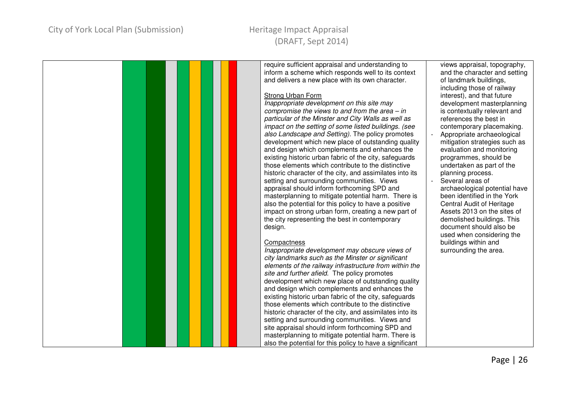### City of York Local Plan (Submission) Theritage Impact Appraisal

# (DRAFT, Sept 2014)

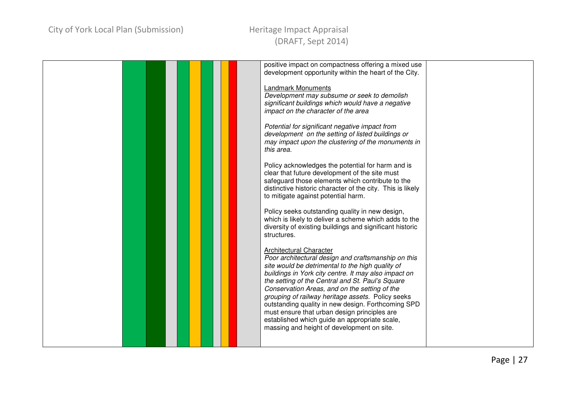|  | positive impact on compactness offering a mixed use        |  |
|--|------------------------------------------------------------|--|
|  |                                                            |  |
|  | development opportunity within the heart of the City.      |  |
|  |                                                            |  |
|  | <b>Landmark Monuments</b>                                  |  |
|  |                                                            |  |
|  | Development may subsume or seek to demolish                |  |
|  | significant buildings which would have a negative          |  |
|  | impact on the character of the area                        |  |
|  |                                                            |  |
|  |                                                            |  |
|  | Potential for significant negative impact from             |  |
|  | development on the setting of listed buildings or          |  |
|  | may impact upon the clustering of the monuments in         |  |
|  |                                                            |  |
|  | this area.                                                 |  |
|  |                                                            |  |
|  | Policy acknowledges the potential for harm and is          |  |
|  | clear that future development of the site must             |  |
|  |                                                            |  |
|  | safeguard those elements which contribute to the           |  |
|  | distinctive historic character of the city. This is likely |  |
|  | to mitigate against potential harm.                        |  |
|  |                                                            |  |
|  |                                                            |  |
|  | Policy seeks outstanding quality in new design,            |  |
|  | which is likely to deliver a scheme which adds to the      |  |
|  | diversity of existing buildings and significant historic   |  |
|  | structures.                                                |  |
|  |                                                            |  |
|  |                                                            |  |
|  | <b>Architectural Character</b>                             |  |
|  | Poor architectural design and craftsmanship on this        |  |
|  |                                                            |  |
|  | site would be detrimental to the high quality of           |  |
|  | buildings in York city centre. It may also impact on       |  |
|  | the setting of the Central and St. Paul's Square           |  |
|  | Conservation Areas, and on the setting of the              |  |
|  |                                                            |  |
|  | grouping of railway heritage assets. Policy seeks          |  |
|  | outstanding quality in new design. Forthcoming SPD         |  |
|  | must ensure that urban design principles are               |  |
|  | established which guide an appropriate scale,              |  |
|  |                                                            |  |
|  | massing and height of development on site.                 |  |
|  |                                                            |  |
|  |                                                            |  |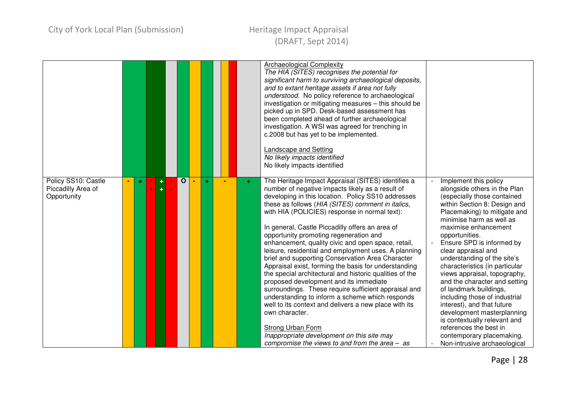|                                                          |   |  |              |   |  |    | <b>Archaeological Complexity</b><br>The HIA (SITES) recognises the potential for<br>significant harm to surviving archaeological deposits,<br>and to extant heritage assets if area not fully<br>understood. No policy reference to archaeological<br>investigation or mitigating measures - this should be<br>picked up in SPD. Desk-based assessment has<br>been completed ahead of further archaeological<br>investigation. A WSI was agreed for trenching in<br>c.2008 but has yet to be implemented.<br>Landscape and Setting<br>No likely impacts identified<br>No likely impacts identified                                                                                                                                                                                                                                                                                                                                                                                                          |                                                                                                                                                                                                                                                                                                                                                                                                                                                                                                                                                                                                                                                                |
|----------------------------------------------------------|---|--|--------------|---|--|----|-------------------------------------------------------------------------------------------------------------------------------------------------------------------------------------------------------------------------------------------------------------------------------------------------------------------------------------------------------------------------------------------------------------------------------------------------------------------------------------------------------------------------------------------------------------------------------------------------------------------------------------------------------------------------------------------------------------------------------------------------------------------------------------------------------------------------------------------------------------------------------------------------------------------------------------------------------------------------------------------------------------|----------------------------------------------------------------------------------------------------------------------------------------------------------------------------------------------------------------------------------------------------------------------------------------------------------------------------------------------------------------------------------------------------------------------------------------------------------------------------------------------------------------------------------------------------------------------------------------------------------------------------------------------------------------|
| Policy SS10: Castle<br>Piccadilly Area of<br>Opportunity | ÷ |  | $\mathbf{o}$ | ÷ |  | ÷. | The Heritage Impact Appraisal (SITES) identifies a<br>number of negative impacts likely as a result of<br>developing in this location. Policy SS10 addresses<br>these as follows (HIA (SITES) comment in italics,<br>with HIA (POLICIES) response in normal text):<br>In general, Castle Piccadilly offers an area of<br>opportunity promoting regeneration and<br>enhancement, quality civic and open space, retail,<br>leisure, residential and employment uses. A planning<br>brief and supporting Conservation Area Character<br>Appraisal exist, forming the basis for understanding<br>the special architectural and historic qualities of the<br>proposed development and its immediate<br>surroundings. These require sufficient appraisal and<br>understanding to inform a scheme which responds<br>well to its context and delivers a new place with its<br>own character.<br>Strong Urban Form<br>Inappropriate development on this site may<br>compromise the views to and from the area $-$ as | Implement this policy<br>alongside others in the Plan<br>(especially those contained<br>within Section 8: Design and<br>Placemaking) to mitigate and<br>minimise harm as well as<br>maximise enhancement<br>opportunities.<br>Ensure SPD is informed by<br>clear appraisal and<br>understanding of the site's<br>characteristics (in particular<br>views appraisal, topography,<br>and the character and setting<br>of landmark buildings,<br>including those of industrial<br>interest), and that future<br>development masterplanning<br>is contextually relevant and<br>references the best in<br>contemporary placemaking.<br>Non-intrusive archaeological |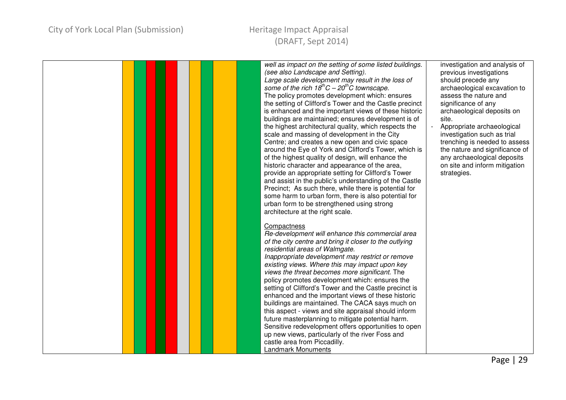|  | well as impact on the setting of some listed buildings. | investigation and analysis of  |
|--|---------------------------------------------------------|--------------------------------|
|  | (see also Landscape and Setting).                       | previous investigations        |
|  | Large scale development may result in the loss of       | should precede any             |
|  | some of the rich $18^{th}C - 20^{th}C$ townscape.       | archaeological excavation to   |
|  | The policy promotes development which: ensures          | assess the nature and          |
|  | the setting of Clifford's Tower and the Castle precinct | significance of any            |
|  | is enhanced and the important views of these historic   | archaeological deposits on     |
|  | buildings are maintained; ensures development is of     | site.                          |
|  | the highest architectural quality, which respects the   | Appropriate archaeological     |
|  | scale and massing of development in the City            | investigation such as trial    |
|  | Centre; and creates a new open and civic space          | trenching is needed to assess  |
|  | around the Eye of York and Clifford's Tower, which is   | the nature and significance of |
|  | of the highest quality of design, will enhance the      | any archaeological deposits    |
|  | historic character and appearance of the area,          | on site and inform mitigation  |
|  | provide an appropriate setting for Clifford's Tower     | strategies.                    |
|  | and assist in the public's understanding of the Castle  |                                |
|  | Precinct; As such there, while there is potential for   |                                |
|  | some harm to urban form, there is also potential for    |                                |
|  | urban form to be strengthened using strong              |                                |
|  | architecture at the right scale.                        |                                |
|  |                                                         |                                |
|  | Compactness                                             |                                |
|  | Re-development will enhance this commercial area        |                                |
|  | of the city centre and bring it closer to the outlying  |                                |
|  | residential areas of Walmgate.                          |                                |
|  | Inappropriate development may restrict or remove        |                                |
|  | existing views. Where this may impact upon key          |                                |
|  | views the threat becomes more significant. The          |                                |
|  | policy promotes development which: ensures the          |                                |
|  | setting of Clifford's Tower and the Castle precinct is  |                                |
|  | enhanced and the important views of these historic      |                                |
|  | buildings are maintained. The CACA says much on         |                                |
|  | this aspect - views and site appraisal should inform    |                                |
|  | future masterplanning to mitigate potential harm.       |                                |
|  | Sensitive redevelopment offers opportunities to open    |                                |
|  | up new views, particularly of the river Foss and        |                                |
|  | castle area from Piccadilly.                            |                                |
|  | <b>Landmark Monuments</b>                               |                                |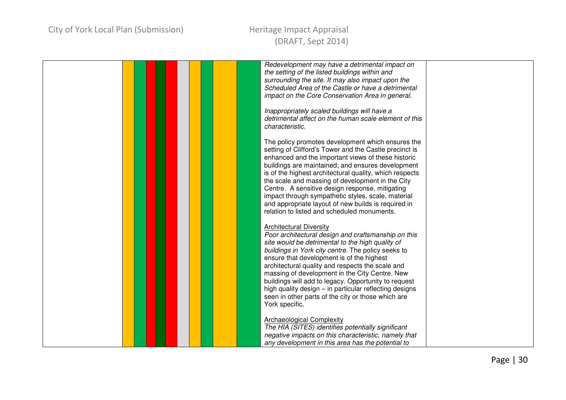|  |  | Redevelopment may have a detrimental impact on          |  |
|--|--|---------------------------------------------------------|--|
|  |  | the setting of the listed buildings within and          |  |
|  |  | surrounding the site. It may also impact upon the       |  |
|  |  | Scheduled Area of the Castle or have a detrimental      |  |
|  |  |                                                         |  |
|  |  | impact on the Core Conservation Area in general.        |  |
|  |  |                                                         |  |
|  |  | Inappropriately scaled buildings will have a            |  |
|  |  | detrimental affect on the human scale element of this   |  |
|  |  | characteristic.                                         |  |
|  |  |                                                         |  |
|  |  |                                                         |  |
|  |  | The policy promotes development which ensures the       |  |
|  |  | setting of Clifford's Tower and the Castle precinct is  |  |
|  |  | enhanced and the important views of these historic      |  |
|  |  | buildings are maintained; and ensures development       |  |
|  |  |                                                         |  |
|  |  | is of the highest architectural quality, which respects |  |
|  |  | the scale and massing of development in the City        |  |
|  |  | Centre. A sensitive design response, mitigating         |  |
|  |  | impact through sympathetic styles, scale, material      |  |
|  |  | and appropriate layout of new builds is required in     |  |
|  |  |                                                         |  |
|  |  | relation to listed and scheduled monuments.             |  |
|  |  |                                                         |  |
|  |  | <b>Architectural Diversity</b>                          |  |
|  |  | Poor architectural design and craftsmanship on this     |  |
|  |  | site would be detrimental to the high quality of        |  |
|  |  |                                                         |  |
|  |  | buildings in York city centre. The policy seeks to      |  |
|  |  | ensure that development is of the highest               |  |
|  |  | architectural quality and respects the scale and        |  |
|  |  | massing of development in the City Centre. New          |  |
|  |  | buildings will add to legacy. Opportunity to request    |  |
|  |  |                                                         |  |
|  |  | high quality design - in particular reflecting designs  |  |
|  |  | seen in other parts of the city or those which are      |  |
|  |  | York specific.                                          |  |
|  |  |                                                         |  |
|  |  | <b>Archaeological Complexity</b>                        |  |
|  |  | The HIA (SITES) identifies potentially significant      |  |
|  |  |                                                         |  |
|  |  | negative impacts on this characteristic, namely that    |  |
|  |  | any development in this area has the potential to       |  |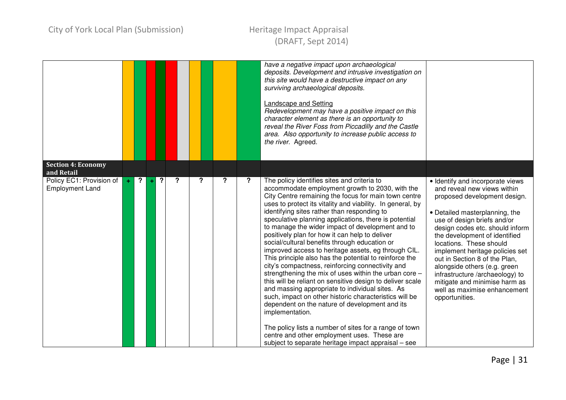|                                                    |       |           |   |   |                  |   |   | have a negative impact upon archaeological<br>deposits. Development and intrusive investigation on<br>this site would have a destructive impact on any<br>surviving archaeological deposits.<br><b>Landscape and Setting</b><br>Redevelopment may have a positive impact on this<br>character element as there is an opportunity to<br>reveal the River Foss from Piccadilly and the Castle<br>area. Also opportunity to increase public access to<br>the river. Agreed.                                                                                                                                                                                                                                                                                                                                                                                                                                                                                                                                                                                                                                                         |                                                                                                                                                                                                                                                                                                                                                                                                                                                                                           |
|----------------------------------------------------|-------|-----------|---|---|------------------|---|---|----------------------------------------------------------------------------------------------------------------------------------------------------------------------------------------------------------------------------------------------------------------------------------------------------------------------------------------------------------------------------------------------------------------------------------------------------------------------------------------------------------------------------------------------------------------------------------------------------------------------------------------------------------------------------------------------------------------------------------------------------------------------------------------------------------------------------------------------------------------------------------------------------------------------------------------------------------------------------------------------------------------------------------------------------------------------------------------------------------------------------------|-------------------------------------------------------------------------------------------------------------------------------------------------------------------------------------------------------------------------------------------------------------------------------------------------------------------------------------------------------------------------------------------------------------------------------------------------------------------------------------------|
| <b>Section 4: Economy</b><br>and Retail            |       |           |   |   |                  |   |   |                                                                                                                                                                                                                                                                                                                                                                                                                                                                                                                                                                                                                                                                                                                                                                                                                                                                                                                                                                                                                                                                                                                                  |                                                                                                                                                                                                                                                                                                                                                                                                                                                                                           |
| Policy EC1: Provision of<br><b>Employment Land</b> | $\pm$ | <u>ر.</u> | ? | ? | $\boldsymbol{?}$ | ? | ? | The policy identifies sites and criteria to<br>accommodate employment growth to 2030, with the<br>City Centre remaining the focus for main town centre<br>uses to protect its vitality and viability. In general, by<br>identifying sites rather than responding to<br>speculative planning applications, there is potential<br>to manage the wider impact of development and to<br>positively plan for how it can help to deliver<br>social/cultural benefits through education or<br>improved access to heritage assets, eg through CIL.<br>This principle also has the potential to reinforce the<br>city's compactness, reinforcing connectivity and<br>strengthening the mix of uses within the urban core -<br>this will be reliant on sensitive design to deliver scale<br>and massing appropriate to individual sites. As<br>such, impact on other historic characteristics will be<br>dependent on the nature of development and its<br>implementation.<br>The policy lists a number of sites for a range of town<br>centre and other employment uses. These are<br>subject to separate heritage impact appraisal – see | · Identify and incorporate views<br>and reveal new views within<br>proposed development design.<br>• Detailed masterplanning, the<br>use of design briefs and/or<br>design codes etc. should inform<br>the development of identified<br>locations. These should<br>implement heritage policies set<br>out in Section 8 of the Plan,<br>alongside others (e.g. green<br>infrastructure /archaeology) to<br>mitigate and minimise harm as<br>well as maximise enhancement<br>opportunities. |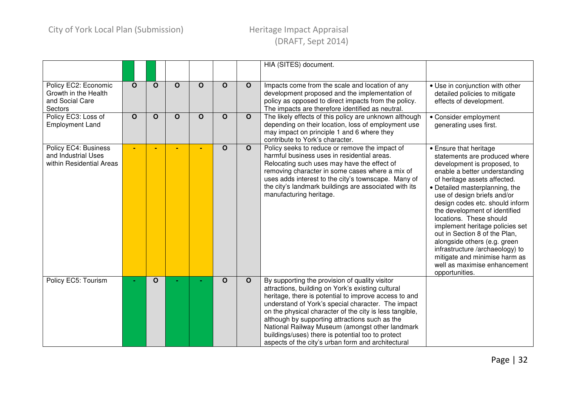|                                                                            |              |              |             |              |                         |              | HIA (SITES) document.                                                                                                                                                                                                                                                                                                                                                                                                                                                                         |                                                                                                                                                                                                                                                                                                                                                                                                                                                                                                                                                   |
|----------------------------------------------------------------------------|--------------|--------------|-------------|--------------|-------------------------|--------------|-----------------------------------------------------------------------------------------------------------------------------------------------------------------------------------------------------------------------------------------------------------------------------------------------------------------------------------------------------------------------------------------------------------------------------------------------------------------------------------------------|---------------------------------------------------------------------------------------------------------------------------------------------------------------------------------------------------------------------------------------------------------------------------------------------------------------------------------------------------------------------------------------------------------------------------------------------------------------------------------------------------------------------------------------------------|
| Policy EC2: Economic<br>Growth in the Health<br>and Social Care<br>Sectors | $\mathbf{o}$ | $\mathbf O$  | $\mathbf O$ | $\mathbf{o}$ | O                       | $\mathbf{o}$ | Impacts come from the scale and location of any<br>development proposed and the implementation of<br>policy as opposed to direct impacts from the policy.<br>The impacts are therefore identified as neutral.                                                                                                                                                                                                                                                                                 | • Use in conjunction with other<br>detailed policies to mitigate<br>effects of development.                                                                                                                                                                                                                                                                                                                                                                                                                                                       |
| Policy EC3: Loss of<br><b>Employment Land</b>                              | $\mathbf{o}$ | $\mathbf{o}$ | $\mathbf O$ | $\mathbf{o}$ | $\mathbf{o}$            | $\mathbf{o}$ | The likely effects of this policy are unknown although<br>depending on their location, loss of employment use<br>may impact on principle 1 and 6 where they<br>contribute to York's character.                                                                                                                                                                                                                                                                                                | • Consider employment<br>generating uses first.                                                                                                                                                                                                                                                                                                                                                                                                                                                                                                   |
| Policy EC4: Business<br>and Industrial Uses<br>within Residential Areas    |              |              |             |              | $\overline{\mathbf{o}}$ | $\mathbf{o}$ | Policy seeks to reduce or remove the impact of<br>harmful business uses in residential areas.<br>Relocating such uses may have the effect of<br>removing character in some cases where a mix of<br>uses adds interest to the city's townscape. Many of<br>the city's landmark buildings are associated with its<br>manufacturing heritage.                                                                                                                                                    | • Ensure that heritage<br>statements are produced where<br>development is proposed, to<br>enable a better understanding<br>of heritage assets affected.<br>• Detailed masterplanning, the<br>use of design briefs and/or<br>design codes etc. should inform<br>the development of identified<br>locations. These should<br>implement heritage policies set<br>out in Section 8 of the Plan,<br>alongside others (e.g. green<br>infrastructure /archaeology) to<br>mitigate and minimise harm as<br>well as maximise enhancement<br>opportunities. |
| Policy EC5: Tourism                                                        |              | $\mathbf{o}$ |             |              | $\mathbf{o}$            | $\mathbf{o}$ | By supporting the provision of quality visitor<br>attractions, building on York's existing cultural<br>heritage, there is potential to improve access to and<br>understand of York's special character. The impact<br>on the physical character of the city is less tangible,<br>although by supporting attractions such as the<br>National Railway Museum (amongst other landmark<br>buildings/uses) there is potential too to protect<br>aspects of the city's urban form and architectural |                                                                                                                                                                                                                                                                                                                                                                                                                                                                                                                                                   |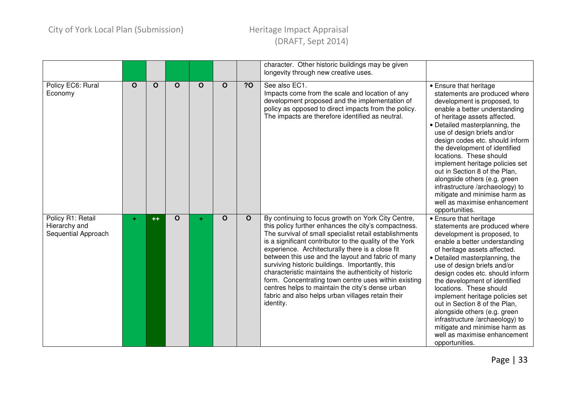|                                                           |    |      |             |              |             |              | character. Other historic buildings may be given<br>longevity through new creative uses.                                                                                                                                                                                                                                                                                                                                                                                                                                                                                                                                            |                                                                                                                                                                                                                                                                                                                                                                                                                                                                                                                                                   |
|-----------------------------------------------------------|----|------|-------------|--------------|-------------|--------------|-------------------------------------------------------------------------------------------------------------------------------------------------------------------------------------------------------------------------------------------------------------------------------------------------------------------------------------------------------------------------------------------------------------------------------------------------------------------------------------------------------------------------------------------------------------------------------------------------------------------------------------|---------------------------------------------------------------------------------------------------------------------------------------------------------------------------------------------------------------------------------------------------------------------------------------------------------------------------------------------------------------------------------------------------------------------------------------------------------------------------------------------------------------------------------------------------|
| Policy EC6: Rural<br>Economy                              | O  | O    | $\mathbf O$ | $\mathbf{o}$ | $\mathbf O$ | 20           | See also EC1.<br>Impacts come from the scale and location of any<br>development proposed and the implementation of<br>policy as opposed to direct impacts from the policy.<br>The impacts are therefore identified as neutral.                                                                                                                                                                                                                                                                                                                                                                                                      | • Ensure that heritage<br>statements are produced where<br>development is proposed, to<br>enable a better understanding<br>of heritage assets affected.<br>• Detailed masterplanning, the<br>use of design briefs and/or<br>design codes etc. should inform<br>the development of identified<br>locations. These should<br>implement heritage policies set<br>out in Section 8 of the Plan,<br>alongside others (e.g. green<br>infrastructure /archaeology) to<br>mitigate and minimise harm as<br>well as maximise enhancement<br>opportunities. |
| Policy R1: Retail<br>Hierarchy and<br>Sequential Approach | ÷. | $++$ | $\mathbf O$ | ÷            | $\mathbf O$ | $\mathbf{o}$ | By continuing to focus growth on York City Centre,<br>this policy further enhances the city's compactness.<br>The survival of small specialist retail establishments<br>is a significant contributor to the quality of the York<br>experience. Architecturally there is a close fit<br>between this use and the layout and fabric of many<br>surviving historic buildings. Importantly, this<br>characteristic maintains the authenticity of historic<br>form. Concentrating town centre uses within existing<br>centres helps to maintain the city's dense urban<br>fabric and also helps urban villages retain their<br>identity. | • Ensure that heritage<br>statements are produced where<br>development is proposed, to<br>enable a better understanding<br>of heritage assets affected.<br>• Detailed masterplanning, the<br>use of design briefs and/or<br>design codes etc. should inform<br>the development of identified<br>locations. These should<br>implement heritage policies set<br>out in Section 8 of the Plan,<br>alongside others (e.g. green<br>infrastructure /archaeology) to<br>mitigate and minimise harm as<br>well as maximise enhancement<br>opportunities. |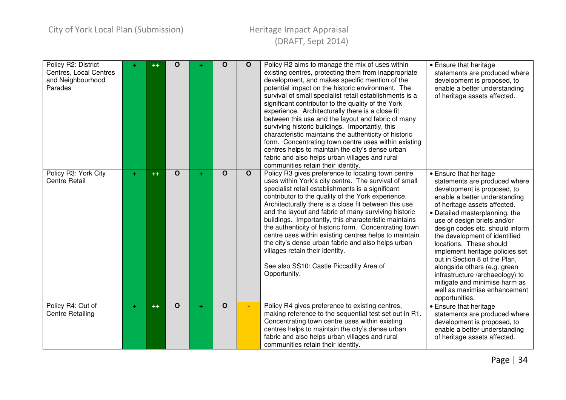| Policy R2: District<br>Centres, Local Centres<br>and Neighbourhood<br>Parades | ÷  | $^{\rm ++}$ | O            |    | O            | $\mathbf{o}$            | Policy R2 aims to manage the mix of uses within<br>existing centres, protecting them from inappropriate<br>development, and makes specific mention of the<br>potential impact on the historic environment. The<br>survival of small specialist retail establishments is a<br>significant contributor to the quality of the York<br>experience. Architecturally there is a close fit<br>between this use and the layout and fabric of many<br>surviving historic buildings. Importantly, this<br>characteristic maintains the authenticity of historic<br>form. Concentrating town centre uses within existing<br>centres helps to maintain the city's dense urban<br>fabric and also helps urban villages and rural<br>communities retain their identity. | • Ensure that heritage<br>statements are produced where<br>development is proposed, to<br>enable a better understanding<br>of heritage assets affected.                                                                                                                                                                                                                                                                                                                                                                                           |
|-------------------------------------------------------------------------------|----|-------------|--------------|----|--------------|-------------------------|-----------------------------------------------------------------------------------------------------------------------------------------------------------------------------------------------------------------------------------------------------------------------------------------------------------------------------------------------------------------------------------------------------------------------------------------------------------------------------------------------------------------------------------------------------------------------------------------------------------------------------------------------------------------------------------------------------------------------------------------------------------|---------------------------------------------------------------------------------------------------------------------------------------------------------------------------------------------------------------------------------------------------------------------------------------------------------------------------------------------------------------------------------------------------------------------------------------------------------------------------------------------------------------------------------------------------|
| Policy R3: York City<br><b>Centre Retail</b>                                  | ٠. | $++$        | $\mathbf{o}$ | ÷. | $\mathbf O$  | $\overline{\mathbf{o}}$ | Policy R3 gives preference to locating town centre<br>uses within York's city centre. The survival of small<br>specialist retail establishments is a significant<br>contributor to the quality of the York experience.<br>Architecturally there is a close fit between this use<br>and the layout and fabric of many surviving historic<br>buildings. Importantly, this characteristic maintains<br>the authenticity of historic form. Concentrating town<br>centre uses within existing centres helps to maintain<br>the city's dense urban fabric and also helps urban<br>villages retain their identity.<br>See also SS10: Castle Piccadilly Area of<br>Opportunity.                                                                                   | • Ensure that heritage<br>statements are produced where<br>development is proposed, to<br>enable a better understanding<br>of heritage assets affected.<br>• Detailed masterplanning, the<br>use of design briefs and/or<br>design codes etc. should inform<br>the development of identified<br>locations. These should<br>implement heritage policies set<br>out in Section 8 of the Plan,<br>alongside others (e.g. green<br>infrastructure /archaeology) to<br>mitigate and minimise harm as<br>well as maximise enhancement<br>opportunities. |
| Policy R4: Out of<br><b>Centre Retailing</b>                                  | ÷. | $^{++}$     | $\mathbf{o}$ | ÷. | $\mathbf{o}$ | $\blacksquare$          | Policy R4 gives preference to existing centres,<br>making reference to the sequential test set out in R1.<br>Concentrating town centre uses within existing<br>centres helps to maintain the city's dense urban<br>fabric and also helps urban villages and rural<br>communities retain their identity.                                                                                                                                                                                                                                                                                                                                                                                                                                                   | • Ensure that heritage<br>statements are produced where<br>development is proposed, to<br>enable a better understanding<br>of heritage assets affected.                                                                                                                                                                                                                                                                                                                                                                                           |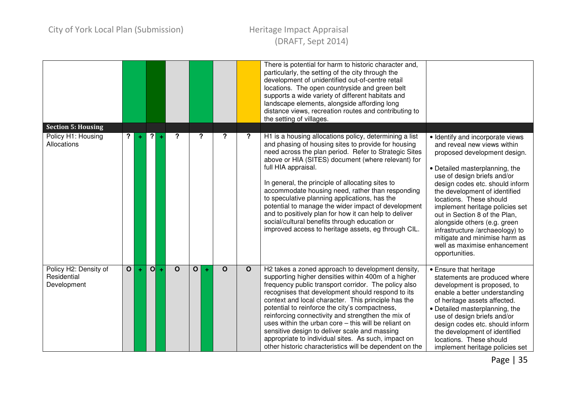|                                                                |                         |   |              |   |          |                           |   |              |              | There is potential for harm to historic character and,<br>particularly, the setting of the city through the<br>development of unidentified out-of-centre retail<br>locations. The open countryside and green belt<br>supports a wide variety of different habitats and<br>landscape elements, alongside affording long<br>distance views, recreation routes and contributing to<br>the setting of villages.                                                                                                                                                                                                                          |                                                                                                                                                                                                                                                                                                                                                                                                                                                                                           |
|----------------------------------------------------------------|-------------------------|---|--------------|---|----------|---------------------------|---|--------------|--------------|--------------------------------------------------------------------------------------------------------------------------------------------------------------------------------------------------------------------------------------------------------------------------------------------------------------------------------------------------------------------------------------------------------------------------------------------------------------------------------------------------------------------------------------------------------------------------------------------------------------------------------------|-------------------------------------------------------------------------------------------------------------------------------------------------------------------------------------------------------------------------------------------------------------------------------------------------------------------------------------------------------------------------------------------------------------------------------------------------------------------------------------------|
| <b>Section 5: Housing</b><br>Policy H1: Housing<br>Allocations | ?                       | ÷ | $\mathbf{P}$ |   | ?        | $\boldsymbol{\mathsf{?}}$ |   | ?            | ?            | H1 is a housing allocations policy, determining a list<br>and phasing of housing sites to provide for housing<br>need across the plan period. Refer to Strategic Sites<br>above or HIA (SITES) document (where relevant) for<br>full HIA appraisal.<br>In general, the principle of allocating sites to<br>accommodate housing need, rather than responding<br>to speculative planning applications, has the<br>potential to manage the wider impact of development<br>and to positively plan for how it can help to deliver<br>social/cultural benefits through education or<br>improved access to heritage assets, eg through CIL. | • Identify and incorporate views<br>and reveal new views within<br>proposed development design.<br>• Detailed masterplanning, the<br>use of design briefs and/or<br>design codes etc. should inform<br>the development of identified<br>locations. These should<br>implement heritage policies set<br>out in Section 8 of the Plan,<br>alongside others (e.g. green<br>infrastructure /archaeology) to<br>mitigate and minimise harm as<br>well as maximise enhancement<br>opportunities. |
| Policy H2: Density of<br>Residential<br>Development            | $\overline{\mathbf{o}}$ | ÷ | O            | ÷ | $\Omega$ | $\mathbf{o}$              | ÷ | $\mathbf{o}$ | $\mathbf{o}$ | H2 takes a zoned approach to development density,<br>supporting higher densities within 400m of a higher<br>frequency public transport corridor. The policy also<br>recognises that development should respond to its<br>context and local character. This principle has the<br>potential to reinforce the city's compactness,<br>reinforcing connectivity and strengthen the mix of<br>uses within the urban core - this will be reliant on<br>sensitive design to deliver scale and massing<br>appropriate to individual sites. As such, impact on<br>other historic characteristics will be dependent on the                      | • Ensure that heritage<br>statements are produced where<br>development is proposed, to<br>enable a better understanding<br>of heritage assets affected.<br>• Detailed masterplanning, the<br>use of design briefs and/or<br>design codes etc. should inform<br>the development of identified<br>locations. These should<br>implement heritage policies set                                                                                                                                |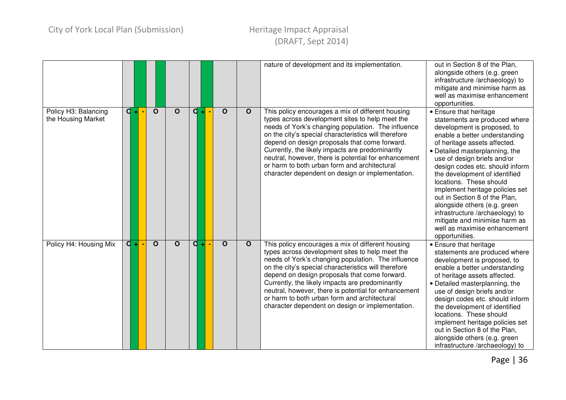|                                            |                  |                         |             |         |             |              | nature of development and its implementation.                                                                                                                                                                                                                                                                                                                                                                                                                                      | out in Section 8 of the Plan,<br>alongside others (e.g. green<br>infrastructure /archaeology) to<br>mitigate and minimise harm as<br>well as maximise enhancement<br>opportunities.                                                                                                                                                                                                                                                                                                                                                               |
|--------------------------------------------|------------------|-------------------------|-------------|---------|-------------|--------------|------------------------------------------------------------------------------------------------------------------------------------------------------------------------------------------------------------------------------------------------------------------------------------------------------------------------------------------------------------------------------------------------------------------------------------------------------------------------------------|---------------------------------------------------------------------------------------------------------------------------------------------------------------------------------------------------------------------------------------------------------------------------------------------------------------------------------------------------------------------------------------------------------------------------------------------------------------------------------------------------------------------------------------------------|
| Policy H3: Balancing<br>the Housing Market | $\overline{d}$ + | $\overline{O}$          | $\mathbf O$ | d<br>шI | $\mathbf O$ | $\mathbf O$  | This policy encourages a mix of different housing<br>types across development sites to help meet the<br>needs of York's changing population. The influence<br>on the city's special characteristics will therefore<br>depend on design proposals that come forward.<br>Currently, the likely impacts are predominantly<br>neutral, however, there is potential for enhancement<br>or harm to both urban form and architectural<br>character dependent on design or implementation. | • Ensure that heritage<br>statements are produced where<br>development is proposed, to<br>enable a better understanding<br>of heritage assets affected.<br>• Detailed masterplanning, the<br>use of design briefs and/or<br>design codes etc. should inform<br>the development of identified<br>locations. These should<br>implement heritage policies set<br>out in Section 8 of the Plan,<br>alongside others (e.g. green<br>infrastructure /archaeology) to<br>mitigate and minimise harm as<br>well as maximise enhancement<br>opportunities. |
| Policy H4: Housing Mix                     | $\overline{a}$   | $\overline{\mathbf{o}}$ | $\mathbf O$ | d       | $\mathbf O$ | $\mathbf{o}$ | This policy encourages a mix of different housing<br>types across development sites to help meet the<br>needs of York's changing population. The influence<br>on the city's special characteristics will therefore<br>depend on design proposals that come forward.<br>Currently, the likely impacts are predominantly<br>neutral, however, there is potential for enhancement<br>or harm to both urban form and architectural<br>character dependent on design or implementation. | • Ensure that heritage<br>statements are produced where<br>development is proposed, to<br>enable a better understanding<br>of heritage assets affected.<br>• Detailed masterplanning, the<br>use of design briefs and/or<br>design codes etc. should inform<br>the development of identified<br>locations. These should<br>implement heritage policies set<br>out in Section 8 of the Plan,<br>alongside others (e.g. green<br>infrastructure /archaeology) to                                                                                    |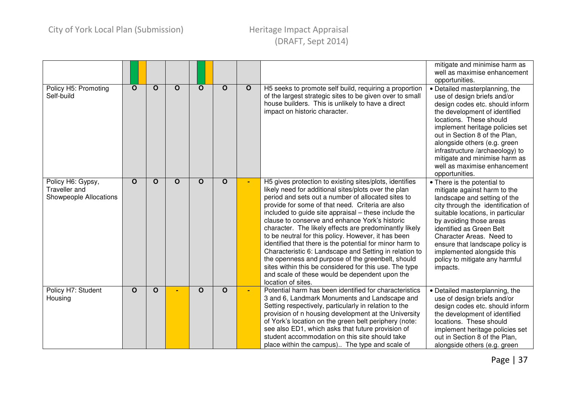|                                                              |              |              |              |              |             |             |                                                                                                                                                                                                                                                                                                                                                                                                                                                                                                                                                                                                                                                                                                                                                                   | mitigate and minimise harm as<br>well as maximise enhancement<br>opportunities.                                                                                                                                                                                                                                                                                                        |
|--------------------------------------------------------------|--------------|--------------|--------------|--------------|-------------|-------------|-------------------------------------------------------------------------------------------------------------------------------------------------------------------------------------------------------------------------------------------------------------------------------------------------------------------------------------------------------------------------------------------------------------------------------------------------------------------------------------------------------------------------------------------------------------------------------------------------------------------------------------------------------------------------------------------------------------------------------------------------------------------|----------------------------------------------------------------------------------------------------------------------------------------------------------------------------------------------------------------------------------------------------------------------------------------------------------------------------------------------------------------------------------------|
| Policy H5: Promoting<br>Self-build                           | $\mathbf{o}$ | $\mathbf O$  | $\mathbf O$  | $\mathbf O$  | $\mathbf O$ | $\mathbf O$ | H5 seeks to promote self build, requiring a proportion<br>of the largest strategic sites to be given over to small<br>house builders. This is unlikely to have a direct<br>impact on historic character.                                                                                                                                                                                                                                                                                                                                                                                                                                                                                                                                                          | • Detailed masterplanning, the<br>use of design briefs and/or<br>design codes etc. should inform<br>the development of identified<br>locations. These should<br>implement heritage policies set<br>out in Section 8 of the Plan,<br>alongside others (e.g. green<br>infrastructure /archaeology) to<br>mitigate and minimise harm as<br>well as maximise enhancement<br>opportunities. |
| Policy H6: Gypsy,<br>Traveller and<br>Showpeople Allocations | O            | $\mathbf O$  | $\mathbf{o}$ | $\mathbf{o}$ | O           | ٠           | H5 gives protection to existing sites/plots, identifies<br>likely need for additional sites/plots over the plan<br>period and sets out a number of allocated sites to<br>provide for some of that need. Criteria are also<br>included to guide site appraisal - these include the<br>clause to conserve and enhance York's historic<br>character. The likely effects are predominantly likely<br>to be neutral for this policy. However, it has been<br>identified that there is the potential for minor harm to<br>Characteristic 6: Landscape and Setting in relation to<br>the openness and purpose of the greenbelt, should<br>sites within this be considered for this use. The type<br>and scale of these would be dependent upon the<br>location of sites. | • There is the potential to<br>mitigate against harm to the<br>landscape and setting of the<br>city through the identification of<br>suitable locations, in particular<br>by avoiding those areas<br>identified as Green Belt<br>Character Areas. Need to<br>ensure that landscape policy is<br>implemented alongside this<br>policy to mitigate any harmful<br>impacts.               |
| Policy H7: Student<br>Housing                                | $\mathbf{o}$ | $\mathbf{o}$ |              | $\mathbf{o}$ | O           | ä,          | Potential harm has been identified for characteristics<br>3 and 6, Landmark Monuments and Landscape and<br>Setting respectively, particularly in relation to the<br>provision of n housing development at the University<br>of York's location on the green belt periphery (note:<br>see also ED1, which asks that future provision of<br>student accommodation on this site should take<br>place within the campus) The type and scale of                                                                                                                                                                                                                                                                                                                        | • Detailed masterplanning, the<br>use of design briefs and/or<br>design codes etc. should inform<br>the development of identified<br>locations. These should<br>implement heritage policies set<br>out in Section 8 of the Plan,<br>alongside others (e.g. green                                                                                                                       |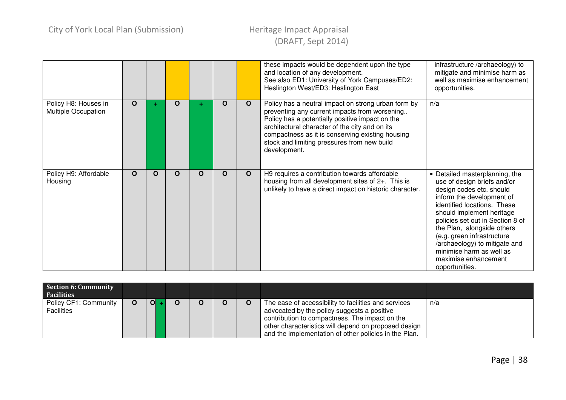|                                             |             |          |          |   |          |              | these impacts would be dependent upon the type<br>and location of any development.<br>See also ED1: University of York Campuses/ED2:<br>Heslington West/ED3: Heslington East                                                                                                                                                 | infrastructure /archaeology) to<br>mitigate and minimise harm as<br>well as maximise enhancement<br>opportunities.                                                                                                                                                                                                                                                                      |
|---------------------------------------------|-------------|----------|----------|---|----------|--------------|------------------------------------------------------------------------------------------------------------------------------------------------------------------------------------------------------------------------------------------------------------------------------------------------------------------------------|-----------------------------------------------------------------------------------------------------------------------------------------------------------------------------------------------------------------------------------------------------------------------------------------------------------------------------------------------------------------------------------------|
| Policy H8: Houses in<br>Multiple Occupation | $\mathbf O$ |          | $\Omega$ |   | $\Omega$ | $\mathbf{o}$ | Policy has a neutral impact on strong urban form by<br>preventing any current impacts from worsening<br>Policy has a potentially positive impact on the<br>architectural character of the city and on its<br>compactness as it is conserving existing housing<br>stock and limiting pressures from new build<br>development. | n/a                                                                                                                                                                                                                                                                                                                                                                                     |
| Policy H9: Affordable<br>Housing            | O           | $\Omega$ | $\Omega$ | O | O        | $\mathbf{O}$ | H9 requires a contribution towards affordable<br>housing from all development sites of 2+. This is<br>unlikely to have a direct impact on historic character.                                                                                                                                                                | Detailed masterplanning, the<br>use of design briefs and/or<br>design codes etc. should<br>inform the development of<br>identified locations. These<br>should implement heritage<br>policies set out in Section 8 of<br>the Plan, alongside others<br>(e.g. green infrastructure<br>/archaeology) to mitigate and<br>minimise harm as well as<br>maximise enhancement<br>opportunities. |

| Section 6: Community<br><b>Facilities</b>  |   |                |  |  |                                                                                                                                                                                                                                                                        |     |
|--------------------------------------------|---|----------------|--|--|------------------------------------------------------------------------------------------------------------------------------------------------------------------------------------------------------------------------------------------------------------------------|-----|
| Policy CF1: Community<br><b>Facilities</b> | O | $\overline{O}$ |  |  | The ease of accessibility to facilities and services<br>advocated by the policy suggests a positive<br>contribution to compactness. The impact on the<br>other characteristics will depend on proposed design<br>and the implementation of other policies in the Plan. | n/a |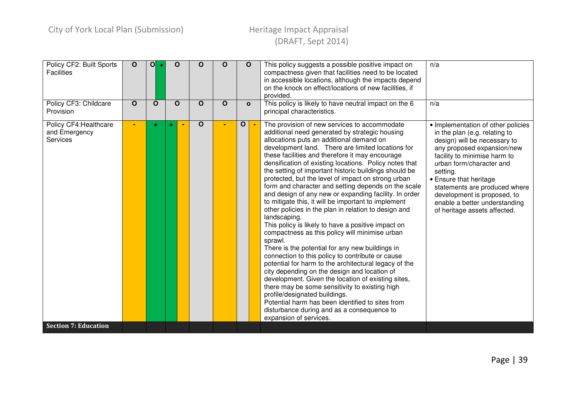| Policy CF2: Built Sports<br><b>Facilities</b><br>Policy CF3: Childcare<br>Provision       | $\mathbf{o}$<br>$\mathbf{o}$ | O <br>$\mathbf O$ | $\mathbf O$<br>$\mathbf{o}$ | O<br>О | $\Omega$<br>$\mathbf O$ | $\mathbf O$<br>$\mathbf{o}$ |        | This policy suggests a possible positive impact on<br>compactness given that facilities need to be located<br>in accessible locations, although the impacts depend<br>on the knock on effect/locations of new facilities, if<br>provided.<br>This policy is likely to have neutral impact on the 6<br>principal characteristics.                                                                                                                                                                                                                                                                                                                                                                                                                                                                                                                                                                                                                                                                                                                                                                                                                                                                                                                                                   | n/a<br>n/a                                                                                                                                                                                                                                                                                                                                                           |
|-------------------------------------------------------------------------------------------|------------------------------|-------------------|-----------------------------|--------|-------------------------|-----------------------------|--------|------------------------------------------------------------------------------------------------------------------------------------------------------------------------------------------------------------------------------------------------------------------------------------------------------------------------------------------------------------------------------------------------------------------------------------------------------------------------------------------------------------------------------------------------------------------------------------------------------------------------------------------------------------------------------------------------------------------------------------------------------------------------------------------------------------------------------------------------------------------------------------------------------------------------------------------------------------------------------------------------------------------------------------------------------------------------------------------------------------------------------------------------------------------------------------------------------------------------------------------------------------------------------------|----------------------------------------------------------------------------------------------------------------------------------------------------------------------------------------------------------------------------------------------------------------------------------------------------------------------------------------------------------------------|
| Policy CF4: Healthcare<br>and Emergency<br><b>Services</b><br><b>Section 7: Education</b> |                              |                   |                             | O      |                         | $\mathbf{o}$                | $\sim$ | The provision of new services to accommodate<br>additional need generated by strategic housing<br>allocations puts an additional demand on<br>development land. There are limited locations for<br>these facilities and therefore it may encourage<br>densification of existing locations. Policy notes that<br>the setting of important historic buildings should be<br>protected, but the level of impact on strong urban<br>form and character and setting depends on the scale<br>and design of any new or expanding facility. In order<br>to mitigate this, it will be important to implement<br>other policies in the plan in relation to design and<br>landscaping.<br>This policy is likely to have a positive impact on<br>compactness as this policy will minimise urban<br>sprawl.<br>There is the potential for any new buildings in<br>connection to this policy to contribute or cause<br>potential for harm to the architectural legacy of the<br>city depending on the design and location of<br>development. Given the location of existing sites,<br>there may be some sensitivity to existing high<br>profile/designated buildings.<br>Potential harm has been identified to sites from<br>disturbance during and as a consequence to<br>expansion of services. | • Implementation of other policies<br>in the plan (e.g. relating to<br>design) will be necessary to<br>any proposed expansion/new<br>facility to minimise harm to<br>urban form/character and<br>setting.<br>• Ensure that heritage<br>statements are produced where<br>development is proposed, to<br>enable a better understanding<br>of heritage assets affected. |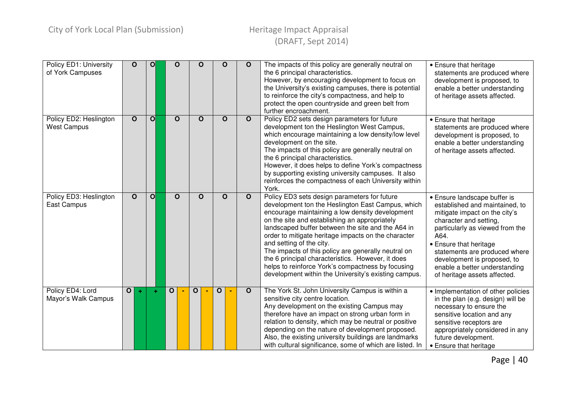| Policy ED1: University<br>of York Campuses   | $\mathbf{O}$ | O            | $\mathbf O$  | O            | O | $\mathbf O$  | The impacts of this policy are generally neutral on<br>the 6 principal characteristics.<br>However, by encouraging development to focus on<br>the University's existing campuses, there is potential<br>to reinforce the city's compactness, and help to<br>protect the open countryside and green belt from<br>further encroachment.                                                                                                                                                                                                                                  | • Ensure that heritage<br>statements are produced where<br>development is proposed, to<br>enable a better understanding<br>of heritage assets affected.                                                                                                                                                                         |
|----------------------------------------------|--------------|--------------|--------------|--------------|---|--------------|------------------------------------------------------------------------------------------------------------------------------------------------------------------------------------------------------------------------------------------------------------------------------------------------------------------------------------------------------------------------------------------------------------------------------------------------------------------------------------------------------------------------------------------------------------------------|---------------------------------------------------------------------------------------------------------------------------------------------------------------------------------------------------------------------------------------------------------------------------------------------------------------------------------|
| Policy ED2: Heslington<br><b>West Campus</b> | $\mathbf{o}$ | $\mathbf{O}$ | $\mathbf O$  | О            | O | $\mathbf{o}$ | Policy ED2 sets design parameters for future<br>development ton the Heslington West Campus,<br>which encourage maintaining a low density/low level<br>development on the site.<br>The impacts of this policy are generally neutral on<br>the 6 principal characteristics.<br>However, it does helps to define York's compactness<br>by supporting existing university campuses. It also<br>reinforces the compactness of each University within<br>York.                                                                                                               | • Ensure that heritage<br>statements are produced where<br>development is proposed, to<br>enable a better understanding<br>of heritage assets affected.                                                                                                                                                                         |
| Policy ED3: Heslington<br>East Campus        | $\mathbf{o}$ | $\mathbf{O}$ | $\mathbf O$  | O            | O | $\mathbf{o}$ | Policy ED3 sets design parameters for future<br>development ton the Heslington East Campus, which<br>encourage maintaining a low density development<br>on the site and establishing an appropriately<br>landscaped buffer between the site and the A64 in<br>order to mitigate heritage impacts on the character<br>and setting of the city.<br>The impacts of this policy are generally neutral on<br>the 6 principal characteristics. However, it does<br>helps to reinforce York's compactness by focusing<br>development within the University's existing campus. | • Ensure landscape buffer is<br>established and maintained, to<br>mitigate impact on the city's<br>character and setting,<br>particularly as viewed from the<br>A64.<br>• Ensure that heritage<br>statements are produced where<br>development is proposed, to<br>enable a better understanding<br>of heritage assets affected. |
| Policy ED4: Lord<br>Mayor's Walk Campus      | $\mathbf{o}$ | ÷            | $\mathbf{o}$ | $\mathbf{o}$ | 0 | $\mathbf{o}$ | The York St. John University Campus is within a<br>sensitive city centre location.<br>Any development on the existing Campus may<br>therefore have an impact on strong urban form in<br>relation to density, which may be neutral or positive<br>depending on the nature of development proposed.<br>Also, the existing university buildings are landmarks<br>with cultural significance, some of which are listed. In                                                                                                                                                 | • Implementation of other policies<br>in the plan (e.g. design) will be<br>necessary to ensure the<br>sensitive location and any<br>sensitive receptors are<br>appropriately considered in any<br>future development.<br>• Ensure that heritage                                                                                 |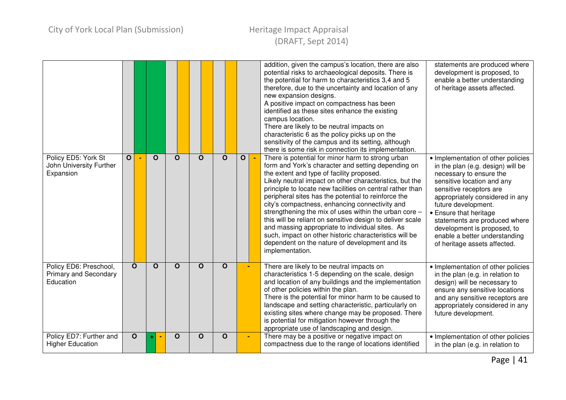|                                                                     |              |              |          |              |          |          |                |        | addition, given the campus's location, there are also<br>potential risks to archaeological deposits. There is<br>the potential for harm to characteristics 3,4 and 5<br>therefore, due to the uncertainty and location of any<br>new expansion designs.<br>A positive impact on compactness has been<br>identified as these sites enhance the existing<br>campus location.<br>There are likely to be neutral impacts on<br>characteristic 6 as the policy picks up on the<br>sensitivity of the campus and its setting, although<br>there is some risk in connection its implementation.                                                                                                      | statements are produced where<br>development is proposed, to<br>enable a better understanding<br>of heritage assets affected.                                                                                                                                                                                                                                                    |
|---------------------------------------------------------------------|--------------|--------------|----------|--------------|----------|----------|----------------|--------|-----------------------------------------------------------------------------------------------------------------------------------------------------------------------------------------------------------------------------------------------------------------------------------------------------------------------------------------------------------------------------------------------------------------------------------------------------------------------------------------------------------------------------------------------------------------------------------------------------------------------------------------------------------------------------------------------|----------------------------------------------------------------------------------------------------------------------------------------------------------------------------------------------------------------------------------------------------------------------------------------------------------------------------------------------------------------------------------|
| Policy ED5: York St<br>John University Further<br>Expansion         | $\mathbf{o}$ |              | $\Omega$ | $\Omega$     | $\Omega$ | $\Omega$ | $\overline{O}$ | $\sim$ | There is potential for minor harm to strong urban<br>form and York's character and setting depending on<br>the extent and type of facility proposed.<br>Likely neutral impact on other characteristics, but the<br>principle to locate new facilities on central rather than<br>peripheral sites has the potential to reinforce the<br>city's compactness, enhancing connectivity and<br>strengthening the mix of uses within the urban core -<br>this will be reliant on sensitive design to deliver scale<br>and massing appropriate to individual sites. As<br>such, impact on other historic characteristics will be<br>dependent on the nature of development and its<br>implementation. | • Implementation of other policies<br>in the plan (e.g. design) will be<br>necessary to ensure the<br>sensitive location and any<br>sensitive receptors are<br>appropriately considered in any<br>future development.<br>• Ensure that heritage<br>statements are produced where<br>development is proposed, to<br>enable a better understanding<br>of heritage assets affected. |
| Policy ED6: Preschool,<br><b>Primary and Secondary</b><br>Education |              | $\mathbf{o}$ | $\Omega$ | $\Omega$     | $\Omega$ | $\Omega$ |                |        | There are likely to be neutral impacts on<br>characteristics 1-5 depending on the scale, design<br>and location of any buildings and the implementation<br>of other policies within the plan.<br>There is the potential for minor harm to be caused to<br>landscape and setting characteristic, particularly on<br>existing sites where change may be proposed. There<br>is potential for mitigation however through the<br>appropriate use of landscaping and design.                                                                                                                                                                                                                        | • Implementation of other policies<br>in the plan (e.g. in relation to<br>design) will be necessary to<br>ensure any sensitive locations<br>and any sensitive receptors are<br>appropriately considered in any<br>future development.                                                                                                                                            |
| Policy ED7: Further and<br><b>Higher Education</b>                  |              | $\mathbf{o}$ |          | $\mathbf{o}$ | O        | O        | $\blacksquare$ |        | There may be a positive or negative impact on<br>compactness due to the range of locations identified                                                                                                                                                                                                                                                                                                                                                                                                                                                                                                                                                                                         | • Implementation of other policies<br>in the plan (e.g. in relation to                                                                                                                                                                                                                                                                                                           |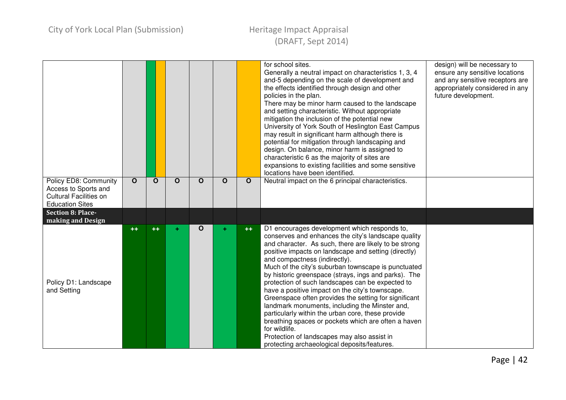|                                                                                                          |              |             |             |             |          |             | for school sites.<br>Generally a neutral impact on characteristics 1, 3, 4<br>and-5 depending on the scale of development and<br>the effects identified through design and other<br>policies in the plan.<br>There may be minor harm caused to the landscape<br>and setting characteristic. Without appropriate<br>mitigation the inclusion of the potential new<br>University of York South of Heslington East Campus<br>may result in significant harm although there is<br>potential for mitigation through landscaping and<br>design. On balance, minor harm is assigned to<br>characteristic 6 as the majority of sites are<br>expansions to existing facilities and some sensitive<br>locations have been identified.                                                                                        | design) will be necessary to<br>ensure any sensitive locations<br>and any sensitive receptors are<br>appropriately considered in any<br>future development. |
|----------------------------------------------------------------------------------------------------------|--------------|-------------|-------------|-------------|----------|-------------|--------------------------------------------------------------------------------------------------------------------------------------------------------------------------------------------------------------------------------------------------------------------------------------------------------------------------------------------------------------------------------------------------------------------------------------------------------------------------------------------------------------------------------------------------------------------------------------------------------------------------------------------------------------------------------------------------------------------------------------------------------------------------------------------------------------------|-------------------------------------------------------------------------------------------------------------------------------------------------------------|
| Policy ED8: Community<br>Access to Sports and<br><b>Cultural Facilities on</b><br><b>Education Sites</b> | $\mathbf{o}$ | $\mathbf O$ | $\mathbf O$ | $\mathbf O$ | $\Omega$ | $\mathbf O$ | Neutral impact on the 6 principal characteristics.                                                                                                                                                                                                                                                                                                                                                                                                                                                                                                                                                                                                                                                                                                                                                                 |                                                                                                                                                             |
| <b>Section 8: Place-</b><br>making and Design                                                            |              |             |             |             |          |             |                                                                                                                                                                                                                                                                                                                                                                                                                                                                                                                                                                                                                                                                                                                                                                                                                    |                                                                                                                                                             |
| Policy D1: Landscape<br>and Setting                                                                      | $++$         | $++$        | ÷           | O           |          | $++$        | D1 encourages development which responds to,<br>conserves and enhances the city's landscape quality<br>and character. As such, there are likely to be strong<br>positive impacts on landscape and setting (directly)<br>and compactness (indirectly).<br>Much of the city's suburban townscape is punctuated<br>by historic greenspace (strays, ings and parks). The<br>protection of such landscapes can be expected to<br>have a positive impact on the city's townscape.<br>Greenspace often provides the setting for significant<br>landmark monuments, including the Minster and,<br>particularly within the urban core, these provide<br>breathing spaces or pockets which are often a haven<br>for wildlife.<br>Protection of landscapes may also assist in<br>protecting archaeological deposits/features. |                                                                                                                                                             |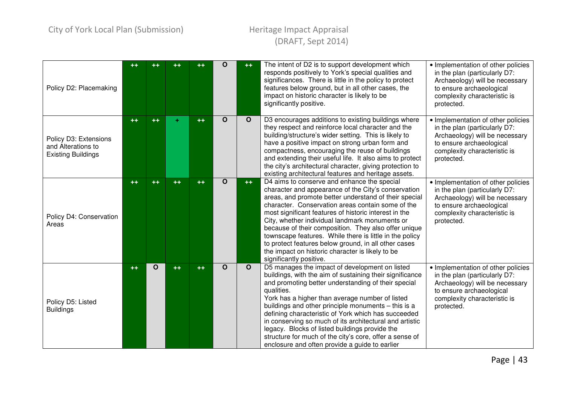| Policy D2: Placemaking                                                   | ++   | $^{\rm ++}$ | $^{\tiny{++}}$ | $+ +$ | $\Omega$    | $++$        | The intent of D2 is to support development which<br>responds positively to York's special qualities and<br>significances. There is little in the policy to protect<br>features below ground, but in all other cases, the<br>impact on historic character is likely to be<br>significantly positive.                                                                                                                                                                                                                                                                                   | • Implementation of other policies<br>in the plan (particularly D7:<br>Archaeology) will be necessary<br>to ensure archaeological<br>complexity characteristic is<br>protected. |
|--------------------------------------------------------------------------|------|-------------|----------------|-------|-------------|-------------|---------------------------------------------------------------------------------------------------------------------------------------------------------------------------------------------------------------------------------------------------------------------------------------------------------------------------------------------------------------------------------------------------------------------------------------------------------------------------------------------------------------------------------------------------------------------------------------|---------------------------------------------------------------------------------------------------------------------------------------------------------------------------------|
| Policy D3: Extensions<br>and Alterations to<br><b>Existing Buildings</b> | $++$ | $++$        | ÷              | $++$  | $\Omega$    | $\mathbf O$ | D3 encourages additions to existing buildings where<br>they respect and reinforce local character and the<br>building/structure's wider setting. This is likely to<br>have a positive impact on strong urban form and<br>compactness, encouraging the reuse of buildings<br>and extending their useful life. It also aims to protect<br>the city's architectural character, giving protection to<br>existing architectural features and heritage assets.                                                                                                                              | · Implementation of other policies<br>in the plan (particularly D7:<br>Archaeology) will be necessary<br>to ensure archaeological<br>complexity characteristic is<br>protected. |
| Policy D4: Conservation<br>Areas                                         | $++$ | $++$        | $++$           | $++$  | $\mathbf O$ | $++$        | D4 aims to conserve and enhance the special<br>character and appearance of the City's conservation<br>areas, and promote better understand of their special<br>character. Conservation areas contain some of the<br>most significant features of historic interest in the<br>City, whether individual landmark monuments or<br>because of their composition. They also offer unique<br>townscape features. While there is little in the policy<br>to protect features below ground, in all other cases<br>the impact on historic character is likely to be<br>significantly positive. | · Implementation of other policies<br>in the plan (particularly D7:<br>Archaeology) will be necessary<br>to ensure archaeological<br>complexity characteristic is<br>protected. |
| Policy D5: Listed<br><b>Buildings</b>                                    | $++$ | $\mathbf O$ | $++$           | $++$  | $\Omega$    | $\mathbf O$ | D5 manages the impact of development on listed<br>buildings, with the aim of sustaining their significance<br>and promoting better understanding of their special<br>qualities.<br>York has a higher than average number of listed<br>buildings and other principle monuments - this is a<br>defining characteristic of York which has succeeded<br>in conserving so much of its architectural and artistic<br>legacy. Blocks of listed buildings provide the<br>structure for much of the city's core, offer a sense of<br>enclosure and often provide a guide to earlier            | • Implementation of other policies<br>in the plan (particularly D7:<br>Archaeology) will be necessary<br>to ensure archaeological<br>complexity characteristic is<br>protected. |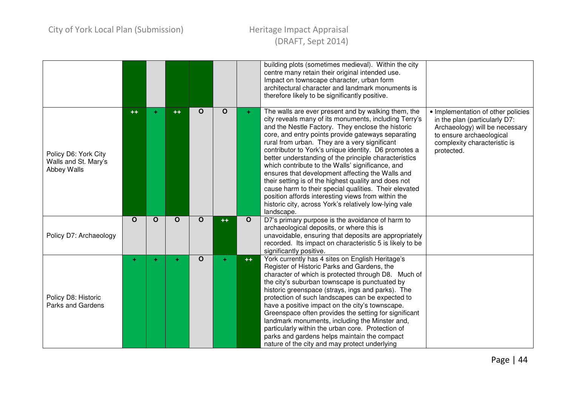|                                                             |          |             |             |              |             |              | building plots (sometimes medieval). Within the city<br>centre many retain their original intended use.<br>Impact on townscape character, urban form<br>architectural character and landmark monuments is<br>therefore likely to be significantly positive.                                                                                                                                                                                                                                                                                                                                                                                                                                                                                      |                                                                                                                                                                                 |
|-------------------------------------------------------------|----------|-------------|-------------|--------------|-------------|--------------|--------------------------------------------------------------------------------------------------------------------------------------------------------------------------------------------------------------------------------------------------------------------------------------------------------------------------------------------------------------------------------------------------------------------------------------------------------------------------------------------------------------------------------------------------------------------------------------------------------------------------------------------------------------------------------------------------------------------------------------------------|---------------------------------------------------------------------------------------------------------------------------------------------------------------------------------|
| Policy D6: York City<br>Walls and St. Mary's<br>Abbey Walls | $++$     | ٠           | $++$        | O            | $\mathbf O$ | ÷.           | The walls are ever present and by walking them, the<br>city reveals many of its monuments, including Terry's<br>and the Nestle Factory. They enclose the historic<br>core, and entry points provide gateways separating<br>rural from urban. They are a very significant<br>contributor to York's unique identity. D6 promotes a<br>better understanding of the principle characteristics<br>which contribute to the Walls' significance, and<br>ensures that development affecting the Walls and<br>their setting is of the highest quality and does not<br>cause harm to their special qualities. Their elevated<br>position affords interesting views from within the<br>historic city, across York's relatively low-lying vale<br>landscape. | • Implementation of other policies<br>in the plan (particularly D7:<br>Archaeology) will be necessary<br>to ensure archaeological<br>complexity characteristic is<br>protected. |
| Policy D7: Archaeology                                      | $\Omega$ | $\mathbf O$ | $\mathbf O$ | $\mathbf{O}$ | $++$        | $\mathbf{o}$ | D7's primary purpose is the avoidance of harm to<br>archaeological deposits, or where this is<br>unavoidable, ensuring that deposits are appropriately<br>recorded. Its impact on characteristic 5 is likely to be<br>significantly positive.                                                                                                                                                                                                                                                                                                                                                                                                                                                                                                    |                                                                                                                                                                                 |
| Policy D8: Historic<br><b>Parks and Gardens</b>             | ÷.       |             | ٠           | $\mathbf{o}$ |             | $++$         | York currently has 4 sites on English Heritage's<br>Register of Historic Parks and Gardens, the<br>character of which is protected through D8. Much of<br>the city's suburban townscape is punctuated by<br>historic greenspace (strays, ings and parks). The<br>protection of such landscapes can be expected to<br>have a positive impact on the city's townscape.<br>Greenspace often provides the setting for significant<br>landmark monuments, including the Minster and,<br>particularly within the urban core. Protection of<br>parks and gardens helps maintain the compact<br>nature of the city and may protect underlying                                                                                                            |                                                                                                                                                                                 |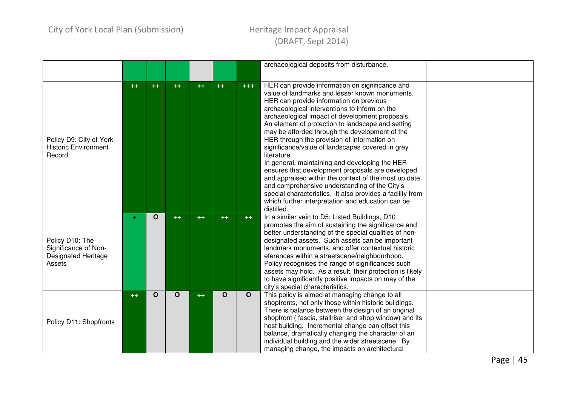|                                                                                 |      |      |             |      |              |              | archaeological deposits from disturbance.                                                                                                                                                                                                                                                                                                                                                                                                                                                                                                                                                                                                                                                                                                                                                                                |  |
|---------------------------------------------------------------------------------|------|------|-------------|------|--------------|--------------|--------------------------------------------------------------------------------------------------------------------------------------------------------------------------------------------------------------------------------------------------------------------------------------------------------------------------------------------------------------------------------------------------------------------------------------------------------------------------------------------------------------------------------------------------------------------------------------------------------------------------------------------------------------------------------------------------------------------------------------------------------------------------------------------------------------------------|--|
|                                                                                 |      |      |             |      |              |              |                                                                                                                                                                                                                                                                                                                                                                                                                                                                                                                                                                                                                                                                                                                                                                                                                          |  |
| Policy D9: City of York<br><b>Historic Environment</b><br>Record                | $++$ | $++$ | $++$        | $++$ | $++$         | $+ + +$      | HER can provide information on significance and<br>value of landmarks and lesser known monuments.<br>HER can provide information on previous<br>archaeological interventions to inform on the<br>archaeological impact of development proposals.<br>An element of protection to landscape and setting<br>may be afforded through the development of the<br>HER through the provision of information on<br>significance/value of landscapes covered in grey<br>literature.<br>In general, maintaining and developing the HER<br>ensures that development proposals are developed<br>and appraised within the context of the most up date<br>and comprehensive understanding of the City's<br>special characteristics. It also provides a facility from<br>which further interpretation and education can be<br>distilled. |  |
| Policy D10: The<br>Significance of Non-<br><b>Designated Heritage</b><br>Assets | ÷    | O    | $++$        | $++$ | $++$         | $++$         | In a similar vein to D5: Listed Buildings, D10<br>promotes the aim of sustaining the significance and<br>better understanding of the special qualities of non-<br>designated assets. Such assets can be important<br>landmark monuments, and offer contextual historic<br>eferences within a streetscene/neighbourhood.<br>Policy recognises the range of significances such<br>assets may hold. As a result, their protection is likely<br>to have significantly positive impacts on may of the<br>city's special characteristics.                                                                                                                                                                                                                                                                                      |  |
| Policy D11: Shopfronts                                                          | $++$ | O    | $\mathbf O$ | $++$ | $\mathbf{o}$ | $\mathbf{o}$ | This policy is aimed at managing change to all<br>shopfronts, not only those within historic buildings.<br>There is balance between the design of an original<br>shopfront (fascia, stallriser and shop window) and its<br>host building. Incremental change can offset this<br>balance, dramatically changing the character of an<br>individual building and the wider streetscene. By<br>managing change, the impacts on architectural                                                                                                                                                                                                                                                                                                                                                                                 |  |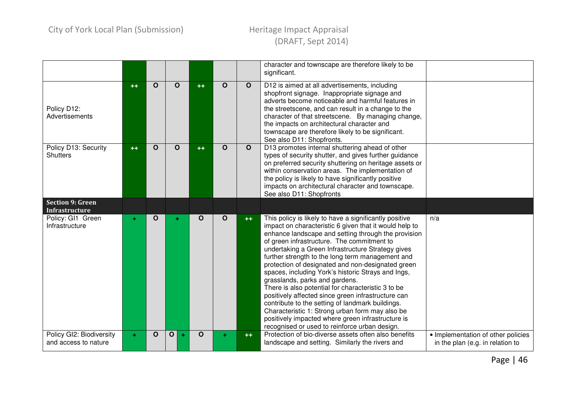|                                                  |      |             |                   |              |          |              | character and townscape are therefore likely to be<br>significant.                                                                                                                                                                                                                                                                                                                                                                                                                                                                                                                                                                                                                                                                                                                                   |                                                                        |
|--------------------------------------------------|------|-------------|-------------------|--------------|----------|--------------|------------------------------------------------------------------------------------------------------------------------------------------------------------------------------------------------------------------------------------------------------------------------------------------------------------------------------------------------------------------------------------------------------------------------------------------------------------------------------------------------------------------------------------------------------------------------------------------------------------------------------------------------------------------------------------------------------------------------------------------------------------------------------------------------------|------------------------------------------------------------------------|
| Policy D12:<br>Advertisements                    | $++$ | $\Omega$    | $\Omega$          | $++$         | $\Omega$ | $\mathbf{o}$ | D12 is aimed at all advertisements, including<br>shopfront signage. Inappropriate signage and<br>adverts become noticeable and harmful features in<br>the streetscene, and can result in a change to the<br>character of that streetscene. By managing change,<br>the impacts on architectural character and<br>townscape are therefore likely to be significant.<br>See also D11: Shopfronts.                                                                                                                                                                                                                                                                                                                                                                                                       |                                                                        |
| Policy D13: Security<br><b>Shutters</b>          | $++$ | $\Omega$    | $\Omega$          | $++$         | $\Omega$ | $\mathbf{o}$ | D13 promotes internal shuttering ahead of other<br>types of security shutter, and gives further guidance<br>on preferred security shuttering on heritage assets or<br>within conservation areas. The implementation of<br>the policy is likely to have significantly positive<br>impacts on architectural character and townscape.<br>See also D11: Shopfronts                                                                                                                                                                                                                                                                                                                                                                                                                                       |                                                                        |
| <b>Section 9: Green</b><br><b>Infrastructure</b> |      |             |                   |              |          |              |                                                                                                                                                                                                                                                                                                                                                                                                                                                                                                                                                                                                                                                                                                                                                                                                      |                                                                        |
| Policy: GI1 Green<br>Infrastructure              |      | $\Omega$    |                   | $\mathbf{o}$ | $\Omega$ | $++$         | This policy is likely to have a significantly positive<br>impact on characteristic 6 given that it would help to<br>enhance landscape and setting through the provision<br>of green infrastructure. The commitment to<br>undertaking a Green Infrastructure Strategy gives<br>further strength to the long term management and<br>protection of designated and non-designated green<br>spaces, including York's historic Strays and Ings,<br>grasslands, parks and gardens.<br>There is also potential for characteristic 3 to be<br>positively affected since green infrastructure can<br>contribute to the setting of landmark buildings.<br>Characteristic 1: Strong urban form may also be<br>positively impacted where green infrastructure is<br>recognised or used to reinforce urban design. | n/a                                                                    |
| Policy GI2: Biodiversity<br>and access to nature | ÷.   | $\mathbf O$ | $\mathbf{o}$<br>÷ | $\mathbf O$  |          | $++$         | Protection of bio-diverse assets often also benefits<br>landscape and setting. Similarly the rivers and                                                                                                                                                                                                                                                                                                                                                                                                                                                                                                                                                                                                                                                                                              | • Implementation of other policies<br>in the plan (e.g. in relation to |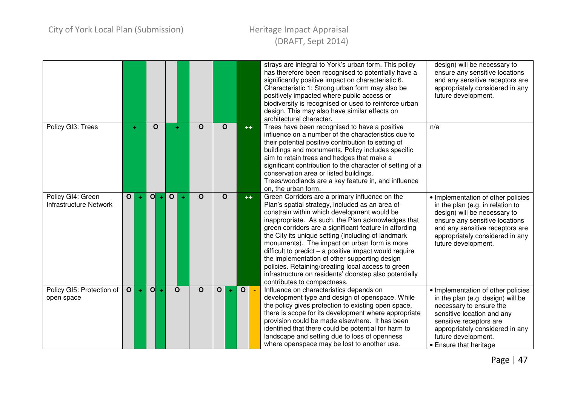|                                                    |                |    |                |           |                   |              |                |       |                                |      | strays are integral to York's urban form. This policy<br>design) will be necessary to<br>has therefore been recognised to potentially have a<br>ensure any sensitive locations<br>significantly positive impact on characteristic 6.<br>and any sensitive receptors are<br>Characteristic 1: Strong urban form may also be<br>appropriately considered in any<br>positively impacted where public access or<br>future development.<br>biodiversity is recognised or used to reinforce urban<br>design. This may also have similar effects on<br>architectural character.                                                                                                                                                                                                                                                                                                    |
|----------------------------------------------------|----------------|----|----------------|-----------|-------------------|--------------|----------------|-------|--------------------------------|------|-----------------------------------------------------------------------------------------------------------------------------------------------------------------------------------------------------------------------------------------------------------------------------------------------------------------------------------------------------------------------------------------------------------------------------------------------------------------------------------------------------------------------------------------------------------------------------------------------------------------------------------------------------------------------------------------------------------------------------------------------------------------------------------------------------------------------------------------------------------------------------|
| Policy GI3: Trees                                  |                | ÷. | $\Omega$       |           |                   | $\mathbf O$  | $\Omega$       |       |                                | $++$ | Trees have been recognised to have a positive<br>n/a<br>influence on a number of the characteristics due to<br>their potential positive contribution to setting of<br>buildings and monuments. Policy includes specific<br>aim to retain trees and hedges that make a<br>significant contribution to the character of setting of a<br>conservation area or listed buildings.<br>Trees/woodlands are a key feature in, and influence<br>on, the urban form.                                                                                                                                                                                                                                                                                                                                                                                                                  |
| Policy GI4: Green<br><b>Infrastructure Network</b> | $\mathbf{o}$   | ÷  | O              | ÷         | $\mathbf{o}$<br>÷ | $\mathbf{o}$ | O              |       |                                | $++$ | Green Corridors are a primary influence on the<br>• Implementation of other policies<br>Plan's spatial strategy, included as an area of<br>in the plan (e.g. in relation to<br>constrain within which development would be<br>design) will be necessary to<br>inappropriate. As such, the Plan acknowledges that<br>ensure any sensitive locations<br>green corridors are a significant feature in affording<br>and any sensitive receptors are<br>the City its unique setting (including of landmark<br>appropriately considered in any<br>monuments). The impact on urban form is more<br>future development.<br>difficult to predict $-$ a positive impact would require<br>the implementation of other supporting design<br>policies. Retaining/creating local access to green<br>infrastructure on residents' doorstep also potentially<br>contributes to compactness. |
| Policy GI5: Protection of<br>open space            | $\overline{O}$ | ÷  | $\overline{O}$ | $\bullet$ | $\mathbf{o}$      | $\mathbf{o}$ | $\overline{O}$ | $\pm$ | $\mathbf{o}$<br>$\blacksquare$ |      | Influence on characteristics depends on<br>• Implementation of other policies<br>development type and design of openspace. While<br>in the plan (e.g. design) will be<br>the policy gives protection to existing open space,<br>necessary to ensure the<br>there is scope for its development where appropriate<br>sensitive location and any<br>provision could be made elsewhere. It has been<br>sensitive receptors are<br>identified that there could be potential for harm to<br>appropriately considered in any<br>landscape and setting due to loss of openness<br>future development.<br>where openspace may be lost to another use.<br>• Ensure that heritage                                                                                                                                                                                                      |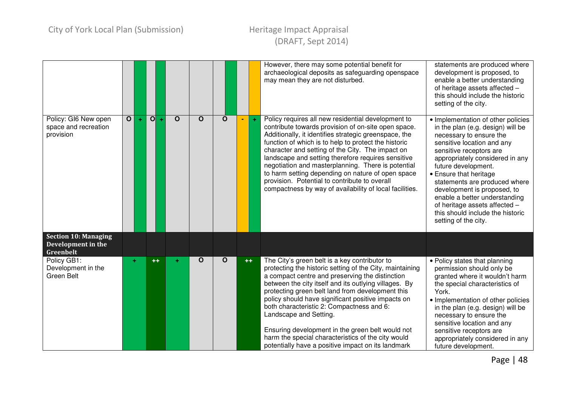|                                                                |                         |   |                                      |          |             |             |       | However, there may some potential benefit for<br>archaeological deposits as safeguarding openspace<br>may mean they are not disturbed.                                                                                                                                                                                                                                                                                                                                                                                                                                 | statements are produced where<br>development is proposed, to<br>enable a better understanding<br>of heritage assets affected -<br>this should include the historic<br>setting of the city.                                                                                                                                                                                                                                                    |
|----------------------------------------------------------------|-------------------------|---|--------------------------------------|----------|-------------|-------------|-------|------------------------------------------------------------------------------------------------------------------------------------------------------------------------------------------------------------------------------------------------------------------------------------------------------------------------------------------------------------------------------------------------------------------------------------------------------------------------------------------------------------------------------------------------------------------------|-----------------------------------------------------------------------------------------------------------------------------------------------------------------------------------------------------------------------------------------------------------------------------------------------------------------------------------------------------------------------------------------------------------------------------------------------|
| Policy: GI6 New open<br>space and recreation<br>provision      | $\overline{\mathbf{o}}$ | ÷ | $\overline{\mathbf{O}}$<br>$\ddot{}$ | $\Omega$ | $\mathbf O$ | $\mathbf O$ | $\pm$ | Policy requires all new residential development to<br>contribute towards provision of on-site open space.<br>Additionally, it identifies strategic greenspace, the<br>function of which is to help to protect the historic<br>character and setting of the City. The impact on<br>landscape and setting therefore requires sensitive<br>negotiation and masterplanning. There is potential<br>to harm setting depending on nature of open space<br>provision. Potential to contribute to overall<br>compactness by way of availability of local facilities.            | • Implementation of other policies<br>in the plan (e.g. design) will be<br>necessary to ensure the<br>sensitive location and any<br>sensitive receptors are<br>appropriately considered in any<br>future development.<br>• Ensure that heritage<br>statements are produced where<br>development is proposed, to<br>enable a better understanding<br>of heritage assets affected -<br>this should include the historic<br>setting of the city. |
| <b>Section 10: Managing</b><br>Development in the<br>Greenbelt |                         |   |                                      |          |             |             |       |                                                                                                                                                                                                                                                                                                                                                                                                                                                                                                                                                                        |                                                                                                                                                                                                                                                                                                                                                                                                                                               |
| Policy GB1:<br>Development in the<br>Green Belt                | ÷                       |   | $++$                                 | ÷        | O           | $\mathbf O$ | $++$  | The City's green belt is a key contributor to<br>protecting the historic setting of the City, maintaining<br>a compact centre and preserving the distinction<br>between the city itself and its outlying villages. By<br>protecting green belt land from development this<br>policy should have significant positive impacts on<br>both characteristic 2: Compactness and 6:<br>Landscape and Setting.<br>Ensuring development in the green belt would not<br>harm the special characteristics of the city would<br>potentially have a positive impact on its landmark | • Policy states that planning<br>permission should only be<br>granted where it wouldn't harm<br>the special characteristics of<br>York.<br>• Implementation of other policies<br>in the plan (e.g. design) will be<br>necessary to ensure the<br>sensitive location and any<br>sensitive receptors are<br>appropriately considered in any<br>future development.                                                                              |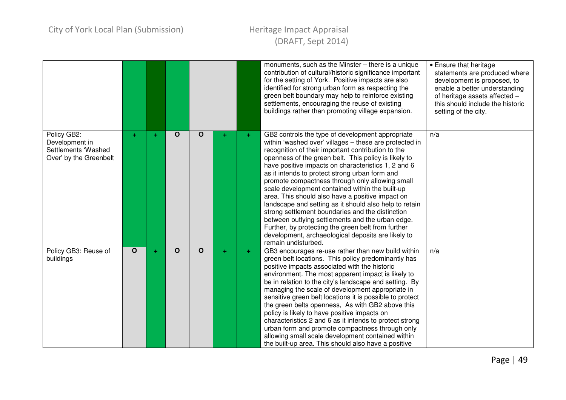|                                                                                |              |   |             |              |    | monuments, such as the Minster - there is a unique<br>contribution of cultural/historic significance important<br>for the setting of York. Positive impacts are also<br>identified for strong urban form as respecting the<br>green belt boundary may help to reinforce existing<br>settlements, encouraging the reuse of existing<br>buildings rather than promoting village expansion.                                                                                                                                                                                                                                                                                                                                                                                                         | • Ensure that heritage<br>statements are produced where<br>development is proposed, to<br>enable a better understanding<br>of heritage assets affected -<br>this should include the historic<br>setting of the city. |
|--------------------------------------------------------------------------------|--------------|---|-------------|--------------|----|--------------------------------------------------------------------------------------------------------------------------------------------------------------------------------------------------------------------------------------------------------------------------------------------------------------------------------------------------------------------------------------------------------------------------------------------------------------------------------------------------------------------------------------------------------------------------------------------------------------------------------------------------------------------------------------------------------------------------------------------------------------------------------------------------|----------------------------------------------------------------------------------------------------------------------------------------------------------------------------------------------------------------------|
| Policy GB2:<br>Development in<br>Settlements 'Washed<br>Over' by the Greenbelt | ÷.           | ٠ | $\mathbf O$ | $\mathbf{o}$ | ÷  | GB2 controls the type of development appropriate<br>within 'washed over' villages - these are protected in<br>recognition of their important contribution to the<br>openness of the green belt. This policy is likely to<br>have positive impacts on characteristics 1, 2 and 6<br>as it intends to protect strong urban form and<br>promote compactness through only allowing small<br>scale development contained within the built-up<br>area. This should also have a positive impact on<br>landscape and setting as it should also help to retain<br>strong settlement boundaries and the distinction<br>between outlying settlements and the urban edge.<br>Further, by protecting the green belt from further<br>development, archaeological deposits are likely to<br>remain undisturbed. | n/a                                                                                                                                                                                                                  |
| Policy GB3: Reuse of<br>buildings                                              | $\mathbf{o}$ | ÷ | $\mathbf O$ | $\mathbf{o}$ | ÷. | GB3 encourages re-use rather than new build within<br>green belt locations. This policy predominantly has<br>positive impacts associated with the historic<br>environment. The most apparent impact is likely to<br>be in relation to the city's landscape and setting. By<br>managing the scale of development appropriate in<br>sensitive green belt locations it is possible to protect<br>the green belts openness, As with GB2 above this<br>policy is likely to have positive impacts on<br>characteristics 2 and 6 as it intends to protect strong<br>urban form and promote compactness through only<br>allowing small scale development contained within<br>the built-up area. This should also have a positive                                                                         | n/a                                                                                                                                                                                                                  |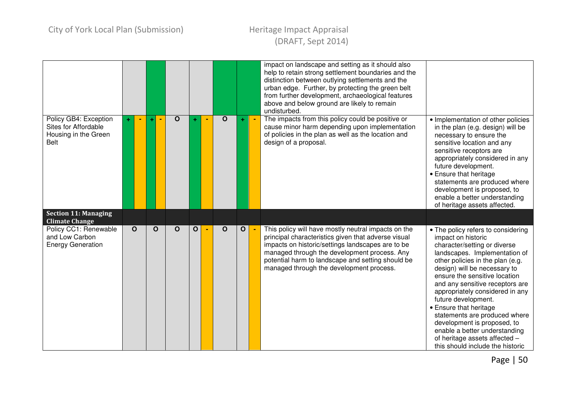|                                                                                      |              |             |                                                            |  |                                                                                                                                                                                                                                                                                                                  |                                                                                                                                                                                                                                                                                                                                                                                                                                                                                                                             | impact on landscape and setting as it should also<br>help to retain strong settlement boundaries and the<br>distinction between outlying settlements and the<br>urban edge. Further, by protecting the green belt<br>from further development, archaeological features<br>above and below ground are likely to remain<br>undisturbed. |                                                                                                                                                                                                                                                                                                                                                                                  |
|--------------------------------------------------------------------------------------|--------------|-------------|------------------------------------------------------------|--|------------------------------------------------------------------------------------------------------------------------------------------------------------------------------------------------------------------------------------------------------------------------------------------------------------------|-----------------------------------------------------------------------------------------------------------------------------------------------------------------------------------------------------------------------------------------------------------------------------------------------------------------------------------------------------------------------------------------------------------------------------------------------------------------------------------------------------------------------------|---------------------------------------------------------------------------------------------------------------------------------------------------------------------------------------------------------------------------------------------------------------------------------------------------------------------------------------|----------------------------------------------------------------------------------------------------------------------------------------------------------------------------------------------------------------------------------------------------------------------------------------------------------------------------------------------------------------------------------|
| Policy GB4: Exception<br>Sites for Affordable<br>Housing in the Green<br><b>Belt</b> |              |             | $\mathbf{o}$                                               |  | $\mathbf O$                                                                                                                                                                                                                                                                                                      |                                                                                                                                                                                                                                                                                                                                                                                                                                                                                                                             | The impacts from this policy could be positive or<br>cause minor harm depending upon implementation<br>of policies in the plan as well as the location and<br>design of a proposal.                                                                                                                                                   | • Implementation of other policies<br>in the plan (e.g. design) will be<br>necessary to ensure the<br>sensitive location and any<br>sensitive receptors are<br>appropriately considered in any<br>future development.<br>• Ensure that heritage<br>statements are produced where<br>development is proposed, to<br>enable a better understanding<br>of heritage assets affected. |
| <b>Section 11: Managing</b><br><b>Climate Change</b>                                 |              |             |                                                            |  |                                                                                                                                                                                                                                                                                                                  |                                                                                                                                                                                                                                                                                                                                                                                                                                                                                                                             |                                                                                                                                                                                                                                                                                                                                       |                                                                                                                                                                                                                                                                                                                                                                                  |
| Policy CC1: Renewable<br>and Low Carbon<br><b>Energy Generation</b>                  | $\mathbf{o}$ | $\mathbf O$ | $\mathbf O$<br>$\mathbf{o}$<br>$\mathbf O$<br>$\mathbf{o}$ |  | This policy will have mostly neutral impacts on the<br>principal characteristics given that adverse visual<br>impacts on historic/settings landscapes are to be<br>managed through the development process. Any<br>potential harm to landscape and setting should be<br>managed through the development process. | • The policy refers to considering<br>impact on historic<br>character/setting or diverse<br>landscapes. Implementation of<br>other policies in the plan (e.g.<br>design) will be necessary to<br>ensure the sensitive location<br>and any sensitive receptors are<br>appropriately considered in any<br>future development.<br>• Ensure that heritage<br>statements are produced where<br>development is proposed, to<br>enable a better understanding<br>of heritage assets affected -<br>this should include the historic |                                                                                                                                                                                                                                                                                                                                       |                                                                                                                                                                                                                                                                                                                                                                                  |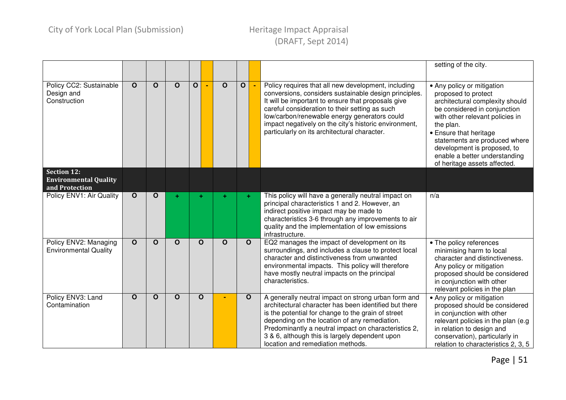|                                                                      |              |              |              |              |              |              |                |                                                                                                                                                                                                                                                                                                                                                                               | setting of the city.                                                                                                                                                                                                                                                                                                            |
|----------------------------------------------------------------------|--------------|--------------|--------------|--------------|--------------|--------------|----------------|-------------------------------------------------------------------------------------------------------------------------------------------------------------------------------------------------------------------------------------------------------------------------------------------------------------------------------------------------------------------------------|---------------------------------------------------------------------------------------------------------------------------------------------------------------------------------------------------------------------------------------------------------------------------------------------------------------------------------|
| Policy CC2: Sustainable<br>Design and<br>Construction                | $\mathbf{o}$ | $\mathbf O$  | $\mathbf O$  | $\mathbf{o}$ | $\mathbf O$  | $\mathbf{o}$ | $\blacksquare$ | Policy requires that all new development, including<br>conversions, considers sustainable design principles.<br>It will be important to ensure that proposals give<br>careful consideration to their setting as such<br>low/carbon/renewable energy generators could<br>impact negatively on the city's historic environment,<br>particularly on its architectural character. | • Any policy or mitigation<br>proposed to protect<br>architectural complexity should<br>be considered in conjunction<br>with other relevant policies in<br>the plan.<br>• Ensure that heritage<br>statements are produced where<br>development is proposed, to<br>enable a better understanding<br>of heritage assets affected. |
| <b>Section 12:</b><br><b>Environmental Quality</b><br>and Protection |              |              |              |              |              |              |                |                                                                                                                                                                                                                                                                                                                                                                               |                                                                                                                                                                                                                                                                                                                                 |
| Policy ENV1: Air Quality                                             | $\mathbf{o}$ | $\mathbf{o}$ | ÷            | ÷            |              | ÷            |                | This policy will have a generally neutral impact on<br>principal characteristics 1 and 2. However, an<br>indirect positive impact may be made to<br>characteristics 3-6 through any improvements to air<br>quality and the implementation of low emissions<br>infrastructure.                                                                                                 | n/a                                                                                                                                                                                                                                                                                                                             |
| Policy ENV2: Managing<br><b>Environmental Quality</b>                | $\mathbf{o}$ | $\mathbf{o}$ | $\mathbf{o}$ | $\mathbf{o}$ | $\mathbf O$  | $\mathbf O$  |                | EQ2 manages the impact of development on its<br>surroundings, and includes a clause to protect local<br>character and distinctiveness from unwanted<br>environmental impacts. This policy will therefore<br>have mostly neutral impacts on the principal<br>characteristics.                                                                                                  | • The policy references<br>minimising harm to local<br>character and distinctiveness.<br>Any policy or mitigation<br>proposed should be considered<br>in conjunction with other<br>relevant policies in the plan                                                                                                                |
| Policy ENV3: Land<br>Contamination                                   | $\mathbf O$  | $\mathbf O$  | $\mathbf{o}$ | $\mathbf{o}$ | $\mathbf{o}$ |              |                | A generally neutral impact on strong urban form and<br>architectural character has been identified but there<br>is the potential for change to the grain of street<br>depending on the location of any remediation.<br>Predominantly a neutral impact on characteristics 2,<br>3 & 6, although this is largely dependent upon<br>location and remediation methods.            | • Any policy or mitigation<br>proposed should be considered<br>in conjunction with other<br>relevant policies in the plan (e.g<br>in relation to design and<br>conservation), particularly in<br>relation to characteristics 2, 3, 5                                                                                            |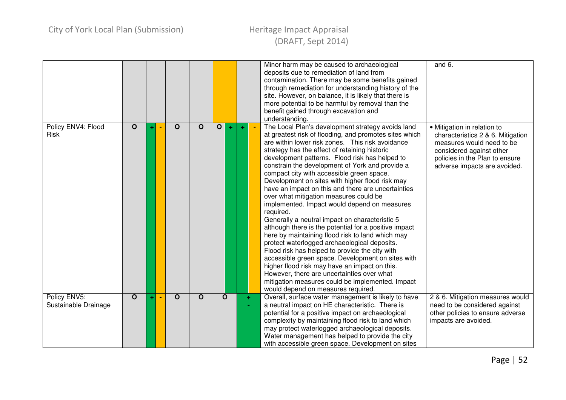|                                      |              |  |              |              |   |             |               | Minor harm may be caused to archaeological<br>deposits due to remediation of land from<br>contamination. There may be some benefits gained<br>through remediation for understanding history of the<br>site. However, on balance, it is likely that there is<br>more potential to be harmful by removal than the<br>benefit gained through excavation and<br>understanding.                                                                                                                                                                                                                                                                                                                                                                                                                                                                                                                                                                                                                                                                                                                        | and 6.                                                                                                                                                                                      |
|--------------------------------------|--------------|--|--------------|--------------|---|-------------|---------------|---------------------------------------------------------------------------------------------------------------------------------------------------------------------------------------------------------------------------------------------------------------------------------------------------------------------------------------------------------------------------------------------------------------------------------------------------------------------------------------------------------------------------------------------------------------------------------------------------------------------------------------------------------------------------------------------------------------------------------------------------------------------------------------------------------------------------------------------------------------------------------------------------------------------------------------------------------------------------------------------------------------------------------------------------------------------------------------------------|---------------------------------------------------------------------------------------------------------------------------------------------------------------------------------------------|
| Policy ENV4: Flood<br><b>Risk</b>    | $\mathbf{o}$ |  | $\mathbf O$  | $\mathbf{o}$ | 0 | $\pm$       |               | The Local Plan's development strategy avoids land<br>at greatest risk of flooding, and promotes sites which<br>are within lower risk zones. This risk avoidance<br>strategy has the effect of retaining historic<br>development patterns. Flood risk has helped to<br>constrain the development of York and provide a<br>compact city with accessible green space.<br>Development on sites with higher flood risk may<br>have an impact on this and there are uncertainties<br>over what mitigation measures could be<br>implemented. Impact would depend on measures<br>required.<br>Generally a neutral impact on characteristic 5<br>although there is the potential for a positive impact<br>here by maintaining flood risk to land which may<br>protect waterlogged archaeological deposits.<br>Flood risk has helped to provide the city with<br>accessible green space. Development on sites with<br>higher flood risk may have an impact on this.<br>However, there are uncertainties over what<br>mitigation measures could be implemented. Impact<br>would depend on measures required. | • Mitigation in relation to<br>characteristics 2 & 6. Mitigation<br>measures would need to be<br>considered against other<br>policies in the Plan to ensure<br>adverse impacts are avoided. |
| Policy ENV5:<br>Sustainable Drainage | $\mathbf O$  |  | $\mathbf{o}$ | O            |   | $\mathbf O$ | $+$<br>$\sim$ | Overall, surface water management is likely to have<br>a neutral impact on HE characteristic. There is<br>potential for a positive impact on archaeological<br>complexity by maintaining flood risk to land which<br>may protect waterlogged archaeological deposits.<br>Water management has helped to provide the city<br>with accessible green space. Development on sites                                                                                                                                                                                                                                                                                                                                                                                                                                                                                                                                                                                                                                                                                                                     | 2 & 6. Mitigation measures would<br>need to be considered against<br>other policies to ensure adverse<br>impacts are avoided.                                                               |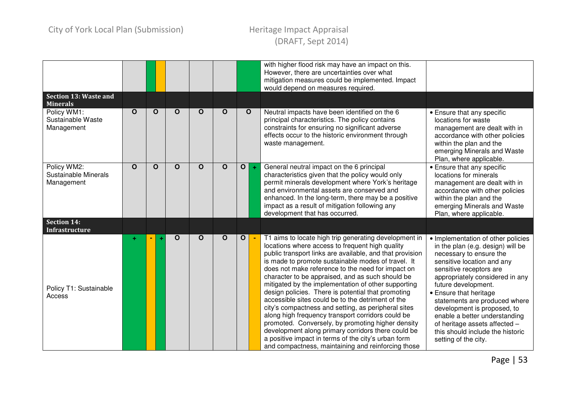|                                                   |              |              |              |              |              |              |             | with higher flood risk may have an impact on this.<br>However, there are uncertainties over what<br>mitigation measures could be implemented. Impact<br>would depend on measures required.                                                                                                                                                                                                                                                                                                                                                                                                                                                                                                                                                                                                                                                |                                                                                                                                                                                                                                                                                                                                                                                                                                               |
|---------------------------------------------------|--------------|--------------|--------------|--------------|--------------|--------------|-------------|-------------------------------------------------------------------------------------------------------------------------------------------------------------------------------------------------------------------------------------------------------------------------------------------------------------------------------------------------------------------------------------------------------------------------------------------------------------------------------------------------------------------------------------------------------------------------------------------------------------------------------------------------------------------------------------------------------------------------------------------------------------------------------------------------------------------------------------------|-----------------------------------------------------------------------------------------------------------------------------------------------------------------------------------------------------------------------------------------------------------------------------------------------------------------------------------------------------------------------------------------------------------------------------------------------|
| <b>Section 13: Waste and</b><br><b>Minerals</b>   |              |              |              |              |              |              |             |                                                                                                                                                                                                                                                                                                                                                                                                                                                                                                                                                                                                                                                                                                                                                                                                                                           |                                                                                                                                                                                                                                                                                                                                                                                                                                               |
| Policy WM1:<br>Sustainable Waste<br>Management    | $\mathbf{o}$ | $\mathbf{o}$ | $\mathbf O$  | $\mathbf{o}$ | $\mathbf O$  |              | $\mathbf O$ | Neutral impacts have been identified on the 6<br>principal characteristics. The policy contains<br>constraints for ensuring no significant adverse<br>effects occur to the historic environment through<br>waste management.                                                                                                                                                                                                                                                                                                                                                                                                                                                                                                                                                                                                              | • Ensure that any specific<br>locations for waste<br>management are dealt with in<br>accordance with other policies<br>within the plan and the<br>emerging Minerals and Waste<br>Plan, where applicable.                                                                                                                                                                                                                                      |
| Policy WM2:<br>Sustainable Minerals<br>Management | $\mathbf O$  | $\mathbf{o}$ | $\mathbf{o}$ | $\mathbf{o}$ | $\mathbf{o}$ | $\mathbf{O}$ | $\ddot{}$   | General neutral impact on the 6 principal<br>characteristics given that the policy would only<br>permit minerals development where York's heritage<br>and environmental assets are conserved and<br>enhanced. In the long-term, there may be a positive<br>impact as a result of mitigation following any<br>development that has occurred.                                                                                                                                                                                                                                                                                                                                                                                                                                                                                               | • Ensure that any specific<br>locations for minerals<br>management are dealt with in<br>accordance with other policies<br>within the plan and the<br>emerging Minerals and Waste<br>Plan, where applicable.                                                                                                                                                                                                                                   |
| <b>Section 14:</b><br>Infrastructure              |              |              |              |              |              |              |             |                                                                                                                                                                                                                                                                                                                                                                                                                                                                                                                                                                                                                                                                                                                                                                                                                                           |                                                                                                                                                                                                                                                                                                                                                                                                                                               |
| Policy T1: Sustainable<br>Access                  |              |              | $\mathbf O$  | O            | $\mathbf O$  | $\mathbf{o}$ |             | T1 aims to locate high trip generating development in<br>locations where access to frequent high quality<br>public transport links are available, and that provision<br>is made to promote sustainable modes of travel. It<br>does not make reference to the need for impact on<br>character to be appraised, and as such should be<br>mitigated by the implementation of other supporting<br>design policies. There is potential that promoting<br>accessible sites could be to the detriment of the<br>city's compactness and setting, as peripheral sites<br>along high frequency transport corridors could be<br>promoted. Conversely, by promoting higher density<br>development along primary corridors there could be<br>a positive impact in terms of the city's urban form<br>and compactness, maintaining and reinforcing those | • Implementation of other policies<br>in the plan (e.g. design) will be<br>necessary to ensure the<br>sensitive location and any<br>sensitive receptors are<br>appropriately considered in any<br>future development.<br>• Ensure that heritage<br>statements are produced where<br>development is proposed, to<br>enable a better understanding<br>of heritage assets affected -<br>this should include the historic<br>setting of the city. |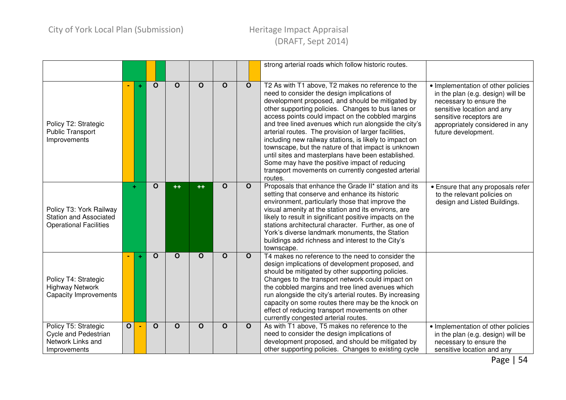|                                                                                           |                   |  |              |                         |              |                         |                                                                                                                                                                                                                                                                                                                                                                                                                                                           | strong arterial roads which follow historic routes.                                                                                                                                                                                                                                                                                                                                                                                                                                                                                                                                                                                                                        |                                                                                                                                                                                                                       |
|-------------------------------------------------------------------------------------------|-------------------|--|--------------|-------------------------|--------------|-------------------------|-----------------------------------------------------------------------------------------------------------------------------------------------------------------------------------------------------------------------------------------------------------------------------------------------------------------------------------------------------------------------------------------------------------------------------------------------------------|----------------------------------------------------------------------------------------------------------------------------------------------------------------------------------------------------------------------------------------------------------------------------------------------------------------------------------------------------------------------------------------------------------------------------------------------------------------------------------------------------------------------------------------------------------------------------------------------------------------------------------------------------------------------------|-----------------------------------------------------------------------------------------------------------------------------------------------------------------------------------------------------------------------|
| Policy T2: Strategic<br><b>Public Transport</b><br>Improvements                           |                   |  | $\mathbf O$  | $\mathbf{o}$            | $\mathbf O$  | $\Omega$                | $\mathbf O$                                                                                                                                                                                                                                                                                                                                                                                                                                               | T2 As with T1 above, T2 makes no reference to the<br>need to consider the design implications of<br>development proposed, and should be mitigated by<br>other supporting policies. Changes to bus lanes or<br>access points could impact on the cobbled margins<br>and tree lined avenues which run alongside the city's<br>arterial routes. The provision of larger facilities,<br>including new railway stations, is likely to impact on<br>townscape, but the nature of that impact is unknown<br>until sites and masterplans have been established.<br>Some may have the positive impact of reducing<br>transport movements on currently congested arterial<br>routes. | • Implementation of other policies<br>in the plan (e.g. design) will be<br>necessary to ensure the<br>sensitive location and any<br>sensitive receptors are<br>appropriately considered in any<br>future development. |
| Policy T3: York Railway<br><b>Station and Associated</b><br><b>Operational Facilities</b> | O<br>$\mathbf{o}$ |  | $++$         | $+ +$                   | $\Omega$     | $\Omega$                | Proposals that enhance the Grade II* station and its<br>setting that conserve and enhance its historic<br>environment, particularly those that improve the<br>visual amenity at the station and its environs, are<br>likely to result in significant positive impacts on the<br>stations architectural character. Further, as one of<br>York's diverse landmark monuments, the Station<br>buildings add richness and interest to the City's<br>townscape. | • Ensure that any proposals refer<br>to the relevant policies on<br>design and Listed Buildings.                                                                                                                                                                                                                                                                                                                                                                                                                                                                                                                                                                           |                                                                                                                                                                                                                       |
| Policy T4: Strategic<br><b>Highway Network</b><br><b>Capacity Improvements</b>            |                   |  |              | $\overline{\mathbf{o}}$ | $\mathbf O$  | $\overline{\mathbf{o}}$ | $\mathbf O$                                                                                                                                                                                                                                                                                                                                                                                                                                               | T4 makes no reference to the need to consider the<br>design implications of development proposed, and<br>should be mitigated by other supporting policies.<br>Changes to the transport network could impact on<br>the cobbled margins and tree lined avenues which<br>run alongside the city's arterial routes. By increasing<br>capacity on some routes there may be the knock on<br>effect of reducing transport movements on other<br>currently congested arterial routes.                                                                                                                                                                                              |                                                                                                                                                                                                                       |
| Policy T5: Strategic<br><b>Cycle and Pedestrian</b><br>Network Links and<br>Improvements  | $\mathbf{o}$      |  | $\mathbf{o}$ | $\mathbf{o}$            | $\mathbf{o}$ | $\mathbf{O}$            | $\mathbf O$                                                                                                                                                                                                                                                                                                                                                                                                                                               | As with T1 above, T5 makes no reference to the<br>need to consider the design implications of<br>development proposed, and should be mitigated by<br>other supporting policies. Changes to existing cycle                                                                                                                                                                                                                                                                                                                                                                                                                                                                  | • Implementation of other policies<br>in the plan (e.g. design) will be<br>necessary to ensure the<br>sensitive location and any                                                                                      |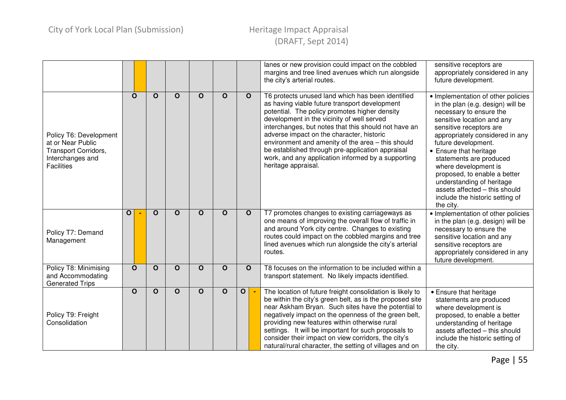|                                                                                                              |              |              |              |              |              |              |                                | lanes or new provision could impact on the cobbled<br>margins and tree lined avenues which run alongside<br>the city's arterial routes.                                                                                                                                                                                                                                                                                                                                                      | sensitive receptors are<br>appropriately considered in any<br>future development.                                                                                                                                                                                                                                                                                                                                                                |
|--------------------------------------------------------------------------------------------------------------|--------------|--------------|--------------|--------------|--------------|--------------|--------------------------------|----------------------------------------------------------------------------------------------------------------------------------------------------------------------------------------------------------------------------------------------------------------------------------------------------------------------------------------------------------------------------------------------------------------------------------------------------------------------------------------------|--------------------------------------------------------------------------------------------------------------------------------------------------------------------------------------------------------------------------------------------------------------------------------------------------------------------------------------------------------------------------------------------------------------------------------------------------|
| Policy T6: Development<br>at or Near Public<br>Transport Corridors,<br>Interchanges and<br><b>Facilities</b> |              | $\mathbf O$  | $\mathbf O$  | $\mathbf O$  | $\mathbf{o}$ | $\mathbf O$  | $\mathbf{o}$                   | T6 protects unused land which has been identified<br>as having viable future transport development<br>potential. The policy promotes higher density<br>development in the vicinity of well served<br>interchanges, but notes that this should not have an<br>adverse impact on the character, historic<br>environment and amenity of the area - this should<br>be established through pre-application appraisal<br>work, and any application informed by a supporting<br>heritage appraisal. | • Implementation of other policies<br>in the plan (e.g. design) will be<br>necessary to ensure the<br>sensitive location and any<br>sensitive receptors are<br>appropriately considered in any<br>future development.<br>• Ensure that heritage<br>statements are produced<br>where development is<br>proposed, to enable a better<br>understanding of heritage<br>assets affected - this should<br>include the historic setting of<br>the city. |
| Policy T7: Demand<br>Management                                                                              | $\mathbf{o}$ |              | $\mathbf{o}$ | $\mathbf{o}$ | $\mathbf{o}$ | $\mathbf O$  | $\mathbf{o}$                   | T7 promotes changes to existing carriageways as<br>one means of improving the overall flow of traffic in<br>and around York city centre. Changes to existing<br>routes could impact on the cobbled margins and tree<br>lined avenues which run alongside the city's arterial<br>routes.                                                                                                                                                                                                      | · Implementation of other policies<br>in the plan (e.g. design) will be<br>necessary to ensure the<br>sensitive location and any<br>sensitive receptors are<br>appropriately considered in any<br>future development.                                                                                                                                                                                                                            |
| Policy T8: Minimising<br>and Accommodating<br><b>Generated Trips</b>                                         |              | $\mathbf{o}$ | $\mathbf O$  | $\mathbf O$  | $\mathbf O$  | $\mathbf O$  | $\mathbf O$                    | T8 focuses on the information to be included within a<br>transport statement. No likely impacts identified.                                                                                                                                                                                                                                                                                                                                                                                  |                                                                                                                                                                                                                                                                                                                                                                                                                                                  |
| Policy T9: Freight<br>Consolidation                                                                          |              | $\mathbf O$  | $\mathbf O$  | $\mathbf{o}$ | $\mathbf{o}$ | $\mathbf{o}$ | $\mathbf{o}$<br>$\blacksquare$ | The location of future freight consolidation is likely to<br>be within the city's green belt, as is the proposed site<br>near Askham Bryan. Such sites have the potential to<br>negatively impact on the openness of the green belt,<br>providing new features within otherwise rural<br>settings. It will be important for such proposals to<br>consider their impact on view corridors, the city's<br>natural/rural character, the setting of villages and on                              | • Ensure that heritage<br>statements are produced<br>where development is<br>proposed, to enable a better<br>understanding of heritage<br>assets affected - this should<br>include the historic setting of<br>the city.                                                                                                                                                                                                                          |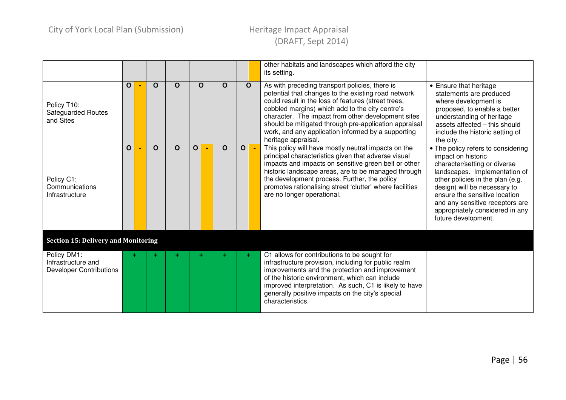|                                                                     |              |             |              |              |             |   |                | other habitats and landscapes which afford the city<br>its setting.                                                                                                                                                                                                                                                                                                                                         |                                                                                                                                                                                                                                                                                                                             |
|---------------------------------------------------------------------|--------------|-------------|--------------|--------------|-------------|---|----------------|-------------------------------------------------------------------------------------------------------------------------------------------------------------------------------------------------------------------------------------------------------------------------------------------------------------------------------------------------------------------------------------------------------------|-----------------------------------------------------------------------------------------------------------------------------------------------------------------------------------------------------------------------------------------------------------------------------------------------------------------------------|
| Policy T10:<br>Safeguarded Routes<br>and Sites                      | $\mathbf{o}$ | $\mathbf O$ | $\mathbf{o}$ | $\mathbf{o}$ | $\Omega$    |   | $\mathbf O$    | As with preceding transport policies, there is<br>potential that changes to the existing road network<br>could result in the loss of features (street trees,<br>cobbled margins) which add to the city centre's<br>character. The impact from other development sites<br>should be mitigated through pre-application appraisal<br>work, and any application informed by a supporting<br>heritage appraisal. | • Ensure that heritage<br>statements are produced<br>where development is<br>proposed, to enable a better<br>understanding of heritage<br>assets affected - this should<br>include the historic setting of<br>the city.                                                                                                     |
| Policy C1:<br>Communications<br>Infrastructure                      | $\mathbf{O}$ | $\mathbf O$ | $\mathbf O$  | $\mathbf{o}$ | $\mathbf O$ | O | $\blacksquare$ | This policy will have mostly neutral impacts on the<br>principal characteristics given that adverse visual<br>impacts and impacts on sensitive green belt or other<br>historic landscape areas, are to be managed through<br>the development process. Further, the policy<br>promotes rationalising street 'clutter' where facilities<br>are no longer operational.                                         | • The policy refers to considering<br>impact on historic<br>character/setting or diverse<br>landscapes. Implementation of<br>other policies in the plan (e.g.<br>design) will be necessary to<br>ensure the sensitive location<br>and any sensitive receptors are<br>appropriately considered in any<br>future development. |
| <b>Section 15: Delivery and Monitoring</b>                          |              |             |              |              |             |   |                |                                                                                                                                                                                                                                                                                                                                                                                                             |                                                                                                                                                                                                                                                                                                                             |
| Policy DM1:<br>Infrastructure and<br><b>Developer Contributions</b> |              |             |              |              |             |   | ÷              | C1 allows for contributions to be sought for<br>infrastructure provision, including for public realm<br>improvements and the protection and improvement<br>of the historic environment, which can include<br>improved interpretation. As such, C1 is likely to have<br>generally positive impacts on the city's special<br>characteristics.                                                                 |                                                                                                                                                                                                                                                                                                                             |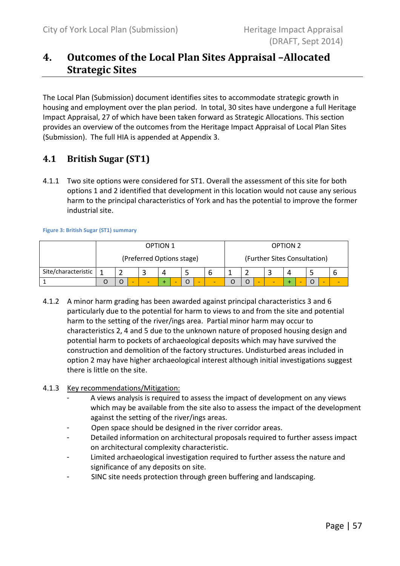# 4. Outcomes of the Local Plan Sites Appraisal –Allocated Strategic Sites

The Local Plan (Submission) document identifies sites to accommodate strategic growth in housing and employment over the plan period. In total, 30 sites have undergone a full Heritage Impact Appraisal, 27 of which have been taken forward as Strategic Allocations. This section provides an overview of the outcomes from the Heritage Impact Appraisal of Local Plan Sites (Submission). The full HIA is appended at Appendix 3.

### 4.1 British Sugar (ST1)

4.1.1 Two site options were considered for ST1. Overall the assessment of this site for both options 1 and 2 identified that development in this location would not cause any serious harm to the principal characteristics of York and has the potential to improve the former industrial site.

Figure 3: British Sugar (ST1) summary

|                     |   |                          | <b>OPTION 1</b>           |         |                          |  | <b>OPTION 2</b> |                              |  |
|---------------------|---|--------------------------|---------------------------|---------|--------------------------|--|-----------------|------------------------------|--|
|                     |   |                          | (Preferred Options stage) |         |                          |  |                 | (Further Sites Consultation) |  |
| Site/characteristic |   |                          | 4                         |         |                          |  |                 |                              |  |
|                     | O | $\overline{\phantom{a}}$ |                           | $\circ$ | $\overline{\phantom{a}}$ |  | -               | $\circ$                      |  |

4.1.2 A minor harm grading has been awarded against principal characteristics 3 and 6 particularly due to the potential for harm to views to and from the site and potential harm to the setting of the river/ings area. Partial minor harm may occur to characteristics 2, 4 and 5 due to the unknown nature of proposed housing design and potential harm to pockets of archaeological deposits which may have survived the construction and demolition of the factory structures. Undisturbed areas included in option 2 may have higher archaeological interest although initial investigations suggest there is little on the site.

### 4.1.3 Key recommendations/Mitigation:

- A views analysis is required to assess the impact of development on any views which may be available from the site also to assess the impact of the development against the setting of the river/ings areas.
- Open space should be designed in the river corridor areas.
- Detailed information on architectural proposals required to further assess impact on architectural complexity characteristic.
- Limited archaeological investigation required to further assess the nature and significance of any deposits on site.
- SINC site needs protection through green buffering and landscaping.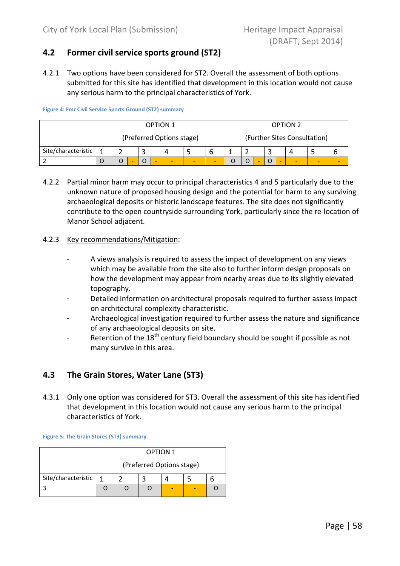### 4.2 Former civil service sports ground (ST2)

4.2.1 Two options have been considered for ST2. Overall the assessment of both options submitted for this site has identified that development in this location would not cause any serious harm to the principal characteristics of York.

Figure 4: Fmr Civil Service Sports Ground (ST2) summary

|                     |  |  |   | <b>OPTION 1</b>           |  |  |  | <b>OPTION 2</b> |                              |  |
|---------------------|--|--|---|---------------------------|--|--|--|-----------------|------------------------------|--|
|                     |  |  |   | (Preferred Options stage) |  |  |  |                 | (Further Sites Consultation) |  |
| Site/characteristic |  |  |   | д                         |  |  |  |                 |                              |  |
|                     |  |  | - |                           |  |  |  |                 |                              |  |

4.2.2 Partial minor harm may occur to principal characteristics 4 and 5 particularly due to the unknown nature of proposed housing design and the potential for harm to any surviving archaeological deposits or historic landscape features. The site does not significantly contribute to the open countryside surrounding York, particularly since the re-location of Manor School adjacent.

### 4.2.3 Key recommendations/Mitigation:

- A views analysis is required to assess the impact of development on any views which may be available from the site also to further inform design proposals on how the development may appear from nearby areas due to its slightly elevated topography.
- Detailed information on architectural proposals required to further assess impact on architectural complexity characteristic.
- Archaeological investigation required to further assess the nature and significance of any archaeological deposits on site.
- Retention of the  $18<sup>th</sup>$  century field boundary should be sought if possible as not many survive in this area.

### 4.3 The Grain Stores, Water Lane (ST3)

4.3.1 Only one option was considered for ST3. Overall the assessment of this site has identified that development in this location would not cause any serious harm to the principal characteristics of York.

#### Figure 5: The Grain Stores (ST3) summary

|                     |  |                           | <b>OPTION 1</b> |  |  |  |  |  |  |  |  |  |
|---------------------|--|---------------------------|-----------------|--|--|--|--|--|--|--|--|--|
|                     |  | (Preferred Options stage) |                 |  |  |  |  |  |  |  |  |  |
| Site/characteristic |  |                           |                 |  |  |  |  |  |  |  |  |  |
|                     |  |                           |                 |  |  |  |  |  |  |  |  |  |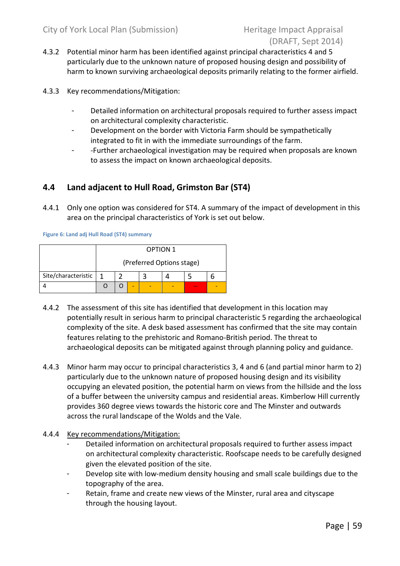- 4.3.2 Potential minor harm has been identified against principal characteristics 4 and 5 particularly due to the unknown nature of proposed housing design and possibility of harm to known surviving archaeological deposits primarily relating to the former airfield.
- 4.3.3 Key recommendations/Mitigation:
	- Detailed information on architectural proposals required to further assess impact on architectural complexity characteristic.
	- Development on the border with Victoria Farm should be sympathetically integrated to fit in with the immediate surroundings of the farm.
	- -Further archaeological investigation may be required when proposals are known to assess the impact on known archaeological deposits.

### 4.4 Land adjacent to Hull Road, Grimston Bar (ST4)

4.4.1 Only one option was considered for ST4. A summary of the impact of development in this area on the principal characteristics of York is set out below.

Figure 6: Land adj Hull Road (ST4) summary

|                     |  |  |  | <b>OPTION 1</b>           |  |  |  |  |  |  |  |  |
|---------------------|--|--|--|---------------------------|--|--|--|--|--|--|--|--|
|                     |  |  |  | (Preferred Options stage) |  |  |  |  |  |  |  |  |
| Site/characteristic |  |  |  |                           |  |  |  |  |  |  |  |  |
|                     |  |  |  |                           |  |  |  |  |  |  |  |  |

- 4.4.2 The assessment of this site has identified that development in this location may potentially result in serious harm to principal characteristic 5 regarding the archaeological complexity of the site. A desk based assessment has confirmed that the site may contain features relating to the prehistoric and Romano-British period. The threat to archaeological deposits can be mitigated against through planning policy and guidance.
- 4.4.3 Minor harm may occur to principal characteristics 3, 4 and 6 (and partial minor harm to 2) particularly due to the unknown nature of proposed housing design and its visibility occupying an elevated position, the potential harm on views from the hillside and the loss of a buffer between the university campus and residential areas. Kimberlow Hill currently provides 360 degree views towards the historic core and The Minster and outwards across the rural landscape of the Wolds and the Vale.
- 4.4.4 Key recommendations/Mitigation:
	- Detailed information on architectural proposals required to further assess impact on architectural complexity characteristic. Roofscape needs to be carefully designed given the elevated position of the site.
	- Develop site with low-medium density housing and small scale buildings due to the topography of the area.
	- Retain, frame and create new views of the Minster, rural area and cityscape through the housing layout.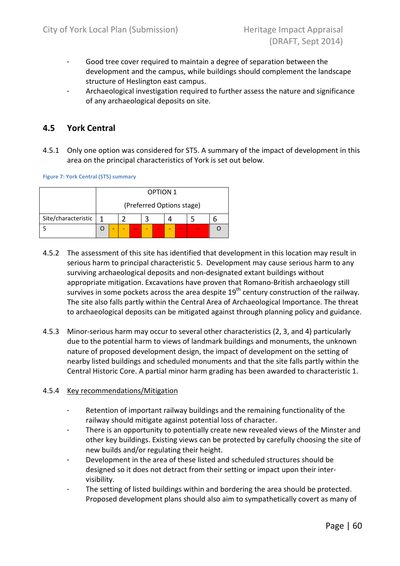- Good tree cover required to maintain a degree of separation between the development and the campus, while buildings should complement the landscape structure of Heslington east campus.
- Archaeological investigation required to further assess the nature and significance of any archaeological deposits on site.

### 4.5 York Central

4.5.1 Only one option was considered for ST5. A summary of the impact of development in this area on the principal characteristics of York is set out below.

Figure 7: York Central (ST5) summary

|                     |   |                                 |  |  |  | <b>OPTION 1</b> |  |  |  |  |  |  |
|---------------------|---|---------------------------------|--|--|--|-----------------|--|--|--|--|--|--|
|                     |   | (Preferred Options stage)       |  |  |  |                 |  |  |  |  |  |  |
| Site/characteristic | 1 |                                 |  |  |  |                 |  |  |  |  |  |  |
|                     |   | -<br>$\sim$<br>$\sim$<br>$\sim$ |  |  |  |                 |  |  |  |  |  |  |

- 4.5.2 The assessment of this site has identified that development in this location may result in serious harm to principal characteristic 5. Development may cause serious harm to any surviving archaeological deposits and non-designated extant buildings without appropriate mitigation. Excavations have proven that Romano-British archaeology still survives in some pockets across the area despite  $19<sup>th</sup>$  century construction of the railway. The site also falls partly within the Central Area of Archaeological Importance. The threat to archaeological deposits can be mitigated against through planning policy and guidance.
- 4.5.3 Minor-serious harm may occur to several other characteristics (2, 3, and 4) particularly due to the potential harm to views of landmark buildings and monuments, the unknown nature of proposed development design, the impact of development on the setting of nearby listed buildings and scheduled monuments and that the site falls partly within the Central Historic Core. A partial minor harm grading has been awarded to characteristic 1.

### 4.5.4 Key recommendations/Mitigation

- Retention of important railway buildings and the remaining functionality of the railway should mitigate against potential loss of character.
- There is an opportunity to potentially create new revealed views of the Minster and other key buildings. Existing views can be protected by carefully choosing the site of new builds and/or regulating their height.
- Development in the area of these listed and scheduled structures should be designed so it does not detract from their setting or impact upon their intervisibility.
- The setting of listed buildings within and bordering the area should be protected. Proposed development plans should also aim to sympathetically covert as many of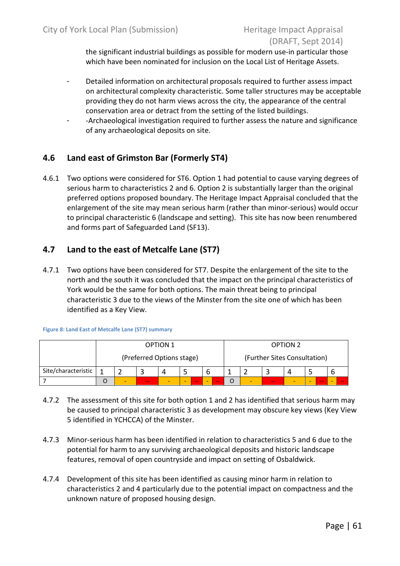the significant industrial buildings as possible for modern use-in particular those which have been nominated for inclusion on the Local List of Heritage Assets.

- Detailed information on architectural proposals required to further assess impact on architectural complexity characteristic. Some taller structures may be acceptable providing they do not harm views across the city, the appearance of the central conservation area or detract from the setting of the listed buildings.
- -Archaeological investigation required to further assess the nature and significance of any archaeological deposits on site.

### 4.6 Land east of Grimston Bar (Formerly ST4)

4.6.1 Two options were considered for ST6. Option 1 had potential to cause varying degrees of serious harm to characteristics 2 and 6. Option 2 is substantially larger than the original preferred options proposed boundary. The Heritage Impact Appraisal concluded that the enlargement of the site may mean serious harm (rather than minor-serious) would occur to principal characteristic 6 (landscape and setting). This site has now been renumbered and forms part of Safeguarded Land (SF13).

### 4.7 Land to the east of Metcalfe Lane (ST7)

4.7.1 Two options have been considered for ST7. Despite the enlargement of the site to the north and the south it was concluded that the impact on the principal characteristics of York would be the same for both options. The main threat being to principal characteristic 3 due to the views of the Minster from the site one of which has been identified as a Key View.

Figure 8: Land East of Metcalfe Lane (ST7) summary

|                     | <b>OPTION 1</b> |                           |  |  |  |  |     | <b>OPTION 2</b>              |   |     |  |  |     |  |    |
|---------------------|-----------------|---------------------------|--|--|--|--|-----|------------------------------|---|-----|--|--|-----|--|----|
|                     |                 | (Preferred Options stage) |  |  |  |  |     | (Further Sites Consultation) |   |     |  |  |     |  |    |
| Site/characteristic | b               |                           |  |  |  |  |     |                              |   |     |  |  |     |  |    |
|                     | $-$<br>-<br>--  |                           |  |  |  |  | $-$ |                              | - | $-$ |  |  | $-$ |  | -- |

- 4.7.2 The assessment of this site for both option 1 and 2 has identified that serious harm may be caused to principal characteristic 3 as development may obscure key views (Key View 5 identified in YCHCCA) of the Minster.
- 4.7.3 Minor-serious harm has been identified in relation to characteristics 5 and 6 due to the potential for harm to any surviving archaeological deposits and historic landscape features, removal of open countryside and impact on setting of Osbaldwick.
- 4.7.4 Development of this site has been identified as causing minor harm in relation to characteristics 2 and 4 particularly due to the potential impact on compactness and the unknown nature of proposed housing design.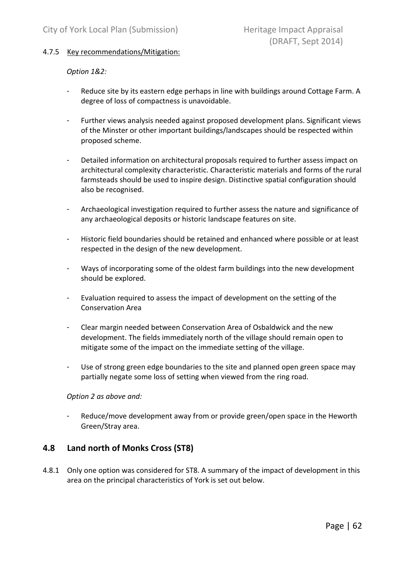### 4.7.5 Key recommendations/Mitigation:

### Option 1&2:

- Reduce site by its eastern edge perhaps in line with buildings around Cottage Farm. A degree of loss of compactness is unavoidable.
- Further views analysis needed against proposed development plans. Significant views of the Minster or other important buildings/landscapes should be respected within proposed scheme.
- Detailed information on architectural proposals required to further assess impact on architectural complexity characteristic. Characteristic materials and forms of the rural farmsteads should be used to inspire design. Distinctive spatial configuration should also be recognised.
- Archaeological investigation required to further assess the nature and significance of any archaeological deposits or historic landscape features on site.
- Historic field boundaries should be retained and enhanced where possible or at least respected in the design of the new development.
- Ways of incorporating some of the oldest farm buildings into the new development should be explored.
- Evaluation required to assess the impact of development on the setting of the Conservation Area
- Clear margin needed between Conservation Area of Osbaldwick and the new development. The fields immediately north of the village should remain open to mitigate some of the impact on the immediate setting of the village.
- Use of strong green edge boundaries to the site and planned open green space may partially negate some loss of setting when viewed from the ring road.

### Option 2 as above and:

- Reduce/move development away from or provide green/open space in the Heworth Green/Stray area.

### 4.8 Land north of Monks Cross (ST8)

4.8.1 Only one option was considered for ST8. A summary of the impact of development in this area on the principal characteristics of York is set out below.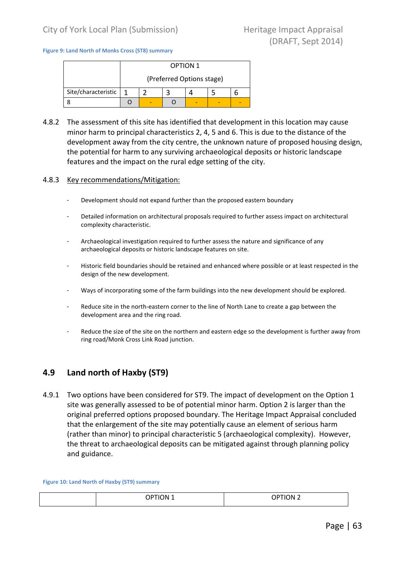#### Figure 9: Land North of Monks Cross (ST8) summary

|                     |   |  | <b>OPTION 1</b>           |  |  |  |  |  |  |  |  |  |
|---------------------|---|--|---------------------------|--|--|--|--|--|--|--|--|--|
|                     |   |  | (Preferred Options stage) |  |  |  |  |  |  |  |  |  |
| Site/characteristic | 1 |  |                           |  |  |  |  |  |  |  |  |  |
|                     |   |  |                           |  |  |  |  |  |  |  |  |  |

4.8.2 The assessment of this site has identified that development in this location may cause minor harm to principal characteristics 2, 4, 5 and 6. This is due to the distance of the development away from the city centre, the unknown nature of proposed housing design, the potential for harm to any surviving archaeological deposits or historic landscape features and the impact on the rural edge setting of the city.

#### 4.8.3 Key recommendations/Mitigation:

- Development should not expand further than the proposed eastern boundary
- Detailed information on architectural proposals required to further assess impact on architectural complexity characteristic.
- Archaeological investigation required to further assess the nature and significance of any archaeological deposits or historic landscape features on site.
- Historic field boundaries should be retained and enhanced where possible or at least respected in the design of the new development.
- Ways of incorporating some of the farm buildings into the new development should be explored.
- Reduce site in the north-eastern corner to the line of North Lane to create a gap between the development area and the ring road.
- Reduce the size of the site on the northern and eastern edge so the development is further away from ring road/Monk Cross Link Road junction.

### 4.9 Land north of Haxby (ST9)

4.9.1 Two options have been considered for ST9. The impact of development on the Option 1 site was generally assessed to be of potential minor harm. Option 2 is larger than the original preferred options proposed boundary. The Heritage Impact Appraisal concluded that the enlargement of the site may potentially cause an element of serious harm (rather than minor) to principal characteristic 5 (archaeological complexity). However, the threat to archaeological deposits can be mitigated against through planning policy and guidance.

#### Figure 10: Land North of Haxby (ST9) summary

| <b>OPTION 1</b> | <b>OPTION 2</b> |
|-----------------|-----------------|
|                 |                 |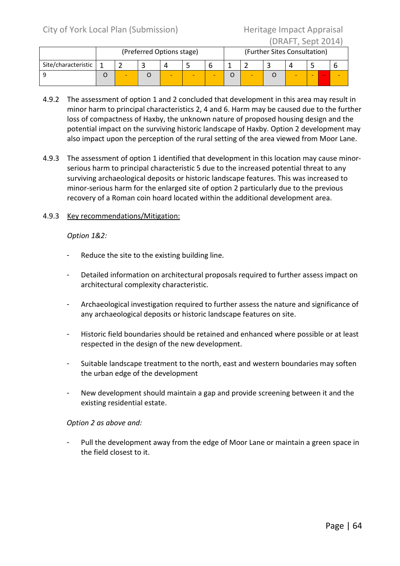|                     |  | (Preferred Options stage) |  |  |  | (Further Sites Consultation) |  |  |  |         |  |
|---------------------|--|---------------------------|--|--|--|------------------------------|--|--|--|---------|--|
| Site/characteristic |  |                           |  |  |  |                              |  |  |  |         |  |
|                     |  |                           |  |  |  |                              |  |  |  | -<br>-- |  |

- 4.9.2 The assessment of option 1 and 2 concluded that development in this area may result in minor harm to principal characteristics 2, 4 and 6. Harm may be caused due to the further loss of compactness of Haxby, the unknown nature of proposed housing design and the potential impact on the surviving historic landscape of Haxby. Option 2 development may also impact upon the perception of the rural setting of the area viewed from Moor Lane.
- 4.9.3 The assessment of option 1 identified that development in this location may cause minorserious harm to principal characteristic 5 due to the increased potential threat to any surviving archaeological deposits or historic landscape features. This was increased to minor-serious harm for the enlarged site of option 2 particularly due to the previous recovery of a Roman coin hoard located within the additional development area.

### 4.9.3 Key recommendations/Mitigation:

Option 1&2:

- Reduce the site to the existing building line.
- Detailed information on architectural proposals required to further assess impact on architectural complexity characteristic.
- Archaeological investigation required to further assess the nature and significance of any archaeological deposits or historic landscape features on site.
- Historic field boundaries should be retained and enhanced where possible or at least respected in the design of the new development.
- Suitable landscape treatment to the north, east and western boundaries may soften the urban edge of the development
- New development should maintain a gap and provide screening between it and the existing residential estate.

### Option 2 as above and:

Pull the development away from the edge of Moor Lane or maintain a green space in the field closest to it.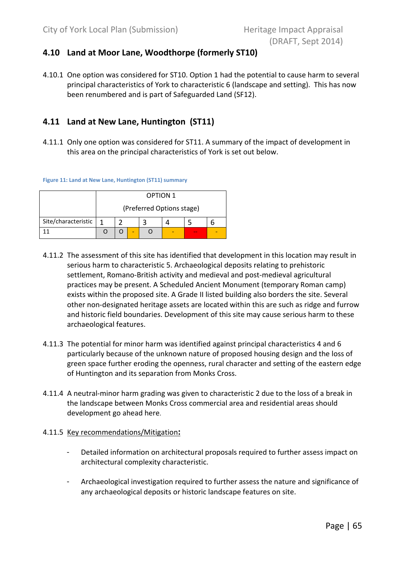### 4.10 Land at Moor Lane, Woodthorpe (formerly ST10)

4.10.1 One option was considered for ST10. Option 1 had the potential to cause harm to several principal characteristics of York to characteristic 6 (landscape and setting). This has now been renumbered and is part of Safeguarded Land (SF12).

### 4.11 Land at New Lane, Huntington (ST11)

4.11.1 Only one option was considered for ST11. A summary of the impact of development in this area on the principal characteristics of York is set out below.

Figure 11: Land at New Lane, Huntington (ST11) summary

|                     |     |                           |  | <b>OPTION 1</b> |  |  |  |  |  |  |  |  |
|---------------------|-----|---------------------------|--|-----------------|--|--|--|--|--|--|--|--|
|                     |     | (Preferred Options stage) |  |                 |  |  |  |  |  |  |  |  |
| Site/characteristic | 1   |                           |  |                 |  |  |  |  |  |  |  |  |
|                     | - - |                           |  |                 |  |  |  |  |  |  |  |  |

- 4.11.2 The assessment of this site has identified that development in this location may result in serious harm to characteristic 5. Archaeological deposits relating to prehistoric settlement, Romano-British activity and medieval and post-medieval agricultural practices may be present. A Scheduled Ancient Monument (temporary Roman camp) exists within the proposed site. A Grade II listed building also borders the site. Several other non-designated heritage assets are located within this are such as ridge and furrow and historic field boundaries. Development of this site may cause serious harm to these archaeological features.
- 4.11.3 The potential for minor harm was identified against principal characteristics 4 and 6 particularly because of the unknown nature of proposed housing design and the loss of green space further eroding the openness, rural character and setting of the eastern edge of Huntington and its separation from Monks Cross.
- 4.11.4 A neutral-minor harm grading was given to characteristic 2 due to the loss of a break in the landscape between Monks Cross commercial area and residential areas should development go ahead here.
- 4.11.5 Key recommendations/Mitigation:
	- Detailed information on architectural proposals required to further assess impact on architectural complexity characteristic.
	- Archaeological investigation required to further assess the nature and significance of any archaeological deposits or historic landscape features on site.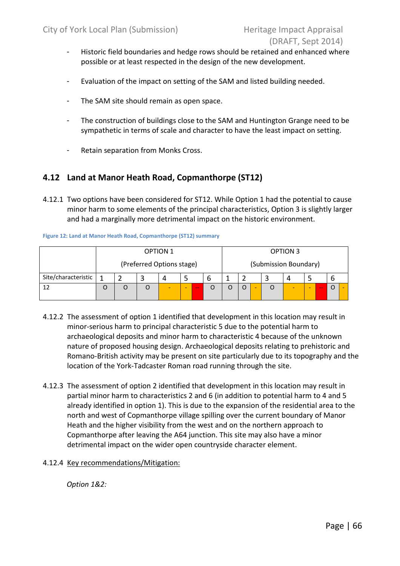- Historic field boundaries and hedge rows should be retained and enhanced where possible or at least respected in the design of the new development.
- Evaluation of the impact on setting of the SAM and listed building needed.
- The SAM site should remain as open space.
- The construction of buildings close to the SAM and Huntington Grange need to be sympathetic in terms of scale and character to have the least impact on setting.
- Retain separation from Monks Cross.

### 4.12 Land at Manor Heath Road, Copmanthorpe (ST12)

4.12.1 Two options have been considered for ST12. While Option 1 had the potential to cause minor harm to some elements of the principal characteristics, Option 3 is slightly larger and had a marginally more detrimental impact on the historic environment.

Figure 12: Land at Manor Heath Road, Copmanthorpe (ST12) summary

|                     |   |                           |  | <b>OPTION 1</b> |  |  |   | OPTION 3              |   |   |  |  |   |        |         |  |
|---------------------|---|---------------------------|--|-----------------|--|--|---|-----------------------|---|---|--|--|---|--------|---------|--|
|                     |   | (Preferred Options stage) |  |                 |  |  |   | (Submission Boundary) |   |   |  |  |   |        |         |  |
| Site/characteristic |   |                           |  | $\Delta$        |  |  | O |                       |   |   |  |  |   |        |         |  |
|                     | O | O<br>-<br>-<br>$-$        |  |                 |  |  |   |                       | O | ۰ |  |  | - | $\sim$ | $\circ$ |  |

- 4.12.2 The assessment of option 1 identified that development in this location may result in minor-serious harm to principal characteristic 5 due to the potential harm to archaeological deposits and minor harm to characteristic 4 because of the unknown nature of proposed housing design. Archaeological deposits relating to prehistoric and Romano-British activity may be present on site particularly due to its topography and the location of the York-Tadcaster Roman road running through the site.
- 4.12.3 The assessment of option 2 identified that development in this location may result in partial minor harm to characteristics 2 and 6 (in addition to potential harm to 4 and 5 already identified in option 1). This is due to the expansion of the residential area to the north and west of Copmanthorpe village spilling over the current boundary of Manor Heath and the higher visibility from the west and on the northern approach to Copmanthorpe after leaving the A64 junction. This site may also have a minor detrimental impact on the wider open countryside character element.
- 4.12.4 Key recommendations/Mitigation:

Option 1&2: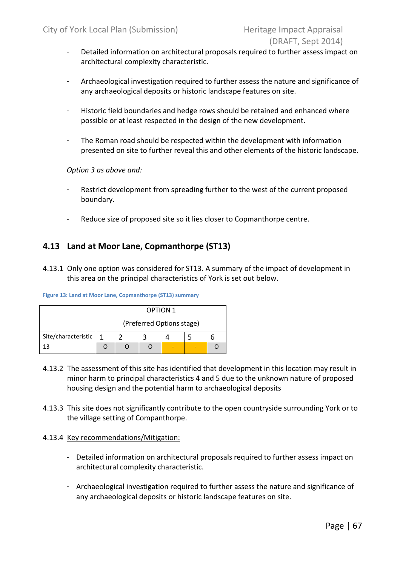- Detailed information on architectural proposals required to further assess impact on architectural complexity characteristic.
- Archaeological investigation required to further assess the nature and significance of any archaeological deposits or historic landscape features on site.
- Historic field boundaries and hedge rows should be retained and enhanced where possible or at least respected in the design of the new development.
- The Roman road should be respected within the development with information presented on site to further reveal this and other elements of the historic landscape.

Option 3 as above and:

- Restrict development from spreading further to the west of the current proposed boundary.
- Reduce size of proposed site so it lies closer to Copmanthorpe centre.

### 4.13 Land at Moor Lane, Copmanthorpe (ST13)

4.13.1 Only one option was considered for ST13. A summary of the impact of development in this area on the principal characteristics of York is set out below.

|                     |  | <b>OPTION 1</b>           |  |  |
|---------------------|--|---------------------------|--|--|
|                     |  | (Preferred Options stage) |  |  |
| Site/characteristic |  |                           |  |  |
|                     |  |                           |  |  |

Figure 13: Land at Moor Lane, Copmanthorpe (ST13) summary

- 4.13.2 The assessment of this site has identified that development in this location may result in minor harm to principal characteristics 4 and 5 due to the unknown nature of proposed housing design and the potential harm to archaeological deposits
- 4.13.3 This site does not significantly contribute to the open countryside surrounding York or to the village setting of Companthorpe.

### 4.13.4 Key recommendations/Mitigation:

- Detailed information on architectural proposals required to further assess impact on architectural complexity characteristic.
- Archaeological investigation required to further assess the nature and significance of any archaeological deposits or historic landscape features on site.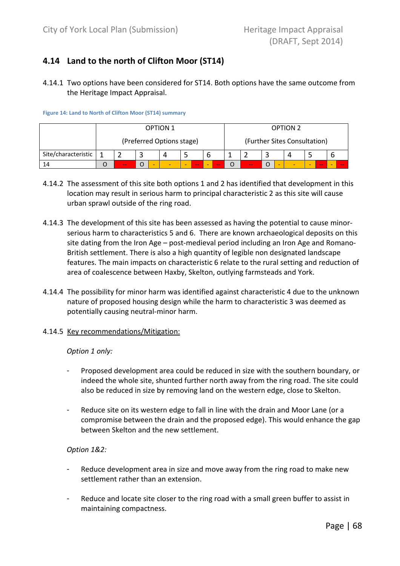## 4.14 Land to the north of Clifton Moor (ST14)

4.14.1 Two options have been considered for ST14. Both options have the same outcome from the Heritage Impact Appraisal.

Figure 14: Land to North of Clifton Moor (ST14) summary

|                     | <b>OPTION 1</b>         |  |  |                           |  |  | <b>OPTION 2</b>                                                                                |  |                              |  |  |   |   |        |   |     |
|---------------------|-------------------------|--|--|---------------------------|--|--|------------------------------------------------------------------------------------------------|--|------------------------------|--|--|---|---|--------|---|-----|
|                     |                         |  |  | (Preferred Options stage) |  |  |                                                                                                |  | (Further Sites Consultation) |  |  |   |   |        |   |     |
| Site/characteristic | 4                       |  |  |                           |  |  |                                                                                                |  |                              |  |  |   |   |        |   |     |
| 14                  | -<br>-<br>$-$<br>$\sim$ |  |  |                           |  |  | $\frac{1}{2} \left( \frac{1}{2} \right) \left( \frac{1}{2} \right) \left( \frac{1}{2} \right)$ |  | $\sim$                       |  |  | - | ۰ | $\sim$ | - | $-$ |

- 4.14.2 The assessment of this site both options 1 and 2 has identified that development in this location may result in serious harm to principal characteristic 2 as this site will cause urban sprawl outside of the ring road.
- 4.14.3 The development of this site has been assessed as having the potential to cause minorserious harm to characteristics 5 and 6. There are known archaeological deposits on this site dating from the Iron Age – post-medieval period including an Iron Age and Romano-British settlement. There is also a high quantity of legible non designated landscape features. The main impacts on characteristic 6 relate to the rural setting and reduction of area of coalescence between Haxby, Skelton, outlying farmsteads and York.
- 4.14.4 The possibility for minor harm was identified against characteristic 4 due to the unknown nature of proposed housing design while the harm to characteristic 3 was deemed as potentially causing neutral-minor harm.
- 4.14.5 Key recommendations/Mitigation:

### Option 1 only:

- Proposed development area could be reduced in size with the southern boundary, or indeed the whole site, shunted further north away from the ring road. The site could also be reduced in size by removing land on the western edge, close to Skelton.
- Reduce site on its western edge to fall in line with the drain and Moor Lane (or a compromise between the drain and the proposed edge). This would enhance the gap between Skelton and the new settlement.

### Option 1&2:

- Reduce development area in size and move away from the ring road to make new settlement rather than an extension.
- Reduce and locate site closer to the ring road with a small green buffer to assist in maintaining compactness.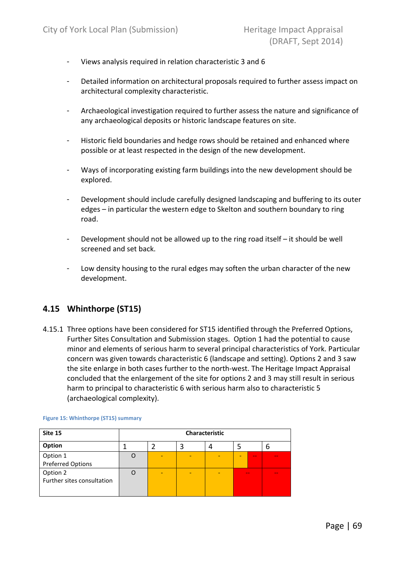- Views analysis required in relation characteristic 3 and 6
- Detailed information on architectural proposals required to further assess impact on architectural complexity characteristic.
- Archaeological investigation required to further assess the nature and significance of any archaeological deposits or historic landscape features on site.
- Historic field boundaries and hedge rows should be retained and enhanced where possible or at least respected in the design of the new development.
- Ways of incorporating existing farm buildings into the new development should be explored.
- Development should include carefully designed landscaping and buffering to its outer edges – in particular the western edge to Skelton and southern boundary to ring road.
- Development should not be allowed up to the ring road itself it should be well screened and set back.
- Low density housing to the rural edges may soften the urban character of the new development.

### 4.15 Whinthorpe (ST15)

4.15.1 Three options have been considered for ST15 identified through the Preferred Options, Further Sites Consultation and Submission stages. Option 1 had the potential to cause minor and elements of serious harm to several principal characteristics of York. Particular concern was given towards characteristic 6 (landscape and setting). Options 2 and 3 saw the site enlarge in both cases further to the north-west. The Heritage Impact Appraisal concluded that the enlargement of the site for options 2 and 3 may still result in serious harm to principal to characteristic 6 with serious harm also to characteristic 5 (archaeological complexity).

| Site 15                                |   |   | Characteristic |        |        |
|----------------------------------------|---|---|----------------|--------|--------|
| Option                                 |   |   |                |        | b      |
| Option 1<br><b>Preferred Options</b>   | - | ۰ |                | $\sim$ |        |
| Option 2<br>Further sites consultation | - | ۰ | -              | $-$    | $\sim$ |

Figure 15: Whinthorpe (ST15) summary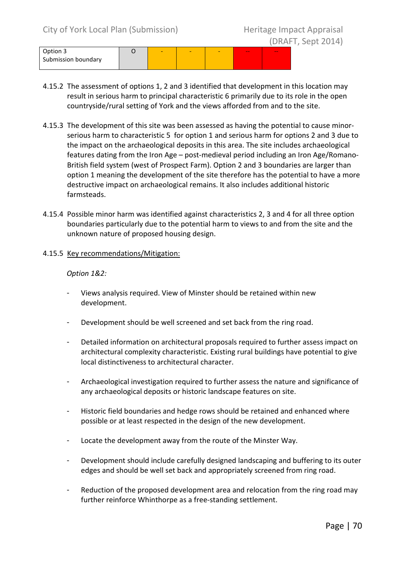- 4.15.2 The assessment of options 1, 2 and 3 identified that development in this location may result in serious harm to principal characteristic 6 primarily due to its role in the open countryside/rural setting of York and the views afforded from and to the site.
- 4.15.3 The development of this site was been assessed as having the potential to cause minorserious harm to characteristic 5 for option 1 and serious harm for options 2 and 3 due to the impact on the archaeological deposits in this area. The site includes archaeological features dating from the Iron Age – post-medieval period including an Iron Age/Romano-British field system (west of Prospect Farm). Option 2 and 3 boundaries are larger than option 1 meaning the development of the site therefore has the potential to have a more destructive impact on archaeological remains. It also includes additional historic farmsteads.
- 4.15.4 Possible minor harm was identified against characteristics 2, 3 and 4 for all three option boundaries particularly due to the potential harm to views to and from the site and the unknown nature of proposed housing design.
- 4.15.5 Key recommendations/Mitigation:

### Option 1&2:

- Views analysis required. View of Minster should be retained within new development.
- Development should be well screened and set back from the ring road.
- Detailed information on architectural proposals required to further assess impact on architectural complexity characteristic. Existing rural buildings have potential to give local distinctiveness to architectural character.
- Archaeological investigation required to further assess the nature and significance of any archaeological deposits or historic landscape features on site.
- Historic field boundaries and hedge rows should be retained and enhanced where possible or at least respected in the design of the new development.
- Locate the development away from the route of the Minster Way.
- Development should include carefully designed landscaping and buffering to its outer edges and should be well set back and appropriately screened from ring road.
- Reduction of the proposed development area and relocation from the ring road may further reinforce Whinthorpe as a free-standing settlement.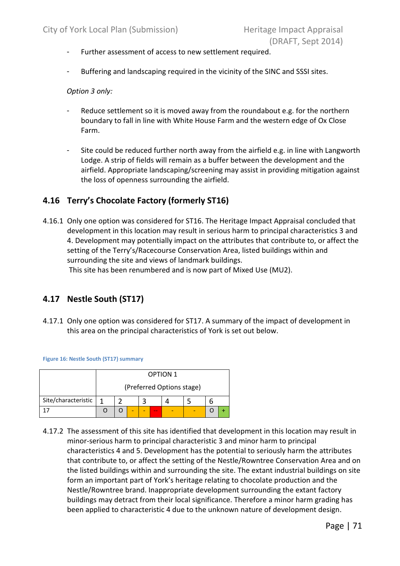- Further assessment of access to new settlement required.
- Buffering and landscaping required in the vicinity of the SINC and SSSI sites.

### Option 3 only:

- Reduce settlement so it is moved away from the roundabout e.g. for the northern boundary to fall in line with White House Farm and the western edge of Ox Close Farm.
- Site could be reduced further north away from the airfield e.g. in line with Langworth Lodge. A strip of fields will remain as a buffer between the development and the airfield. Appropriate landscaping/screening may assist in providing mitigation against the loss of openness surrounding the airfield.

### 4.16 Terry's Chocolate Factory (formerly ST16)

4.16.1 Only one option was considered for ST16. The Heritage Impact Appraisal concluded that development in this location may result in serious harm to principal characteristics 3 and 4. Development may potentially impact on the attributes that contribute to, or affect the setting of the Terry's/Racecourse Conservation Area, listed buildings within and surrounding the site and views of landmark buildings.

This site has been renumbered and is now part of Mixed Use (MU2).

### 4.17 Nestle South (ST17)

4.17.1 Only one option was considered for ST17. A summary of the impact of development in this area on the principal characteristics of York is set out below.

Figure 16: Nestle South (ST17) summary

|                     | <b>OPTION 1</b><br>(Preferred Options stage) |  |  |  |        |  |  |  |  |
|---------------------|----------------------------------------------|--|--|--|--------|--|--|--|--|
|                     |                                              |  |  |  |        |  |  |  |  |
| Site/characteristic | 1                                            |  |  |  |        |  |  |  |  |
|                     |                                              |  |  |  | $\sim$ |  |  |  |  |

4.17.2 The assessment of this site has identified that development in this location may result in minor-serious harm to principal characteristic 3 and minor harm to principal characteristics 4 and 5. Development has the potential to seriously harm the attributes that contribute to, or affect the setting of the Nestle/Rowntree Conservation Area and on the listed buildings within and surrounding the site. The extant industrial buildings on site form an important part of York's heritage relating to chocolate production and the Nestle/Rowntree brand. Inappropriate development surrounding the extant factory buildings may detract from their local significance. Therefore a minor harm grading has been applied to characteristic 4 due to the unknown nature of development design.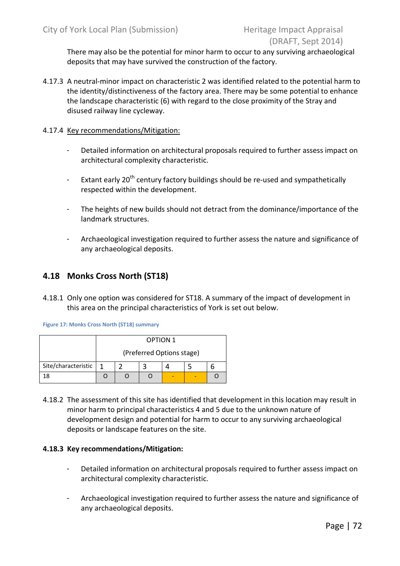There may also be the potential for minor harm to occur to any surviving archaeological deposits that may have survived the construction of the factory.

4.17.3 A neutral-minor impact on characteristic 2 was identified related to the potential harm to the identity/distinctiveness of the factory area. There may be some potential to enhance the landscape characteristic (6) with regard to the close proximity of the Stray and disused railway line cycleway.

#### 4.17.4 Key recommendations/Mitigation:

- Detailed information on architectural proposals required to further assess impact on architectural complexity characteristic.
- Extant early 20<sup>th</sup> century factory buildings should be re-used and sympathetically respected within the development.
- The heights of new builds should not detract from the dominance/importance of the landmark structures.
- Archaeological investigation required to further assess the nature and significance of any archaeological deposits.

## 4.18 Monks Cross North (ST18)

4.18.1 Only one option was considered for ST18. A summary of the impact of development in this area on the principal characteristics of York is set out below.

Figure 17: Monks Cross North (ST18) summary

|                     |    | <b>OPTION 1</b>           |  |  |  |  |  |  |  |  |
|---------------------|----|---------------------------|--|--|--|--|--|--|--|--|
|                     |    | (Preferred Options stage) |  |  |  |  |  |  |  |  |
| Site/characteristic | -1 |                           |  |  |  |  |  |  |  |  |
|                     |    |                           |  |  |  |  |  |  |  |  |

4.18.2 The assessment of this site has identified that development in this location may result in minor harm to principal characteristics 4 and 5 due to the unknown nature of development design and potential for harm to occur to any surviving archaeological deposits or landscape features on the site.

#### 4.18.3 Key recommendations/Mitigation:

- Detailed information on architectural proposals required to further assess impact on architectural complexity characteristic.
- Archaeological investigation required to further assess the nature and significance of any archaeological deposits.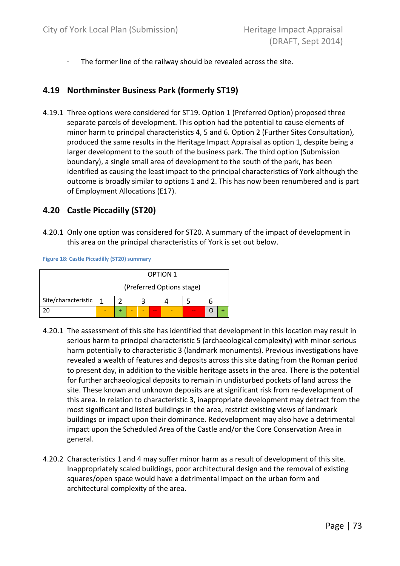- The former line of the railway should be revealed across the site.

#### 4.19 Northminster Business Park (formerly ST19)

4.19.1 Three options were considered for ST19. Option 1 (Preferred Option) proposed three separate parcels of development. This option had the potential to cause elements of minor harm to principal characteristics 4, 5 and 6. Option 2 (Further Sites Consultation), produced the same results in the Heritage Impact Appraisal as option 1, despite being a larger development to the south of the business park. The third option (Submission boundary), a single small area of development to the south of the park, has been identified as causing the least impact to the principal characteristics of York although the outcome is broadly similar to options 1 and 2. This has now been renumbered and is part of Employment Allocations (E17).

#### 4.20 Castle Piccadilly (ST20)

4.20.1 Only one option was considered for ST20. A summary of the impact of development in this area on the principal characteristics of York is set out below.

Figure 18: Castle Piccadilly (ST20) summary

|                     |                           | <b>OPTION 1</b> |  |  |        |  |        |  |  |  |
|---------------------|---------------------------|-----------------|--|--|--------|--|--------|--|--|--|
|                     | (Preferred Options stage) |                 |  |  |        |  |        |  |  |  |
| Site/characteristic | 1                         |                 |  |  |        |  |        |  |  |  |
|                     |                           |                 |  |  | $\sim$ |  | $\sim$ |  |  |  |

- 4.20.1 The assessment of this site has identified that development in this location may result in serious harm to principal characteristic 5 (archaeological complexity) with minor-serious harm potentially to characteristic 3 (landmark monuments). Previous investigations have revealed a wealth of features and deposits across this site dating from the Roman period to present day, in addition to the visible heritage assets in the area. There is the potential for further archaeological deposits to remain in undisturbed pockets of land across the site. These known and unknown deposits are at significant risk from re-development of this area. In relation to characteristic 3, inappropriate development may detract from the most significant and listed buildings in the area, restrict existing views of landmark buildings or impact upon their dominance. Redevelopment may also have a detrimental impact upon the Scheduled Area of the Castle and/or the Core Conservation Area in general.
- 4.20.2 Characteristics 1 and 4 may suffer minor harm as a result of development of this site. Inappropriately scaled buildings, poor architectural design and the removal of existing squares/open space would have a detrimental impact on the urban form and architectural complexity of the area.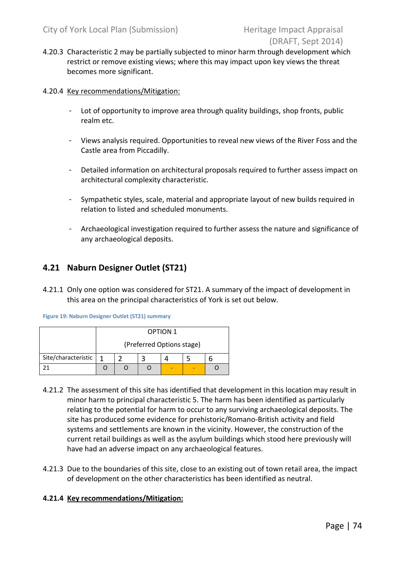- 4.20.3 Characteristic 2 may be partially subjected to minor harm through development which restrict or remove existing views; where this may impact upon key views the threat becomes more significant.
- 4.20.4 Key recommendations/Mitigation:
	- Lot of opportunity to improve area through quality buildings, shop fronts, public realm etc.
	- Views analysis required. Opportunities to reveal new views of the River Foss and the Castle area from Piccadilly.
	- Detailed information on architectural proposals required to further assess impact on architectural complexity characteristic.
	- Sympathetic styles, scale, material and appropriate layout of new builds required in relation to listed and scheduled monuments.
	- Archaeological investigation required to further assess the nature and significance of any archaeological deposits.

## 4.21 Naburn Designer Outlet (ST21)

4.21.1 Only one option was considered for ST21. A summary of the impact of development in this area on the principal characteristics of York is set out below.

|                     |                           |  |  | <b>OPTION 1</b> |  |  |  |
|---------------------|---------------------------|--|--|-----------------|--|--|--|
|                     | (Preferred Options stage) |  |  |                 |  |  |  |
| Site/characteristic | 1                         |  |  |                 |  |  |  |
|                     |                           |  |  |                 |  |  |  |

- 4.21.2 The assessment of this site has identified that development in this location may result in minor harm to principal characteristic 5. The harm has been identified as particularly relating to the potential for harm to occur to any surviving archaeological deposits. The site has produced some evidence for prehistoric/Romano-British activity and field systems and settlements are known in the vicinity. However, the construction of the current retail buildings as well as the asylum buildings which stood here previously will have had an adverse impact on any archaeological features.
- 4.21.3 Due to the boundaries of this site, close to an existing out of town retail area, the impact of development on the other characteristics has been identified as neutral.

#### 4.21.4 Key recommendations/Mitigation: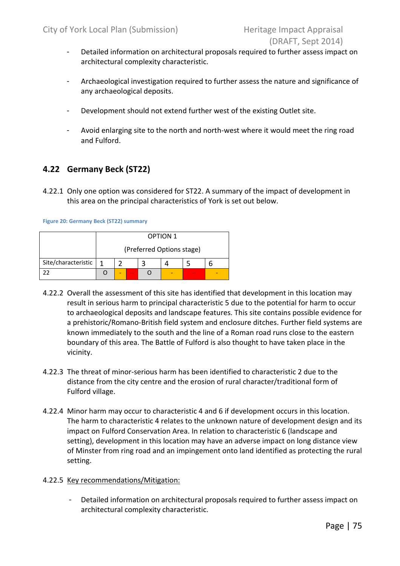- Detailed information on architectural proposals required to further assess impact on architectural complexity characteristic.
- Archaeological investigation required to further assess the nature and significance of any archaeological deposits.
- Development should not extend further west of the existing Outlet site.
- Avoid enlarging site to the north and north-west where it would meet the ring road and Fulford.

## 4.22 Germany Beck (ST22)

4.22.1 Only one option was considered for ST22. A summary of the impact of development in this area on the principal characteristics of York is set out below.

Figure 20: Germany Beck (ST22) summary

|                     |                           |  |        | <b>OPTION 1</b> |  |        |  |  |  |  |  |  |
|---------------------|---------------------------|--|--------|-----------------|--|--------|--|--|--|--|--|--|
|                     | (Preferred Options stage) |  |        |                 |  |        |  |  |  |  |  |  |
| Site/characteristic | 1                         |  |        |                 |  |        |  |  |  |  |  |  |
|                     |                           |  | $\sim$ |                 |  | $\sim$ |  |  |  |  |  |  |

- 4.22.2 Overall the assessment of this site has identified that development in this location may result in serious harm to principal characteristic 5 due to the potential for harm to occur to archaeological deposits and landscape features. This site contains possible evidence for a prehistoric/Romano-British field system and enclosure ditches. Further field systems are known immediately to the south and the line of a Roman road runs close to the eastern boundary of this area. The Battle of Fulford is also thought to have taken place in the vicinity.
- 4.22.3 The threat of minor-serious harm has been identified to characteristic 2 due to the distance from the city centre and the erosion of rural character/traditional form of Fulford village.
- 4.22.4 Minor harm may occur to characteristic 4 and 6 if development occurs in this location. The harm to characteristic 4 relates to the unknown nature of development design and its impact on Fulford Conservation Area. In relation to characteristic 6 (landscape and setting), development in this location may have an adverse impact on long distance view of Minster from ring road and an impingement onto land identified as protecting the rural setting.
- 4.22.5 Key recommendations/Mitigation:
	- Detailed information on architectural proposals required to further assess impact on architectural complexity characteristic.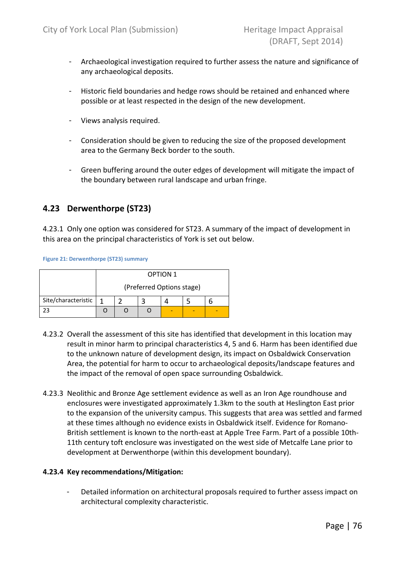- Archaeological investigation required to further assess the nature and significance of any archaeological deposits.
- Historic field boundaries and hedge rows should be retained and enhanced where possible or at least respected in the design of the new development.
- Views analysis required.
- Consideration should be given to reducing the size of the proposed development area to the Germany Beck border to the south.
- Green buffering around the outer edges of development will mitigate the impact of the boundary between rural landscape and urban fringe.

## 4.23 Derwenthorpe (ST23)

4.23.1 Only one option was considered for ST23. A summary of the impact of development in this area on the principal characteristics of York is set out below.

Figure 21: Derwenthorpe (ST23) summary

|                     |                           |  |  | <b>OPTION 1</b> |  |  |  |
|---------------------|---------------------------|--|--|-----------------|--|--|--|
|                     | (Preferred Options stage) |  |  |                 |  |  |  |
| Site/characteristic | 1                         |  |  |                 |  |  |  |
|                     |                           |  |  |                 |  |  |  |

- 4.23.2 Overall the assessment of this site has identified that development in this location may result in minor harm to principal characteristics 4, 5 and 6. Harm has been identified due to the unknown nature of development design, its impact on Osbaldwick Conservation Area, the potential for harm to occur to archaeological deposits/landscape features and the impact of the removal of open space surrounding Osbaldwick.
- 4.23.3 Neolithic and Bronze Age settlement evidence as well as an Iron Age roundhouse and enclosures were investigated approximately 1.3km to the south at Heslington East prior to the expansion of the university campus. This suggests that area was settled and farmed at these times although no evidence exists in Osbaldwick itself. Evidence for Romano-British settlement is known to the north-east at Apple Tree Farm. Part of a possible 10th-11th century toft enclosure was investigated on the west side of Metcalfe Lane prior to development at Derwenthorpe (within this development boundary).

#### 4.23.4 Key recommendations/Mitigation:

Detailed information on architectural proposals required to further assess impact on architectural complexity characteristic.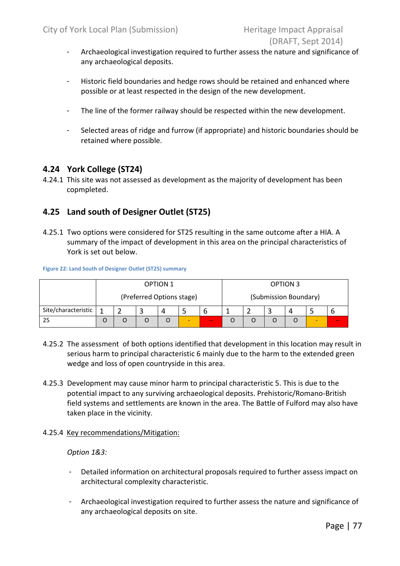- Archaeological investigation required to further assess the nature and significance of any archaeological deposits.
- Historic field boundaries and hedge rows should be retained and enhanced where possible or at least respected in the design of the new development.
- The line of the former railway should be respected within the new development.
- Selected areas of ridge and furrow (if appropriate) and historic boundaries should be retained where possible.

#### 4.24 York College (ST24)

4.24.1 This site was not assessed as development as the majority of development has been copmpleted.

## 4.25 Land south of Designer Outlet (ST25)

4.25.1 Two options were considered for ST25 resulting in the same outcome after a HIA. A summary of the impact of development in this area on the principal characteristics of York is set out below.

#### Figure 22: Land South of Designer Outlet (ST25) summary

|                     | <b>OPTION 1</b>           |  |  |  |  |                       | <b>OPTION 3</b> |  |  |   |        |
|---------------------|---------------------------|--|--|--|--|-----------------------|-----------------|--|--|---|--------|
|                     | (Preferred Options stage) |  |  |  |  | (Submission Boundary) |                 |  |  |   |        |
| Site/characteristic |                           |  |  |  |  | b                     |                 |  |  | 4 |        |
| 25                  |                           |  |  |  |  | $-$                   |                 |  |  |   | $\sim$ |

- 4.25.2 The assessment of both options identified that development in this location may result in serious harm to principal characteristic 6 mainly due to the harm to the extended green wedge and loss of open countryside in this area.
- 4.25.3 Development may cause minor harm to principal characteristic 5. This is due to the potential impact to any surviving archaeological deposits. Prehistoric/Romano-British field systems and settlements are known in the area. The Battle of Fulford may also have taken place in the vicinity.
- 4.25.4 Key recommendations/Mitigation:

#### Option 1&3:

- Detailed information on architectural proposals required to further assess impact on architectural complexity characteristic.
- Archaeological investigation required to further assess the nature and significance of any archaeological deposits on site.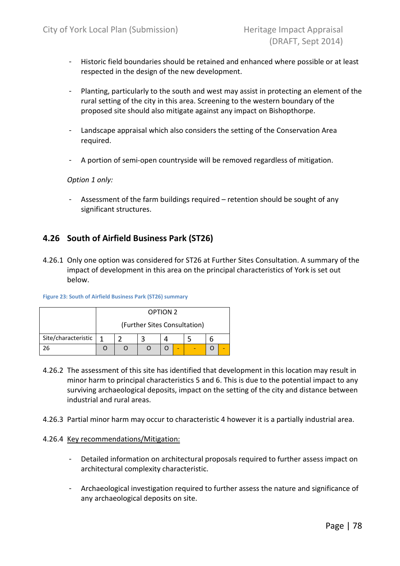- Historic field boundaries should be retained and enhanced where possible or at least respected in the design of the new development.
- Planting, particularly to the south and west may assist in protecting an element of the rural setting of the city in this area. Screening to the western boundary of the proposed site should also mitigate against any impact on Bishopthorpe.
- Landscape appraisal which also considers the setting of the Conservation Area required.
- A portion of semi-open countryside will be removed regardless of mitigation.

#### Option 1 only:

- Assessment of the farm buildings required – retention should be sought of any significant structures.

## 4.26 South of Airfield Business Park (ST26)

4.26.1 Only one option was considered for ST26 at Further Sites Consultation. A summary of the impact of development in this area on the principal characteristics of York is set out below.

|                     |                              | <b>OPTION 2</b> |  |  |   |  |  |  |  |  |
|---------------------|------------------------------|-----------------|--|--|---|--|--|--|--|--|
|                     | (Further Sites Consultation) |                 |  |  |   |  |  |  |  |  |
| Site/characteristic | 1                            |                 |  |  |   |  |  |  |  |  |
|                     |                              |                 |  |  | - |  |  |  |  |  |

Figure 23: South of Airfield Business Park (ST26) summary

- 4.26.2 The assessment of this site has identified that development in this location may result in minor harm to principal characteristics 5 and 6. This is due to the potential impact to any surviving archaeological deposits, impact on the setting of the city and distance between industrial and rural areas.
- 4.26.3 Partial minor harm may occur to characteristic 4 however it is a partially industrial area.

#### 4.26.4 Key recommendations/Mitigation:

- Detailed information on architectural proposals required to further assess impact on architectural complexity characteristic.
- Archaeological investigation required to further assess the nature and significance of any archaeological deposits on site.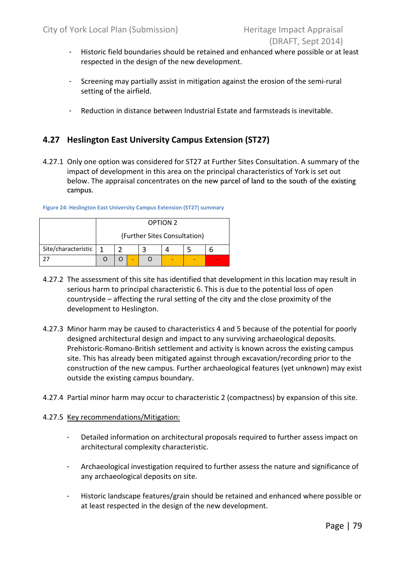- Historic field boundaries should be retained and enhanced where possible or at least respected in the design of the new development.
- Screening may partially assist in mitigation against the erosion of the semi-rural setting of the airfield.
- Reduction in distance between Industrial Estate and farmsteads is inevitable.

## 4.27 Heslington East University Campus Extension (ST27)

4.27.1 Only one option was considered for ST27 at Further Sites Consultation. A summary of the impact of development in this area on the principal characteristics of York is set out below. The appraisal concentrates on the new parcel of land to the south of the existing campus.

|                     |                              | <b>OPTION 2</b> |  |  |  |  |  |  |  |
|---------------------|------------------------------|-----------------|--|--|--|--|--|--|--|
|                     | (Further Sites Consultation) |                 |  |  |  |  |  |  |  |
| Site/characteristic | 1                            |                 |  |  |  |  |  |  |  |
|                     |                              |                 |  |  |  |  |  |  |  |

Figure 24: Heslington East University Campus Extension (ST27) summary

- 4.27.2 The assessment of this site has identified that development in this location may result in serious harm to principal characteristic 6. This is due to the potential loss of open countryside – affecting the rural setting of the city and the close proximity of the development to Heslington.
- 4.27.3 Minor harm may be caused to characteristics 4 and 5 because of the potential for poorly designed architectural design and impact to any surviving archaeological deposits. Prehistoric-Romano-British settlement and activity is known across the existing campus site. This has already been mitigated against through excavation/recording prior to the construction of the new campus. Further archaeological features (yet unknown) may exist outside the existing campus boundary.
- 4.27.4 Partial minor harm may occur to characteristic 2 (compactness) by expansion of this site.

#### 4.27.5 Key recommendations/Mitigation:

- Detailed information on architectural proposals required to further assess impact on architectural complexity characteristic.
- Archaeological investigation required to further assess the nature and significance of any archaeological deposits on site.
- Historic landscape features/grain should be retained and enhanced where possible or at least respected in the design of the new development.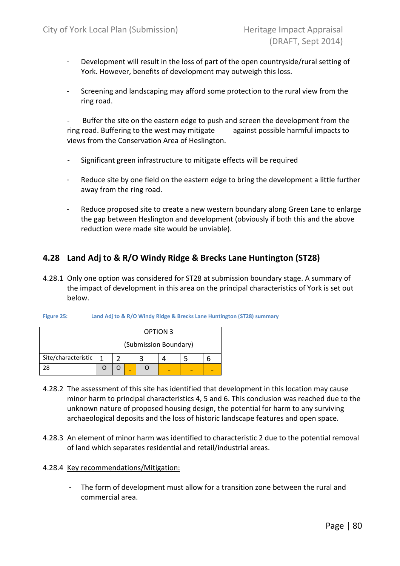- Development will result in the loss of part of the open countryside/rural setting of York. However, benefits of development may outweigh this loss.
- Screening and landscaping may afford some protection to the rural view from the ring road.

Buffer the site on the eastern edge to push and screen the development from the ring road. Buffering to the west may mitigate against possible harmful impacts to views from the Conservation Area of Heslington.

- Significant green infrastructure to mitigate effects will be required
- Reduce site by one field on the eastern edge to bring the development a little further away from the ring road.
- Reduce proposed site to create a new western boundary along Green Lane to enlarge the gap between Heslington and development (obviously if both this and the above reduction were made site would be unviable).

## 4.28 Land Adj to & R/O Windy Ridge & Brecks Lane Huntington (ST28)

4.28.1 Only one option was considered for ST28 at submission boundary stage. A summary of the impact of development in this area on the principal characteristics of York is set out below.

|                     |                       |  |  |  | <b>OPTION 3</b> |  |  |  |
|---------------------|-----------------------|--|--|--|-----------------|--|--|--|
|                     | (Submission Boundary) |  |  |  |                 |  |  |  |
| Site/characteristic | 1                     |  |  |  |                 |  |  |  |
|                     |                       |  |  |  |                 |  |  |  |

| Land Adj to & R/O Windy Ridge & Brecks Lane Huntington (ST28) summary<br>Figure 25: |
|-------------------------------------------------------------------------------------|
|-------------------------------------------------------------------------------------|

- 4.28.2 The assessment of this site has identified that development in this location may cause minor harm to principal characteristics 4, 5 and 6. This conclusion was reached due to the unknown nature of proposed housing design, the potential for harm to any surviving archaeological deposits and the loss of historic landscape features and open space.
- 4.28.3 An element of minor harm was identified to characteristic 2 due to the potential removal of land which separates residential and retail/industrial areas.

#### 4.28.4 Key recommendations/Mitigation:

- The form of development must allow for a transition zone between the rural and commercial area.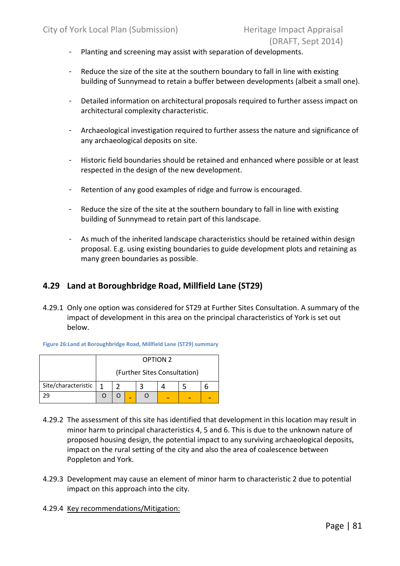- Planting and screening may assist with separation of developments.
- Reduce the size of the site at the southern boundary to fall in line with existing building of Sunnymead to retain a buffer between developments (albeit a small one).
- Detailed information on architectural proposals required to further assess impact on architectural complexity characteristic.
- Archaeological investigation required to further assess the nature and significance of any archaeological deposits on site.
- Historic field boundaries should be retained and enhanced where possible or at least respected in the design of the new development.
- Retention of any good examples of ridge and furrow is encouraged.
- Reduce the size of the site at the southern boundary to fall in line with existing building of Sunnymead to retain part of this landscape.
- As much of the inherited landscape characteristics should be retained within design proposal. E.g. using existing boundaries to guide development plots and retaining as many green boundaries as possible.

## 4.29 Land at Boroughbridge Road, Millfield Lane (ST29)

4.29.1 Only one option was considered for ST29 at Further Sites Consultation. A summary of the impact of development in this area on the principal characteristics of York is set out below.

|                     |                              |  |  | <b>OPTION 2</b> |  |  |  |  |  |  |  |
|---------------------|------------------------------|--|--|-----------------|--|--|--|--|--|--|--|
|                     | (Further Sites Consultation) |  |  |                 |  |  |  |  |  |  |  |
| Site/characteristic | 1                            |  |  |                 |  |  |  |  |  |  |  |
|                     |                              |  |  |                 |  |  |  |  |  |  |  |

Figure 26:Land at Boroughbridge Road, Millfield Lane (ST29) summary

- 4.29.2 The assessment of this site has identified that development in this location may result in minor harm to principal characteristics 4, 5 and 6. This is due to the unknown nature of proposed housing design, the potential impact to any surviving archaeological deposits, impact on the rural setting of the city and also the area of coalescence between Poppleton and York.
- 4.29.3 Development may cause an element of minor harm to characteristic 2 due to potential impact on this approach into the city.
- 4.29.4 Key recommendations/Mitigation: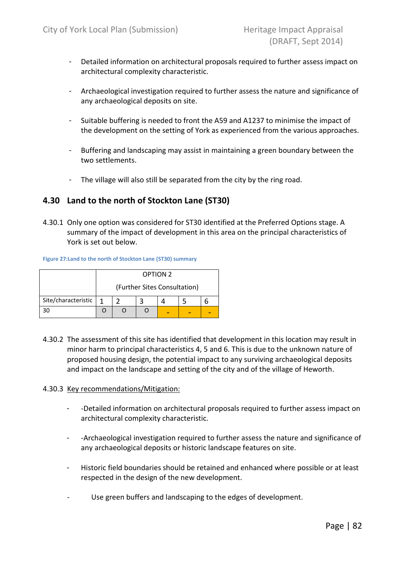- Detailed information on architectural proposals required to further assess impact on architectural complexity characteristic.
- Archaeological investigation required to further assess the nature and significance of any archaeological deposits on site.
- Suitable buffering is needed to front the A59 and A1237 to minimise the impact of the development on the setting of York as experienced from the various approaches.
- Buffering and landscaping may assist in maintaining a green boundary between the two settlements.
- The village will also still be separated from the city by the ring road.

## 4.30 Land to the north of Stockton Lane (ST30)

4.30.1 Only one option was considered for ST30 identified at the Preferred Options stage. A summary of the impact of development in this area on the principal characteristics of York is set out below.

#### Figure 27:Land to the north of Stockton Lane (ST30) summary

|                     |   | <b>OPTION 2</b> |                              |  |  |  |  |  |  |  |  |
|---------------------|---|-----------------|------------------------------|--|--|--|--|--|--|--|--|
|                     |   |                 | (Further Sites Consultation) |  |  |  |  |  |  |  |  |
| Site/characteristic | 1 |                 |                              |  |  |  |  |  |  |  |  |
|                     |   |                 |                              |  |  |  |  |  |  |  |  |

4.30.2 The assessment of this site has identified that development in this location may result in minor harm to principal characteristics 4, 5 and 6. This is due to the unknown nature of proposed housing design, the potential impact to any surviving archaeological deposits and impact on the landscape and setting of the city and of the village of Heworth.

#### 4.30.3 Key recommendations/Mitigation:

- -Detailed information on architectural proposals required to further assess impact on architectural complexity characteristic.
- -Archaeological investigation required to further assess the nature and significance of any archaeological deposits or historic landscape features on site.
- Historic field boundaries should be retained and enhanced where possible or at least respected in the design of the new development.
- Use green buffers and landscaping to the edges of development.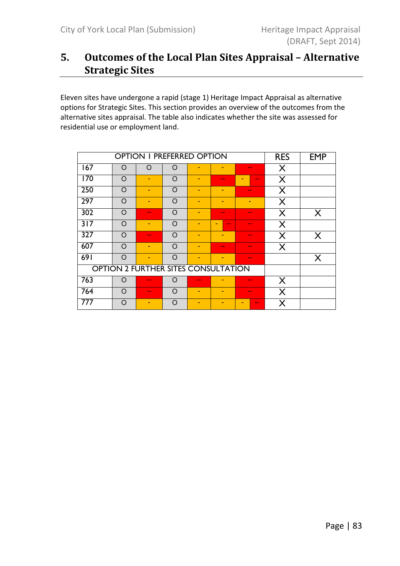# 5. Outcomes of the Local Plan Sites Appraisal – Alternative Strategic Sites

Eleven sites have undergone a rapid (stage 1) Heritage Impact Appraisal as alternative options for Strategic Sites. This section provides an overview of the outcomes from the alternative sites appraisal. The table also indicates whether the site was assessed for residential use or employment land.

|                  | <b>OPTION I PREFERRED OPTION</b> | <b>RES</b>                          | <b>EMP</b> |                          |                    |        |   |              |
|------------------|----------------------------------|-------------------------------------|------------|--------------------------|--------------------|--------|---|--------------|
| 167              | O                                | $\Omega$                            | $\Omega$   |                          |                    | $- -$  | X |              |
| 170              | $\Omega$                         | ٠                                   | $\Omega$   | $\overline{\phantom{a}}$ | $- -$              | $- -$  | X |              |
| 250              | $\Omega$                         | ۰                                   | $\Omega$   | $\overline{\phantom{a}}$ |                    | $\sim$ | X |              |
| 297              | $\Omega$                         | ۰                                   | $\Omega$   | ٠                        |                    |        | X |              |
| 302              | $\Omega$                         | --                                  | $\Omega$   | $\overline{\phantom{a}}$ | $-1$               | --     | X | X            |
| 317              | $\Omega$                         | $\overline{\phantom{a}}$            | $\circ$    | $\overline{\phantom{a}}$ | $\sim$ $\sim$<br>- | $- -$  | X |              |
| $\overline{327}$ | $\Omega$                         | $- -$                               | $\Omega$   | ٠                        | ۰                  | $- -$  | X | $\mathsf{X}$ |
| 607              | ∩                                | ÷                                   | $\Omega$   | -                        | $\sim$             | $\sim$ | X |              |
| 691              | $\Omega$                         | ۰                                   | $\circ$    | ٠                        |                    | $\sim$ |   | X            |
|                  |                                  | OPTION 2 FURTHER SITES CONSULTATION |            |                          |                    |        |   |              |
| 763              | ∩                                | $- -$                               | Ω          | $- -$                    |                    | $- -$  | X |              |
| 764              | $\Omega$                         | $-1$                                | $\Omega$   | -                        |                    | --     | X |              |
| 777              | ∩                                |                                     | O          |                          |                    | $- -$  | X |              |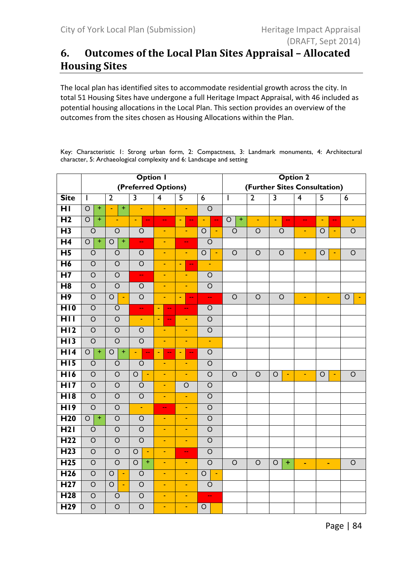# 6. Outcomes of the Local Plan Sites Appraisal – Allocated Housing Sites

The local plan has identified sites to accommodate residential growth across the city. In total 51 Housing Sites have undergone a full Heritage Impact Appraisal, with 46 included as potential housing allocations in the Local Plan. This section provides an overview of the outcomes from the sites chosen as Housing Allocations within the Plan.

Key: Characteristic 1: Strong urban form, 2: Compactness, 3: Landmark monuments, 4: Architectural character, 5: Archaeological complexity and 6: Landscape and setting

|                  |                                  |                                  | <b>Option I</b>                  |                                            |                                 |                           | <b>Option 2</b>                  |                |                                            |                |                               |                |  |
|------------------|----------------------------------|----------------------------------|----------------------------------|--------------------------------------------|---------------------------------|---------------------------|----------------------------------|----------------|--------------------------------------------|----------------|-------------------------------|----------------|--|
|                  |                                  |                                  | (Preferred Options)              |                                            |                                 |                           |                                  |                |                                            |                | (Further Sites Consultation)  |                |  |
| <b>Site</b>      | I.                               | $\overline{2}$                   | 3                                | $\overline{4}$                             | $\overline{5}$                  | $\overline{6}$            | I.                               | $\overline{2}$ | 3                                          | $\overline{4}$ | $\overline{\mathsf{5}}$       | $\overline{6}$ |  |
| $\overline{H}$   | $\overline{O}$<br>$\pm$          | Ŧ<br>Ξ                           | $\blacksquare$                   | $\blacksquare$                             | $\blacksquare$                  | $\overline{O}$            |                                  |                |                                            |                |                               |                |  |
| H <sub>2</sub>   | $\overline{+}$<br>$\overline{O}$ | ÷                                | $\blacksquare$<br>$\rightarrow$  | 44                                         | $\omega$<br>$\rightarrow$       | ÷<br>$\rightarrow$        | $\overline{+}$<br>$\overline{O}$ | ÷,             | $\blacksquare$<br>$\overline{\phantom{m}}$ | 44             | Ξ<br>$\overline{\phantom{m}}$ | $\blacksquare$ |  |
| H <sub>3</sub>   | $\circ$                          | $\circ$                          | $\circ$                          | $\blacksquare$                             | Ξ                               | $\circ$<br>$\blacksquare$ | $\circ$                          | $\circ$        | $\circ$                                    | Ξ              | $\circ$<br>÷                  | $\bigcirc$     |  |
| $\overline{H4}$  | $\overline{+}$<br>$\bigcirc$     | $\overline{+}$<br>$\circ$        | $\mathbf{u}$                     | $\blacksquare$                             | $\overline{\phantom{m}}$        | $\circ$                   |                                  |                |                                            |                |                               |                |  |
| $\overline{H}$   | $\circ$                          | $\circ$                          | $\circ$                          | ÷                                          | ÷                               | $\circ$<br>$\blacksquare$ | $\circ$                          | $\circ$        | $\circ$                                    | $\blacksquare$ | O<br>÷                        | $\bigcirc$     |  |
| $\overline{H6}$  | $\overline{O}$                   | $\overline{O}$                   | $\circ$                          | ٠                                          | $\rightarrow$<br>٠              | $\blacksquare$            |                                  |                |                                            |                |                               |                |  |
| $\overline{H}$   | $\overline{O}$                   | $\overline{O}$                   | $\mathbf{u}$                     | $\blacksquare$                             | $\blacksquare$                  | $\overline{O}$            |                                  |                |                                            |                |                               |                |  |
| $\overline{H8}$  | $\overline{O}$                   | $\overline{O}$                   | $\circ$                          | Ξ                                          | Ξ                               | $\overline{O}$            |                                  |                |                                            |                |                               |                |  |
| H <sub>9</sub>   | $\circ$                          | $\circ$<br>$\blacksquare$        | $\circ$                          | ÷                                          | $\blacksquare$<br>$\rightarrow$ | $\Box$                    | $\circ$                          | $\circ$        | $\circ$                                    | ٠              | ٠                             | $\circ$        |  |
| HIO              | $\circ$                          | $\circ$                          | $\mathbf{u}$                     | $\blacksquare$<br>$\mathbf{u}$             | $\overline{\phantom{m}}$        | $\circ$                   |                                  |                |                                            |                |                               |                |  |
| HII              | $\overline{O}$                   | $\circ$                          | $\blacksquare$                   | $\blacksquare$<br>$\overline{\phantom{m}}$ | Ξ                               | $\circ$                   |                                  |                |                                            |                |                               |                |  |
| H12              | $\bigcirc$                       | $\circ$                          | $\circ$                          | ٠                                          | ٠                               | $\circ$                   |                                  |                |                                            |                |                               |                |  |
| $\overline{H13}$ | $\overline{O}$                   | $\overline{O}$                   | $\overline{O}$                   | ä,                                         | ä,                              | ÷,                        |                                  |                |                                            |                |                               |                |  |
| H14              | $\overline{+}$<br>$\circ$        | $\overline{+}$<br>$\overline{O}$ | ä,<br>$\mathbb{Z}^{\mathbb{Z}}$  | $\blacksquare$<br>$\rightarrow$            | Ξ<br>$\rightarrow$              | $\circ$                   |                                  |                |                                            |                |                               |                |  |
| H15              | $\overline{O}$                   | $\circ$                          | $\overline{O}$                   | ٠                                          | ÷                               | $\overline{O}$            |                                  |                |                                            |                |                               |                |  |
| $\overline{H16}$ | $\overline{O}$                   | $\overline{O}$                   | $\overline{O}$<br>$\blacksquare$ | $\blacksquare$                             | $\blacksquare$                  | $\overline{O}$            | $\overline{O}$                   | $\overline{O}$ | $\overline{O}$<br>$\blacksquare$           | ٠              | $\circ$<br>$\blacksquare$     | $\overline{O}$ |  |
| $\overline{H17}$ | $\overline{O}$                   | $\circ$                          | $\circ$                          | Ξ                                          | $\circ$                         | $\circ$                   |                                  |                |                                            |                |                               |                |  |
| $\overline{H18}$ | $\bigcirc$                       | $\circ$                          | $\circ$                          | ٠                                          | ÷                               | $\circ$                   |                                  |                |                                            |                |                               |                |  |
| H19              | $\overline{O}$                   | $\circ$                          | $\blacksquare$                   | $-$                                        | $\blacksquare$                  | $\circ$                   |                                  |                |                                            |                |                               |                |  |
| H <sub>20</sub>  | $+$<br>$\overline{O}$            | $\overline{O}$                   | $\circ$                          | $\blacksquare$                             | Ξ                               | $\overline{O}$            |                                  |                |                                            |                |                               |                |  |
| H2I              | $\circ$                          | $\circ$                          | $\circ$                          | ٠                                          | ٠                               | $\circ$                   |                                  |                |                                            |                |                               |                |  |
| H <sub>22</sub>  | $\circ$                          | $\circ$                          | $\overline{O}$                   | $\blacksquare$                             | $\blacksquare$                  | $\circ$                   |                                  |                |                                            |                |                               |                |  |
| H <sub>23</sub>  | $\overline{O}$                   | $\overline{O}$                   | $\overline{O}$<br>$\blacksquare$ | ÷                                          | $\overline{\phantom{a}}$        | $\overline{O}$            |                                  |                |                                            |                |                               |                |  |
| H <sub>25</sub>  | $\overline{O}$                   | $\overline{O}$                   | $\overline{O}$<br>$\overline{+}$ | $\blacksquare$                             | $\blacksquare$                  | $\overline{O}$            | $\overline{O}$                   | $\circ$        | $\circ$<br>$\pm$                           | ٠              | $\blacksquare$                | $\bigcirc$     |  |
| H <sub>26</sub>  | $\overline{O}$                   | $\overline{O}$<br>$\blacksquare$ | $\circ$                          | $\blacksquare$                             | Ξ                               | $\circ$<br>$\sim$         |                                  |                |                                            |                |                               |                |  |
| H <sub>27</sub>  | $\bigcirc$                       | $\circ$<br>$\blacksquare$        | $\circ$                          | ÷                                          | $\blacksquare$                  | $\circ$                   |                                  |                |                                            |                |                               |                |  |
| H <sub>28</sub>  | $\bigcirc$                       | $\circ$                          | $\circ$                          | $\blacksquare$                             | $\blacksquare$                  | цц                        |                                  |                |                                            |                |                               |                |  |
| H <sub>29</sub>  | $\overline{O}$                   | $\circ$                          | $\circ$                          | ٠                                          | ÷                               | $\circ$                   |                                  |                |                                            |                |                               |                |  |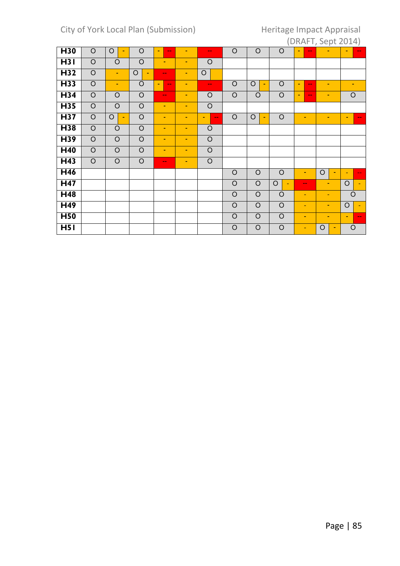|                 |                |                |                           |                              |   |                    |                |              |                           |                                   | $(211)$ $(111)$ $(201)$   |                |
|-----------------|----------------|----------------|---------------------------|------------------------------|---|--------------------|----------------|--------------|---------------------------|-----------------------------------|---------------------------|----------------|
| H30             | $\circ$        | $\circ$<br>٠   | O                         | ٠<br>$- -$                   | ٠ | $\sim$ $\sim$      | $\overline{O}$ | $\circ$      | $\circ$                   | $\blacksquare$<br>$- -$           |                           | ٠<br>$-1$      |
| H3I             | $\circ$        | $\circ$        | $\circ$                   | $\blacksquare$               | ٠ | $\circ$            |                |              |                           |                                   |                           |                |
| H <sub>32</sub> | $\circ$        | $\blacksquare$ | $\circ$<br>$\blacksquare$ | $\frac{1}{2}$                | ٠ | $\circ$            |                |              |                           |                                   |                           |                |
| H <sub>33</sub> | $\circ$        | $\blacksquare$ | $\circ$                   | $\qquad \qquad \blacksquare$ | ٠ | $\sim$ $\sim$      | $\circ$        | $\circ$<br>٠ | $\circ$                   | ٠<br>$\qquad \qquad \blacksquare$ | ٠                         |                |
| H <sub>34</sub> | $\circ$        | $\circ$        | $\circ$                   | $\frac{1}{2}$                | ٠ | $\circ$            | $\circ$        | $\circ$      | $\circ$                   | ٠<br>$\overline{\phantom{a}}$     | ٠                         | $\circ$        |
| H <sub>35</sub> | $\circ$        | $\circ$        | $\circ$                   | ٠                            | ٠ | $\circ$            |                |              |                           |                                   |                           |                |
| H <sub>37</sub> | $\circ$        | $\circ$<br>٠   | $\circ$                   | $\blacksquare$               | ٠ | $\sim$ $\sim$<br>۰ | $\circ$        | $\circ$<br>۰ | $\circ$                   | ٠                                 | ٠                         | ٠<br>--        |
| H <sub>38</sub> | $\overline{O}$ | $\circ$        | $\circ$                   | ٠                            | ٠ | $\circ$            |                |              |                           |                                   |                           |                |
| H39             | $\circ$        | $\circ$        | $\circ$                   | ٠                            | ٠ | $\circ$            |                |              |                           |                                   |                           |                |
| H40             | $\circ$        | $\circ$        | $\circ$                   | $\blacksquare$               | ٠ | $\circ$            |                |              |                           |                                   |                           |                |
| H <sub>43</sub> | $\overline{O}$ | $\overline{O}$ | $\overline{O}$            | $\frac{1}{2}$                | ٠ | $\overline{O}$     |                |              |                           |                                   |                           |                |
| H46             |                |                |                           |                              |   |                    | $\circ$        | $\circ$      | $\circ$                   | $\sim$                            | $\circ$<br>$\blacksquare$ | $\blacksquare$ |
| H47             |                |                |                           |                              |   |                    | $\circ$        | $\circ$      | $\circ$<br>$\blacksquare$ | $\sim$ $\sim$                     | ٠                         | $\circ$        |
| H48             |                |                |                           |                              |   |                    | $\circ$        | $\circ$      | $\circ$                   | ۰                                 | ٠                         | O              |
| H49             |                |                |                           |                              |   |                    | $\circ$        | $\circ$      | $\circ$                   | ٠                                 | ٠                         | $\circ$        |
| H <sub>50</sub> |                |                |                           |                              |   |                    | $\circ$        | $\circ$      | $\circ$                   | ٠                                 | ٠                         | $\blacksquare$ |
| H <sub>51</sub> |                |                |                           |                              |   |                    | $\circ$        | $\circ$      | $\circ$                   | ٠                                 | $\circ$<br>٠              | $\circ$        |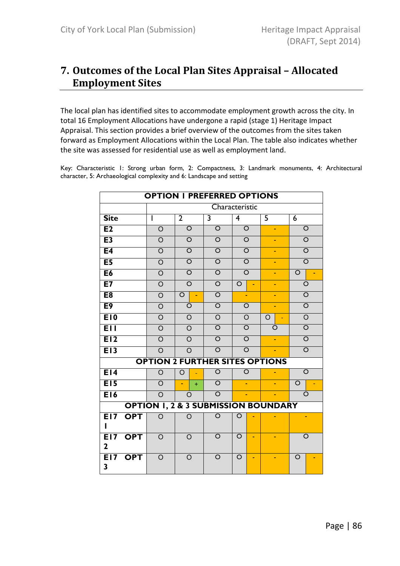# 7. Outcomes of the Local Plan Sites Appraisal – Allocated Employment Sites

The local plan has identified sites to accommodate employment growth across the city. In total 16 Employment Allocations have undergone a rapid (stage 1) Heritage Impact Appraisal. This section provides a brief overview of the outcomes from the sites taken forward as Employment Allocations within the Local Plan. The table also indicates whether the site was assessed for residential use as well as employment land.

Key: Characteristic 1: Strong urban form, 2: Compactness, 3: Landmark monuments, 4: Architectural character, 5: Archaeological complexity and 6: Landscape and setting

|                     |            | <b>OPTION I PREFERRED OPTIONS</b>              |                    |     |                         |                         |                         |                         |  |         |                         |
|---------------------|------------|------------------------------------------------|--------------------|-----|-------------------------|-------------------------|-------------------------|-------------------------|--|---------|-------------------------|
|                     |            |                                                |                    |     |                         | Characteristic          |                         |                         |  |         |                         |
| <b>Site</b>         |            | ı                                              | $\overline{2}$     |     | 3                       | $\overline{\mathbf{4}}$ |                         | $\overline{\mathsf{5}}$ |  | 6       |                         |
| E2                  |            | O                                              | $\circ$            |     | O                       |                         | $\overline{\mathsf{O}}$ | ٠                       |  |         | O                       |
| E3                  |            | $\overline{O}$                                 | O                  |     | $\circ$                 |                         | $\circ$                 | ÷,                      |  |         | $\circ$                 |
| E <sub>4</sub>      |            | $\overline{O}$                                 | $\circ$            |     | $\overline{\mathsf{O}}$ |                         | $\overline{\mathsf{o}}$ |                         |  |         | $\overline{O}$          |
| E <sub>5</sub>      |            | $\overline{O}$                                 | O                  |     | $\overline{\circ}$      |                         | $\overline{\mathsf{o}}$ |                         |  |         | $\overline{\circ}$      |
| E6                  |            | $\overline{O}$                                 | O                  |     | $\overline{\circ}$      |                         | $\overline{\circ}$      |                         |  | $\circ$ |                         |
| E7                  |            | $\overline{O}$                                 | O                  |     | $\overline{\mathsf{o}}$ | $\overline{O}$          |                         |                         |  |         | $\circ$                 |
| E <sub>8</sub>      |            | $\overline{\mathsf{o}}$                        | $\overline{\circ}$ |     | $\overline{\mathsf{o}}$ |                         |                         |                         |  |         | $\overline{\mathsf{o}}$ |
| E <sub>9</sub>      |            | $\overline{\mathsf{o}}$                        | O                  |     | $\overline{\mathsf{o}}$ |                         | $\overline{O}$          |                         |  |         | $\overline{\circ}$      |
| E10                 |            | $\overline{\mathsf{o}}$                        | O                  |     | $\overline{\rm o}$      |                         | $\overline{\mathsf{o}}$ | $\circ$                 |  |         | $\overline{\rm o}$      |
| <b>E</b> II         |            | $\circ$                                        | O                  |     | $\overline{O}$          |                         | $\overline{\circ}$      | O                       |  |         | $\overline{\circ}$      |
| E12                 |            | $\overline{O}$                                 | O                  |     | $\overline{O}$          |                         | $\overline{\circ}$      | ÷,                      |  |         | $\overline{\circ}$      |
| E13                 |            | $\circ$                                        | $\Omega$           |     | $\circ$                 |                         | $\overline{\circ}$      |                         |  |         | $\overline{\circ}$      |
|                     |            | <b>OPTION 2 FURTHER SITES OPTIONS</b>          |                    |     |                         |                         |                         |                         |  |         |                         |
| E14                 |            | $\circ$                                        | O                  | Ξ   | $\circ$                 |                         | O                       |                         |  |         | $\circ$                 |
| E15                 |            | $\overline{O}$                                 | ä,                 | $+$ | $\overline{O}$          |                         |                         |                         |  | O       |                         |
| E16                 |            | $\circ$                                        | O                  |     | $\overline{\circ}$      |                         | ٠                       |                         |  |         | O                       |
|                     |            | <b>OPTION 1, 2 &amp; 3 SUBMISSION BOUNDARY</b> |                    |     |                         |                         |                         |                         |  |         |                         |
| <b>E17</b><br>ı     | <b>OPT</b> | O                                              | O                  |     | $\overline{O}$          | O                       |                         |                         |  |         |                         |
| E17<br>$\mathbf{2}$ | <b>OPT</b> | O                                              | O                  |     | O                       | $\circ$                 |                         |                         |  |         | O                       |
| E17<br>3            | <b>OPT</b> | $\Omega$                                       | $\circ$            |     | O                       | O                       |                         |                         |  | O       |                         |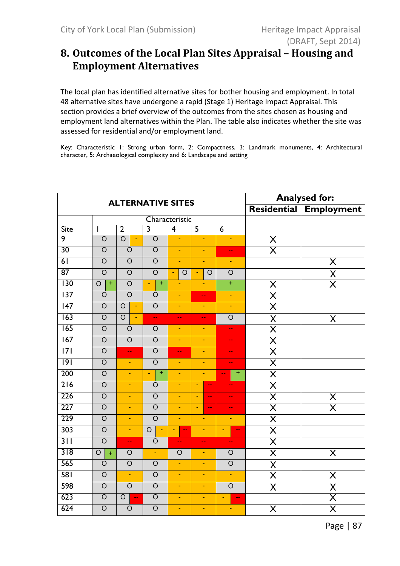# 8. Outcomes of the Local Plan Sites Appraisal – Housing and Employment Alternatives

The local plan has identified alternative sites for bother housing and employment. In total 48 alternative sites have undergone a rapid (Stage 1) Heritage Impact Appraisal. This section provides a brief overview of the outcomes from the sites chosen as housing and employment land alternatives within the Plan. The table also indicates whether the site was assessed for residential and/or employment land.

Key: Characteristic 1: Strong urban form, 2: Compactness, 3: Landmark monuments, 4: Architectural character, 5: Archaeological complexity and 6: Landscape and setting

|                  |                                  | <b>ALTERNATIVE SITES</b>            |                             | <b>Analysed for:</b>                       |                                                                 |                          |                         |                                     |
|------------------|----------------------------------|-------------------------------------|-----------------------------|--------------------------------------------|-----------------------------------------------------------------|--------------------------|-------------------------|-------------------------------------|
|                  |                                  |                                     |                             |                                            |                                                                 |                          | Residential             | <b>Employment</b>                   |
|                  |                                  |                                     |                             | Characteristic                             |                                                                 |                          |                         |                                     |
| Site             |                                  | $\overline{2}$                      | $\overline{\mathbf{3}}$     | $\overline{4}$                             | $\overline{5}$                                                  | $\overline{6}$           |                         |                                     |
| $\overline{9}$   | $\circ$                          | $\overline{O}$<br>$\blacksquare$    | $\overline{O}$              | $\blacksquare$                             | $\blacksquare$                                                  | ÷                        | $\times$                |                                     |
| 30               | $\circ$                          | $\overline{O}$                      | $\overline{O}$              | Ξ                                          | Ξ                                                               | ц,                       | $\overline{\sf X}$      |                                     |
| 61               | $\overline{O}$                   | $\overline{O}$                      | $\overline{O}$              | Ξ                                          | Ξ                                                               | $\blacksquare$           |                         | $\overline{\mathsf{X}}$             |
| 87               | $\overline{O}$                   | $\overline{O}$                      | $\overline{O}$              | $\overline{O}$<br>÷                        | $\overline{O}$<br>÷                                             | $\overline{O}$           |                         | $\frac{\overline{X}}{\overline{X}}$ |
| $\overline{130}$ | $\overline{+}$<br>$\overline{O}$ | $\overline{O}$                      | $\overline{+}$<br>Ξ         | ٠                                          | ٠                                                               | $\overline{+}$           | X                       |                                     |
| $\overline{137}$ | $\overline{O}$                   | $\overline{O}$                      | $\overline{O}$              | ÷                                          | $\overline{\phantom{m}}$                                        | $\blacksquare$           | $\overline{\mathsf{X}}$ |                                     |
| $\overline{147}$ | $\circ$                          | $\circ$<br>Ξ                        | $\overline{O}$              | ٠                                          | $\blacksquare$                                                  | $\blacksquare$           | $\overline{\mathsf{X}}$ |                                     |
| $\overline{163}$ | $\overline{O}$                   | $\overline{O}$<br>÷.                | ц.                          | $\overline{\phantom{a}}$                   | $\overline{\phantom{m}}$                                        | $\circ$                  | X                       | $\sf X$                             |
| 165              | $\overline{O}$                   | $\overline{O}$                      | $\overline{O}$              | ä,                                         | ÷,                                                              | ш,                       | $\overline{\sf X}$      |                                     |
| 167              | $\overline{O}$                   | $\circ$                             | $\overline{O}$              | ÷                                          | $\blacksquare$                                                  | $\overline{\phantom{m}}$ | $\overline{\sf X}$      |                                     |
| $\overline{171}$ | $\circ$                          | $\overline{\phantom{m}}$            | $\circ$                     | $\overline{\phantom{a}}$                   | Ξ                                                               | --                       | $\overline{\mathsf{X}}$ |                                     |
| 9                | $\overline{O}$                   | $\blacksquare$                      | $\overline{O}$              | Ξ                                          | ÷                                                               | $-$                      | $\overline{\sf X}$      |                                     |
| 200              | $\overline{O}$                   | $\blacksquare$                      | $\ddot{}$<br>$\blacksquare$ | ÷                                          | ÷                                                               | Ŧ<br>٠.                  | $\overline{\mathsf{X}}$ |                                     |
| $\overline{216}$ | $\overline{O}$                   | $\blacksquare$                      | $\circ$                     | Ξ                                          | $\blacksquare$<br>$\mathord{\hspace{1pt}\text{--}\hspace{1pt}}$ | --                       | $\overline{\sf X}$      |                                     |
| 226              | $\overline{O}$                   | $\blacksquare$                      | $\overline{O}$              | ä,                                         | $\blacksquare$<br>$\overline{\phantom{a}}$                      | $-1$                     | $\overline{\sf X}$      | $\overline{\mathsf{X}}$             |
| 227              | $\overline{O}$                   | ÷.                                  | $\overline{O}$              | ä,                                         | ä,<br>$\overline{\phantom{m}}$                                  | $-$                      | $\overline{\mathsf{X}}$ | $\overline{\sf X}$                  |
| 229              | $\circ$                          | Ξ                                   | $\circ$                     | $\blacksquare$                             | ÷                                                               | $\blacksquare$           | X                       |                                     |
| 303              | $\overline{O}$                   | $\blacksquare$                      | $\overline{O}$<br>÷         | $\blacksquare$<br>$\overline{\phantom{a}}$ | ÷                                                               | $\blacksquare$<br>۵۵     | $\overline{\sf X}$      |                                     |
| 311              | $\overline{O}$                   | $\overline{\phantom{a}}$            | $\circ$                     | $-$                                        | $\mathbf{u}$                                                    | $\overline{\phantom{m}}$ | $\overline{\sf X}$      |                                     |
| 318              | $\circ$<br>$\ddot{}$             | $\circ$                             | $\blacksquare$              | $\circ$                                    | ÷,                                                              | $\circ$                  | $\overline{\mathsf{X}}$ | X                                   |
| 565              | $\overline{O}$                   | $\overline{O}$                      | $\overline{O}$              | ä,                                         | ä,                                                              | $\overline{O}$           | X                       |                                     |
| 581              | $\overline{O}$                   | $\blacksquare$                      | $\overline{O}$              | Ξ                                          | Ξ                                                               | Ξ                        | $\overline{\mathsf{x}}$ | $\overline{\sf X}$                  |
| 598              | $\overline{O}$                   | $\overline{O}$                      | $\overline{O}$              | ٠                                          | ÷                                                               | $\overline{O}$           | Χ                       | $\frac{\mathsf{X}}{\mathsf{X}}$     |
| 623              | $\overline{O}$                   | $\circ$<br>$\overline{\phantom{a}}$ | $\overline{O}$              | ÷                                          | ÷                                                               | ÷<br>ш,                  |                         |                                     |
| 624              | $\overline{O}$                   | $\circ$                             | $\overline{O}$              | $\blacksquare$                             | ÷                                                               | ٠                        | X                       | $\overline{\sf X}$                  |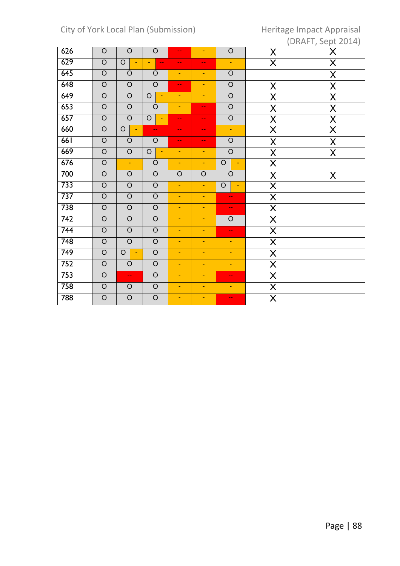# City of York Local Plan (Submission) Heritage Impact Appraisal

|     |                |                              |                           |                          |                          |                           |                         | $(210 \text{ m})$ $5000 \text{ m}$ |
|-----|----------------|------------------------------|---------------------------|--------------------------|--------------------------|---------------------------|-------------------------|------------------------------------|
| 626 | $\circ$        | $\circ$                      | $\mathsf O$               | $\overline{\phantom{a}}$ | $\blacksquare$           | $\bigcirc$                | X                       | X                                  |
| 629 | $\bigcirc$     | $\mathsf O$                  | ۵.                        | $\sim$ $\sim$            | $\mathbf{u}$             | ÷                         | $\overline{\mathsf{X}}$ | $\overline{\mathsf{X}}$            |
| 645 | $\bigcirc$     | $\circ$                      | $\circ$                   | $\blacksquare$           | $\blacksquare$           | $\overline{O}$            |                         | $\sf X$                            |
| 648 | $\overline{O}$ | $\overline{O}$               | $\overline{O}$            | $\hspace{0.05cm}$        | $\blacksquare$           | $\overline{O}$            | X                       | $\sf X$                            |
| 649 | $\bigcirc$     | $\bigcirc$                   | $\circ$                   | ÷.                       | $\blacksquare$           | $\overline{O}$            | X                       | $\sf X$                            |
| 653 | $\overline{O}$ | $\overline{O}$               | $\bigcirc$                | $\blacksquare$           | $\mathbf{u}$             | $\overline{O}$            | X                       | $\sf X$                            |
| 657 | $\bigcirc$     | $\overline{O}$               | $\circ$<br>$\blacksquare$ | $\overline{\phantom{m}}$ | $\overline{\phantom{m}}$ | $\bigcirc$                | X                       | $\mathsf X$                        |
| 660 | $\circ$        | $\bigcirc$<br>$\blacksquare$ | $\overline{\phantom{a}}$  | $\overline{\phantom{a}}$ | $\overline{\phantom{m}}$ | $\blacksquare$            | $\overline{\mathsf{X}}$ | $\overline{\mathsf{X}}$            |
| 661 | $\overline{O}$ | $\circ$                      | $\overline{O}$            | $\overline{\phantom{a}}$ | н.                       | $\overline{O}$            | $\sf X$                 | X                                  |
| 669 | $\overline{O}$ | $\overline{O}$               | $\circ$<br>÷              | ÷.                       | $\omega$                 | $\overline{O}$            | X                       | $\mathsf X$                        |
| 676 | $\bigcirc$     | $\blacksquare$               | $\circ$                   | $\blacksquare$           | $\blacksquare$           | $\bigcirc$<br>٠           | $\overline{\mathsf{X}}$ |                                    |
| 700 | $\bigcirc$     | $\hbox{O}$                   | $\mathsf O$               | $\bigcirc$               | $\bigcirc$               | $\circ$                   | X                       | X                                  |
| 733 | $\bigcirc$     | $\bigcirc$                   | $\overline{O}$            | $\omega$                 | $\blacksquare$           | $\circ$<br>$\blacksquare$ | $\overline{\mathsf{X}}$ |                                    |
| 737 | $\overline{O}$ | $\overline{O}$               | $\overline{O}$            | ÷                        | $\omega$                 | --                        | $\overline{\mathsf{X}}$ |                                    |
| 738 | $\overline{O}$ | $\overline{O}$               | $\overline{O}$            | ä,                       | $\blacksquare$           | --                        | $\overline{\mathsf{X}}$ |                                    |
| 742 | $\overline{O}$ | $\overline{O}$               | $\overline{O}$            | ÷                        | ٠                        | $\circ$                   | $\overline{\mathsf{X}}$ |                                    |
| 744 | $\overline{O}$ | $\overline{O}$               | $\overline{O}$            | μ                        | $\blacksquare$           | --                        | $\overline{\mathsf{X}}$ |                                    |
| 748 | $\bigcirc$     | $\circ$                      | $\mathsf O$               | $\blacksquare$           | $\blacksquare$           | ٠                         | X                       |                                    |
| 749 | $\overline{O}$ | $\bigcirc$<br>$\blacksquare$ | $\overline{O}$            | $\blacksquare$           | $\blacksquare$           | ÷,                        | $\overline{\mathsf{X}}$ |                                    |
| 752 | $\overline{O}$ | $\bigcirc$                   | $\overline{O}$            | ÷.                       | $\blacksquare$           | Ξ                         | $\overline{\mathsf{X}}$ |                                    |
| 753 | $\overline{O}$ | $\overline{\phantom{a}}$     | $\mathsf O$               | $\blacksquare$           | $\blacksquare$           | $-$                       | X                       |                                    |
| 758 | $\bigcirc$     | $\bigcirc$                   | $\overline{O}$            | ÷                        | $\blacksquare$           | ۰                         | $\overline{\mathsf{X}}$ |                                    |
| 788 | $\bigcirc$     | $\bigcirc$                   | $\bigcirc$                | $\blacksquare$           | $\blacksquare$           | $-$                       | X                       |                                    |
|     |                |                              |                           |                          |                          |                           |                         |                                    |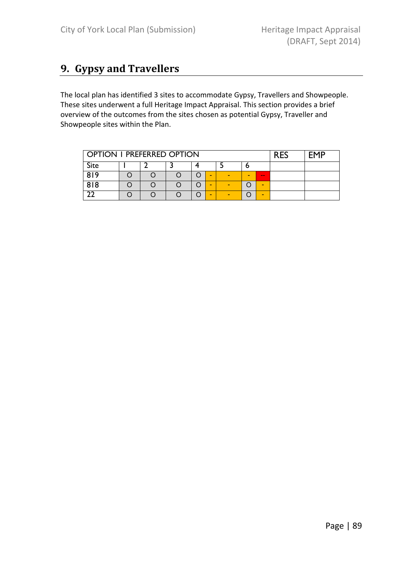# 9. Gypsy and Travellers

The local plan has identified 3 sites to accommodate Gypsy, Travellers and Showpeople. These sites underwent a full Heritage Impact Appraisal. This section provides a brief overview of the outcomes from the sites chosen as potential Gypsy, Traveller and Showpeople sites within the Plan.

| <b>OPTION I PREFERRED OPTION</b> | <b>RES</b> | <b>FMP</b> |        |   |                |                |  |  |
|----------------------------------|------------|------------|--------|---|----------------|----------------|--|--|
| <b>Site</b>                      |            |            |        |   | О              |                |  |  |
| 819                              |            |            | -      | - | $\blacksquare$ | $\sim$ $\sim$  |  |  |
| 818                              |            |            | $\sim$ | - |                | $\blacksquare$ |  |  |
|                                  |            |            | $\sim$ | - |                | $\blacksquare$ |  |  |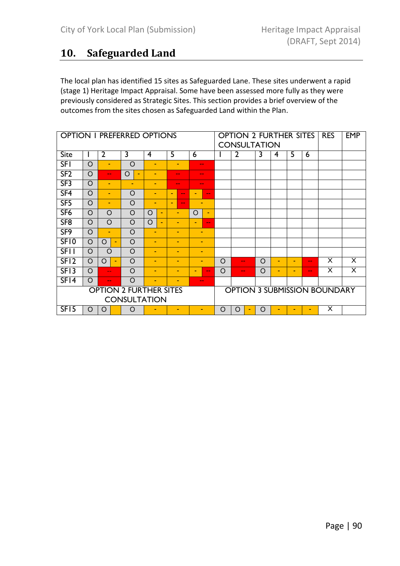# 10. Safeguarded Land

The local plan has identified 15 sites as Safeguarded Lane. These sites underwent a rapid (stage 1) Heritage Impact Appraisal. Some have been assessed more fully as they were previously considered as Strategic Sites. This section provides a brief overview of the outcomes from the sites chosen as Safeguarded Land within the Plan.

|                         | <b>OPTION I PREFERRED OPTIONS</b> |                          |                |                                     |          |                               |                |                          | <b>OPTION 2 FURTHER SITES</b><br><b>CONSULTATION</b> |       |         |                |  |          |                | <b>RES</b>     | <b>EMP</b>               |                                     |                         |
|-------------------------|-----------------------------------|--------------------------|----------------|-------------------------------------|----------|-------------------------------|----------------|--------------------------|------------------------------------------------------|-------|---------|----------------|--|----------|----------------|----------------|--------------------------|-------------------------------------|-------------------------|
| Site                    |                                   | $\overline{2}$           |                | 3                                   | 4        |                               | 5              |                          | 6                                                    |       |         | $\overline{2}$ |  | 3        | 4              | 5              | 6                        |                                     |                         |
| <b>SFI</b>              | $\circ$                           | ٠                        |                | $\circ$                             | ۰        |                               |                | -                        | $- -$                                                |       |         |                |  |          |                |                |                          |                                     |                         |
| SF2                     | $\circ$                           | $\frac{1}{2}$            |                | $\circ$<br>$\overline{\phantom{a}}$ |          |                               |                | ۰.                       | --                                                   |       |         |                |  |          |                |                |                          |                                     |                         |
| SF3                     | $\circ$                           | $\overline{\phantom{a}}$ |                | ٠                                   |          |                               |                | ۰.                       | --                                                   |       |         |                |  |          |                |                |                          |                                     |                         |
| SF <sub>4</sub>         | $\circ$                           | $\blacksquare$           |                | $\circ$                             | ٠        |                               |                | $\sim$ $\sim$            | -                                                    | $- -$ |         |                |  |          |                |                |                          |                                     |                         |
| SF5                     | $\circ$                           | $\overline{\phantom{a}}$ |                | $\circ$                             | -        |                               | $\blacksquare$ | $\sim$ $\sim$            | ÷                                                    |       |         |                |  |          |                |                |                          |                                     |                         |
| SF <sub>6</sub>         | $\circ$                           | $\circ$                  |                | $\circ$                             | $\Omega$ | $\blacksquare$                |                | -                        | $\Omega$                                             | ٠     |         |                |  |          |                |                |                          |                                     |                         |
| SF <sub>8</sub>         | $\circ$                           | $\circ$                  |                | $\circ$                             | $\circ$  | $\blacksquare$                |                | ٠                        | ۰                                                    | $- -$ |         |                |  |          |                |                |                          |                                     |                         |
| SF <sub>9</sub>         | $\circ$                           | ٠                        |                | $\circ$                             | ۰        |                               |                | ٠                        | ٠                                                    |       |         |                |  |          |                |                |                          |                                     |                         |
| SF10                    | $\circ$                           | O                        | $\blacksquare$ | $\circ$                             | ۰        |                               |                | $\blacksquare$           | ٠                                                    |       |         |                |  |          |                |                |                          |                                     |                         |
| <b>SFII</b>             | O                                 | $\circ$                  |                | $\circ$                             | ۰        |                               |                | ۰                        | ٠                                                    |       |         |                |  |          |                |                |                          |                                     |                         |
| SF <sub>12</sub>        | $\circ$                           | $\Omega$                 | ٠              | $\Omega$                            | ٠        |                               |                | $\overline{\phantom{a}}$ | ۰                                                    |       | $\circ$ | $- -$          |  | $\circ$  | $\blacksquare$ | $\blacksquare$ | $\overline{\phantom{a}}$ | X                                   | X                       |
| SF <sub>13</sub>        | $\circ$                           | $\sim$ $\sim$            |                | $\circ$                             | ٠        |                               |                | -                        | -                                                    | $- -$ | O       | $- -$          |  | $\circ$  | ۰              | $\blacksquare$ | $- -$                    | X                                   | $\overline{\mathsf{x}}$ |
| SFI4                    | $\circ$                           | $\sim$ $\sim$            |                | $\Omega$                            | ۰        |                               |                | ۰                        | $- -$                                                |       |         |                |  |          |                |                |                          |                                     |                         |
|                         |                                   |                          |                | <b>CONSULTATION</b>                 |          | <b>OPTION 2 FURTHER SITES</b> |                |                          |                                                      |       |         |                |  |          |                |                |                          | <b>OPTION 3 SUBMISSION BOUNDARY</b> |                         |
| $\overline{\text{SFI}}$ | O                                 | O                        |                | $\circ$                             |          |                               |                |                          | ٠                                                    |       | O       | O              |  | $\Omega$ |                |                |                          | X                                   |                         |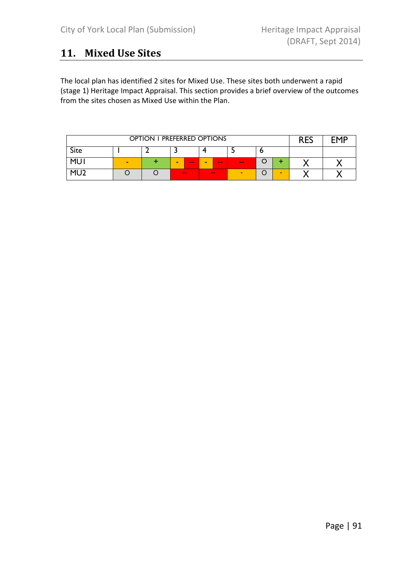# 11. Mixed Use Sites

The local plan has identified 2 sites for Mixed Use. These sites both underwent a rapid (stage 1) Heritage Impact Appraisal. This section provides a brief overview of the outcomes from the sites chosen as Mixed Use within the Plan.

|             | OPTION I PREFERRED OPTIONS                                                                                              |  |                                                                  |  |  |  |  |  |  |  |  |
|-------------|-------------------------------------------------------------------------------------------------------------------------|--|------------------------------------------------------------------|--|--|--|--|--|--|--|--|
| <b>Site</b> |                                                                                                                         |  |                                                                  |  |  |  |  |  |  |  |  |
| MI I        | -                                                                                                                       |  | Ô<br>$\sim$<br>$\sim$<br>$\sim$<br>$\overline{\phantom{a}}$<br>- |  |  |  |  |  |  |  |  |
| мг          | $\frac{1}{2} \left( \frac{1}{2} \right) \left( \frac{1}{2} \right) \left( \frac{1}{2} \right)$<br>$\sim$<br>$\sim$<br>- |  |                                                                  |  |  |  |  |  |  |  |  |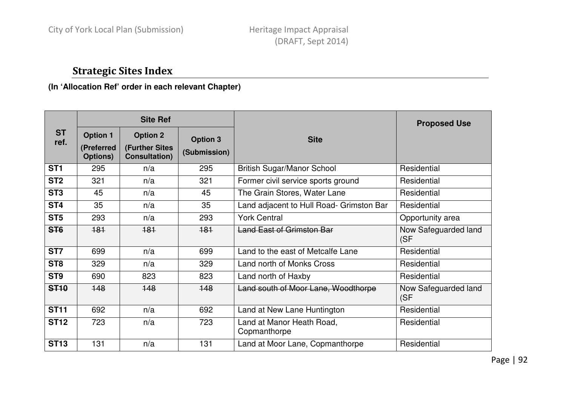# Strategic Sites Index

## **(In 'Allocation Ref' order in each relevant Chapter)**

|                   |                                           | <b>Site Ref</b>                                           |                                 |                                           | <b>Proposed Use</b>          |
|-------------------|-------------------------------------------|-----------------------------------------------------------|---------------------------------|-------------------------------------------|------------------------------|
| <b>ST</b><br>ref. | <b>Option 1</b><br>(Preferred<br>Options) | <b>Option 2</b><br>(Further Sites<br><b>Consultation)</b> | <b>Option 3</b><br>(Submission) | <b>Site</b>                               |                              |
| ST <sub>1</sub>   | 295                                       | n/a                                                       | 295                             | <b>British Sugar/Manor School</b>         | Residential                  |
| ST <sub>2</sub>   | 321                                       | n/a                                                       | 321                             | Former civil service sports ground        | Residential                  |
| ST <sub>3</sub>   | 45                                        | n/a                                                       | 45                              | The Grain Stores, Water Lane              | Residential                  |
| ST <sub>4</sub>   | 35                                        | n/a                                                       | 35                              | Land adjacent to Hull Road- Grimston Bar  | Residential                  |
| ST <sub>5</sub>   | 293                                       | n/a                                                       | 293                             | <b>York Central</b>                       | Opportunity area             |
| ST <sub>6</sub>   | 181                                       | 181                                                       | 181                             | <b>Land East of Grimston Bar</b>          | Now Safeguarded land<br>(SF) |
| ST7               | 699                                       | n/a                                                       | 699                             | Land to the east of Metcalfe Lane         | Residential                  |
| ST <sub>8</sub>   | 329                                       | n/a                                                       | 329                             | Land north of Monks Cross                 | Residential                  |
| ST <sub>9</sub>   | 690                                       | 823                                                       | 823                             | Land north of Haxby                       | Residential                  |
| <b>ST10</b>       | 148                                       | 148                                                       | 148                             | Land south of Moor Lane, Woodthorpe       | Now Safeguarded land<br>(SF  |
| <b>ST11</b>       | 692                                       | n/a                                                       | 692                             | Land at New Lane Huntington               | Residential                  |
| <b>ST12</b>       | 723                                       | n/a                                                       | 723                             | Land at Manor Heath Road,<br>Copmanthorpe | Residential                  |
| <b>ST13</b>       | 131                                       | n/a                                                       | 131                             | Land at Moor Lane, Copmanthorpe           | Residential                  |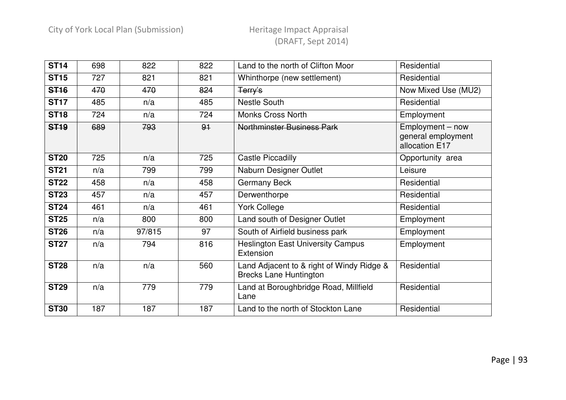| <b>ST14</b> | 698 | 822    | 822 | Land to the north of Clifton Moor                                          | Residential                                              |
|-------------|-----|--------|-----|----------------------------------------------------------------------------|----------------------------------------------------------|
| <b>ST15</b> | 727 | 821    | 821 | Whinthorpe (new settlement)                                                | Residential                                              |
| <b>ST16</b> | 470 | 470    | 824 | Terry's                                                                    | Now Mixed Use (MU2)                                      |
| <b>ST17</b> | 485 | n/a    | 485 | <b>Nestle South</b>                                                        | Residential                                              |
| <b>ST18</b> | 724 | n/a    | 724 | <b>Monks Cross North</b>                                                   | Employment                                               |
| <b>ST19</b> | 689 | 793    | 91  | <b>Northminster Business Park</b>                                          | Employment - now<br>general employment<br>allocation E17 |
| <b>ST20</b> | 725 | n/a    | 725 | <b>Castle Piccadilly</b>                                                   | Opportunity area                                         |
| <b>ST21</b> | n/a | 799    | 799 | Naburn Designer Outlet                                                     | Leisure                                                  |
| <b>ST22</b> | 458 | n/a    | 458 | <b>Germany Beck</b>                                                        | Residential                                              |
| <b>ST23</b> | 457 | n/a    | 457 | Derwenthorpe                                                               | Residential                                              |
| <b>ST24</b> | 461 | n/a    | 461 | <b>York College</b>                                                        | Residential                                              |
| <b>ST25</b> | n/a | 800    | 800 | Land south of Designer Outlet                                              | Employment                                               |
| <b>ST26</b> | n/a | 97/815 | 97  | South of Airfield business park                                            | Employment                                               |
| <b>ST27</b> | n/a | 794    | 816 | <b>Heslington East University Campus</b><br>Extension                      | Employment                                               |
| <b>ST28</b> | n/a | n/a    | 560 | Land Adjacent to & right of Windy Ridge &<br><b>Brecks Lane Huntington</b> | Residential                                              |
| <b>ST29</b> | n/a | 779    | 779 | Land at Boroughbridge Road, Millfield<br>Lane                              | Residential                                              |
| <b>ST30</b> | 187 | 187    | 187 | Land to the north of Stockton Lane                                         | Residential                                              |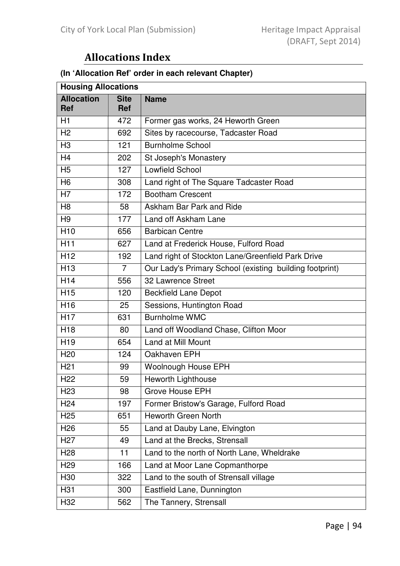# Allocations Index

# **(In 'Allocation Ref' order in each relevant Chapter)**

| <b>Housing Allocations</b>      |                           |                                                         |  |
|---------------------------------|---------------------------|---------------------------------------------------------|--|
| <b>Allocation</b><br><b>Ref</b> | <b>Site</b><br><b>Ref</b> | <b>Name</b>                                             |  |
| H1                              | 472                       | Former gas works, 24 Heworth Green                      |  |
| H <sub>2</sub>                  | 692                       | Sites by racecourse, Tadcaster Road                     |  |
| H <sub>3</sub>                  | 121                       | <b>Burnholme School</b>                                 |  |
| H4                              | 202                       | St Joseph's Monastery                                   |  |
| H <sub>5</sub>                  | 127                       | <b>Lowfield School</b>                                  |  |
| H <sub>6</sub>                  | 308                       | Land right of The Square Tadcaster Road                 |  |
| H7                              | 172                       | <b>Bootham Crescent</b>                                 |  |
| H <sub>8</sub>                  | 58                        | Askham Bar Park and Ride                                |  |
| H <sub>9</sub>                  | 177                       | Land off Askham Lane                                    |  |
| H <sub>10</sub>                 | 656                       | <b>Barbican Centre</b>                                  |  |
| H <sub>11</sub>                 | 627                       | Land at Frederick House, Fulford Road                   |  |
| H <sub>12</sub>                 | 192                       | Land right of Stockton Lane/Greenfield Park Drive       |  |
| H <sub>13</sub>                 | $\overline{7}$            | Our Lady's Primary School (existing building footprint) |  |
| H <sub>14</sub>                 | 556                       | 32 Lawrence Street                                      |  |
| H <sub>15</sub>                 | 120                       | <b>Beckfield Lane Depot</b>                             |  |
| H <sub>16</sub>                 | 25                        | Sessions, Huntington Road                               |  |
| <b>H17</b>                      | 631                       | <b>Burnholme WMC</b>                                    |  |
| H <sub>18</sub>                 | 80                        | Land off Woodland Chase, Clifton Moor                   |  |
| H <sub>19</sub>                 | 654                       | Land at Mill Mount                                      |  |
| H <sub>20</sub>                 | 124                       | Oakhaven EPH                                            |  |
| H <sub>21</sub>                 | 99                        | <b>Woolnough House EPH</b>                              |  |
| H <sub>22</sub>                 | 59                        | Heworth Lighthouse                                      |  |
| H <sub>23</sub>                 | 98                        | <b>Grove House EPH</b>                                  |  |
| H <sub>24</sub>                 | 197                       | Former Bristow's Garage, Fulford Road                   |  |
| H <sub>25</sub>                 | 651                       | <b>Heworth Green North</b>                              |  |
| H <sub>26</sub>                 | 55                        | Land at Dauby Lane, Elvington                           |  |
| H <sub>27</sub>                 | 49                        | Land at the Brecks, Strensall                           |  |
| H <sub>28</sub>                 | 11                        | Land to the north of North Lane, Wheldrake              |  |
| H <sub>29</sub>                 | 166                       | Land at Moor Lane Copmanthorpe                          |  |
| H30                             | 322                       | Land to the south of Strensall village                  |  |
| H31                             | 300                       | Eastfield Lane, Dunnington                              |  |
| H32                             | 562                       | The Tannery, Strensall                                  |  |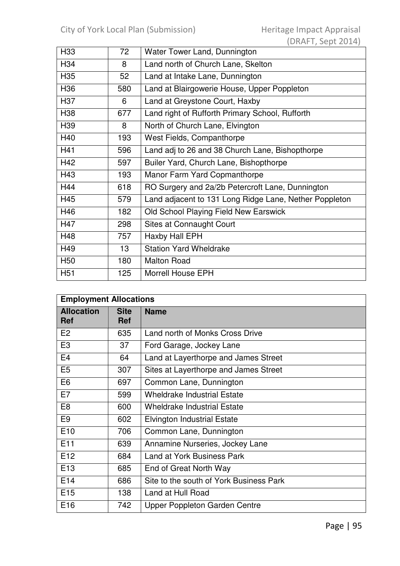| H <sub>33</sub> | 72  | Water Tower Land, Dunnington                           |  |
|-----------------|-----|--------------------------------------------------------|--|
| H <sub>34</sub> | 8   | Land north of Church Lane, Skelton                     |  |
| H <sub>35</sub> | 52  | Land at Intake Lane, Dunnington                        |  |
| H <sub>36</sub> | 580 | Land at Blairgowerie House, Upper Poppleton            |  |
| H37             | 6   | Land at Greystone Court, Haxby                         |  |
| H38             | 677 | Land right of Rufforth Primary School, Rufforth        |  |
| H <sub>39</sub> | 8   | North of Church Lane, Elvington                        |  |
| H40             | 193 | West Fields, Companthorpe                              |  |
| H41             | 596 | Land adj to 26 and 38 Church Lane, Bishopthorpe        |  |
| H42             | 597 | Builer Yard, Church Lane, Bishopthorpe                 |  |
| H43             | 193 | Manor Farm Yard Copmanthorpe                           |  |
| H44             | 618 | RO Surgery and 2a/2b Petercroft Lane, Dunnington       |  |
| H45             | 579 | Land adjacent to 131 Long Ridge Lane, Nether Poppleton |  |
| H46             | 182 | Old School Playing Field New Earswick                  |  |
| H47             | 298 | Sites at Connaught Court                               |  |
| H48             | 757 | <b>Haxby Hall EPH</b>                                  |  |
| H49             | 13  | <b>Station Yard Wheldrake</b>                          |  |
| H <sub>50</sub> | 180 | <b>Malton Road</b>                                     |  |
| H <sub>51</sub> | 125 | <b>Morrell House EPH</b>                               |  |

| <b>Employment Allocations</b>   |                           |                                         |  |
|---------------------------------|---------------------------|-----------------------------------------|--|
| <b>Allocation</b><br><b>Ref</b> | <b>Site</b><br><b>Ref</b> | <b>Name</b>                             |  |
| E <sub>2</sub>                  | 635                       | Land north of Monks Cross Drive         |  |
| E <sub>3</sub>                  | 37                        | Ford Garage, Jockey Lane                |  |
| E <sub>4</sub>                  | 64                        | Land at Layerthorpe and James Street    |  |
| E <sub>5</sub>                  | 307                       | Sites at Layerthorpe and James Street   |  |
| E <sub>6</sub>                  | 697                       | Common Lane, Dunnington                 |  |
| E7                              | 599                       | <b>Wheldrake Industrial Estate</b>      |  |
| E <sub>8</sub>                  | 600                       | <b>Wheldrake Industrial Estate</b>      |  |
| E <sub>9</sub>                  | 602                       | <b>Elvington Industrial Estate</b>      |  |
| E <sub>10</sub>                 | 706                       | Common Lane, Dunnington                 |  |
| E11                             | 639                       | Annamine Nurseries, Jockey Lane         |  |
| E12                             | 684                       | <b>Land at York Business Park</b>       |  |
| E <sub>13</sub>                 | 685                       | End of Great North Way                  |  |
| E <sub>14</sub>                 | 686                       | Site to the south of York Business Park |  |
| E <sub>15</sub>                 | 138                       | Land at Hull Road                       |  |
| E <sub>16</sub>                 | 742                       | Upper Poppleton Garden Centre           |  |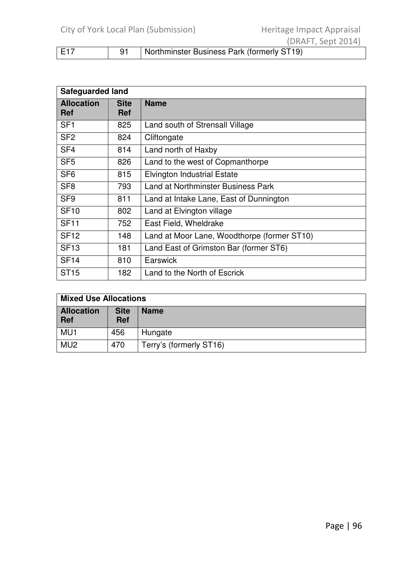|     | ILINATI, JEPU                              |
|-----|--------------------------------------------|
| E17 | Northminster Business Park (formerly ST19) |

| <b>Safeguarded land</b>         |                    |                                             |  |
|---------------------------------|--------------------|---------------------------------------------|--|
| <b>Allocation</b><br><b>Ref</b> | <b>Site</b><br>Ref | <b>Name</b>                                 |  |
| SF <sub>1</sub>                 | 825                | Land south of Strensall Village             |  |
| SF <sub>2</sub>                 | 824                | Cliftongate                                 |  |
| SF <sub>4</sub>                 | 814                | Land north of Haxby                         |  |
| SF <sub>5</sub>                 | 826                | Land to the west of Copmanthorpe            |  |
| SF <sub>6</sub>                 | 815                | <b>Elvington Industrial Estate</b>          |  |
| SF <sub>8</sub>                 | 793                | <b>Land at Northminster Business Park</b>   |  |
| SF <sub>9</sub>                 | 811                | Land at Intake Lane, East of Dunnington     |  |
| <b>SF10</b>                     | 802                | Land at Elvington village                   |  |
| <b>SF11</b>                     | 752                | East Field, Wheldrake                       |  |
| <b>SF12</b>                     | 148                | Land at Moor Lane, Woodthorpe (former ST10) |  |
| <b>SF13</b>                     | 181                | Land East of Grimston Bar (former ST6)      |  |
| <b>SF14</b>                     | 810                | Earswick                                    |  |
| <b>ST15</b>                     | 182                | Land to the North of Escrick                |  |

| <b>Mixed Use Allocations</b>    |                           |                         |  |
|---------------------------------|---------------------------|-------------------------|--|
| <b>Allocation</b><br><b>Ref</b> | <b>Site</b><br><b>Ref</b> | <b>Name</b>             |  |
| MU <sub>1</sub>                 | 456                       | Hungate                 |  |
| MU <sub>2</sub>                 | 470                       | Terry's (formerly ST16) |  |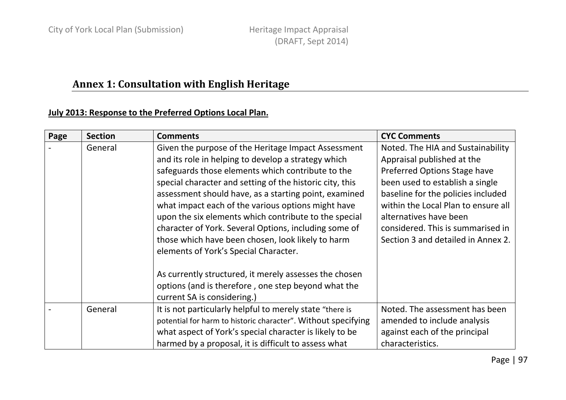# Annex 1: Consultation with English Heritage

## July 2013: Response to the Preferred Options Local Plan.

| Page | <b>Section</b> | <b>Comments</b>                                                                                                                                                                                                                                                                                                                                                                                                                                                                                                                                                                                                                                                                                            | <b>CYC Comments</b>                                                                                                                                                                                                                                                                                                  |
|------|----------------|------------------------------------------------------------------------------------------------------------------------------------------------------------------------------------------------------------------------------------------------------------------------------------------------------------------------------------------------------------------------------------------------------------------------------------------------------------------------------------------------------------------------------------------------------------------------------------------------------------------------------------------------------------------------------------------------------------|----------------------------------------------------------------------------------------------------------------------------------------------------------------------------------------------------------------------------------------------------------------------------------------------------------------------|
|      | General        | Given the purpose of the Heritage Impact Assessment<br>and its role in helping to develop a strategy which<br>safeguards those elements which contribute to the<br>special character and setting of the historic city, this<br>assessment should have, as a starting point, examined<br>what impact each of the various options might have<br>upon the six elements which contribute to the special<br>character of York. Several Options, including some of<br>those which have been chosen, look likely to harm<br>elements of York's Special Character.<br>As currently structured, it merely assesses the chosen<br>options (and is therefore, one step beyond what the<br>current SA is considering.) | Noted. The HIA and Sustainability<br>Appraisal published at the<br>Preferred Options Stage have<br>been used to establish a single<br>baseline for the policies included<br>within the Local Plan to ensure all<br>alternatives have been<br>considered. This is summarised in<br>Section 3 and detailed in Annex 2. |
|      | General        | It is not particularly helpful to merely state "there is<br>potential for harm to historic character". Without specifying<br>what aspect of York's special character is likely to be<br>harmed by a proposal, it is difficult to assess what                                                                                                                                                                                                                                                                                                                                                                                                                                                               | Noted. The assessment has been<br>amended to include analysis<br>against each of the principal<br>characteristics.                                                                                                                                                                                                   |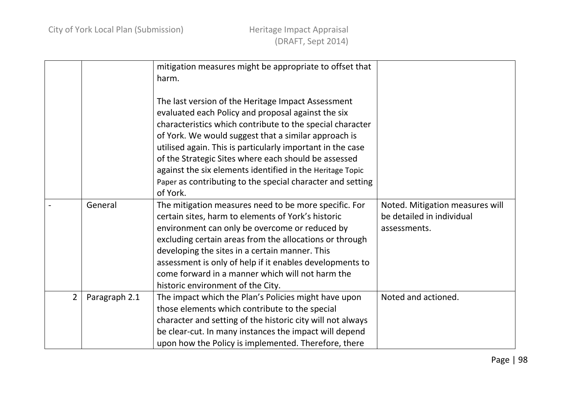|                |               | mitigation measures might be appropriate to offset that    |                                 |
|----------------|---------------|------------------------------------------------------------|---------------------------------|
|                |               | harm.                                                      |                                 |
|                |               |                                                            |                                 |
|                |               | The last version of the Heritage Impact Assessment         |                                 |
|                |               | evaluated each Policy and proposal against the six         |                                 |
|                |               | characteristics which contribute to the special character  |                                 |
|                |               | of York. We would suggest that a similar approach is       |                                 |
|                |               | utilised again. This is particularly important in the case |                                 |
|                |               | of the Strategic Sites where each should be assessed       |                                 |
|                |               | against the six elements identified in the Heritage Topic  |                                 |
|                |               | Paper as contributing to the special character and setting |                                 |
|                |               | of York.                                                   |                                 |
|                | General       | The mitigation measures need to be more specific. For      | Noted. Mitigation measures will |
|                |               | certain sites, harm to elements of York's historic         | be detailed in individual       |
|                |               | environment can only be overcome or reduced by             | assessments.                    |
|                |               | excluding certain areas from the allocations or through    |                                 |
|                |               | developing the sites in a certain manner. This             |                                 |
|                |               | assessment is only of help if it enables developments to   |                                 |
|                |               | come forward in a manner which will not harm the           |                                 |
|                |               | historic environment of the City.                          |                                 |
| $\overline{2}$ | Paragraph 2.1 | The impact which the Plan's Policies might have upon       | Noted and actioned.             |
|                |               | those elements which contribute to the special             |                                 |
|                |               | character and setting of the historic city will not always |                                 |
|                |               | be clear-cut. In many instances the impact will depend     |                                 |
|                |               | upon how the Policy is implemented. Therefore, there       |                                 |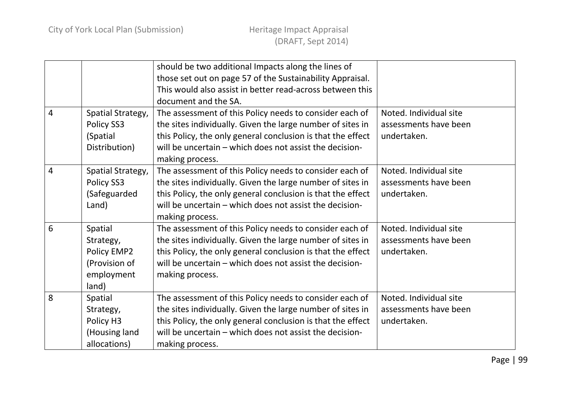|                |                   | should be two additional Impacts along the lines of         |                        |
|----------------|-------------------|-------------------------------------------------------------|------------------------|
|                |                   | those set out on page 57 of the Sustainability Appraisal.   |                        |
|                |                   | This would also assist in better read-across between this   |                        |
|                |                   | document and the SA.                                        |                        |
| $\overline{4}$ | Spatial Strategy, | The assessment of this Policy needs to consider each of     | Noted. Individual site |
|                | Policy SS3        | the sites individually. Given the large number of sites in  | assessments have been  |
|                | (Spatial          | this Policy, the only general conclusion is that the effect | undertaken.            |
|                | Distribution)     | will be uncertain - which does not assist the decision-     |                        |
|                |                   | making process.                                             |                        |
| $\overline{4}$ | Spatial Strategy, | The assessment of this Policy needs to consider each of     | Noted. Individual site |
|                | Policy SS3        | the sites individually. Given the large number of sites in  | assessments have been  |
|                | (Safeguarded      | this Policy, the only general conclusion is that the effect | undertaken.            |
|                | Land)             | will be uncertain - which does not assist the decision-     |                        |
|                |                   | making process.                                             |                        |
| 6              | Spatial           | The assessment of this Policy needs to consider each of     | Noted. Individual site |
|                | Strategy,         | the sites individually. Given the large number of sites in  | assessments have been  |
|                | Policy EMP2       | this Policy, the only general conclusion is that the effect | undertaken.            |
|                | (Provision of     | will be uncertain - which does not assist the decision-     |                        |
|                | employment        | making process.                                             |                        |
|                | land)             |                                                             |                        |
| 8              | Spatial           | The assessment of this Policy needs to consider each of     | Noted. Individual site |
|                | Strategy,         | the sites individually. Given the large number of sites in  | assessments have been  |
|                | Policy H3         | this Policy, the only general conclusion is that the effect | undertaken.            |
|                | (Housing land     | will be uncertain - which does not assist the decision-     |                        |
|                | allocations)      | making process.                                             |                        |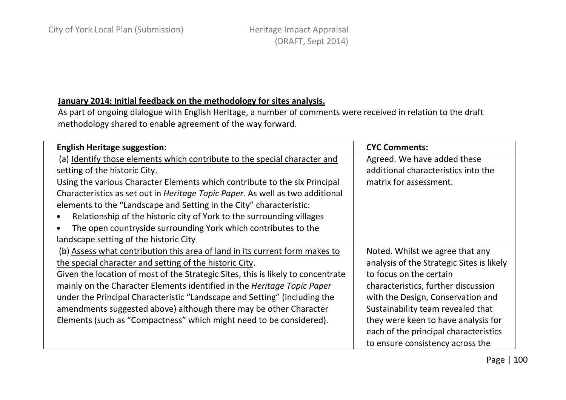## January 2014: Initial feedback on the methodology for sites analysis.

As part of ongoing dialogue with English Heritage, a number of comments were received in relation to the draft methodology shared to enable agreement of the way forward.

| <b>English Heritage suggestion:</b>                                                   | <b>CYC Comments:</b>                      |
|---------------------------------------------------------------------------------------|-------------------------------------------|
| (a) Identify those elements which contribute to the special character and             | Agreed. We have added these               |
| setting of the historic City.                                                         | additional characteristics into the       |
| Using the various Character Elements which contribute to the six Principal            | matrix for assessment.                    |
| Characteristics as set out in <i>Heritage Topic Paper</i> . As well as two additional |                                           |
| elements to the "Landscape and Setting in the City" characteristic:                   |                                           |
| Relationship of the historic city of York to the surrounding villages                 |                                           |
| The open countryside surrounding York which contributes to the                        |                                           |
| landscape setting of the historic City                                                |                                           |
| (b) Assess what contribution this area of land in its current form makes to           | Noted. Whilst we agree that any           |
| the special character and setting of the historic City.                               | analysis of the Strategic Sites is likely |
| Given the location of most of the Strategic Sites, this is likely to concentrate      | to focus on the certain                   |
| mainly on the Character Elements identified in the Heritage Topic Paper               | characteristics, further discussion       |
| under the Principal Characteristic "Landscape and Setting" (including the             | with the Design, Conservation and         |
| amendments suggested above) although there may be other Character                     | Sustainability team revealed that         |
| Elements (such as "Compactness" which might need to be considered).                   | they were keen to have analysis for       |
|                                                                                       | each of the principal characteristics     |
|                                                                                       | to ensure consistency across the          |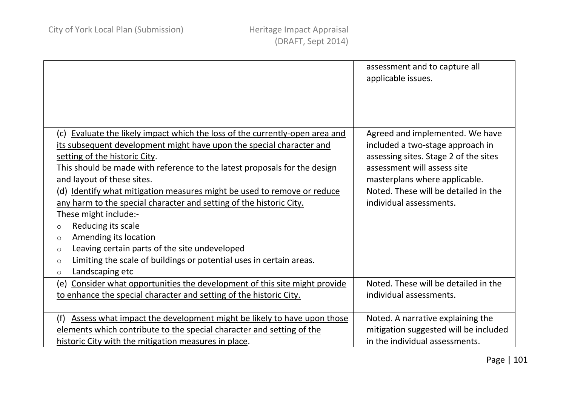|                                                                                                                                                      | assessment and to capture all<br>applicable issues.                 |
|------------------------------------------------------------------------------------------------------------------------------------------------------|---------------------------------------------------------------------|
| (c) Evaluate the likely impact which the loss of the currently-open area and<br>its subsequent development might have upon the special character and | Agreed and implemented. We have<br>included a two-stage approach in |
| setting of the historic City.                                                                                                                        | assessing sites. Stage 2 of the sites                               |
| This should be made with reference to the latest proposals for the design                                                                            | assessment will assess site                                         |
| and layout of these sites.                                                                                                                           | masterplans where applicable.                                       |
| (d) Identify what mitigation measures might be used to remove or reduce                                                                              | Noted. These will be detailed in the                                |
| any harm to the special character and setting of the historic City.                                                                                  | individual assessments.                                             |
| These might include:-                                                                                                                                |                                                                     |
| Reducing its scale<br>$\circ$                                                                                                                        |                                                                     |
| Amending its location<br>$\circ$                                                                                                                     |                                                                     |
| Leaving certain parts of the site undeveloped<br>$\circ$                                                                                             |                                                                     |
| Limiting the scale of buildings or potential uses in certain areas.<br>$\circ$                                                                       |                                                                     |
| Landscaping etc<br>$\circ$                                                                                                                           |                                                                     |
| Consider what opportunities the development of this site might provide<br>(e)                                                                        | Noted. These will be detailed in the                                |
| to enhance the special character and setting of the historic City.                                                                                   | individual assessments.                                             |
|                                                                                                                                                      |                                                                     |
| Assess what impact the development might be likely to have upon those<br>(f)                                                                         | Noted. A narrative explaining the                                   |
| elements which contribute to the special character and setting of the                                                                                | mitigation suggested will be included                               |
| historic City with the mitigation measures in place.                                                                                                 | in the individual assessments.                                      |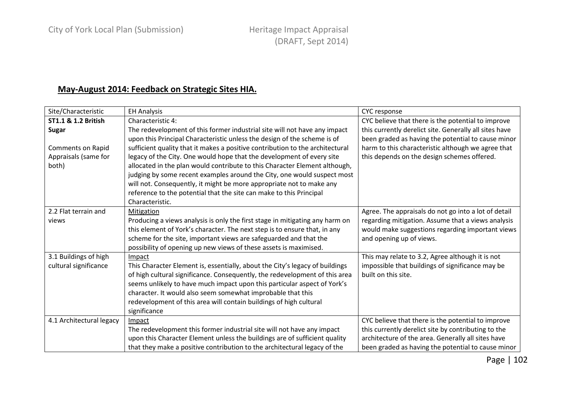## May-August 2014: Feedback on Strategic Sites HIA.

| Site/Characteristic      | <b>EH Analysis</b>                                                            | CYC response                                           |
|--------------------------|-------------------------------------------------------------------------------|--------------------------------------------------------|
| ST1.1 & 1.2 British      | Characteristic 4:                                                             | CYC believe that there is the potential to improve     |
| <b>Sugar</b>             | The redevelopment of this former industrial site will not have any impact     | this currently derelict site. Generally all sites have |
|                          | upon this Principal Characteristic unless the design of the scheme is of      | been graded as having the potential to cause minor     |
| Comments on Rapid        | sufficient quality that it makes a positive contribution to the architectural | harm to this characteristic although we agree that     |
| Appraisals (same for     | legacy of the City. One would hope that the development of every site         | this depends on the design schemes offered.            |
| both)                    | allocated in the plan would contribute to this Character Element although,    |                                                        |
|                          | judging by some recent examples around the City, one would suspect most       |                                                        |
|                          | will not. Consequently, it might be more appropriate not to make any          |                                                        |
|                          | reference to the potential that the site can make to this Principal           |                                                        |
|                          | Characteristic.                                                               |                                                        |
| 2.2 Flat terrain and     | Mitigation                                                                    | Agree. The appraisals do not go into a lot of detail   |
| views                    | Producing a views analysis is only the first stage in mitigating any harm on  | regarding mitigation. Assume that a views analysis     |
|                          | this element of York's character. The next step is to ensure that, in any     | would make suggestions regarding important views       |
|                          | scheme for the site, important views are safeguarded and that the             | and opening up of views.                               |
|                          | possibility of opening up new views of these assets is maximised.             |                                                        |
| 3.1 Buildings of high    | Impact                                                                        | This may relate to 3.2, Agree although it is not       |
| cultural significance    | This Character Element is, essentially, about the City's legacy of buildings  | impossible that buildings of significance may be       |
|                          | of high cultural significance. Consequently, the redevelopment of this area   | built on this site.                                    |
|                          | seems unlikely to have much impact upon this particular aspect of York's      |                                                        |
|                          | character. It would also seem somewhat improbable that this                   |                                                        |
|                          | redevelopment of this area will contain buildings of high cultural            |                                                        |
|                          | significance                                                                  |                                                        |
| 4.1 Architectural legacy | Impact                                                                        | CYC believe that there is the potential to improve     |
|                          | The redevelopment this former industrial site will not have any impact        | this currently derelict site by contributing to the    |
|                          | upon this Character Element unless the buildings are of sufficient quality    | architecture of the area. Generally all sites have     |
|                          | that they make a positive contribution to the architectural legacy of the     | been graded as having the potential to cause minor     |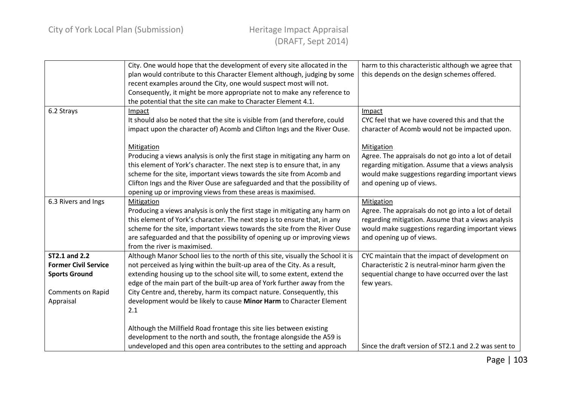|                                                                                                               | City. One would hope that the development of every site allocated in the<br>plan would contribute to this Character Element although, judging by some<br>recent examples around the City, one would suspect most will not.<br>Consequently, it might be more appropriate not to make any reference to<br>the potential that the site can make to Character Element 4.1.                                                                                                                                                                                             | harm to this characteristic although we agree that<br>this depends on the design schemes offered.                                                                                                                                                                                                                       |
|---------------------------------------------------------------------------------------------------------------|---------------------------------------------------------------------------------------------------------------------------------------------------------------------------------------------------------------------------------------------------------------------------------------------------------------------------------------------------------------------------------------------------------------------------------------------------------------------------------------------------------------------------------------------------------------------|-------------------------------------------------------------------------------------------------------------------------------------------------------------------------------------------------------------------------------------------------------------------------------------------------------------------------|
| 6.2 Strays                                                                                                    | Impact<br>It should also be noted that the site is visible from (and therefore, could<br>impact upon the character of) Acomb and Clifton Ings and the River Ouse.<br>Mitigation<br>Producing a views analysis is only the first stage in mitigating any harm on<br>this element of York's character. The next step is to ensure that, in any<br>scheme for the site, important views towards the site from Acomb and<br>Clifton Ings and the River Ouse are safeguarded and that the possibility of<br>opening up or improving views from these areas is maximised. | Impact<br>CYC feel that we have covered this and that the<br>character of Acomb would not be impacted upon.<br>Mitigation<br>Agree. The appraisals do not go into a lot of detail<br>regarding mitigation. Assume that a views analysis<br>would make suggestions regarding important views<br>and opening up of views. |
| 6.3 Rivers and Ings                                                                                           | Mitigation<br>Producing a views analysis is only the first stage in mitigating any harm on<br>this element of York's character. The next step is to ensure that, in any<br>scheme for the site, important views towards the site from the River Ouse<br>are safeguarded and that the possibility of opening up or improving views<br>from the river is maximised.                                                                                                                                                                                                   | Mitigation<br>Agree. The appraisals do not go into a lot of detail<br>regarding mitigation. Assume that a views analysis<br>would make suggestions regarding important views<br>and opening up of views.                                                                                                                |
| ST2.1 and 2.2<br><b>Former Civil Service</b><br><b>Sports Ground</b><br><b>Comments on Rapid</b><br>Appraisal | Although Manor School lies to the north of this site, visually the School it is<br>not perceived as lying within the built-up area of the City. As a result,<br>extending housing up to the school site will, to some extent, extend the<br>edge of the main part of the built-up area of York further away from the<br>City Centre and, thereby, harm its compact nature. Consequently, this<br>development would be likely to cause Minor Harm to Character Element<br>2.1                                                                                        | CYC maintain that the impact of development on<br>Characteristic 2 is neutral-minor harm given the<br>sequential change to have occurred over the last<br>few years.                                                                                                                                                    |
|                                                                                                               | Although the Millfield Road frontage this site lies between existing<br>development to the north and south, the frontage alongside the A59 is<br>undeveloped and this open area contributes to the setting and approach                                                                                                                                                                                                                                                                                                                                             | Since the draft version of ST2.1 and 2.2 was sent to                                                                                                                                                                                                                                                                    |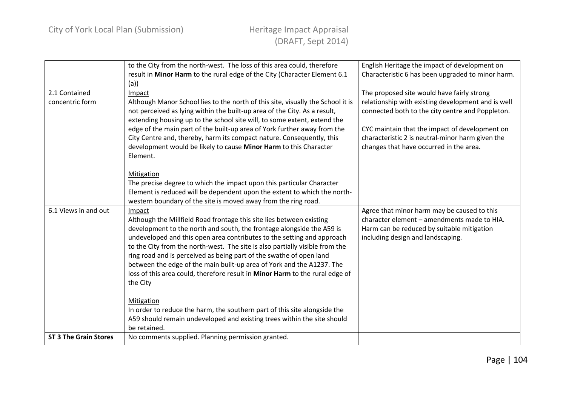|                                  | to the City from the north-west. The loss of this area could, therefore<br>result in Minor Harm to the rural edge of the City (Character Element 6.1<br>(a)                                                                                                                                                                                                                                                                                                                                                                                                   | English Heritage the impact of development on<br>Characteristic 6 has been upgraded to minor harm.                                                                                                                                                                                                    |
|----------------------------------|---------------------------------------------------------------------------------------------------------------------------------------------------------------------------------------------------------------------------------------------------------------------------------------------------------------------------------------------------------------------------------------------------------------------------------------------------------------------------------------------------------------------------------------------------------------|-------------------------------------------------------------------------------------------------------------------------------------------------------------------------------------------------------------------------------------------------------------------------------------------------------|
| 2.1 Contained<br>concentric form | Impact<br>Although Manor School lies to the north of this site, visually the School it is<br>not perceived as lying within the built-up area of the City. As a result,<br>extending housing up to the school site will, to some extent, extend the<br>edge of the main part of the built-up area of York further away from the<br>City Centre and, thereby, harm its compact nature. Consequently, this<br>development would be likely to cause Minor Harm to this Character<br>Element.                                                                      | The proposed site would have fairly strong<br>relationship with existing development and is well<br>connected both to the city centre and Poppleton.<br>CYC maintain that the impact of development on<br>characteristic 2 is neutral-minor harm given the<br>changes that have occurred in the area. |
|                                  | Mitigation<br>The precise degree to which the impact upon this particular Character<br>Element is reduced will be dependent upon the extent to which the north-<br>western boundary of the site is moved away from the ring road.                                                                                                                                                                                                                                                                                                                             |                                                                                                                                                                                                                                                                                                       |
| 6.1 Views in and out             | Impact<br>Although the Millfield Road frontage this site lies between existing<br>development to the north and south, the frontage alongside the A59 is<br>undeveloped and this open area contributes to the setting and approach<br>to the City from the north-west. The site is also partially visible from the<br>ring road and is perceived as being part of the swathe of open land<br>between the edge of the main built-up area of York and the A1237. The<br>loss of this area could, therefore result in Minor Harm to the rural edge of<br>the City | Agree that minor harm may be caused to this<br>character element - amendments made to HIA.<br>Harm can be reduced by suitable mitigation<br>including design and landscaping.                                                                                                                         |
|                                  | Mitigation<br>In order to reduce the harm, the southern part of this site alongside the<br>A59 should remain undeveloped and existing trees within the site should<br>be retained.                                                                                                                                                                                                                                                                                                                                                                            |                                                                                                                                                                                                                                                                                                       |
| <b>ST 3 The Grain Stores</b>     | No comments supplied. Planning permission granted.                                                                                                                                                                                                                                                                                                                                                                                                                                                                                                            |                                                                                                                                                                                                                                                                                                       |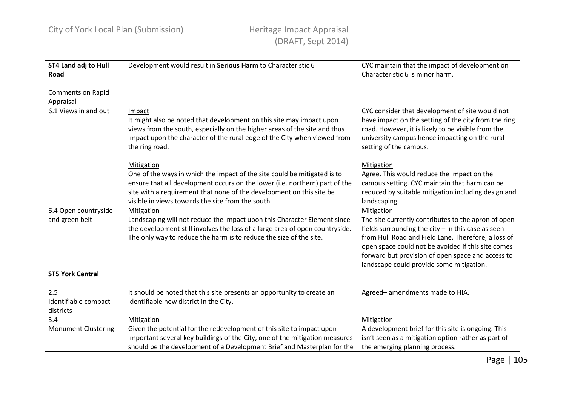| <b>ST4 Land adj to Hull</b><br>Road      | Development would result in Serious Harm to Characteristic 6                                                                                                                                                                                                                                       | CYC maintain that the impact of development on<br>Characteristic 6 is minor harm.                                                                                                                                                                                                                                                       |
|------------------------------------------|----------------------------------------------------------------------------------------------------------------------------------------------------------------------------------------------------------------------------------------------------------------------------------------------------|-----------------------------------------------------------------------------------------------------------------------------------------------------------------------------------------------------------------------------------------------------------------------------------------------------------------------------------------|
| <b>Comments on Rapid</b><br>Appraisal    |                                                                                                                                                                                                                                                                                                    |                                                                                                                                                                                                                                                                                                                                         |
| 6.1 Views in and out                     | Impact<br>It might also be noted that development on this site may impact upon<br>views from the south, especially on the higher areas of the site and thus<br>impact upon the character of the rural edge of the City when viewed from<br>the ring road.                                          | CYC consider that development of site would not<br>have impact on the setting of the city from the ring<br>road. However, it is likely to be visible from the<br>university campus hence impacting on the rural<br>setting of the campus.                                                                                               |
|                                          | Mitigation<br>One of the ways in which the impact of the site could be mitigated is to<br>ensure that all development occurs on the lower (i.e. northern) part of the<br>site with a requirement that none of the development on this site be<br>visible in views towards the site from the south. | Mitigation<br>Agree. This would reduce the impact on the<br>campus setting. CYC maintain that harm can be<br>reduced by suitable mitigation including design and<br>landscaping.                                                                                                                                                        |
| 6.4 Open countryside<br>and green belt   | Mitigation<br>Landscaping will not reduce the impact upon this Character Element since<br>the development still involves the loss of a large area of open countryside.<br>The only way to reduce the harm is to reduce the size of the site.                                                       | Mitigation<br>The site currently contributes to the apron of open<br>fields surrounding the city $-$ in this case as seen<br>from Hull Road and Field Lane. Therefore, a loss of<br>open space could not be avoided if this site comes<br>forward but provision of open space and access to<br>landscape could provide some mitigation. |
| <b>ST5 York Central</b>                  |                                                                                                                                                                                                                                                                                                    |                                                                                                                                                                                                                                                                                                                                         |
| 2.5<br>Identifiable compact<br>districts | It should be noted that this site presents an opportunity to create an<br>identifiable new district in the City.                                                                                                                                                                                   | Agreed-amendments made to HIA.                                                                                                                                                                                                                                                                                                          |
| 3.4<br><b>Monument Clustering</b>        | Mitigation<br>Given the potential for the redevelopment of this site to impact upon<br>important several key buildings of the City, one of the mitigation measures<br>should be the development of a Development Brief and Masterplan for the                                                      | Mitigation<br>A development brief for this site is ongoing. This<br>isn't seen as a mitigation option rather as part of<br>the emerging planning process.                                                                                                                                                                               |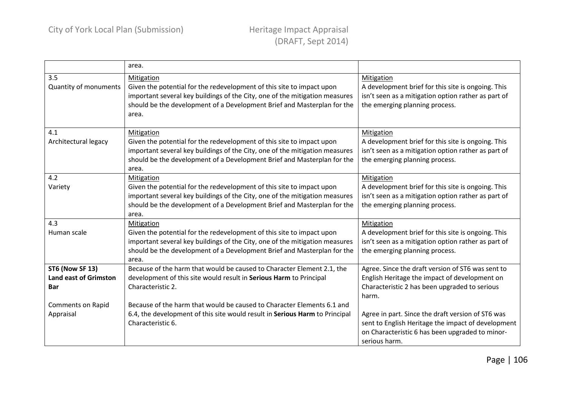|                                                                      | area.                                                                                                                                                                                                                                                         |                                                                                                                                                                             |
|----------------------------------------------------------------------|---------------------------------------------------------------------------------------------------------------------------------------------------------------------------------------------------------------------------------------------------------------|-----------------------------------------------------------------------------------------------------------------------------------------------------------------------------|
| 3.5<br><b>Quantity of monuments</b>                                  | <b>Mitigation</b><br>Given the potential for the redevelopment of this site to impact upon<br>important several key buildings of the City, one of the mitigation measures<br>should be the development of a Development Brief and Masterplan for the<br>area. | Mitigation<br>A development brief for this site is ongoing. This<br>isn't seen as a mitigation option rather as part of<br>the emerging planning process.                   |
| 4.1<br>Architectural legacy                                          | Mitigation<br>Given the potential for the redevelopment of this site to impact upon<br>important several key buildings of the City, one of the mitigation measures<br>should be the development of a Development Brief and Masterplan for the<br>area.        | Mitigation<br>A development brief for this site is ongoing. This<br>isn't seen as a mitigation option rather as part of<br>the emerging planning process.                   |
| 4.2<br>Variety                                                       | Mitigation<br>Given the potential for the redevelopment of this site to impact upon<br>important several key buildings of the City, one of the mitigation measures<br>should be the development of a Development Brief and Masterplan for the<br>area.        | Mitigation<br>A development brief for this site is ongoing. This<br>isn't seen as a mitigation option rather as part of<br>the emerging planning process.                   |
| 4.3<br>Human scale                                                   | Mitigation<br>Given the potential for the redevelopment of this site to impact upon<br>important several key buildings of the City, one of the mitigation measures<br>should be the development of a Development Brief and Masterplan for the<br>area.        | Mitigation<br>A development brief for this site is ongoing. This<br>isn't seen as a mitigation option rather as part of<br>the emerging planning process.                   |
| <b>ST6 (Now SF 13)</b><br><b>Land east of Grimston</b><br><b>Bar</b> | Because of the harm that would be caused to Character Element 2.1, the<br>development of this site would result in Serious Harm to Principal<br>Characteristic 2.                                                                                             | Agree. Since the draft version of ST6 was sent to<br>English Heritage the impact of development on<br>Characteristic 2 has been upgraded to serious<br>harm.                |
| <b>Comments on Rapid</b><br>Appraisal                                | Because of the harm that would be caused to Character Elements 6.1 and<br>6.4, the development of this site would result in Serious Harm to Principal<br>Characteristic 6.                                                                                    | Agree in part. Since the draft version of ST6 was<br>sent to English Heritage the impact of development<br>on Characteristic 6 has been upgraded to minor-<br>serious harm. |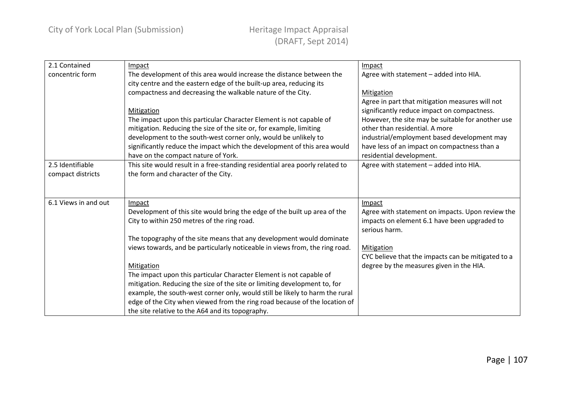| 2.1 Contained        | Impact                                                                       | Impact                                             |
|----------------------|------------------------------------------------------------------------------|----------------------------------------------------|
| concentric form      | The development of this area would increase the distance between the         | Agree with statement - added into HIA.             |
|                      | city centre and the eastern edge of the built-up area, reducing its          |                                                    |
|                      | compactness and decreasing the walkable nature of the City.                  | Mitigation                                         |
|                      |                                                                              | Agree in part that mitigation measures will not    |
|                      | Mitigation                                                                   | significantly reduce impact on compactness.        |
|                      | The impact upon this particular Character Element is not capable of          | However, the site may be suitable for another use  |
|                      | mitigation. Reducing the size of the site or, for example, limiting          | other than residential. A more                     |
|                      | development to the south-west corner only, would be unlikely to              | industrial/employment based development may        |
|                      | significantly reduce the impact which the development of this area would     | have less of an impact on compactness than a       |
|                      | have on the compact nature of York.                                          | residential development.                           |
| 2.5 Identifiable     | This site would result in a free-standing residential area poorly related to | Agree with statement - added into HIA.             |
| compact districts    | the form and character of the City.                                          |                                                    |
|                      |                                                                              |                                                    |
|                      |                                                                              |                                                    |
| 6.1 Views in and out | Impact                                                                       | Impact                                             |
|                      | Development of this site would bring the edge of the built up area of the    | Agree with statement on impacts. Upon review the   |
|                      | City to within 250 metres of the ring road.                                  | impacts on element 6.1 have been upgraded to       |
|                      |                                                                              | serious harm.                                      |
|                      | The topography of the site means that any development would dominate         |                                                    |
|                      | views towards, and be particularly noticeable in views from, the ring road.  | Mitigation                                         |
|                      |                                                                              | CYC believe that the impacts can be mitigated to a |
|                      | Mitigation                                                                   | degree by the measures given in the HIA.           |
|                      | The impact upon this particular Character Element is not capable of          |                                                    |
|                      | mitigation. Reducing the size of the site or limiting development to, for    |                                                    |
|                      | example, the south-west corner only, would still be likely to harm the rural |                                                    |
|                      | edge of the City when viewed from the ring road because of the location of   |                                                    |
|                      | the site relative to the A64 and its topography.                             |                                                    |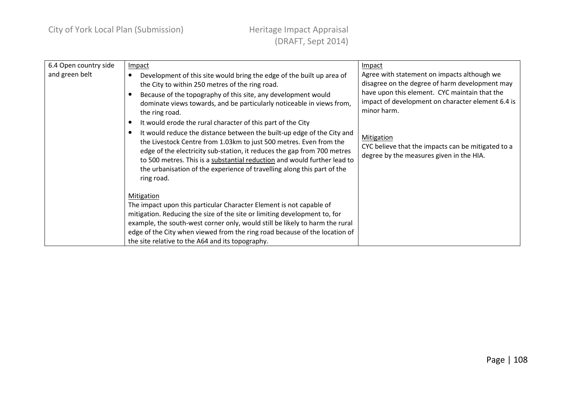| 6.4 Open country side | Impact                                                                       | Impact                                             |
|-----------------------|------------------------------------------------------------------------------|----------------------------------------------------|
| and green belt        | Development of this site would bring the edge of the built up area of        | Agree with statement on impacts although we        |
|                       | the City to within 250 metres of the ring road.                              | disagree on the degree of harm development may     |
|                       | Because of the topography of this site, any development would                | have upon this element. CYC maintain that the      |
|                       | dominate views towards, and be particularly noticeable in views from,        | impact of development on character element 6.4 is  |
|                       | the ring road.                                                               | minor harm.                                        |
|                       | It would erode the rural character of this part of the City                  |                                                    |
|                       | It would reduce the distance between the built-up edge of the City and<br>٠  | <b>Mitigation</b>                                  |
|                       | the Livestock Centre from 1.03km to just 500 metres. Even from the           | CYC believe that the impacts can be mitigated to a |
|                       | edge of the electricity sub-station, it reduces the gap from 700 metres      | degree by the measures given in the HIA.           |
|                       | to 500 metres. This is a substantial reduction and would further lead to     |                                                    |
|                       | the urbanisation of the experience of travelling along this part of the      |                                                    |
|                       | ring road.                                                                   |                                                    |
|                       |                                                                              |                                                    |
|                       | Mitigation                                                                   |                                                    |
|                       | The impact upon this particular Character Element is not capable of          |                                                    |
|                       | mitigation. Reducing the size of the site or limiting development to, for    |                                                    |
|                       | example, the south-west corner only, would still be likely to harm the rural |                                                    |
|                       | edge of the City when viewed from the ring road because of the location of   |                                                    |
|                       | the site relative to the A64 and its topography.                             |                                                    |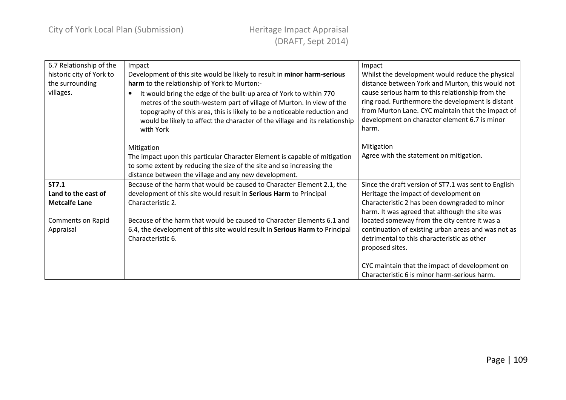| 6.7 Relationship of the  | Impact                                                                          | Impact                                               |
|--------------------------|---------------------------------------------------------------------------------|------------------------------------------------------|
| historic city of York to | Development of this site would be likely to result in minor harm-serious        | Whilst the development would reduce the physical     |
| the surrounding          | harm to the relationship of York to Murton:-                                    | distance between York and Murton, this would not     |
| villages.                | It would bring the edge of the built-up area of York to within 770<br>$\bullet$ | cause serious harm to this relationship from the     |
|                          | metres of the south-western part of village of Murton. In view of the           | ring road. Furthermore the development is distant    |
|                          | topography of this area, this is likely to be a noticeable reduction and        | from Murton Lane. CYC maintain that the impact of    |
|                          | would be likely to affect the character of the village and its relationship     | development on character element 6.7 is minor        |
|                          | with York                                                                       | harm.                                                |
|                          |                                                                                 |                                                      |
|                          | Mitigation                                                                      | <b>Mitigation</b>                                    |
|                          | The impact upon this particular Character Element is capable of mitigation      | Agree with the statement on mitigation.              |
|                          | to some extent by reducing the size of the site and so increasing the           |                                                      |
|                          | distance between the village and any new development.                           |                                                      |
| ST7.1                    | Because of the harm that would be caused to Character Element 2.1, the          | Since the draft version of ST7.1 was sent to English |
| Land to the east of      | development of this site would result in Serious Harm to Principal              | Heritage the impact of development on                |
| <b>Metcalfe Lane</b>     | Characteristic 2.                                                               | Characteristic 2 has been downgraded to minor        |
|                          |                                                                                 | harm. It was agreed that although the site was       |
| Comments on Rapid        | Because of the harm that would be caused to Character Elements 6.1 and          | located someway from the city centre it was a        |
| Appraisal                | 6.4, the development of this site would result in Serious Harm to Principal     | continuation of existing urban areas and was not as  |
|                          | Characteristic 6.                                                               | detrimental to this characteristic as other          |
|                          |                                                                                 | proposed sites.                                      |
|                          |                                                                                 |                                                      |
|                          |                                                                                 | CYC maintain that the impact of development on       |
|                          |                                                                                 | Characteristic 6 is minor harm-serious harm.         |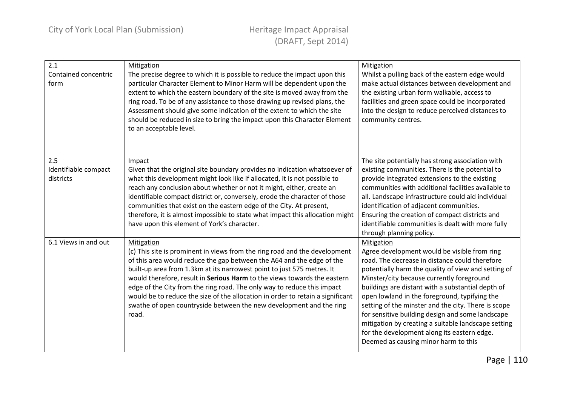| 2.1<br>Contained concentric<br>form      | <b>Mitigation</b><br>The precise degree to which it is possible to reduce the impact upon this<br>particular Character Element to Minor Harm will be dependent upon the<br>extent to which the eastern boundary of the site is moved away from the<br>ring road. To be of any assistance to those drawing up revised plans, the<br>Assessment should give some indication of the extent to which the site<br>should be reduced in size to bring the impact upon this Character Element<br>to an acceptable level.                                                    | Mitigation<br>Whilst a pulling back of the eastern edge would<br>make actual distances between development and<br>the existing urban form walkable, access to<br>facilities and green space could be incorporated<br>into the design to reduce perceived distances to<br>community centres.                                                                                                                                                                                                                                                                                     |
|------------------------------------------|----------------------------------------------------------------------------------------------------------------------------------------------------------------------------------------------------------------------------------------------------------------------------------------------------------------------------------------------------------------------------------------------------------------------------------------------------------------------------------------------------------------------------------------------------------------------|---------------------------------------------------------------------------------------------------------------------------------------------------------------------------------------------------------------------------------------------------------------------------------------------------------------------------------------------------------------------------------------------------------------------------------------------------------------------------------------------------------------------------------------------------------------------------------|
| 2.5<br>Identifiable compact<br>districts | Impact<br>Given that the original site boundary provides no indication whatsoever of<br>what this development might look like if allocated, it is not possible to<br>reach any conclusion about whether or not it might, either, create an<br>identifiable compact district or, conversely, erode the character of those<br>communities that exist on the eastern edge of the City. At present,<br>therefore, it is almost impossible to state what impact this allocation might<br>have upon this element of York's character.                                      | The site potentially has strong association with<br>existing communities. There is the potential to<br>provide integrated extensions to the existing<br>communities with additional facilities available to<br>all. Landscape infrastructure could aid individual<br>identification of adjacent communities.<br>Ensuring the creation of compact districts and<br>identifiable communities is dealt with more fully<br>through planning policy.                                                                                                                                 |
| 6.1 Views in and out                     | Mitigation<br>(c) This site is prominent in views from the ring road and the development<br>of this area would reduce the gap between the A64 and the edge of the<br>built-up area from 1.3km at its narrowest point to just 575 metres. It<br>would therefore, result in Serious Harm to the views towards the eastern<br>edge of the City from the ring road. The only way to reduce this impact<br>would be to reduce the size of the allocation in order to retain a significant<br>swathe of open countryside between the new development and the ring<br>road. | Mitigation<br>Agree development would be visible from ring<br>road. The decrease in distance could therefore<br>potentially harm the quality of view and setting of<br>Minster/city because currently foreground<br>buildings are distant with a substantial depth of<br>open lowland in the foreground, typifying the<br>setting of the minster and the city. There is scope<br>for sensitive building design and some landscape<br>mitigation by creating a suitable landscape setting<br>for the development along its eastern edge.<br>Deemed as causing minor harm to this |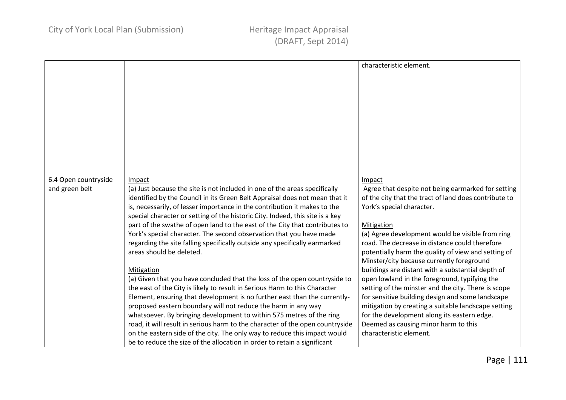|                      |                                                                                      | characteristic element.                                      |
|----------------------|--------------------------------------------------------------------------------------|--------------------------------------------------------------|
|                      |                                                                                      |                                                              |
|                      |                                                                                      |                                                              |
|                      |                                                                                      |                                                              |
|                      |                                                                                      |                                                              |
|                      |                                                                                      |                                                              |
|                      |                                                                                      |                                                              |
|                      |                                                                                      |                                                              |
|                      |                                                                                      |                                                              |
|                      |                                                                                      |                                                              |
|                      |                                                                                      |                                                              |
|                      |                                                                                      |                                                              |
| 6.4 Open countryside |                                                                                      |                                                              |
| and green belt       | Impact<br>(a) Just because the site is not included in one of the areas specifically | Impact<br>Agree that despite not being earmarked for setting |
|                      | identified by the Council in its Green Belt Appraisal does not mean that it          | of the city that the tract of land does contribute to        |
|                      | is, necessarily, of lesser importance in the contribution it makes to the            | York's special character.                                    |
|                      | special character or setting of the historic City. Indeed, this site is a key        |                                                              |
|                      | part of the swathe of open land to the east of the City that contributes to          | Mitigation                                                   |
|                      | York's special character. The second observation that you have made                  | (a) Agree development would be visible from ring             |
|                      | regarding the site falling specifically outside any specifically earmarked           | road. The decrease in distance could therefore               |
|                      | areas should be deleted.                                                             | potentially harm the quality of view and setting of          |
|                      |                                                                                      | Minster/city because currently foreground                    |
|                      | Mitigation                                                                           | buildings are distant with a substantial depth of            |
|                      | (a) Given that you have concluded that the loss of the open countryside to           | open lowland in the foreground, typifying the                |
|                      | the east of the City is likely to result in Serious Harm to this Character           | setting of the minster and the city. There is scope          |
|                      | Element, ensuring that development is no further east than the currently-            | for sensitive building design and some landscape             |
|                      | proposed eastern boundary will not reduce the harm in any way                        | mitigation by creating a suitable landscape setting          |
|                      | whatsoever. By bringing development to within 575 metres of the ring                 | for the development along its eastern edge.                  |
|                      | road, it will result in serious harm to the character of the open countryside        | Deemed as causing minor harm to this                         |
|                      | on the eastern side of the city. The only way to reduce this impact would            | characteristic element.                                      |
|                      | be to reduce the size of the allocation in order to retain a significant             |                                                              |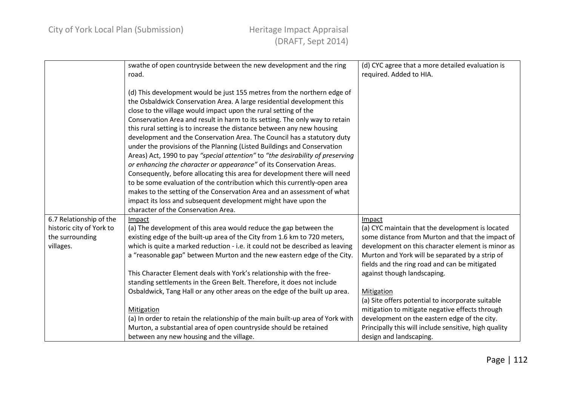|                          | swathe of open countryside between the new development and the ring<br>road.                                                                        | (d) CYC agree that a more detailed evaluation is<br>required. Added to HIA.                      |
|--------------------------|-----------------------------------------------------------------------------------------------------------------------------------------------------|--------------------------------------------------------------------------------------------------|
|                          | (d) This development would be just 155 metres from the northern edge of                                                                             |                                                                                                  |
|                          | the Osbaldwick Conservation Area. A large residential development this<br>close to the village would impact upon the rural setting of the           |                                                                                                  |
|                          | Conservation Area and result in harm to its setting. The only way to retain                                                                         |                                                                                                  |
|                          | this rural setting is to increase the distance between any new housing                                                                              |                                                                                                  |
|                          | development and the Conservation Area. The Council has a statutory duty                                                                             |                                                                                                  |
|                          | under the provisions of the Planning (Listed Buildings and Conservation                                                                             |                                                                                                  |
|                          | Areas) Act, 1990 to pay "special attention" to "the desirability of preserving                                                                      |                                                                                                  |
|                          | or enhancing the character or appearance" of its Conservation Areas.                                                                                |                                                                                                  |
|                          | Consequently, before allocating this area for development there will need                                                                           |                                                                                                  |
|                          | to be some evaluation of the contribution which this currently-open area<br>makes to the setting of the Conservation Area and an assessment of what |                                                                                                  |
|                          | impact its loss and subsequent development might have upon the                                                                                      |                                                                                                  |
|                          | character of the Conservation Area.                                                                                                                 |                                                                                                  |
| 6.7 Relationship of the  | Impact                                                                                                                                              | Impact                                                                                           |
| historic city of York to | (a) The development of this area would reduce the gap between the                                                                                   | (a) CYC maintain that the development is located                                                 |
| the surrounding          | existing edge of the built-up area of the City from 1.6 km to 720 meters,                                                                           | some distance from Murton and that the impact of                                                 |
| villages.                | which is quite a marked reduction - i.e. it could not be described as leaving                                                                       | development on this character element is minor as                                                |
|                          | a "reasonable gap" between Murton and the new eastern edge of the City.                                                                             | Murton and York will be separated by a strip of<br>fields and the ring road and can be mitigated |
|                          | This Character Element deals with York's relationship with the free-                                                                                | against though landscaping.                                                                      |
|                          | standing settlements in the Green Belt. Therefore, it does not include                                                                              |                                                                                                  |
|                          | Osbaldwick, Tang Hall or any other areas on the edge of the built up area.                                                                          | Mitigation                                                                                       |
|                          |                                                                                                                                                     | (a) Site offers potential to incorporate suitable                                                |
|                          | Mitigation                                                                                                                                          | mitigation to mitigate negative effects through                                                  |
|                          | (a) In order to retain the relationship of the main built-up area of York with                                                                      | development on the eastern edge of the city.                                                     |
|                          | Murton, a substantial area of open countryside should be retained                                                                                   | Principally this will include sensitive, high quality                                            |
|                          | between any new housing and the village.                                                                                                            | design and landscaping.                                                                          |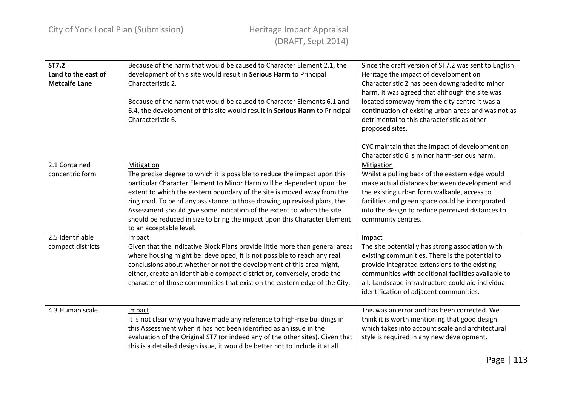| <b>ST7.2</b><br>Land to the east of<br><b>Metcalfe Lane</b> | Because of the harm that would be caused to Character Element 2.1, the<br>development of this site would result in Serious Harm to Principal<br>Characteristic 2.<br>Because of the harm that would be caused to Character Elements 6.1 and<br>6.4, the development of this site would result in Serious Harm to Principal<br>Characteristic 6.                                                                                                                                                            | Since the draft version of ST7.2 was sent to English<br>Heritage the impact of development on<br>Characteristic 2 has been downgraded to minor<br>harm. It was agreed that although the site was<br>located someway from the city centre it was a<br>continuation of existing urban areas and was not as<br>detrimental to this characteristic as other<br>proposed sites. |
|-------------------------------------------------------------|------------------------------------------------------------------------------------------------------------------------------------------------------------------------------------------------------------------------------------------------------------------------------------------------------------------------------------------------------------------------------------------------------------------------------------------------------------------------------------------------------------|----------------------------------------------------------------------------------------------------------------------------------------------------------------------------------------------------------------------------------------------------------------------------------------------------------------------------------------------------------------------------|
|                                                             |                                                                                                                                                                                                                                                                                                                                                                                                                                                                                                            | CYC maintain that the impact of development on<br>Characteristic 6 is minor harm-serious harm.                                                                                                                                                                                                                                                                             |
| 2.1 Contained<br>concentric form                            | Mitigation<br>The precise degree to which it is possible to reduce the impact upon this<br>particular Character Element to Minor Harm will be dependent upon the<br>extent to which the eastern boundary of the site is moved away from the<br>ring road. To be of any assistance to those drawing up revised plans, the<br>Assessment should give some indication of the extent to which the site<br>should be reduced in size to bring the impact upon this Character Element<br>to an acceptable level. | Mitigation<br>Whilst a pulling back of the eastern edge would<br>make actual distances between development and<br>the existing urban form walkable, access to<br>facilities and green space could be incorporated<br>into the design to reduce perceived distances to<br>community centres.                                                                                |
| 2.5 Identifiable<br>compact districts                       | Impact<br>Given that the Indicative Block Plans provide little more than general areas<br>where housing might be developed, it is not possible to reach any real<br>conclusions about whether or not the development of this area might,<br>either, create an identifiable compact district or, conversely, erode the<br>character of those communities that exist on the eastern edge of the City.                                                                                                        | Impact<br>The site potentially has strong association with<br>existing communities. There is the potential to<br>provide integrated extensions to the existing<br>communities with additional facilities available to<br>all. Landscape infrastructure could aid individual<br>identification of adjacent communities.                                                     |
| 4.3 Human scale                                             | Impact<br>It is not clear why you have made any reference to high-rise buildings in<br>this Assessment when it has not been identified as an issue in the<br>evaluation of the Original ST7 (or indeed any of the other sites). Given that<br>this is a detailed design issue, it would be better not to include it at all.                                                                                                                                                                                | This was an error and has been corrected. We<br>think it is worth mentioning that good design<br>which takes into account scale and architectural<br>style is required in any new development.                                                                                                                                                                             |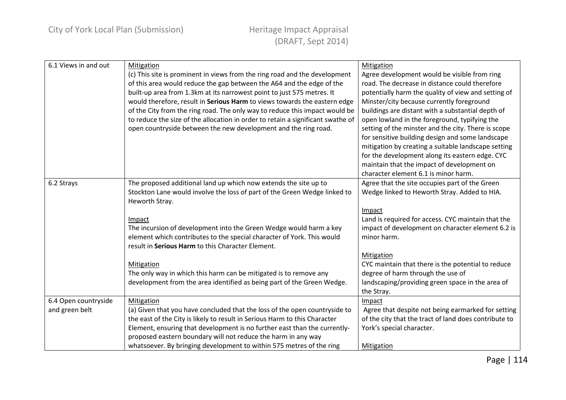| 6.1 Views in and out | Mitigation                                                                      | Mitigation                                            |
|----------------------|---------------------------------------------------------------------------------|-------------------------------------------------------|
|                      | (c) This site is prominent in views from the ring road and the development      | Agree development would be visible from ring          |
|                      | of this area would reduce the gap between the A64 and the edge of the           | road. The decrease in distance could therefore        |
|                      | built-up area from 1.3km at its narrowest point to just 575 metres. It          | potentially harm the quality of view and setting of   |
|                      | would therefore, result in Serious Harm to views towards the eastern edge       | Minster/city because currently foreground             |
|                      | of the City from the ring road. The only way to reduce this impact would be     | buildings are distant with a substantial depth of     |
|                      | to reduce the size of the allocation in order to retain a significant swathe of | open lowland in the foreground, typifying the         |
|                      | open countryside between the new development and the ring road.                 | setting of the minster and the city. There is scope   |
|                      |                                                                                 | for sensitive building design and some landscape      |
|                      |                                                                                 | mitigation by creating a suitable landscape setting   |
|                      |                                                                                 | for the development along its eastern edge. CYC       |
|                      |                                                                                 | maintain that the impact of development on            |
|                      |                                                                                 | character element 6.1 is minor harm.                  |
| 6.2 Strays           | The proposed additional land up which now extends the site up to                | Agree that the site occupies part of the Green        |
|                      | Stockton Lane would involve the loss of part of the Green Wedge linked to       | Wedge linked to Heworth Stray. Added to HIA.          |
|                      | Heworth Stray.                                                                  |                                                       |
|                      |                                                                                 | Impact                                                |
|                      | Impact                                                                          | Land is required for access. CYC maintain that the    |
|                      | The incursion of development into the Green Wedge would harm a key              | impact of development on character element 6.2 is     |
|                      | element which contributes to the special character of York. This would          | minor harm.                                           |
|                      | result in Serious Harm to this Character Element.                               |                                                       |
|                      |                                                                                 | <b>Mitigation</b>                                     |
|                      | Mitigation                                                                      | CYC maintain that there is the potential to reduce    |
|                      | The only way in which this harm can be mitigated is to remove any               | degree of harm through the use of                     |
|                      | development from the area identified as being part of the Green Wedge.          | landscaping/providing green space in the area of      |
|                      |                                                                                 | the Stray.                                            |
| 6.4 Open countryside | Mitigation                                                                      | Impact                                                |
| and green belt       | (a) Given that you have concluded that the loss of the open countryside to      | Agree that despite not being earmarked for setting    |
|                      | the east of the City is likely to result in Serious Harm to this Character      | of the city that the tract of land does contribute to |
|                      | Element, ensuring that development is no further east than the currently-       | York's special character.                             |
|                      | proposed eastern boundary will not reduce the harm in any way                   |                                                       |
|                      | whatsoever. By bringing development to within 575 metres of the ring            | <b>Mitigation</b>                                     |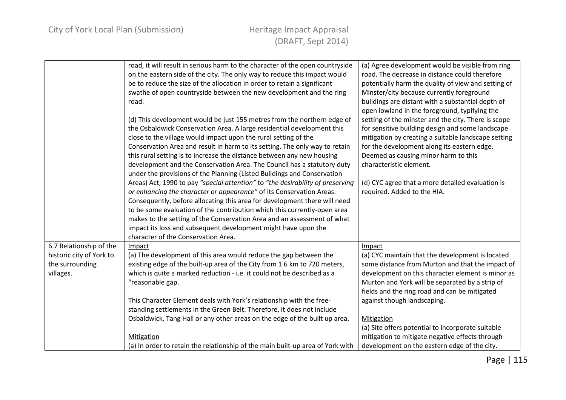|                                             | road, it will result in serious harm to the character of the open countryside<br>on the eastern side of the city. The only way to reduce this impact would                                                           | (a) Agree development would be visible from ring<br>road. The decrease in distance could therefore                                                             |
|---------------------------------------------|----------------------------------------------------------------------------------------------------------------------------------------------------------------------------------------------------------------------|----------------------------------------------------------------------------------------------------------------------------------------------------------------|
|                                             | be to reduce the size of the allocation in order to retain a significant<br>swathe of open countryside between the new development and the ring                                                                      | potentially harm the quality of view and setting of<br>Minster/city because currently foreground                                                               |
|                                             | road.                                                                                                                                                                                                                | buildings are distant with a substantial depth of<br>open lowland in the foreground, typifying the                                                             |
|                                             | (d) This development would be just 155 metres from the northern edge of<br>the Osbaldwick Conservation Area. A large residential development this<br>close to the village would impact upon the rural setting of the | setting of the minster and the city. There is scope<br>for sensitive building design and some landscape<br>mitigation by creating a suitable landscape setting |
|                                             | Conservation Area and result in harm to its setting. The only way to retain                                                                                                                                          | for the development along its eastern edge.                                                                                                                    |
|                                             | this rural setting is to increase the distance between any new housing                                                                                                                                               | Deemed as causing minor harm to this                                                                                                                           |
|                                             | development and the Conservation Area. The Council has a statutory duty<br>under the provisions of the Planning (Listed Buildings and Conservation                                                                   | characteristic element.                                                                                                                                        |
|                                             | Areas) Act, 1990 to pay "special attention" to "the desirability of preserving                                                                                                                                       | (d) CYC agree that a more detailed evaluation is                                                                                                               |
|                                             | or enhancing the character or appearance" of its Conservation Areas.<br>Consequently, before allocating this area for development there will need                                                                    | required. Added to the HIA.                                                                                                                                    |
|                                             | to be some evaluation of the contribution which this currently-open area                                                                                                                                             |                                                                                                                                                                |
|                                             | makes to the setting of the Conservation Area and an assessment of what<br>impact its loss and subsequent development might have upon the                                                                            |                                                                                                                                                                |
|                                             | character of the Conservation Area.                                                                                                                                                                                  |                                                                                                                                                                |
| 6.7 Relationship of the                     | Impact                                                                                                                                                                                                               | Impact                                                                                                                                                         |
| historic city of York to<br>the surrounding | (a) The development of this area would reduce the gap between the<br>existing edge of the built-up area of the City from 1.6 km to 720 meters,                                                                       | (a) CYC maintain that the development is located<br>some distance from Murton and that the impact of                                                           |
| villages.                                   | which is quite a marked reduction - i.e. it could not be described as a                                                                                                                                              | development on this character element is minor as                                                                                                              |
|                                             | "reasonable gap.                                                                                                                                                                                                     | Murton and York will be separated by a strip of                                                                                                                |
|                                             |                                                                                                                                                                                                                      | fields and the ring road and can be mitigated                                                                                                                  |
|                                             | This Character Element deals with York's relationship with the free-                                                                                                                                                 | against though landscaping.                                                                                                                                    |
|                                             | standing settlements in the Green Belt. Therefore, it does not include                                                                                                                                               |                                                                                                                                                                |
|                                             | Osbaldwick, Tang Hall or any other areas on the edge of the built up area.                                                                                                                                           | Mitigation<br>(a) Site offers potential to incorporate suitable                                                                                                |
|                                             | Mitigation                                                                                                                                                                                                           | mitigation to mitigate negative effects through                                                                                                                |
|                                             | (a) In order to retain the relationship of the main built-up area of York with                                                                                                                                       | development on the eastern edge of the city.                                                                                                                   |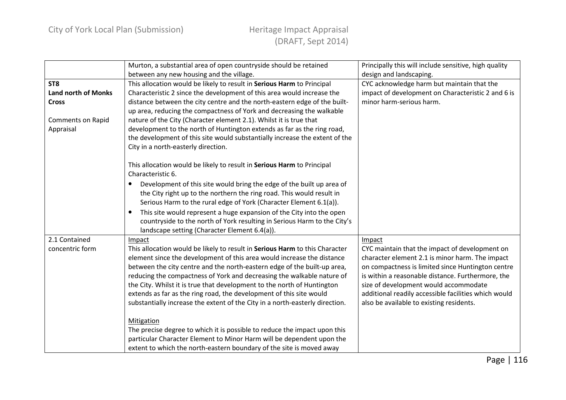|                                                               | Murton, a substantial area of open countryside should be retained<br>between any new housing and the village.                                                                                                                                                                                                                                                                                                                                                                                                                                           | Principally this will include sensitive, high quality<br>design and landscaping.                                                                                                                                                                                                                                                                                   |
|---------------------------------------------------------------|---------------------------------------------------------------------------------------------------------------------------------------------------------------------------------------------------------------------------------------------------------------------------------------------------------------------------------------------------------------------------------------------------------------------------------------------------------------------------------------------------------------------------------------------------------|--------------------------------------------------------------------------------------------------------------------------------------------------------------------------------------------------------------------------------------------------------------------------------------------------------------------------------------------------------------------|
| ST <sub>8</sub><br><b>Land north of Monks</b><br><b>Cross</b> | This allocation would be likely to result in Serious Harm to Principal<br>Characteristic 2 since the development of this area would increase the<br>distance between the city centre and the north-eastern edge of the built-                                                                                                                                                                                                                                                                                                                           | CYC acknowledge harm but maintain that the<br>impact of development on Characteristic 2 and 6 is<br>minor harm-serious harm.                                                                                                                                                                                                                                       |
| Comments on Rapid<br>Appraisal                                | up area, reducing the compactness of York and decreasing the walkable<br>nature of the City (Character element 2.1). Whilst it is true that<br>development to the north of Huntington extends as far as the ring road,<br>the development of this site would substantially increase the extent of the<br>City in a north-easterly direction.                                                                                                                                                                                                            |                                                                                                                                                                                                                                                                                                                                                                    |
|                                                               | This allocation would be likely to result in Serious Harm to Principal<br>Characteristic 6.<br>Development of this site would bring the edge of the built up area of<br>$\bullet$<br>the City right up to the northern the ring road. This would result in<br>Serious Harm to the rural edge of York (Character Element 6.1(a)).<br>This site would represent a huge expansion of the City into the open<br>$\bullet$<br>countryside to the north of York resulting in Serious Harm to the City's<br>landscape setting (Character Element 6.4(a)).      |                                                                                                                                                                                                                                                                                                                                                                    |
| 2.1 Contained<br>concentric form                              | Impact<br>This allocation would be likely to result in Serious Harm to this Character<br>element since the development of this area would increase the distance<br>between the city centre and the north-eastern edge of the built-up area,<br>reducing the compactness of York and decreasing the walkable nature of<br>the City. Whilst it is true that development to the north of Huntington<br>extends as far as the ring road, the development of this site would<br>substantially increase the extent of the City in a north-easterly direction. | Impact<br>CYC maintain that the impact of development on<br>character element 2.1 is minor harm. The impact<br>on compactness is limited since Huntington centre<br>is within a reasonable distance. Furthermore, the<br>size of development would accommodate<br>additional readily accessible facilities which would<br>also be available to existing residents. |
|                                                               | Mitigation<br>The precise degree to which it is possible to reduce the impact upon this<br>particular Character Element to Minor Harm will be dependent upon the<br>extent to which the north-eastern boundary of the site is moved away                                                                                                                                                                                                                                                                                                                |                                                                                                                                                                                                                                                                                                                                                                    |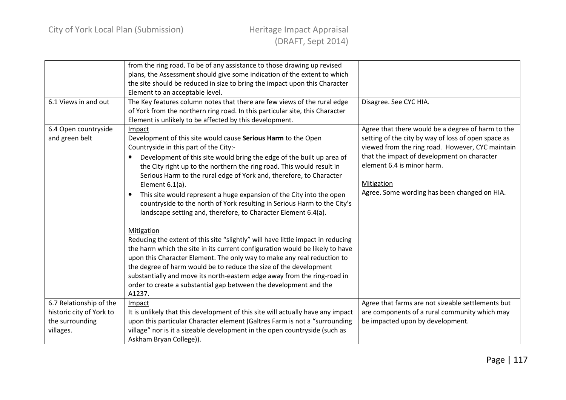|                                                                                     | from the ring road. To be of any assistance to those drawing up revised<br>plans, the Assessment should give some indication of the extent to which<br>the site should be reduced in size to bring the impact upon this Character<br>Element to an acceptable level.                                                                                                                                                                                                                                                                                                                                                                                                                                                                                                                                                                                                                                                                                                                                                                                                                                         |                                                                                                                                                                                                                                                                                                                |
|-------------------------------------------------------------------------------------|--------------------------------------------------------------------------------------------------------------------------------------------------------------------------------------------------------------------------------------------------------------------------------------------------------------------------------------------------------------------------------------------------------------------------------------------------------------------------------------------------------------------------------------------------------------------------------------------------------------------------------------------------------------------------------------------------------------------------------------------------------------------------------------------------------------------------------------------------------------------------------------------------------------------------------------------------------------------------------------------------------------------------------------------------------------------------------------------------------------|----------------------------------------------------------------------------------------------------------------------------------------------------------------------------------------------------------------------------------------------------------------------------------------------------------------|
| 6.1 Views in and out                                                                | The Key features column notes that there are few views of the rural edge<br>of York from the northern ring road. In this particular site, this Character<br>Element is unlikely to be affected by this development.                                                                                                                                                                                                                                                                                                                                                                                                                                                                                                                                                                                                                                                                                                                                                                                                                                                                                          | Disagree. See CYC HIA.                                                                                                                                                                                                                                                                                         |
| 6.4 Open countryside<br>and green belt                                              | Impact<br>Development of this site would cause Serious Harm to the Open<br>Countryside in this part of the City:-<br>Development of this site would bring the edge of the built up area of<br>$\bullet$<br>the City right up to the northern the ring road. This would result in<br>Serious Harm to the rural edge of York and, therefore, to Character<br>Element $6.1(a)$ .<br>This site would represent a huge expansion of the City into the open<br>$\bullet$<br>countryside to the north of York resulting in Serious Harm to the City's<br>landscape setting and, therefore, to Character Element 6.4(a).<br>Mitigation<br>Reducing the extent of this site "slightly" will have little impact in reducing<br>the harm which the site in its current configuration would be likely to have<br>upon this Character Element. The only way to make any real reduction to<br>the degree of harm would be to reduce the size of the development<br>substantially and move its north-eastern edge away from the ring-road in<br>order to create a substantial gap between the development and the<br>A1237. | Agree that there would be a degree of harm to the<br>setting of the city by way of loss of open space as<br>viewed from the ring road. However, CYC maintain<br>that the impact of development on character<br>element 6.4 is minor harm.<br><b>Mitigation</b><br>Agree. Some wording has been changed on HIA. |
| 6.7 Relationship of the<br>historic city of York to<br>the surrounding<br>villages. | Impact<br>It is unlikely that this development of this site will actually have any impact<br>upon this particular Character element (Galtres Farm is not a "surrounding<br>village" nor is it a sizeable development in the open countryside (such as<br>Askham Bryan College)).                                                                                                                                                                                                                                                                                                                                                                                                                                                                                                                                                                                                                                                                                                                                                                                                                             | Agree that farms are not sizeable settlements but<br>are components of a rural community which may<br>be impacted upon by development.                                                                                                                                                                         |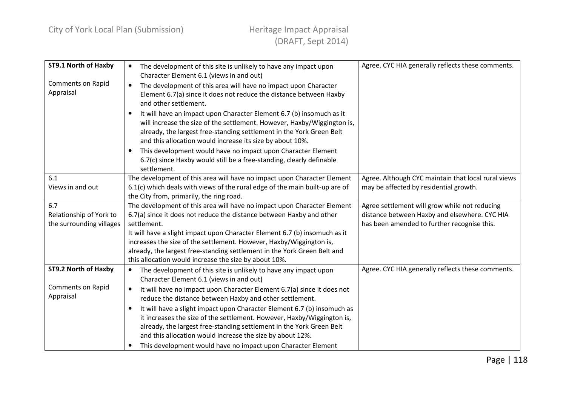| ST9.1 North of Haxby                  | The development of this site is unlikely to have any impact upon<br>$\bullet$                                                                   | Agree. CYC HIA generally reflects these comments.   |
|---------------------------------------|-------------------------------------------------------------------------------------------------------------------------------------------------|-----------------------------------------------------|
|                                       | Character Element 6.1 (views in and out)                                                                                                        |                                                     |
| <b>Comments on Rapid</b><br>Appraisal | The development of this area will have no impact upon Character                                                                                 |                                                     |
|                                       | Element 6.7(a) since it does not reduce the distance between Haxby                                                                              |                                                     |
|                                       | and other settlement.                                                                                                                           |                                                     |
|                                       | It will have an impact upon Character Element 6.7 (b) insomuch as it                                                                            |                                                     |
|                                       | will increase the size of the settlement. However, Haxby/Wiggington is,                                                                         |                                                     |
|                                       | already, the largest free-standing settlement in the York Green Belt                                                                            |                                                     |
|                                       | and this allocation would increase its size by about 10%.                                                                                       |                                                     |
|                                       | This development would have no impact upon Character Element<br>$\bullet$                                                                       |                                                     |
|                                       | 6.7(c) since Haxby would still be a free-standing, clearly definable                                                                            |                                                     |
|                                       | settlement.                                                                                                                                     |                                                     |
| 6.1                                   | The development of this area will have no impact upon Character Element                                                                         | Agree. Although CYC maintain that local rural views |
| Views in and out                      | 6.1(c) which deals with views of the rural edge of the main built-up are of                                                                     | may be affected by residential growth.              |
|                                       | the City from, primarily, the ring road.                                                                                                        |                                                     |
| 6.7                                   | The development of this area will have no impact upon Character Element                                                                         | Agree settlement will grow while not reducing       |
| Relationship of York to               | 6.7(a) since it does not reduce the distance between Haxby and other                                                                            | distance between Haxby and elsewhere. CYC HIA       |
| the surrounding villages              | settlement.                                                                                                                                     | has been amended to further recognise this.         |
|                                       | It will have a slight impact upon Character Element 6.7 (b) insomuch as it                                                                      |                                                     |
|                                       | increases the size of the settlement. However, Haxby/Wiggington is,<br>already, the largest free-standing settlement in the York Green Belt and |                                                     |
|                                       | this allocation would increase the size by about 10%.                                                                                           |                                                     |
| ST9.2 North of Haxby                  |                                                                                                                                                 | Agree. CYC HIA generally reflects these comments.   |
|                                       | The development of this site is unlikely to have any impact upon<br>Character Element 6.1 (views in and out)                                    |                                                     |
| <b>Comments on Rapid</b>              |                                                                                                                                                 |                                                     |
| Appraisal                             | It will have no impact upon Character Element 6.7(a) since it does not                                                                          |                                                     |
|                                       | reduce the distance between Haxby and other settlement.                                                                                         |                                                     |
|                                       | It will have a slight impact upon Character Element 6.7 (b) insomuch as                                                                         |                                                     |
|                                       | it increases the size of the settlement. However, Haxby/Wiggington is,                                                                          |                                                     |
|                                       | already, the largest free-standing settlement in the York Green Belt                                                                            |                                                     |
|                                       | and this allocation would increase the size by about 12%.                                                                                       |                                                     |
|                                       | This development would have no impact upon Character Element                                                                                    |                                                     |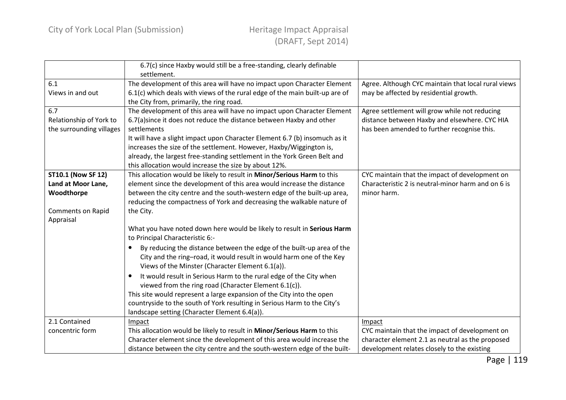|                                                                                                 | 6.7(c) since Haxby would still be a free-standing, clearly definable<br>settlement.                                                                                                                                                                                                                                                                                                                                                                                                                                                                                                                                           |                                                                                                                                                             |
|-------------------------------------------------------------------------------------------------|-------------------------------------------------------------------------------------------------------------------------------------------------------------------------------------------------------------------------------------------------------------------------------------------------------------------------------------------------------------------------------------------------------------------------------------------------------------------------------------------------------------------------------------------------------------------------------------------------------------------------------|-------------------------------------------------------------------------------------------------------------------------------------------------------------|
| 6.1<br>Views in and out                                                                         | The development of this area will have no impact upon Character Element<br>6.1(c) which deals with views of the rural edge of the main built-up are of<br>the City from, primarily, the ring road.                                                                                                                                                                                                                                                                                                                                                                                                                            | Agree. Although CYC maintain that local rural views<br>may be affected by residential growth.                                                               |
| 6.7<br>Relationship of York to<br>the surrounding villages                                      | The development of this area will have no impact upon Character Element<br>6.7(a)since it does not reduce the distance between Haxby and other<br>settlements<br>It will have a slight impact upon Character Element 6.7 (b) insomuch as it<br>increases the size of the settlement. However, Haxby/Wiggington is,<br>already, the largest free-standing settlement in the York Green Belt and<br>this allocation would increase the size by about 12%.                                                                                                                                                                       | Agree settlement will grow while not reducing<br>distance between Haxby and elsewhere. CYC HIA<br>has been amended to further recognise this.               |
| <b>ST10.1 (Now SF 12)</b><br>Land at Moor Lane,<br>Woodthorpe<br>Comments on Rapid<br>Appraisal | This allocation would be likely to result in Minor/Serious Harm to this<br>element since the development of this area would increase the distance<br>between the city centre and the south-western edge of the built-up area,<br>reducing the compactness of York and decreasing the walkable nature of<br>the City.                                                                                                                                                                                                                                                                                                          | CYC maintain that the impact of development on<br>Characteristic 2 is neutral-minor harm and on 6 is<br>minor harm.                                         |
|                                                                                                 | What you have noted down here would be likely to result in Serious Harm<br>to Principal Characteristic 6:-<br>By reducing the distance between the edge of the built-up area of the<br>$\bullet$<br>City and the ring-road, it would result in would harm one of the Key<br>Views of the Minster (Character Element 6.1(a)).<br>It would result in Serious Harm to the rural edge of the City when<br>$\bullet$<br>viewed from the ring road (Character Element 6.1(c)).<br>This site would represent a large expansion of the City into the open<br>countryside to the south of York resulting in Serious Harm to the City's |                                                                                                                                                             |
| 2.1 Contained<br>concentric form                                                                | landscape setting (Character Element 6.4(a)).<br>Impact<br>This allocation would be likely to result in Minor/Serious Harm to this<br>Character element since the development of this area would increase the<br>distance between the city centre and the south-western edge of the built-                                                                                                                                                                                                                                                                                                                                    | Impact<br>CYC maintain that the impact of development on<br>character element 2.1 as neutral as the proposed<br>development relates closely to the existing |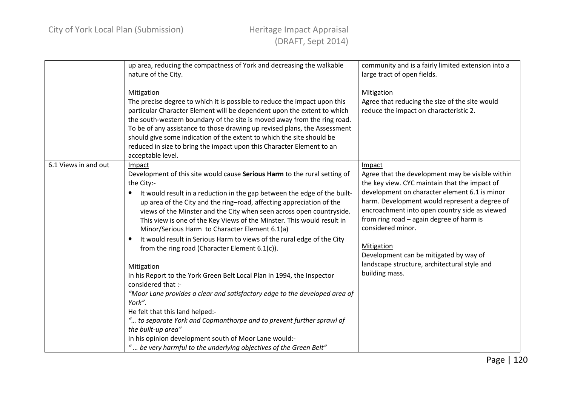|                      | up area, reducing the compactness of York and decreasing the walkable<br>nature of the City.<br>Mitigation<br>The precise degree to which it is possible to reduce the impact upon this<br>particular Character Element will be dependent upon the extent to which<br>the south-western boundary of the site is moved away from the ring road.<br>To be of any assistance to those drawing up revised plans, the Assessment                                                                                                                                                                                                                                                                                                                                                                                                                                                                                                                               | community and is a fairly limited extension into a<br>large tract of open fields.<br>Mitigation<br>Agree that reducing the size of the site would<br>reduce the impact on characteristic 2.                                                                                                                                                                                                                                                               |
|----------------------|-----------------------------------------------------------------------------------------------------------------------------------------------------------------------------------------------------------------------------------------------------------------------------------------------------------------------------------------------------------------------------------------------------------------------------------------------------------------------------------------------------------------------------------------------------------------------------------------------------------------------------------------------------------------------------------------------------------------------------------------------------------------------------------------------------------------------------------------------------------------------------------------------------------------------------------------------------------|-----------------------------------------------------------------------------------------------------------------------------------------------------------------------------------------------------------------------------------------------------------------------------------------------------------------------------------------------------------------------------------------------------------------------------------------------------------|
|                      | should give some indication of the extent to which the site should be<br>reduced in size to bring the impact upon this Character Element to an<br>acceptable level.                                                                                                                                                                                                                                                                                                                                                                                                                                                                                                                                                                                                                                                                                                                                                                                       |                                                                                                                                                                                                                                                                                                                                                                                                                                                           |
| 6.1 Views in and out | Impact<br>Development of this site would cause Serious Harm to the rural setting of<br>the City:-<br>It would result in a reduction in the gap between the edge of the built-<br>$\bullet$<br>up area of the City and the ring-road, affecting appreciation of the<br>views of the Minster and the City when seen across open countryside.<br>This view is one of the Key Views of the Minster. This would result in<br>Minor/Serious Harm to Character Element 6.1(a)<br>It would result in Serious Harm to views of the rural edge of the City<br>$\bullet$<br>from the ring road (Character Element $6.1(c)$ ).<br>Mitigation<br>In his Report to the York Green Belt Local Plan in 1994, the Inspector<br>considered that :-<br>"Moor Lane provides a clear and satisfactory edge to the developed area of<br>York".<br>He felt that this land helped:-<br>" to separate York and Copmanthorpe and to prevent further sprawl of<br>the built-up area" | Impact<br>Agree that the development may be visible within<br>the key view. CYC maintain that the impact of<br>development on character element 6.1 is minor<br>harm. Development would represent a degree of<br>encroachment into open country side as viewed<br>from ring road - again degree of harm is<br>considered minor.<br>Mitigation<br>Development can be mitigated by way of<br>landscape structure, architectural style and<br>building mass. |
|                      | In his opinion development south of Moor Lane would:-<br>" be very harmful to the underlying objectives of the Green Belt"                                                                                                                                                                                                                                                                                                                                                                                                                                                                                                                                                                                                                                                                                                                                                                                                                                |                                                                                                                                                                                                                                                                                                                                                                                                                                                           |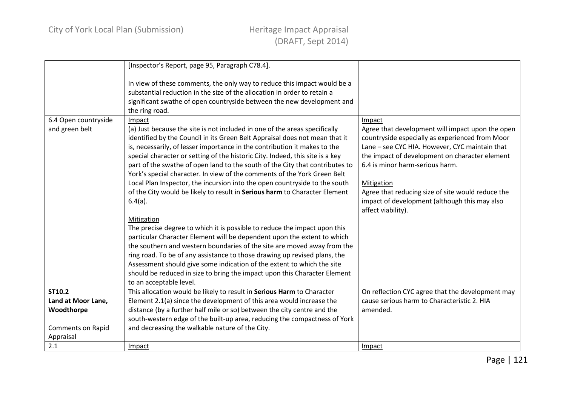|                          | [Inspector's Report, page 95, Paragraph C78.4].                                                                                                                                                                                                                                                                                                                                                                                                                                                                                                                                                                                                               |                                                                                                                                                                                                                                                                                                                                                                                             |
|--------------------------|---------------------------------------------------------------------------------------------------------------------------------------------------------------------------------------------------------------------------------------------------------------------------------------------------------------------------------------------------------------------------------------------------------------------------------------------------------------------------------------------------------------------------------------------------------------------------------------------------------------------------------------------------------------|---------------------------------------------------------------------------------------------------------------------------------------------------------------------------------------------------------------------------------------------------------------------------------------------------------------------------------------------------------------------------------------------|
|                          | In view of these comments, the only way to reduce this impact would be a<br>substantial reduction in the size of the allocation in order to retain a<br>significant swathe of open countryside between the new development and<br>the ring road.                                                                                                                                                                                                                                                                                                                                                                                                              |                                                                                                                                                                                                                                                                                                                                                                                             |
| 6.4 Open countryside     | Impact                                                                                                                                                                                                                                                                                                                                                                                                                                                                                                                                                                                                                                                        | Impact                                                                                                                                                                                                                                                                                                                                                                                      |
| and green belt           | (a) Just because the site is not included in one of the areas specifically<br>identified by the Council in its Green Belt Appraisal does not mean that it<br>is, necessarily, of lesser importance in the contribution it makes to the<br>special character or setting of the historic City. Indeed, this site is a key<br>part of the swathe of open land to the south of the City that contributes to<br>York's special character. In view of the comments of the York Green Belt<br>Local Plan Inspector, the incursion into the open countryside to the south<br>of the City would be likely to result in Serious harm to Character Element<br>$6.4(a)$ . | Agree that development will impact upon the open<br>countryside especially as experienced from Moor<br>Lane - see CYC HIA. However, CYC maintain that<br>the impact of development on character element<br>6.4 is minor harm-serious harm.<br><b>Mitigation</b><br>Agree that reducing size of site would reduce the<br>impact of development (although this may also<br>affect viability). |
|                          | Mitigation                                                                                                                                                                                                                                                                                                                                                                                                                                                                                                                                                                                                                                                    |                                                                                                                                                                                                                                                                                                                                                                                             |
|                          | The precise degree to which it is possible to reduce the impact upon this                                                                                                                                                                                                                                                                                                                                                                                                                                                                                                                                                                                     |                                                                                                                                                                                                                                                                                                                                                                                             |
|                          | particular Character Element will be dependent upon the extent to which                                                                                                                                                                                                                                                                                                                                                                                                                                                                                                                                                                                       |                                                                                                                                                                                                                                                                                                                                                                                             |
|                          | the southern and western boundaries of the site are moved away from the                                                                                                                                                                                                                                                                                                                                                                                                                                                                                                                                                                                       |                                                                                                                                                                                                                                                                                                                                                                                             |
|                          | ring road. To be of any assistance to those drawing up revised plans, the<br>Assessment should give some indication of the extent to which the site                                                                                                                                                                                                                                                                                                                                                                                                                                                                                                           |                                                                                                                                                                                                                                                                                                                                                                                             |
|                          | should be reduced in size to bring the impact upon this Character Element                                                                                                                                                                                                                                                                                                                                                                                                                                                                                                                                                                                     |                                                                                                                                                                                                                                                                                                                                                                                             |
|                          | to an acceptable level.                                                                                                                                                                                                                                                                                                                                                                                                                                                                                                                                                                                                                                       |                                                                                                                                                                                                                                                                                                                                                                                             |
| ST10.2                   | This allocation would be likely to result in Serious Harm to Character                                                                                                                                                                                                                                                                                                                                                                                                                                                                                                                                                                                        | On reflection CYC agree that the development may                                                                                                                                                                                                                                                                                                                                            |
| Land at Moor Lane,       | Element 2.1(a) since the development of this area would increase the                                                                                                                                                                                                                                                                                                                                                                                                                                                                                                                                                                                          | cause serious harm to Characteristic 2. HIA                                                                                                                                                                                                                                                                                                                                                 |
| Woodthorpe               | distance (by a further half mile or so) between the city centre and the                                                                                                                                                                                                                                                                                                                                                                                                                                                                                                                                                                                       | amended.                                                                                                                                                                                                                                                                                                                                                                                    |
|                          | south-western edge of the built-up area, reducing the compactness of York                                                                                                                                                                                                                                                                                                                                                                                                                                                                                                                                                                                     |                                                                                                                                                                                                                                                                                                                                                                                             |
| <b>Comments on Rapid</b> | and decreasing the walkable nature of the City.                                                                                                                                                                                                                                                                                                                                                                                                                                                                                                                                                                                                               |                                                                                                                                                                                                                                                                                                                                                                                             |
| Appraisal                |                                                                                                                                                                                                                                                                                                                                                                                                                                                                                                                                                                                                                                                               |                                                                                                                                                                                                                                                                                                                                                                                             |
| 2.1                      | Impact                                                                                                                                                                                                                                                                                                                                                                                                                                                                                                                                                                                                                                                        | Impact                                                                                                                                                                                                                                                                                                                                                                                      |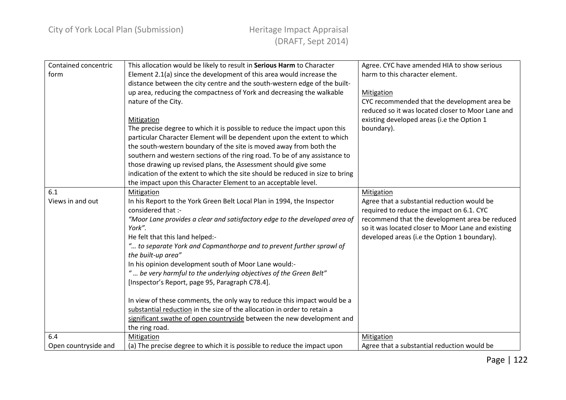| Contained concentric | This allocation would be likely to result in Serious Harm to Character        | Agree. CYC have amended HIA to show serious        |
|----------------------|-------------------------------------------------------------------------------|----------------------------------------------------|
| form                 | Element 2.1(a) since the development of this area would increase the          | harm to this character element.                    |
|                      | distance between the city centre and the south-western edge of the built-     |                                                    |
|                      | up area, reducing the compactness of York and decreasing the walkable         | Mitigation                                         |
|                      | nature of the City.                                                           | CYC recommended that the development area be       |
|                      |                                                                               | reduced so it was located closer to Moor Lane and  |
|                      | Mitigation                                                                    | existing developed areas (i.e the Option 1         |
|                      | The precise degree to which it is possible to reduce the impact upon this     | boundary).                                         |
|                      | particular Character Element will be dependent upon the extent to which       |                                                    |
|                      | the south-western boundary of the site is moved away from both the            |                                                    |
|                      | southern and western sections of the ring road. To be of any assistance to    |                                                    |
|                      | those drawing up revised plans, the Assessment should give some               |                                                    |
|                      | indication of the extent to which the site should be reduced in size to bring |                                                    |
|                      | the impact upon this Character Element to an acceptable level.                |                                                    |
| 6.1                  | Mitigation                                                                    | Mitigation                                         |
| Views in and out     | In his Report to the York Green Belt Local Plan in 1994, the Inspector        | Agree that a substantial reduction would be        |
|                      | considered that :-                                                            | required to reduce the impact on 6.1. CYC          |
|                      | "Moor Lane provides a clear and satisfactory edge to the developed area of    | recommend that the development area be reduced     |
|                      | York".                                                                        | so it was located closer to Moor Lane and existing |
|                      | He felt that this land helped:-                                               | developed areas (i.e the Option 1 boundary).       |
|                      | " to separate York and Copmanthorpe and to prevent further sprawl of          |                                                    |
|                      | the built-up area"                                                            |                                                    |
|                      | In his opinion development south of Moor Lane would:-                         |                                                    |
|                      | " be very harmful to the underlying objectives of the Green Belt"             |                                                    |
|                      | [Inspector's Report, page 95, Paragraph C78.4].                               |                                                    |
|                      |                                                                               |                                                    |
|                      | In view of these comments, the only way to reduce this impact would be a      |                                                    |
|                      | substantial reduction in the size of the allocation in order to retain a      |                                                    |
|                      | significant swathe of open countryside between the new development and        |                                                    |
|                      | the ring road.                                                                |                                                    |
| 6.4                  | Mitigation                                                                    | <b>Mitigation</b>                                  |
| Open countryside and | (a) The precise degree to which it is possible to reduce the impact upon      | Agree that a substantial reduction would be        |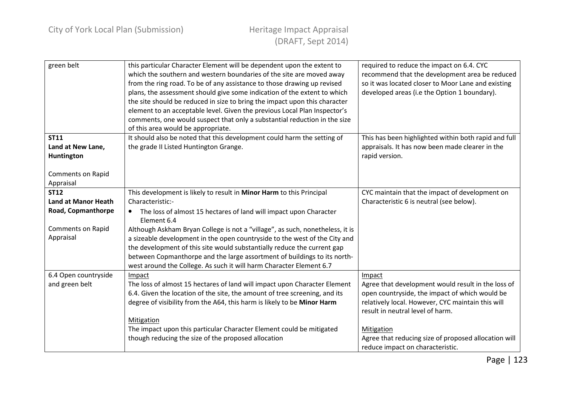| green belt                 | this particular Character Element will be dependent upon the extent to<br>which the southern and western boundaries of the site are moved away<br>from the ring road. To be of any assistance to those drawing up revised<br>plans, the assessment should give some indication of the extent to which<br>the site should be reduced in size to bring the impact upon this character<br>element to an acceptable level. Given the previous Local Plan Inspector's<br>comments, one would suspect that only a substantial reduction in the size<br>of this area would be appropriate. | required to reduce the impact on 6.4. CYC<br>recommend that the development area be reduced<br>so it was located closer to Moor Lane and existing<br>developed areas (i.e the Option 1 boundary). |
|----------------------------|-------------------------------------------------------------------------------------------------------------------------------------------------------------------------------------------------------------------------------------------------------------------------------------------------------------------------------------------------------------------------------------------------------------------------------------------------------------------------------------------------------------------------------------------------------------------------------------|---------------------------------------------------------------------------------------------------------------------------------------------------------------------------------------------------|
| <b>ST11</b>                | It should also be noted that this development could harm the setting of                                                                                                                                                                                                                                                                                                                                                                                                                                                                                                             | This has been highlighted within both rapid and full                                                                                                                                              |
| Land at New Lane,          | the grade II Listed Huntington Grange.                                                                                                                                                                                                                                                                                                                                                                                                                                                                                                                                              | appraisals. It has now been made clearer in the                                                                                                                                                   |
| Huntington                 |                                                                                                                                                                                                                                                                                                                                                                                                                                                                                                                                                                                     | rapid version.                                                                                                                                                                                    |
|                            |                                                                                                                                                                                                                                                                                                                                                                                                                                                                                                                                                                                     |                                                                                                                                                                                                   |
| <b>Comments on Rapid</b>   |                                                                                                                                                                                                                                                                                                                                                                                                                                                                                                                                                                                     |                                                                                                                                                                                                   |
| Appraisal                  |                                                                                                                                                                                                                                                                                                                                                                                                                                                                                                                                                                                     |                                                                                                                                                                                                   |
| <b>ST12</b>                | This development is likely to result in Minor Harm to this Principal                                                                                                                                                                                                                                                                                                                                                                                                                                                                                                                | CYC maintain that the impact of development on                                                                                                                                                    |
| <b>Land at Manor Heath</b> | Characteristic:-                                                                                                                                                                                                                                                                                                                                                                                                                                                                                                                                                                    | Characteristic 6 is neutral (see below).                                                                                                                                                          |
| Road, Copmanthorpe         | The loss of almost 15 hectares of land will impact upon Character<br>Element 6.4                                                                                                                                                                                                                                                                                                                                                                                                                                                                                                    |                                                                                                                                                                                                   |
| <b>Comments on Rapid</b>   | Although Askham Bryan College is not a "village", as such, nonetheless, it is                                                                                                                                                                                                                                                                                                                                                                                                                                                                                                       |                                                                                                                                                                                                   |
| Appraisal                  | a sizeable development in the open countryside to the west of the City and                                                                                                                                                                                                                                                                                                                                                                                                                                                                                                          |                                                                                                                                                                                                   |
|                            | the development of this site would substantially reduce the current gap                                                                                                                                                                                                                                                                                                                                                                                                                                                                                                             |                                                                                                                                                                                                   |
|                            | between Copmanthorpe and the large assortment of buildings to its north-                                                                                                                                                                                                                                                                                                                                                                                                                                                                                                            |                                                                                                                                                                                                   |
|                            | west around the College. As such it will harm Character Element 6.7                                                                                                                                                                                                                                                                                                                                                                                                                                                                                                                 |                                                                                                                                                                                                   |
| 6.4 Open countryside       | Impact                                                                                                                                                                                                                                                                                                                                                                                                                                                                                                                                                                              | Impact                                                                                                                                                                                            |
| and green belt             | The loss of almost 15 hectares of land will impact upon Character Element                                                                                                                                                                                                                                                                                                                                                                                                                                                                                                           | Agree that development would result in the loss of                                                                                                                                                |
|                            | 6.4. Given the location of the site, the amount of tree screening, and its                                                                                                                                                                                                                                                                                                                                                                                                                                                                                                          | open countryside, the impact of which would be                                                                                                                                                    |
|                            | degree of visibility from the A64, this harm is likely to be Minor Harm                                                                                                                                                                                                                                                                                                                                                                                                                                                                                                             | relatively local. However, CYC maintain this will                                                                                                                                                 |
|                            |                                                                                                                                                                                                                                                                                                                                                                                                                                                                                                                                                                                     | result in neutral level of harm.                                                                                                                                                                  |
|                            | Mitigation                                                                                                                                                                                                                                                                                                                                                                                                                                                                                                                                                                          |                                                                                                                                                                                                   |
|                            | The impact upon this particular Character Element could be mitigated                                                                                                                                                                                                                                                                                                                                                                                                                                                                                                                | Mitigation                                                                                                                                                                                        |
|                            | though reducing the size of the proposed allocation                                                                                                                                                                                                                                                                                                                                                                                                                                                                                                                                 | Agree that reducing size of proposed allocation will                                                                                                                                              |
|                            |                                                                                                                                                                                                                                                                                                                                                                                                                                                                                                                                                                                     | reduce impact on characteristic.                                                                                                                                                                  |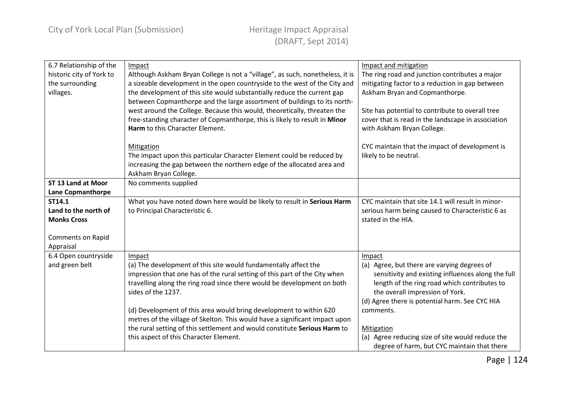| 6.7 Relationship of the  | Impact                                                                        | Impact and mitigation                              |
|--------------------------|-------------------------------------------------------------------------------|----------------------------------------------------|
| historic city of York to | Although Askham Bryan College is not a "village", as such, nonetheless, it is | The ring road and junction contributes a major     |
| the surrounding          | a sizeable development in the open countryside to the west of the City and    | mitigating factor to a reduction in gap between    |
| villages.                | the development of this site would substantially reduce the current gap       | Askham Bryan and Copmanthorpe.                     |
|                          | between Copmanthorpe and the large assortment of buildings to its north-      |                                                    |
|                          | west around the College. Because this would, theoretically, threaten the      | Site has potential to contribute to overall tree   |
|                          | free-standing character of Copmanthorpe, this is likely to result in Minor    | cover that is read in the landscape in association |
|                          | Harm to this Character Element.                                               | with Askham Bryan College.                         |
|                          |                                                                               |                                                    |
|                          | Mitigation                                                                    | CYC maintain that the impact of development is     |
|                          | The impact upon this particular Character Element could be reduced by         | likely to be neutral.                              |
|                          | increasing the gap between the northern edge of the allocated area and        |                                                    |
|                          | Askham Bryan College.                                                         |                                                    |
| ST 13 Land at Moor       | No comments supplied                                                          |                                                    |
| <b>Lane Copmanthorpe</b> |                                                                               |                                                    |
| ST14.1                   | What you have noted down here would be likely to result in Serious Harm       | CYC maintain that site 14.1 will result in minor-  |
| Land to the north of     | to Principal Characteristic 6.                                                | serious harm being caused to Characteristic 6 as   |
| <b>Monks Cross</b>       |                                                                               | stated in the HIA.                                 |
|                          |                                                                               |                                                    |
| <b>Comments on Rapid</b> |                                                                               |                                                    |
| Appraisal                |                                                                               |                                                    |
| 6.4 Open countryside     | Impact                                                                        | Impact                                             |
| and green belt           | (a) The development of this site would fundamentally affect the               | (a) Agree, but there are varying degrees of        |
|                          | impression that one has of the rural setting of this part of the City when    | sensitivity and existing influences along the full |
|                          | travelling along the ring road since there would be development on both       | length of the ring road which contributes to       |
|                          | sides of the 1237.                                                            | the overall impression of York.                    |
|                          |                                                                               | (d) Agree there is potential harm. See CYC HIA     |
|                          | (d) Development of this area would bring development to within 620            | comments.                                          |
|                          | metres of the village of Skelton. This would have a significant impact upon   |                                                    |
|                          | the rural setting of this settlement and would constitute Serious Harm to     | Mitigation                                         |
|                          | this aspect of this Character Element.                                        | (a) Agree reducing size of site would reduce the   |
|                          |                                                                               | degree of harm, but CYC maintain that there        |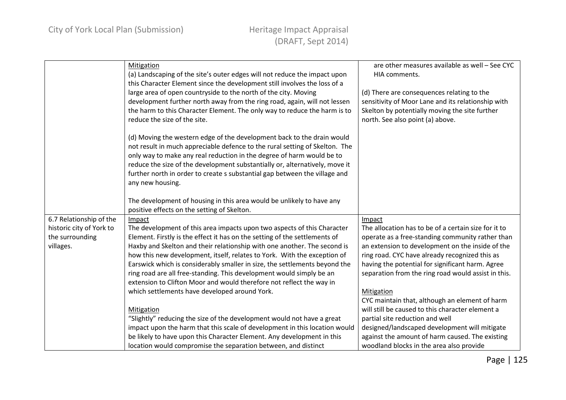|                                                     | <b>Mitigation</b><br>(a) Landscaping of the site's outer edges will not reduce the impact upon<br>this Character Element since the development still involves the loss of a<br>large area of open countryside to the north of the city. Moving<br>development further north away from the ring road, again, will not lessen<br>the harm to this Character Element. The only way to reduce the harm is to        | are other measures available as well - See CYC<br>HIA comments.<br>(d) There are consequences relating to the<br>sensitivity of Moor Lane and its relationship with<br>Skelton by potentially moving the site further |
|-----------------------------------------------------|-----------------------------------------------------------------------------------------------------------------------------------------------------------------------------------------------------------------------------------------------------------------------------------------------------------------------------------------------------------------------------------------------------------------|-----------------------------------------------------------------------------------------------------------------------------------------------------------------------------------------------------------------------|
|                                                     | reduce the size of the site.                                                                                                                                                                                                                                                                                                                                                                                    | north. See also point (a) above.                                                                                                                                                                                      |
|                                                     | (d) Moving the western edge of the development back to the drain would<br>not result in much appreciable defence to the rural setting of Skelton. The<br>only way to make any real reduction in the degree of harm would be to<br>reduce the size of the development substantially or, alternatively, move it<br>further north in order to create s substantial gap between the village and<br>any new housing. |                                                                                                                                                                                                                       |
|                                                     | The development of housing in this area would be unlikely to have any<br>positive effects on the setting of Skelton.                                                                                                                                                                                                                                                                                            |                                                                                                                                                                                                                       |
|                                                     |                                                                                                                                                                                                                                                                                                                                                                                                                 |                                                                                                                                                                                                                       |
| 6.7 Relationship of the<br>historic city of York to | Impact<br>The development of this area impacts upon two aspects of this Character                                                                                                                                                                                                                                                                                                                               | Impact<br>The allocation has to be of a certain size for it to                                                                                                                                                        |
| the surrounding                                     | Element. Firstly is the effect it has on the setting of the settlements of                                                                                                                                                                                                                                                                                                                                      | operate as a free-standing community rather than                                                                                                                                                                      |
| villages.                                           | Haxby and Skelton and their relationship with one another. The second is                                                                                                                                                                                                                                                                                                                                        | an extension to development on the inside of the                                                                                                                                                                      |
|                                                     | how this new development, itself, relates to York. With the exception of                                                                                                                                                                                                                                                                                                                                        | ring road. CYC have already recognized this as                                                                                                                                                                        |
|                                                     | Earswick which is considerably smaller in size, the settlements beyond the                                                                                                                                                                                                                                                                                                                                      | having the potential for significant harm. Agree                                                                                                                                                                      |
|                                                     | ring road are all free-standing. This development would simply be an                                                                                                                                                                                                                                                                                                                                            | separation from the ring road would assist in this.                                                                                                                                                                   |
|                                                     | extension to Clifton Moor and would therefore not reflect the way in                                                                                                                                                                                                                                                                                                                                            |                                                                                                                                                                                                                       |
|                                                     | which settlements have developed around York.                                                                                                                                                                                                                                                                                                                                                                   | Mitigation                                                                                                                                                                                                            |
|                                                     |                                                                                                                                                                                                                                                                                                                                                                                                                 | CYC maintain that, although an element of harm                                                                                                                                                                        |
|                                                     | Mitigation                                                                                                                                                                                                                                                                                                                                                                                                      | will still be caused to this character element a                                                                                                                                                                      |
|                                                     | "Slightly" reducing the size of the development would not have a great                                                                                                                                                                                                                                                                                                                                          | partial site reduction and well                                                                                                                                                                                       |
|                                                     | impact upon the harm that this scale of development in this location would                                                                                                                                                                                                                                                                                                                                      | designed/landscaped development will mitigate                                                                                                                                                                         |
|                                                     | be likely to have upon this Character Element. Any development in this                                                                                                                                                                                                                                                                                                                                          | against the amount of harm caused. The existing                                                                                                                                                                       |
|                                                     | location would compromise the separation between, and distinct                                                                                                                                                                                                                                                                                                                                                  | woodland blocks in the area also provide                                                                                                                                                                              |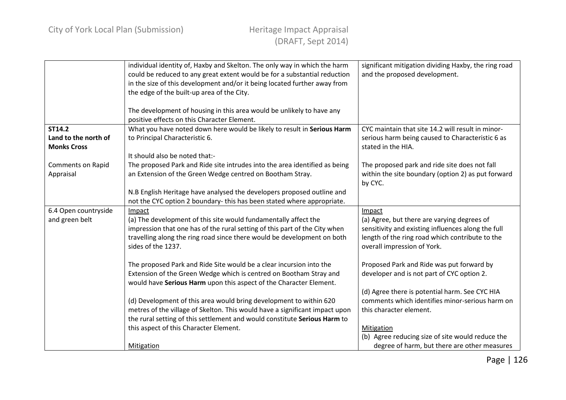|                                            | individual identity of, Haxby and Skelton. The only way in which the harm<br>could be reduced to any great extent would be for a substantial reduction<br>in the size of this development and/or it being located further away from<br>the edge of the built-up area of the City. | significant mitigation dividing Haxby, the ring road<br>and the proposed development.                          |
|--------------------------------------------|-----------------------------------------------------------------------------------------------------------------------------------------------------------------------------------------------------------------------------------------------------------------------------------|----------------------------------------------------------------------------------------------------------------|
|                                            | The development of housing in this area would be unlikely to have any<br>positive effects on this Character Element.                                                                                                                                                              |                                                                                                                |
| <b>ST14.2</b>                              | What you have noted down here would be likely to result in Serious Harm                                                                                                                                                                                                           | CYC maintain that site 14.2 will result in minor-                                                              |
| Land to the north of<br><b>Monks Cross</b> | to Principal Characteristic 6.                                                                                                                                                                                                                                                    | serious harm being caused to Characteristic 6 as<br>stated in the HIA.                                         |
|                                            | It should also be noted that:-                                                                                                                                                                                                                                                    |                                                                                                                |
| Comments on Rapid<br>Appraisal             | The proposed Park and Ride site intrudes into the area identified as being<br>an Extension of the Green Wedge centred on Bootham Stray.                                                                                                                                           | The proposed park and ride site does not fall<br>within the site boundary (option 2) as put forward<br>by CYC. |
|                                            | N.B English Heritage have analysed the developers proposed outline and                                                                                                                                                                                                            |                                                                                                                |
|                                            | not the CYC option 2 boundary-this has been stated where appropriate.                                                                                                                                                                                                             |                                                                                                                |
|                                            |                                                                                                                                                                                                                                                                                   |                                                                                                                |
| 6.4 Open countryside                       | Impact                                                                                                                                                                                                                                                                            | Impact                                                                                                         |
| and green belt                             | (a) The development of this site would fundamentally affect the                                                                                                                                                                                                                   | (a) Agree, but there are varying degrees of                                                                    |
|                                            | impression that one has of the rural setting of this part of the City when                                                                                                                                                                                                        | sensitivity and existing influences along the full                                                             |
|                                            | travelling along the ring road since there would be development on both<br>sides of the 1237.                                                                                                                                                                                     | length of the ring road which contribute to the<br>overall impression of York.                                 |
|                                            | The proposed Park and Ride Site would be a clear incursion into the                                                                                                                                                                                                               | Proposed Park and Ride was put forward by                                                                      |
|                                            | Extension of the Green Wedge which is centred on Bootham Stray and<br>would have Serious Harm upon this aspect of the Character Element.                                                                                                                                          | developer and is not part of CYC option 2.                                                                     |
|                                            |                                                                                                                                                                                                                                                                                   | (d) Agree there is potential harm. See CYC HIA                                                                 |
|                                            | (d) Development of this area would bring development to within 620                                                                                                                                                                                                                | comments which identifies minor-serious harm on                                                                |
|                                            | metres of the village of Skelton. This would have a significant impact upon                                                                                                                                                                                                       | this character element.                                                                                        |
|                                            | the rural setting of this settlement and would constitute Serious Harm to                                                                                                                                                                                                         |                                                                                                                |
|                                            | this aspect of this Character Element.                                                                                                                                                                                                                                            | Mitigation                                                                                                     |
|                                            | <b>Mitigation</b>                                                                                                                                                                                                                                                                 | (b) Agree reducing size of site would reduce the<br>degree of harm, but there are other measures               |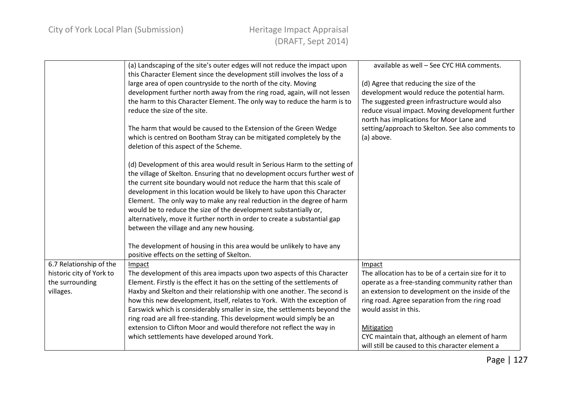|                          | (a) Landscaping of the site's outer edges will not reduce the impact upon<br>this Character Element since the development still involves the loss of a<br>large area of open countryside to the north of the city. Moving<br>development further north away from the ring road, again, will not lessen<br>the harm to this Character Element. The only way to reduce the harm is to<br>reduce the size of the site.<br>The harm that would be caused to the Extension of the Green Wedge<br>which is centred on Bootham Stray can be mitigated completely by the<br>deletion of this aspect of the Scheme.<br>(d) Development of this area would result in Serious Harm to the setting of<br>the village of Skelton. Ensuring that no development occurs further west of<br>the current site boundary would not reduce the harm that this scale of<br>development in this location would be likely to have upon this Character | available as well - See CYC HIA comments.<br>(d) Agree that reducing the size of the<br>development would reduce the potential harm.<br>The suggested green infrastructure would also<br>reduce visual impact. Moving development further<br>north has implications for Moor Lane and<br>setting/approach to Skelton. See also comments to<br>(a) above. |
|--------------------------|--------------------------------------------------------------------------------------------------------------------------------------------------------------------------------------------------------------------------------------------------------------------------------------------------------------------------------------------------------------------------------------------------------------------------------------------------------------------------------------------------------------------------------------------------------------------------------------------------------------------------------------------------------------------------------------------------------------------------------------------------------------------------------------------------------------------------------------------------------------------------------------------------------------------------------|----------------------------------------------------------------------------------------------------------------------------------------------------------------------------------------------------------------------------------------------------------------------------------------------------------------------------------------------------------|
|                          | Element. The only way to make any real reduction in the degree of harm<br>would be to reduce the size of the development substantially or,<br>alternatively, move it further north in order to create a substantial gap<br>between the village and any new housing.                                                                                                                                                                                                                                                                                                                                                                                                                                                                                                                                                                                                                                                            |                                                                                                                                                                                                                                                                                                                                                          |
|                          | The development of housing in this area would be unlikely to have any<br>positive effects on the setting of Skelton.                                                                                                                                                                                                                                                                                                                                                                                                                                                                                                                                                                                                                                                                                                                                                                                                           |                                                                                                                                                                                                                                                                                                                                                          |
| 6.7 Relationship of the  | Impact                                                                                                                                                                                                                                                                                                                                                                                                                                                                                                                                                                                                                                                                                                                                                                                                                                                                                                                         | Impact                                                                                                                                                                                                                                                                                                                                                   |
| historic city of York to | The development of this area impacts upon two aspects of this Character                                                                                                                                                                                                                                                                                                                                                                                                                                                                                                                                                                                                                                                                                                                                                                                                                                                        | The allocation has to be of a certain size for it to                                                                                                                                                                                                                                                                                                     |
| the surrounding          | Element. Firstly is the effect it has on the setting of the settlements of                                                                                                                                                                                                                                                                                                                                                                                                                                                                                                                                                                                                                                                                                                                                                                                                                                                     | operate as a free-standing community rather than                                                                                                                                                                                                                                                                                                         |
| villages.                | Haxby and Skelton and their relationship with one another. The second is                                                                                                                                                                                                                                                                                                                                                                                                                                                                                                                                                                                                                                                                                                                                                                                                                                                       | an extension to development on the inside of the                                                                                                                                                                                                                                                                                                         |
|                          | how this new development, itself, relates to York. With the exception of<br>Earswick which is considerably smaller in size, the settlements beyond the                                                                                                                                                                                                                                                                                                                                                                                                                                                                                                                                                                                                                                                                                                                                                                         | ring road. Agree separation from the ring road<br>would assist in this.                                                                                                                                                                                                                                                                                  |
|                          | ring road are all free-standing. This development would simply be an                                                                                                                                                                                                                                                                                                                                                                                                                                                                                                                                                                                                                                                                                                                                                                                                                                                           |                                                                                                                                                                                                                                                                                                                                                          |
|                          | extension to Clifton Moor and would therefore not reflect the way in                                                                                                                                                                                                                                                                                                                                                                                                                                                                                                                                                                                                                                                                                                                                                                                                                                                           | Mitigation                                                                                                                                                                                                                                                                                                                                               |
|                          | which settlements have developed around York.                                                                                                                                                                                                                                                                                                                                                                                                                                                                                                                                                                                                                                                                                                                                                                                                                                                                                  | CYC maintain that, although an element of harm                                                                                                                                                                                                                                                                                                           |
|                          |                                                                                                                                                                                                                                                                                                                                                                                                                                                                                                                                                                                                                                                                                                                                                                                                                                                                                                                                | will still be caused to this character element a                                                                                                                                                                                                                                                                                                         |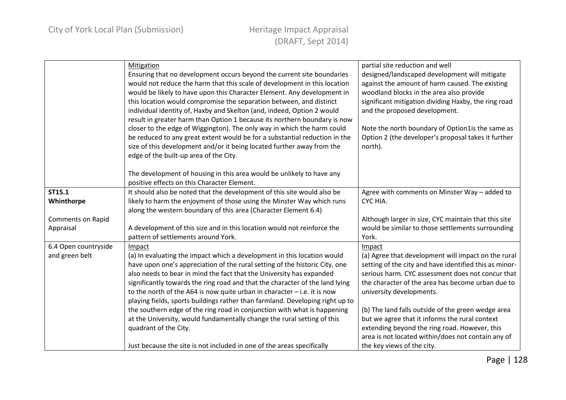|                      | Mitigation<br>Ensuring that no development occurs beyond the current site boundaries<br>would not reduce the harm that this scale of development in this location<br>would be likely to have upon this Character Element. Any development in<br>this location would compromise the separation between, and distinct<br>individual identity of, Haxby and Skelton (and, indeed, Option 2 would<br>result in greater harm than Option 1 because its northern boundary is now<br>closer to the edge of Wiggington). The only way in which the harm could<br>be reduced to any great extent would be for a substantial reduction in the<br>size of this development and/or it being located further away from the<br>edge of the built-up area of the City. | partial site reduction and well<br>designed/landscaped development will mitigate<br>against the amount of harm caused. The existing<br>woodland blocks in the area also provide<br>significant mitigation dividing Haxby, the ring road<br>and the proposed development.<br>Note the north boundary of Option1is the same as<br>Option 2 (the developer's proposal takes it further<br>north). |
|----------------------|---------------------------------------------------------------------------------------------------------------------------------------------------------------------------------------------------------------------------------------------------------------------------------------------------------------------------------------------------------------------------------------------------------------------------------------------------------------------------------------------------------------------------------------------------------------------------------------------------------------------------------------------------------------------------------------------------------------------------------------------------------|------------------------------------------------------------------------------------------------------------------------------------------------------------------------------------------------------------------------------------------------------------------------------------------------------------------------------------------------------------------------------------------------|
|                      | The development of housing in this area would be unlikely to have any<br>positive effects on this Character Element.                                                                                                                                                                                                                                                                                                                                                                                                                                                                                                                                                                                                                                    |                                                                                                                                                                                                                                                                                                                                                                                                |
| ST15.1               | It should also be noted that the development of this site would also be                                                                                                                                                                                                                                                                                                                                                                                                                                                                                                                                                                                                                                                                                 | Agree with comments on Minster Way - added to                                                                                                                                                                                                                                                                                                                                                  |
| Whinthorpe           | likely to harm the enjoyment of those using the Minster Way which runs                                                                                                                                                                                                                                                                                                                                                                                                                                                                                                                                                                                                                                                                                  | CYC HIA.                                                                                                                                                                                                                                                                                                                                                                                       |
|                      | along the western boundary of this area (Character Element 6.4)                                                                                                                                                                                                                                                                                                                                                                                                                                                                                                                                                                                                                                                                                         |                                                                                                                                                                                                                                                                                                                                                                                                |
| Comments on Rapid    |                                                                                                                                                                                                                                                                                                                                                                                                                                                                                                                                                                                                                                                                                                                                                         | Although larger in size, CYC maintain that this site                                                                                                                                                                                                                                                                                                                                           |
| Appraisal            | A development of this size and in this location would not reinforce the                                                                                                                                                                                                                                                                                                                                                                                                                                                                                                                                                                                                                                                                                 | would be similar to those settlements surrounding                                                                                                                                                                                                                                                                                                                                              |
|                      | pattern of settlements around York.                                                                                                                                                                                                                                                                                                                                                                                                                                                                                                                                                                                                                                                                                                                     | York.                                                                                                                                                                                                                                                                                                                                                                                          |
| 6.4 Open countryside | Impact                                                                                                                                                                                                                                                                                                                                                                                                                                                                                                                                                                                                                                                                                                                                                  | Impact                                                                                                                                                                                                                                                                                                                                                                                         |
| and green belt       | (a) In evaluating the impact which a development in this location would                                                                                                                                                                                                                                                                                                                                                                                                                                                                                                                                                                                                                                                                                 | (a) Agree that development will impact on the rural                                                                                                                                                                                                                                                                                                                                            |
|                      | have upon one's appreciation of the rural setting of the historic City, one                                                                                                                                                                                                                                                                                                                                                                                                                                                                                                                                                                                                                                                                             | setting of the city and have identified this as minor-                                                                                                                                                                                                                                                                                                                                         |
|                      | also needs to bear in mind the fact that the University has expanded                                                                                                                                                                                                                                                                                                                                                                                                                                                                                                                                                                                                                                                                                    | serious harm. CYC assessment does not concur that                                                                                                                                                                                                                                                                                                                                              |
|                      | significantly towards the ring road and that the character of the land lying                                                                                                                                                                                                                                                                                                                                                                                                                                                                                                                                                                                                                                                                            | the character of the area has become urban due to                                                                                                                                                                                                                                                                                                                                              |
|                      | to the north of the A64 is now quite urban in character $-$ i.e. it is now                                                                                                                                                                                                                                                                                                                                                                                                                                                                                                                                                                                                                                                                              | university developments.                                                                                                                                                                                                                                                                                                                                                                       |
|                      | playing fields, sports buildings rather than farmland. Developing right up to                                                                                                                                                                                                                                                                                                                                                                                                                                                                                                                                                                                                                                                                           |                                                                                                                                                                                                                                                                                                                                                                                                |
|                      | the southern edge of the ring road in conjunction with what is happening                                                                                                                                                                                                                                                                                                                                                                                                                                                                                                                                                                                                                                                                                | (b) The land falls outside of the green wedge area                                                                                                                                                                                                                                                                                                                                             |
|                      | at the University, would fundamentally change the rural setting of this                                                                                                                                                                                                                                                                                                                                                                                                                                                                                                                                                                                                                                                                                 | but we agree that it informs the rural context                                                                                                                                                                                                                                                                                                                                                 |
|                      | quadrant of the City.                                                                                                                                                                                                                                                                                                                                                                                                                                                                                                                                                                                                                                                                                                                                   | extending beyond the ring road. However, this                                                                                                                                                                                                                                                                                                                                                  |
|                      |                                                                                                                                                                                                                                                                                                                                                                                                                                                                                                                                                                                                                                                                                                                                                         | area is not located within/does not contain any of                                                                                                                                                                                                                                                                                                                                             |
|                      | Just because the site is not included in one of the areas specifically                                                                                                                                                                                                                                                                                                                                                                                                                                                                                                                                                                                                                                                                                  | the key views of the city.                                                                                                                                                                                                                                                                                                                                                                     |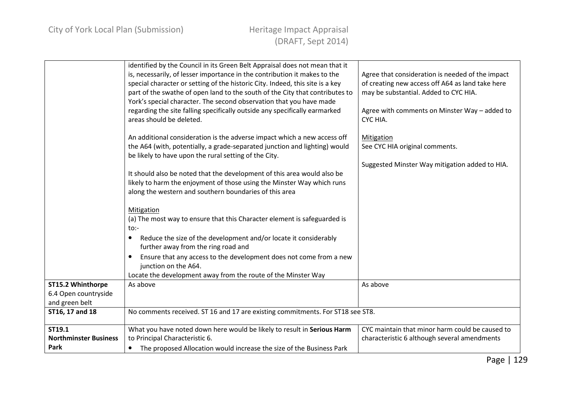|                                                             | identified by the Council in its Green Belt Appraisal does not mean that it<br>is, necessarily, of lesser importance in the contribution it makes to the<br>special character or setting of the historic City. Indeed, this site is a key<br>part of the swathe of open land to the south of the City that contributes to<br>York's special character. The second observation that you have made<br>regarding the site falling specifically outside any specifically earmarked<br>areas should be deleted.<br>An additional consideration is the adverse impact which a new access off<br>the A64 (with, potentially, a grade-separated junction and lighting) would<br>be likely to have upon the rural setting of the City.<br>It should also be noted that the development of this area would also be<br>likely to harm the enjoyment of those using the Minster Way which runs<br>along the western and southern boundaries of this area<br><b>Mitigation</b><br>(a) The most way to ensure that this Character element is safeguarded is<br>$to$ :-<br>Reduce the size of the development and/or locate it considerably<br>٠<br>further away from the ring road and<br>Ensure that any access to the development does not come from a new<br>$\bullet$<br>junction on the A64.<br>Locate the development away from the route of the Minster Way | Agree that consideration is needed of the impact<br>of creating new access off A64 as land take here<br>may be substantial. Added to CYC HIA.<br>Agree with comments on Minster Way - added to<br>CYC HIA.<br><b>Mitigation</b><br>See CYC HIA original comments.<br>Suggested Minster Way mitigation added to HIA. |
|-------------------------------------------------------------|------------------------------------------------------------------------------------------------------------------------------------------------------------------------------------------------------------------------------------------------------------------------------------------------------------------------------------------------------------------------------------------------------------------------------------------------------------------------------------------------------------------------------------------------------------------------------------------------------------------------------------------------------------------------------------------------------------------------------------------------------------------------------------------------------------------------------------------------------------------------------------------------------------------------------------------------------------------------------------------------------------------------------------------------------------------------------------------------------------------------------------------------------------------------------------------------------------------------------------------------------------------------------------------------------------------------------------------------------|---------------------------------------------------------------------------------------------------------------------------------------------------------------------------------------------------------------------------------------------------------------------------------------------------------------------|
| ST15.2 Whinthorpe<br>6.4 Open countryside<br>and green belt | As above                                                                                                                                                                                                                                                                                                                                                                                                                                                                                                                                                                                                                                                                                                                                                                                                                                                                                                                                                                                                                                                                                                                                                                                                                                                                                                                                             | As above                                                                                                                                                                                                                                                                                                            |
| ST16, 17 and 18                                             | No comments received. ST 16 and 17 are existing commitments. For ST18 see ST8.                                                                                                                                                                                                                                                                                                                                                                                                                                                                                                                                                                                                                                                                                                                                                                                                                                                                                                                                                                                                                                                                                                                                                                                                                                                                       |                                                                                                                                                                                                                                                                                                                     |
| ST19.1<br><b>Northminster Business</b><br>Park              | What you have noted down here would be likely to result in Serious Harm<br>to Principal Characteristic 6.<br>The proposed Allocation would increase the size of the Business Park<br>$\bullet$                                                                                                                                                                                                                                                                                                                                                                                                                                                                                                                                                                                                                                                                                                                                                                                                                                                                                                                                                                                                                                                                                                                                                       | CYC maintain that minor harm could be caused to<br>characteristic 6 although several amendments                                                                                                                                                                                                                     |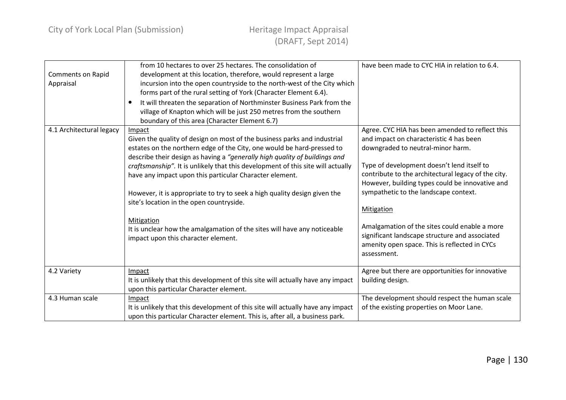| <b>Comments on Rapid</b><br>Appraisal | from 10 hectares to over 25 hectares. The consolidation of<br>development at this location, therefore, would represent a large<br>incursion into the open countryside to the north-west of the City which<br>forms part of the rural setting of York (Character Element 6.4).<br>It will threaten the separation of Northminster Business Park from the<br>village of Knapton which will be just 250 metres from the southern<br>boundary of this area (Character Element 6.7)                                                                                                                                                                     | have been made to CYC HIA in relation to 6.4.                                                                                                                                                                                                                                                                                                                                                                                                                                                                            |
|---------------------------------------|----------------------------------------------------------------------------------------------------------------------------------------------------------------------------------------------------------------------------------------------------------------------------------------------------------------------------------------------------------------------------------------------------------------------------------------------------------------------------------------------------------------------------------------------------------------------------------------------------------------------------------------------------|--------------------------------------------------------------------------------------------------------------------------------------------------------------------------------------------------------------------------------------------------------------------------------------------------------------------------------------------------------------------------------------------------------------------------------------------------------------------------------------------------------------------------|
| 4.1 Architectural legacy              | Impact<br>Given the quality of design on most of the business parks and industrial<br>estates on the northern edge of the City, one would be hard-pressed to<br>describe their design as having a "generally high quality of buildings and<br>craftsmanship". It is unlikely that this development of this site will actually<br>have any impact upon this particular Character element.<br>However, it is appropriate to try to seek a high quality design given the<br>site's location in the open countryside.<br>Mitigation<br>It is unclear how the amalgamation of the sites will have any noticeable<br>impact upon this character element. | Agree. CYC HIA has been amended to reflect this<br>and impact on characteristic 4 has been<br>downgraded to neutral-minor harm.<br>Type of development doesn't lend itself to<br>contribute to the architectural legacy of the city.<br>However, building types could be innovative and<br>sympathetic to the landscape context.<br><b>Mitigation</b><br>Amalgamation of the sites could enable a more<br>significant landscape structure and associated<br>amenity open space. This is reflected in CYCs<br>assessment. |
| 4.2 Variety                           | Impact<br>It is unlikely that this development of this site will actually have any impact<br>upon this particular Character element.                                                                                                                                                                                                                                                                                                                                                                                                                                                                                                               | Agree but there are opportunities for innovative<br>building design.                                                                                                                                                                                                                                                                                                                                                                                                                                                     |
| 4.3 Human scale                       | Impact<br>It is unlikely that this development of this site will actually have any impact<br>upon this particular Character element. This is, after all, a business park.                                                                                                                                                                                                                                                                                                                                                                                                                                                                          | The development should respect the human scale<br>of the existing properties on Moor Lane.                                                                                                                                                                                                                                                                                                                                                                                                                               |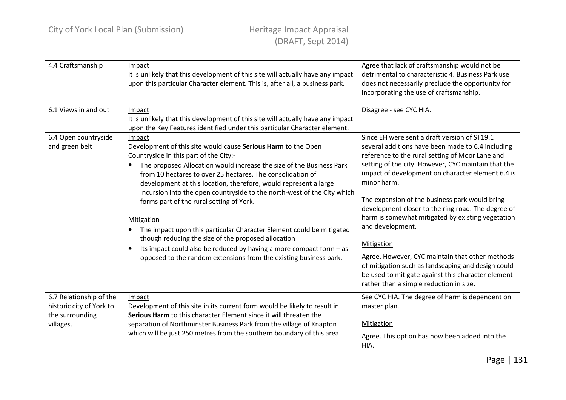| 4.4 Craftsmanship                                                                   | Impact<br>It is unlikely that this development of this site will actually have any impact<br>upon this particular Character element. This is, after all, a business park.                                                                                                                                                                                                                                                                                                                                                                                                                                                                                                                                                                                  | Agree that lack of craftsmanship would not be<br>detrimental to characteristic 4. Business Park use<br>does not necessarily preclude the opportunity for<br>incorporating the use of craftsmanship.                                                                                                                                                                                                                                                                                                                                                                                                                                                                                      |
|-------------------------------------------------------------------------------------|------------------------------------------------------------------------------------------------------------------------------------------------------------------------------------------------------------------------------------------------------------------------------------------------------------------------------------------------------------------------------------------------------------------------------------------------------------------------------------------------------------------------------------------------------------------------------------------------------------------------------------------------------------------------------------------------------------------------------------------------------------|------------------------------------------------------------------------------------------------------------------------------------------------------------------------------------------------------------------------------------------------------------------------------------------------------------------------------------------------------------------------------------------------------------------------------------------------------------------------------------------------------------------------------------------------------------------------------------------------------------------------------------------------------------------------------------------|
| 6.1 Views in and out                                                                | Impact<br>It is unlikely that this development of this site will actually have any impact<br>upon the Key Features identified under this particular Character element.                                                                                                                                                                                                                                                                                                                                                                                                                                                                                                                                                                                     | Disagree - see CYC HIA.                                                                                                                                                                                                                                                                                                                                                                                                                                                                                                                                                                                                                                                                  |
| 6.4 Open countryside<br>and green belt                                              | Impact<br>Development of this site would cause Serious Harm to the Open<br>Countryside in this part of the City:-<br>The proposed Allocation would increase the size of the Business Park<br>from 10 hectares to over 25 hectares. The consolidation of<br>development at this location, therefore, would represent a large<br>incursion into the open countryside to the north-west of the City which<br>forms part of the rural setting of York.<br>Mitigation<br>The impact upon this particular Character Element could be mitigated<br>$\bullet$<br>though reducing the size of the proposed allocation<br>Its impact could also be reduced by having a more compact form $-$ as<br>opposed to the random extensions from the existing business park. | Since EH were sent a draft version of ST19.1<br>several additions have been made to 6.4 including<br>reference to the rural setting of Moor Lane and<br>setting of the city. However, CYC maintain that the<br>impact of development on character element 6.4 is<br>minor harm.<br>The expansion of the business park would bring<br>development closer to the ring road. The degree of<br>harm is somewhat mitigated by existing vegetation<br>and development.<br>Mitigation<br>Agree. However, CYC maintain that other methods<br>of mitigation such as landscaping and design could<br>be used to mitigate against this character element<br>rather than a simple reduction in size. |
| 6.7 Relationship of the<br>historic city of York to<br>the surrounding<br>villages. | Impact<br>Development of this site in its current form would be likely to result in<br>Serious Harm to this character Element since it will threaten the<br>separation of Northminster Business Park from the village of Knapton<br>which will be just 250 metres from the southern boundary of this area                                                                                                                                                                                                                                                                                                                                                                                                                                                  | See CYC HIA. The degree of harm is dependent on<br>master plan.<br>Mitigation<br>Agree. This option has now been added into the<br>HIA.                                                                                                                                                                                                                                                                                                                                                                                                                                                                                                                                                  |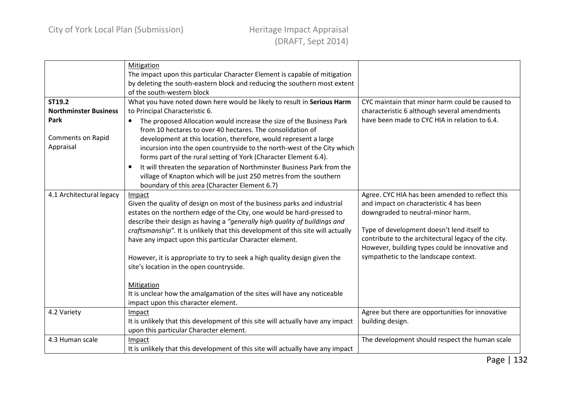|                                                                                         | Mitigation<br>The impact upon this particular Character Element is capable of mitigation<br>by deleting the south-eastern block and reducing the southern most extent<br>of the south-western block                                                                                                                                                                                                                                                                                                                                                                                                                                                                                           |                                                                                                                                                                                                                                                                                                                                  |
|-----------------------------------------------------------------------------------------|-----------------------------------------------------------------------------------------------------------------------------------------------------------------------------------------------------------------------------------------------------------------------------------------------------------------------------------------------------------------------------------------------------------------------------------------------------------------------------------------------------------------------------------------------------------------------------------------------------------------------------------------------------------------------------------------------|----------------------------------------------------------------------------------------------------------------------------------------------------------------------------------------------------------------------------------------------------------------------------------------------------------------------------------|
| ST19.2<br><b>Northminster Business</b><br>Park<br><b>Comments on Rapid</b><br>Appraisal | What you have noted down here would be likely to result in Serious Harm<br>to Principal Characteristic 6.<br>The proposed Allocation would increase the size of the Business Park<br>$\bullet$<br>from 10 hectares to over 40 hectares. The consolidation of<br>development at this location, therefore, would represent a large<br>incursion into the open countryside to the north-west of the City which<br>forms part of the rural setting of York (Character Element 6.4).<br>It will threaten the separation of Northminster Business Park from the<br>$\bullet$<br>village of Knapton which will be just 250 metres from the southern<br>boundary of this area (Character Element 6.7) | CYC maintain that minor harm could be caused to<br>characteristic 6 although several amendments<br>have been made to CYC HIA in relation to 6.4.                                                                                                                                                                                 |
| 4.1 Architectural legacy                                                                | Impact<br>Given the quality of design on most of the business parks and industrial<br>estates on the northern edge of the City, one would be hard-pressed to<br>describe their design as having a "generally high quality of buildings and<br>craftsmanship". It is unlikely that this development of this site will actually<br>have any impact upon this particular Character element.<br>However, it is appropriate to try to seek a high quality design given the<br>site's location in the open countryside.<br>Mitigation<br>It is unclear how the amalgamation of the sites will have any noticeable<br>impact upon this character element.                                            | Agree. CYC HIA has been amended to reflect this<br>and impact on characteristic 4 has been<br>downgraded to neutral-minor harm.<br>Type of development doesn't lend itself to<br>contribute to the architectural legacy of the city.<br>However, building types could be innovative and<br>sympathetic to the landscape context. |
| 4.2 Variety                                                                             | Impact<br>It is unlikely that this development of this site will actually have any impact<br>upon this particular Character element.                                                                                                                                                                                                                                                                                                                                                                                                                                                                                                                                                          | Agree but there are opportunities for innovative<br>building design.                                                                                                                                                                                                                                                             |
| 4.3 Human scale                                                                         | Impact<br>It is unlikely that this development of this site will actually have any impact                                                                                                                                                                                                                                                                                                                                                                                                                                                                                                                                                                                                     | The development should respect the human scale                                                                                                                                                                                                                                                                                   |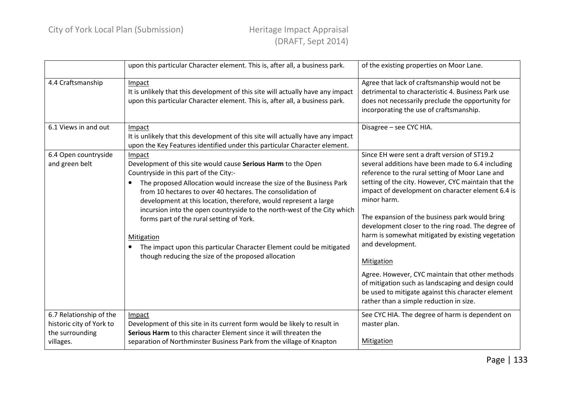|                                                                                     | upon this particular Character element. This is, after all, a business park.                                                                                                                                                                                                                                                                                                                                                                                                                                                                                                                                                     | of the existing properties on Moor Lane.                                                                                                                                                                                                                                                                                                                                                                                                                                                                                                                                                                                                                                                        |
|-------------------------------------------------------------------------------------|----------------------------------------------------------------------------------------------------------------------------------------------------------------------------------------------------------------------------------------------------------------------------------------------------------------------------------------------------------------------------------------------------------------------------------------------------------------------------------------------------------------------------------------------------------------------------------------------------------------------------------|-------------------------------------------------------------------------------------------------------------------------------------------------------------------------------------------------------------------------------------------------------------------------------------------------------------------------------------------------------------------------------------------------------------------------------------------------------------------------------------------------------------------------------------------------------------------------------------------------------------------------------------------------------------------------------------------------|
| 4.4 Craftsmanship                                                                   | Impact<br>It is unlikely that this development of this site will actually have any impact<br>upon this particular Character element. This is, after all, a business park.                                                                                                                                                                                                                                                                                                                                                                                                                                                        | Agree that lack of craftsmanship would not be<br>detrimental to characteristic 4. Business Park use<br>does not necessarily preclude the opportunity for<br>incorporating the use of craftsmanship.                                                                                                                                                                                                                                                                                                                                                                                                                                                                                             |
| 6.1 Views in and out                                                                | Impact<br>It is unlikely that this development of this site will actually have any impact<br>upon the Key Features identified under this particular Character element.                                                                                                                                                                                                                                                                                                                                                                                                                                                           | Disagree - see CYC HIA.                                                                                                                                                                                                                                                                                                                                                                                                                                                                                                                                                                                                                                                                         |
| 6.4 Open countryside<br>and green belt                                              | Impact<br>Development of this site would cause Serious Harm to the Open<br>Countryside in this part of the City:-<br>The proposed Allocation would increase the size of the Business Park<br>$\bullet$<br>from 10 hectares to over 40 hectares. The consolidation of<br>development at this location, therefore, would represent a large<br>incursion into the open countryside to the north-west of the City which<br>forms part of the rural setting of York.<br><b>Mitigation</b><br>The impact upon this particular Character Element could be mitigated<br>$\bullet$<br>though reducing the size of the proposed allocation | Since EH were sent a draft version of ST19.2<br>several additions have been made to 6.4 including<br>reference to the rural setting of Moor Lane and<br>setting of the city. However, CYC maintain that the<br>impact of development on character element 6.4 is<br>minor harm.<br>The expansion of the business park would bring<br>development closer to the ring road. The degree of<br>harm is somewhat mitigated by existing vegetation<br>and development.<br><b>Mitigation</b><br>Agree. However, CYC maintain that other methods<br>of mitigation such as landscaping and design could<br>be used to mitigate against this character element<br>rather than a simple reduction in size. |
| 6.7 Relationship of the<br>historic city of York to<br>the surrounding<br>villages. | Impact<br>Development of this site in its current form would be likely to result in<br>Serious Harm to this character Element since it will threaten the<br>separation of Northminster Business Park from the village of Knapton                                                                                                                                                                                                                                                                                                                                                                                                 | See CYC HIA. The degree of harm is dependent on<br>master plan.<br>Mitigation                                                                                                                                                                                                                                                                                                                                                                                                                                                                                                                                                                                                                   |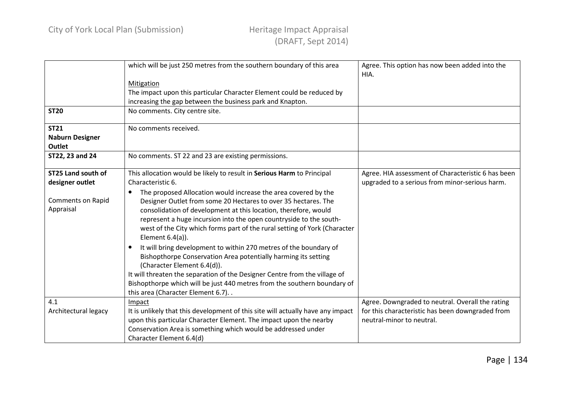|                           | which will be just 250 metres from the southern boundary of this area           | Agree. This option has now been added into the<br>HIA. |
|---------------------------|---------------------------------------------------------------------------------|--------------------------------------------------------|
|                           | Mitigation                                                                      |                                                        |
|                           | The impact upon this particular Character Element could be reduced by           |                                                        |
|                           | increasing the gap between the business park and Knapton.                       |                                                        |
| <b>ST20</b>               | No comments. City centre site.                                                  |                                                        |
| <b>ST21</b>               | No comments received.                                                           |                                                        |
| <b>Naburn Designer</b>    |                                                                                 |                                                        |
| <b>Outlet</b>             |                                                                                 |                                                        |
| ST22, 23 and 24           | No comments. ST 22 and 23 are existing permissions.                             |                                                        |
|                           |                                                                                 |                                                        |
| <b>ST25 Land south of</b> | This allocation would be likely to result in Serious Harm to Principal          | Agree. HIA assessment of Characteristic 6 has been     |
| designer outlet           | Characteristic 6.                                                               | upgraded to a serious from minor-serious harm.         |
|                           | The proposed Allocation would increase the area covered by the                  |                                                        |
| Comments on Rapid         | Designer Outlet from some 20 Hectares to over 35 hectares. The                  |                                                        |
| Appraisal                 | consolidation of development at this location, therefore, would                 |                                                        |
|                           | represent a huge incursion into the open countryside to the south-              |                                                        |
|                           | west of the City which forms part of the rural setting of York (Character       |                                                        |
|                           | Element $6.4(a)$ ).                                                             |                                                        |
|                           | It will bring development to within 270 metres of the boundary of<br>$\bullet$  |                                                        |
|                           | Bishopthorpe Conservation Area potentially harming its setting                  |                                                        |
|                           | (Character Element 6.4(d)).                                                     |                                                        |
|                           | It will threaten the separation of the Designer Centre from the village of      |                                                        |
|                           | Bishopthorpe which will be just 440 metres from the southern boundary of        |                                                        |
|                           | this area (Character Element 6.7)                                               |                                                        |
| 4.1                       | Impact                                                                          | Agree. Downgraded to neutral. Overall the rating       |
| Architectural legacy      | It is unlikely that this development of this site will actually have any impact | for this characteristic has been downgraded from       |
|                           | upon this particular Character Element. The impact upon the nearby              | neutral-minor to neutral.                              |
|                           | Conservation Area is something which would be addressed under                   |                                                        |
|                           | Character Element 6.4(d)                                                        |                                                        |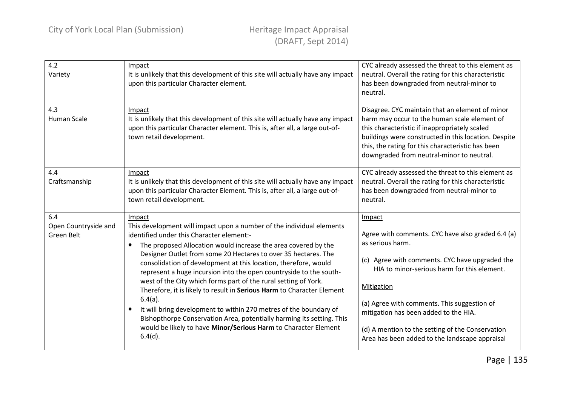| 4.2<br>Variety                            | Impact<br>It is unlikely that this development of this site will actually have any impact<br>upon this particular Character element.                                                                                                                                                                                                                                                                                                                                                                                                                                                                                                                                                                                                                                                                             | CYC already assessed the threat to this element as<br>neutral. Overall the rating for this characteristic<br>has been downgraded from neutral-minor to<br>neutral.                                                                                                                                                                                                                           |
|-------------------------------------------|------------------------------------------------------------------------------------------------------------------------------------------------------------------------------------------------------------------------------------------------------------------------------------------------------------------------------------------------------------------------------------------------------------------------------------------------------------------------------------------------------------------------------------------------------------------------------------------------------------------------------------------------------------------------------------------------------------------------------------------------------------------------------------------------------------------|----------------------------------------------------------------------------------------------------------------------------------------------------------------------------------------------------------------------------------------------------------------------------------------------------------------------------------------------------------------------------------------------|
| 4.3<br><b>Human Scale</b>                 | Impact<br>It is unlikely that this development of this site will actually have any impact<br>upon this particular Character element. This is, after all, a large out-of-<br>town retail development.                                                                                                                                                                                                                                                                                                                                                                                                                                                                                                                                                                                                             | Disagree. CYC maintain that an element of minor<br>harm may occur to the human scale element of<br>this characteristic if inappropriately scaled<br>buildings were constructed in this location. Despite<br>this, the rating for this characteristic has been<br>downgraded from neutral-minor to neutral.                                                                                   |
| 4.4<br>Craftsmanship                      | Impact<br>It is unlikely that this development of this site will actually have any impact<br>upon this particular Character Element. This is, after all, a large out-of-<br>town retail development.                                                                                                                                                                                                                                                                                                                                                                                                                                                                                                                                                                                                             | CYC already assessed the threat to this element as<br>neutral. Overall the rating for this characteristic<br>has been downgraded from neutral-minor to<br>neutral.                                                                                                                                                                                                                           |
| 6.4<br>Open Countryside and<br>Green Belt | Impact<br>This development will impact upon a number of the individual elements<br>identified under this Character element:-<br>The proposed Allocation would increase the area covered by the<br>$\bullet$<br>Designer Outlet from some 20 Hectares to over 35 hectares. The<br>consolidation of development at this location, therefore, would<br>represent a huge incursion into the open countryside to the south-<br>west of the City which forms part of the rural setting of York.<br>Therefore, it is likely to result in Serious Harm to Character Element<br>$6.4(a)$ .<br>It will bring development to within 270 metres of the boundary of<br>Bishopthorpe Conservation Area, potentially harming its setting. This<br>would be likely to have Minor/Serious Harm to Character Element<br>$6.4(d)$ . | Impact<br>Agree with comments. CYC have also graded 6.4 (a)<br>as serious harm.<br>(c) Agree with comments. CYC have upgraded the<br>HIA to minor-serious harm for this element.<br>Mitigation<br>(a) Agree with comments. This suggestion of<br>mitigation has been added to the HIA.<br>(d) A mention to the setting of the Conservation<br>Area has been added to the landscape appraisal |